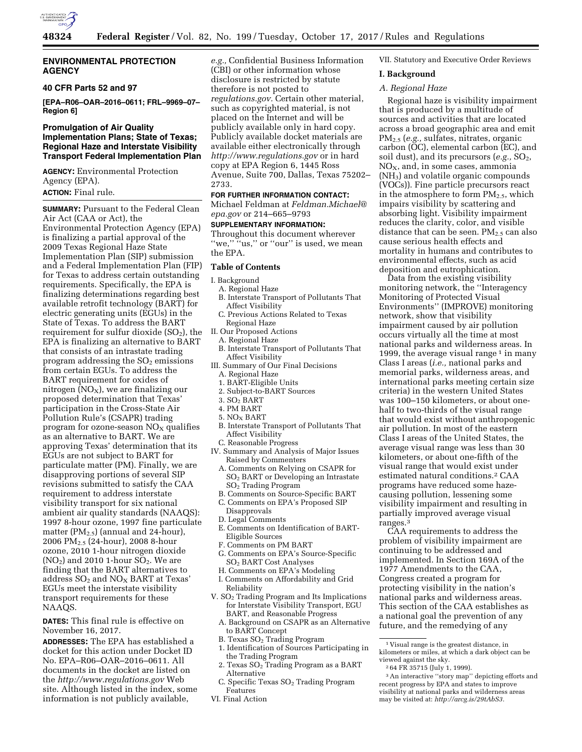

### **ENVIRONMENTAL PROTECTION AGENCY**

# **40 CFR Parts 52 and 97**

**[EPA–R06–OAR–2016–0611; FRL–9969–07– Region 6]** 

# **Promulgation of Air Quality Implementation Plans; State of Texas; Regional Haze and Interstate Visibility Transport Federal Implementation Plan**

**AGENCY:** Environmental Protection Agency (EPA). **ACTION:** Final rule.

**SUMMARY: Pursuant to the Federal Clean** Air Act (CAA or Act), the Environmental Protection Agency (EPA) is finalizing a partial approval of the 2009 Texas Regional Haze State Implementation Plan (SIP) submission and a Federal Implementation Plan (FIP) for Texas to address certain outstanding requirements. Specifically, the EPA is finalizing determinations regarding best available retrofit technology (BART) for electric generating units (EGUs) in the State of Texas. To address the BART requirement for sulfur dioxide  $(SO<sub>2</sub>)$ , the EPA is finalizing an alternative to BART that consists of an intrastate trading program addressing the  $SO<sub>2</sub>$  emissions from certain EGUs. To address the BART requirement for oxides of nitrogen  $(NO<sub>X</sub>)$ , we are finalizing our proposed determination that Texas' participation in the Cross-State Air Pollution Rule's (CSAPR) trading program for ozone-season  $NO<sub>x</sub>$  qualifies as an alternative to BART. We are approving Texas' determination that its EGUs are not subject to BART for particulate matter (PM). Finally, we are disapproving portions of several SIP revisions submitted to satisfy the CAA requirement to address interstate visibility transport for six national ambient air quality standards (NAAQS): 1997 8-hour ozone, 1997 fine particulate matter ( $PM_{2.5}$ ) (annual and 24-hour), 2006 PM2.5 (24-hour), 2008 8-hour ozone, 2010 1-hour nitrogen dioxide  $NO<sub>2</sub>$ ) and 2010 1-hour  $SO<sub>2</sub>$ . We are finding that the BART alternatives to address SO<sub>2</sub> and NO<sub>X</sub> BART at Texas' EGUs meet the interstate visibility transport requirements for these NAAQS.

**DATES:** This final rule is effective on November 16, 2017.

**ADDRESSES:** The EPA has established a docket for this action under Docket ID No. EPA–R06–OAR–2016–0611. All documents in the docket are listed on the *<http://www.regulations.gov>*Web site. Although listed in the index, some information is not publicly available,

*e.g.,* Confidential Business Information (CBI) or other information whose disclosure is restricted by statute therefore is not posted to *regulations.gov.* Certain other material, such as copyrighted material, is not placed on the Internet and will be publicly available only in hard copy. Publicly available docket materials are available either electronically through *<http://www.regulations.gov>* or in hard copy at EPA Region 6, 1445 Ross Avenue, Suite 700, Dallas, Texas 75202– 2733.

### **FOR FURTHER INFORMATION CONTACT:**

Michael Feldman at *[Feldman.Michael@](mailto:Feldman.Michael@epa.gov) [epa.gov](mailto:Feldman.Michael@epa.gov)* or 214–665–9793

# **SUPPLEMENTARY INFORMATION:**

Throughout this document wherever "we," "us," or "our" is used, we mean the EPA.

### **Table of Contents**

I. Background

- A. Regional Haze
	- B. Interstate Transport of Pollutants That Affect Visibility
- C. Previous Actions Related to Texas Regional Haze
- II. Our Proposed Actions
- A. Regional Haze
- B. Interstate Transport of Pollutants That Affect Visibility
- III. Summary of Our Final Decisions
	- A. Regional Haze
	- 1. BART-Eligible Units
	- 2. Subject-to-BART Sources
	- 3. SO2 BART
	- 4. PM BART
	- 5. NOX BART
	- B. Interstate Transport of Pollutants That Affect Visibility
	- C. Reasonable Progress
- IV. Summary and Analysis of Major Issues Raised by Commenters
	- A. Comments on Relying on CSAPR for SO2 BART or Developing an Intrastate SO2 Trading Program
	- B. Comments on Source-Specific BART C. Comments on EPA's Proposed SIP
	- Disapprovals D. Legal Comments
	- E. Comments on Identification of BART-Eligible Sources
	- F. Comments on PM BART
	- G. Comments on EPA's Source-Specific SO2 BART Cost Analyses
	- H. Comments on EPA's Modeling
- I. Comments on Affordability and Grid Reliability
- V. SO2 Trading Program and Its Implications for Interstate Visibility Transport, EGU BART, and Reasonable Progress
- A. Background on CSAPR as an Alternative to BART Concept
- B. Texas  $SO<sub>2</sub>$  Trading Program
- 1. Identification of Sources Participating in the Trading Program
- 2. Texas  $SO<sub>2</sub>$  Trading Program as a BART Alternative
- C. Specific Texas SO<sub>2</sub> Trading Program Features
- VI. Final Action

#### VII. Statutory and Executive Order Reviews

#### **I. Background**

#### *A. Regional Haze*

Regional haze is visibility impairment that is produced by a multitude of sources and activities that are located across a broad geographic area and emit PM2.5 (*e.g.,* sulfates, nitrates, organic carbon (OC), elemental carbon (EC), and soil dust), and its precursors (*e.g.,* SO2,  $NO<sub>X</sub>$ , and, in some cases, ammonia (NH3) and volatile organic compounds (VOCs)). Fine particle precursors react in the atmosphere to form  $PM_{2.5}$ , which impairs visibility by scattering and absorbing light. Visibility impairment reduces the clarity, color, and visible distance that can be seen.  $PM_{2.5}$  can also cause serious health effects and mortality in humans and contributes to environmental effects, such as acid deposition and eutrophication.

Data from the existing visibility monitoring network, the ''Interagency Monitoring of Protected Visual Environments'' (IMPROVE) monitoring network, show that visibility impairment caused by air pollution occurs virtually all the time at most national parks and wilderness areas. In 1999, the average visual range  $1$  in many Class I areas (*i.e.,* national parks and memorial parks, wilderness areas, and international parks meeting certain size criteria) in the western United States was 100–150 kilometers, or about onehalf to two-thirds of the visual range that would exist without anthropogenic air pollution. In most of the eastern Class I areas of the United States, the average visual range was less than 30 kilometers, or about one-fifth of the visual range that would exist under estimated natural conditions.2 CAA programs have reduced some hazecausing pollution, lessening some visibility impairment and resulting in partially improved average visual ranges.3

CAA requirements to address the problem of visibility impairment are continuing to be addressed and implemented. In Section 169A of the 1977 Amendments to the CAA, Congress created a program for protecting visibility in the nation's national parks and wilderness areas. This section of the CAA establishes as a national goal the prevention of any future, and the remedying of any

2 64 FR 35715 (July 1, 1999).

<sup>1</sup> Visual range is the greatest distance, in kilometers or miles, at which a dark object can be viewed against the sky.

<sup>3</sup>An interactive ''story map'' depicting efforts and recent progress by EPA and states to improve visibility at national parks and wilderness areas may be visited at: *[http://arcg.is/29tAbS3.](http://arcg.is/29tAbS3)*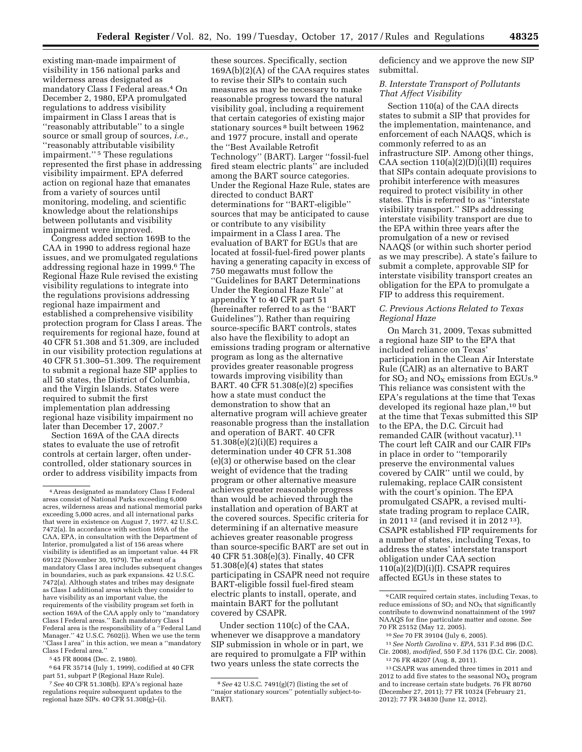existing man-made impairment of visibility in 156 national parks and wilderness areas designated as mandatory Class I Federal areas.4 On December 2, 1980, EPA promulgated regulations to address visibility impairment in Class I areas that is ''reasonably attributable'' to a single source or small group of sources, *i.e.,*  ''reasonably attributable visibility impairment.'' 5 These regulations represented the first phase in addressing visibility impairment. EPA deferred action on regional haze that emanates from a variety of sources until monitoring, modeling, and scientific knowledge about the relationships between pollutants and visibility impairment were improved.

Congress added section 169B to the CAA in 1990 to address regional haze issues, and we promulgated regulations addressing regional haze in 1999.6 The Regional Haze Rule revised the existing visibility regulations to integrate into the regulations provisions addressing regional haze impairment and established a comprehensive visibility protection program for Class I areas. The requirements for regional haze, found at 40 CFR 51.308 and 51.309, are included in our visibility protection regulations at 40 CFR 51.300–51.309. The requirement to submit a regional haze SIP applies to all 50 states, the District of Columbia, and the Virgin Islands. States were required to submit the first implementation plan addressing regional haze visibility impairment no later than December 17, 2007.7

Section 169A of the CAA directs states to evaluate the use of retrofit controls at certain larger, often undercontrolled, older stationary sources in order to address visibility impacts from

5 45 FR 80084 (Dec. 2, 1980).

6 64 FR 35714 (July 1, 1999), codified at 40 CFR part 51, subpart P (Regional Haze Rule).

these sources. Specifically, section 169A(b)(2)(A) of the CAA requires states to revise their SIPs to contain such measures as may be necessary to make reasonable progress toward the natural visibility goal, including a requirement that certain categories of existing major stationary sources 8 built between 1962 and 1977 procure, install and operate the ''Best Available Retrofit Technology'' (BART). Larger ''fossil-fuel fired steam electric plants'' are included among the BART source categories. Under the Regional Haze Rule, states are directed to conduct BART determinations for ''BART-eligible'' sources that may be anticipated to cause or contribute to any visibility impairment in a Class I area. The evaluation of BART for EGUs that are located at fossil-fuel-fired power plants having a generating capacity in excess of 750 megawatts must follow the ''Guidelines for BART Determinations Under the Regional Haze Rule'' at appendix Y to 40 CFR part 51 (hereinafter referred to as the ''BART Guidelines''). Rather than requiring source-specific BART controls, states also have the flexibility to adopt an emissions trading program or alternative program as long as the alternative provides greater reasonable progress towards improving visibility than BART. 40 CFR 51.308(e)(2) specifies how a state must conduct the demonstration to show that an alternative program will achieve greater reasonable progress than the installation and operation of BART. 40 CFR 51.308(e)(2)(i)(E) requires a determination under 40 CFR 51.308 (e)(3) or otherwise based on the clear weight of evidence that the trading program or other alternative measure achieves greater reasonable progress than would be achieved through the installation and operation of BART at the covered sources. Specific criteria for determining if an alternative measure achieves greater reasonable progress than source-specific BART are set out in 40 CFR 51.308(e)(3). Finally, 40 CFR 51.308(e)(4) states that states participating in CSAPR need not require BART-eligible fossil fuel-fired steam electric plants to install, operate, and maintain BART for the pollutant covered by CSAPR.

Under section 110(c) of the CAA, whenever we disapprove a mandatory SIP submission in whole or in part, we are required to promulgate a FIP within two years unless the state corrects the

deficiency and we approve the new SIP submittal.

# *B. Interstate Transport of Pollutants That Affect Visibility*

Section 110(a) of the CAA directs states to submit a SIP that provides for the implementation, maintenance, and enforcement of each NAAQS, which is commonly referred to as an infrastructure SIP. Among other things, CAA section  $110(a)(2)(D)(i)(II)$  requires that SIPs contain adequate provisions to prohibit interference with measures required to protect visibility in other states. This is referred to as ''interstate visibility transport.'' SIPs addressing interstate visibility transport are due to the EPA within three years after the promulgation of a new or revised NAAQS (or within such shorter period as we may prescribe). A state's failure to submit a complete, approvable SIP for interstate visibility transport creates an obligation for the EPA to promulgate a FIP to address this requirement.

# *C. Previous Actions Related to Texas Regional Haze*

On March 31, 2009, Texas submitted a regional haze SIP to the EPA that included reliance on Texas' participation in the Clean Air Interstate Rule (CAIR) as an alternative to BART for  $SO_2$  and  $NO_X$  emissions from EGUs.<sup>9</sup> This reliance was consistent with the EPA's regulations at the time that Texas developed its regional haze plan,<sup>10</sup> but at the time that Texas submitted this SIP to the EPA, the D.C. Circuit had remanded CAIR (without vacatur).11 The court left CAIR and our CAIR FIPs in place in order to ''temporarily preserve the environmental values covered by CAIR'' until we could, by rulemaking, replace CAIR consistent with the court's opinion. The EPA promulgated CSAPR, a revised multistate trading program to replace CAIR, in 2011 12 (and revised it in 2012 13). CSAPR established FIP requirements for a number of states, including Texas, to address the states' interstate transport obligation under CAA section  $110(a)(2)(D)(i)(I)$ . CSAPR requires affected EGUs in these states to

<sup>4</sup>Areas designated as mandatory Class I Federal areas consist of National Parks exceeding 6,000 acres, wilderness areas and national memorial parks exceeding 5,000 acres, and all international parks that were in existence on August 7, 1977. 42 U.S.C. 7472(a). In accordance with section 169A of the CAA, EPA, in consultation with the Department of Interior, promulgated a list of 156 areas where visibility is identified as an important value. 44 FR 69122 (November 30, 1979). The extent of a mandatory Class I area includes subsequent changes in boundaries, such as park expansions. 42 U.S.C. 7472(a). Although states and tribes may designate as Class I additional areas which they consider to have visibility as an important value, the requirements of the visibility program set forth in section 169A of the CAA apply only to ''mandatory Class I Federal areas.'' Each mandatory Class I Federal area is the responsibility of a ''Federal Land Manager.'' 42 U.S.C. 7602(i). When we use the term ''Class I area'' in this action, we mean a ''mandatory Class I Federal area.''

<sup>7</sup>*See* 40 CFR 51.308(b). EPA's regional haze regulations require subsequent updates to the regional haze SIPs.  $40 \text{ CFR } 51.308(g)$ -(i).

<sup>8</sup>*See* 42 U.S.C. 7491(g)(7) (listing the set of ''major stationary sources'' potentially subject-to-BART).

<sup>9</sup>CAIR required certain states, including Texas, to reduce emissions of  $SO_2$  and  $NO_X$  that significantly contribute to downwind nonattainment of the 1997 NAAQS for fine particulate matter and ozone. See 70 FR 25152 (May 12, 2005).

<sup>10</sup>*See* 70 FR 39104 (July 6, 2005).

<sup>11</sup>*See North Carolina* v. *EPA,* 531 F.3d 896 (D.C. Cir. 2008), *modified,* 550 F.3d 1176 (D.C. Cir. 2008).

<sup>12</sup> 76 FR 48207 (Aug. 8, 2011).

<sup>13</sup>CSAPR was amended three times in 2011 and 2012 to add five states to the seasonal  $NO<sub>x</sub>$  program and to increase certain state budgets. 76 FR 80760 (December 27, 2011); 77 FR 10324 (February 21, 2012); 77 FR 34830 (June 12, 2012).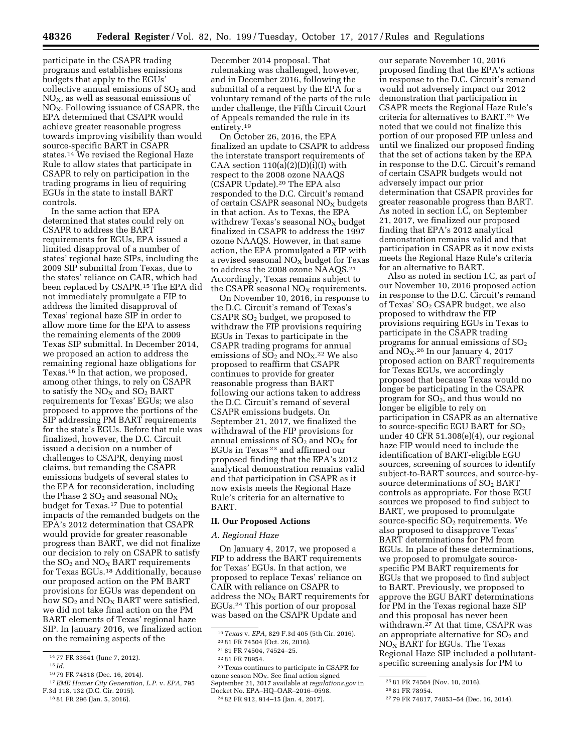participate in the CSAPR trading programs and establishes emissions budgets that apply to the EGUs' collective annual emissions of  $SO<sub>2</sub>$  and  $NO<sub>X</sub>$ , as well as seasonal emissions of NO<sub>X</sub>. Following issuance of CSAPR, the EPA determined that CSAPR would achieve greater reasonable progress towards improving visibility than would source-specific BART in CSAPR states.14 We revised the Regional Haze Rule to allow states that participate in CSAPR to rely on participation in the trading programs in lieu of requiring EGUs in the state to install BART controls.

In the same action that EPA determined that states could rely on CSAPR to address the BART requirements for EGUs, EPA issued a limited disapproval of a number of states' regional haze SIPs, including the 2009 SIP submittal from Texas, due to the states' reliance on CAIR, which had been replaced by CSAPR.15 The EPA did not immediately promulgate a FIP to address the limited disapproval of Texas' regional haze SIP in order to allow more time for the EPA to assess the remaining elements of the 2009 Texas SIP submittal. In December 2014, we proposed an action to address the remaining regional haze obligations for Texas.16 In that action, we proposed, among other things, to rely on CSAPR to satisfy the  $NO<sub>X</sub>$  and  $SO<sub>2</sub>$  BART requirements for Texas' EGUs; we also proposed to approve the portions of the SIP addressing PM BART requirements for the state's EGUs. Before that rule was finalized, however, the D.C. Circuit issued a decision on a number of challenges to CSAPR, denying most claims, but remanding the CSAPR emissions budgets of several states to the EPA for reconsideration, including the Phase 2  $SO_2$  and seasonal  $NO_X$ budget for Texas.17 Due to potential impacts of the remanded budgets on the EPA's 2012 determination that CSAPR would provide for greater reasonable progress than BART, we did not finalize our decision to rely on CSAPR to satisfy the  $SO_2$  and  $NO_X$  BART requirements for Texas EGUs.18 Additionally, because our proposed action on the PM BART provisions for EGUs was dependent on how  $SO<sub>2</sub>$  and  $NO<sub>X</sub>$  BART were satisfied, we did not take final action on the PM BART elements of Texas' regional haze SIP. In January 2016, we finalized action on the remaining aspects of the

December 2014 proposal. That rulemaking was challenged, however, and in December 2016, following the submittal of a request by the EPA for a voluntary remand of the parts of the rule under challenge, the Fifth Circuit Court of Appeals remanded the rule in its entirety.19

On October 26, 2016, the EPA finalized an update to CSAPR to address the interstate transport requirements of CAA section  $110(a)(2)(D)(i)(I)$  with respect to the 2008 ozone NAAQS (CSAPR Update).20 The EPA also responded to the D.C. Circuit's remand of certain CSAPR seasonal  $NO<sub>x</sub>$  budgets in that action. As to Texas, the EPA withdrew Texas's seasonal  $NO<sub>x</sub>$  budget finalized in CSAPR to address the 1997 ozone NAAQS. However, in that same action, the EPA promulgated a FIP with a revised seasonal  $NO<sub>X</sub>$  budget for Texas to address the 2008 ozone NAAQS.21 Accordingly, Texas remains subject to the CSAPR seasonal  $NO<sub>x</sub>$  requirements.

On November 10, 2016, in response to the D.C. Circuit's remand of Texas's CSAPR SO2 budget, we proposed to withdraw the FIP provisions requiring EGUs in Texas to participate in the CSAPR trading programs for annual emissions of  $SO_2$  and  $NO<sub>X</sub>$ <sup>22</sup> We also proposed to reaffirm that CSAPR continues to provide for greater reasonable progress than BART following our actions taken to address the D.C. Circuit's remand of several CSAPR emissions budgets. On September 21, 2017, we finalized the withdrawal of the FIP provisions for annual emissions of  $SO_2$  and  $NO_X$  for EGUs in Texas 23 and affirmed our proposed finding that the EPA's 2012 analytical demonstration remains valid and that participation in CSAPR as it now exists meets the Regional Haze Rule's criteria for an alternative to BART.

### **II. Our Proposed Actions**

#### *A. Regional Haze*

On January 4, 2017, we proposed a FIP to address the BART requirements for Texas' EGUs. In that action, we proposed to replace Texas' reliance on CAIR with reliance on CSAPR to address the NOX BART requirements for EGUs.24 This portion of our proposal was based on the CSAPR Update and

23Texas continues to participate in CSAPR for ozone season  $NO<sub>X</sub>$ . See final action signed September 21, 2017 available at *regulations.gov* in Docket No. EPA–HQ–OAR–2016–0598. 24 82 FR 912, 914–15 (Jan. 4, 2017).

our separate November 10, 2016 proposed finding that the EPA's actions in response to the D.C. Circuit's remand would not adversely impact our 2012 demonstration that participation in CSAPR meets the Regional Haze Rule's criteria for alternatives to BART.25 We noted that we could not finalize this portion of our proposed FIP unless and until we finalized our proposed finding that the set of actions taken by the EPA in response to the D.C. Circuit's remand of certain CSAPR budgets would not adversely impact our prior determination that CSAPR provides for greater reasonable progress than BART. As noted in section I.C, on September 21, 2017, we finalized our proposed finding that EPA's 2012 analytical demonstration remains valid and that participation in CSAPR as it now exists meets the Regional Haze Rule's criteria for an alternative to BART.

Also as noted in section I.C, as part of our November 10, 2016 proposed action in response to the D.C. Circuit's remand of Texas'  $SO<sub>2</sub>$  CSAPR budget, we also proposed to withdraw the FIP provisions requiring EGUs in Texas to participate in the CSAPR trading programs for annual emissions of  $SO<sub>2</sub>$ and  $NO<sub>X</sub>$ .<sup>26</sup> In our January 4, 2017 proposed action on BART requirements for Texas EGUs, we accordingly proposed that because Texas would no longer be participating in the CSAPR program for  $SO<sub>2</sub>$ , and thus would no longer be eligible to rely on participation in CSAPR as an alternative to source-specific EGU BART for  $SO<sub>2</sub>$ under 40 CFR 51.308(e)(4), our regional haze FIP would need to include the identification of BART-eligible EGU sources, screening of sources to identify subject-to-BART sources, and source-bysource determinations of  $SO<sub>2</sub> BART$ controls as appropriate. For those EGU sources we proposed to find subject to BART, we proposed to promulgate source-specific  $SO<sub>2</sub>$  requirements. We also proposed to disapprove Texas' BART determinations for PM from EGUs. In place of these determinations, we proposed to promulgate sourcespecific PM BART requirements for EGUs that we proposed to find subject to BART. Previously, we proposed to approve the EGU BART determinations for PM in the Texas regional haze SIP and this proposal has never been withdrawn.27 At that time, CSAPR was an appropriate alternative for  $SO<sub>2</sub>$  and  $NO<sub>x</sub>$  BART for EGUs. The Texas Regional Haze SIP included a pollutantspecific screening analysis for PM to

<sup>14</sup> 77 FR 33641 (June 7, 2012).

 $15$  *Id.* 

<sup>16</sup> 79 FR 74818 (Dec. 16, 2014).

<sup>17</sup>*EME Homer City Generation, L.P.* v. *EPA,* 795 F.3d 118, 132 (D.C. Cir. 2015).

<sup>18</sup> 81 FR 296 (Jan. 5, 2016).

<sup>19</sup>*Texas* v. *EPA,* 829 F.3d 405 (5th Cir. 2016).

<sup>20</sup> 81 FR 74504 (Oct. 26, 2016).

<sup>21</sup> 81 FR 74504, 74524–25.

<sup>22</sup> 81 FR 78954.

<sup>25</sup> 81 FR 74504 (Nov. 10, 2016).

<sup>26</sup> 81 FR 78954.

<sup>27</sup> 79 FR 74817, 74853–54 (Dec. 16, 2014).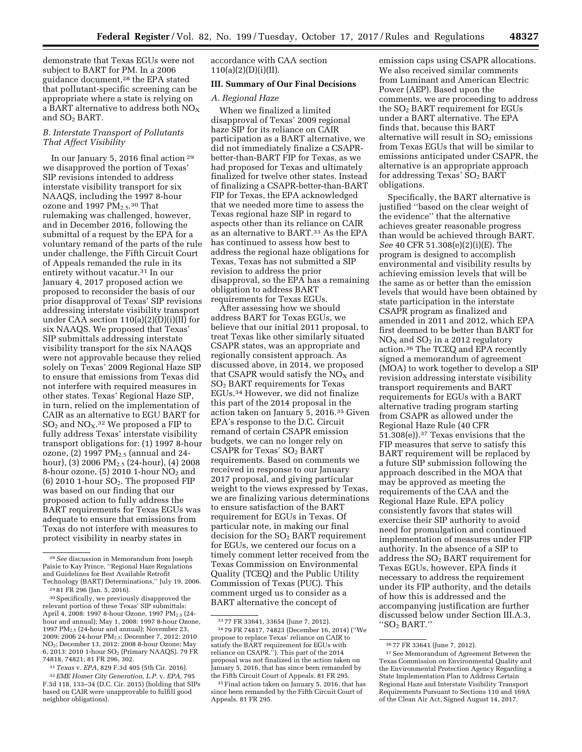demonstrate that Texas EGUs were not subject to BART for PM. In a 2006 guidance document,28 the EPA stated that pollutant-specific screening can be appropriate where a state is relying on a BART alternative to address both  $NO<sub>x</sub>$ and  $SO<sub>2</sub> BART$ .

# *B. Interstate Transport of Pollutants That Affect Visibility*

In our January 5, 2016 final action 29 we disapproved the portion of Texas' SIP revisions intended to address interstate visibility transport for six NAAQS, including the 1997 8-hour ozone and 1997 PM<sub>2.5</sub>.<sup>30</sup> That rulemaking was challenged, however, and in December 2016, following the submittal of a request by the EPA for a voluntary remand of the parts of the rule under challenge, the Fifth Circuit Court of Appeals remanded the rule in its entirety without vacatur.31 In our January 4, 2017 proposed action we proposed to reconsider the basis of our prior disapproval of Texas' SIP revisions addressing interstate visibility transport under CAA section 110(a)(2)(D)(i)(II) for six NAAQS. We proposed that Texas' SIP submittals addressing interstate visibility transport for the six NAAQS were not approvable because they relied solely on Texas' 2009 Regional Haze SIP to ensure that emissions from Texas did not interfere with required measures in other states. Texas' Regional Haze SIP, in turn, relied on the implementation of CAIR as an alternative to EGU BART for  $\mathrm{SO}_2$  and  $\mathrm{NO_X}.^{32}$  We proposed a FIP to fully address Texas' interstate visibility transport obligations for: (1) 1997 8-hour ozone,  $(2)$  1997 PM<sub>2.5</sub> (annual and 24hour), (3) 2006  $PM_{2.5}$  (24-hour), (4) 2008 8-hour ozone,  $(5)$  2010 1-hour NO<sub>2</sub> and  $(6)$  2010 1-hour SO<sub>2</sub>. The proposed FIP was based on our finding that our proposed action to fully address the BART requirements for Texas EGUs was adequate to ensure that emissions from Texas do not interfere with measures to protect visibility in nearby states in

31*Texas* v. *EPA,* 829 F.3d 405 (5th Cir. 2016).

accordance with CAA section  $110(a)(2)(D)(i)(II).$ 

### **III. Summary of Our Final Decisions**

# *A. Regional Haze*

When we finalized a limited disapproval of Texas' 2009 regional haze SIP for its reliance on CAIR participation as a BART alternative, we did not immediately finalize a CSAPRbetter-than-BART FIP for Texas, as we had proposed for Texas and ultimately finalized for twelve other states. Instead of finalizing a CSAPR-better-than-BART FIP for Texas, the EPA acknowledged that we needed more time to assess the Texas regional haze SIP in regard to aspects other than its reliance on CAIR as an alternative to BART.33 As the EPA has continued to assess how best to address the regional haze obligations for Texas, Texas has not submitted a SIP revision to address the prior disapproval, so the EPA has a remaining obligation to address BART requirements for Texas EGUs.

After assessing how we should address BART for Texas EGUs, we believe that our initial 2011 proposal, to treat Texas like other similarly situated CSAPR states, was an appropriate and regionally consistent approach. As discussed above, in 2014, we proposed that CSAPR would satisfy the  $NO<sub>X</sub>$  and SO2 BART requirements for Texas EGUs.34 However, we did not finalize this part of the 2014 proposal in the action taken on January 5, 2016.35 Given EPA's response to the D.C. Circuit remand of certain CSAPR emission budgets, we can no longer rely on CSAPR for Texas'  $SO<sub>2</sub>$  BART requirements. Based on comments we received in response to our January 2017 proposal, and giving particular weight to the views expressed by Texas, we are finalizing various determinations to ensure satisfaction of the BART requirement for EGUs in Texas. Of particular note, in making our final decision for the  $SO<sub>2</sub>$  BART requirement for EGUs, we centered our focus on a timely comment letter received from the Texas Commission on Environmental Quality (TCEQ) and the Public Utility Commission of Texas (PUC). This comment urged us to consider as a BART alternative the concept of

emission caps using CSAPR allocations. We also received similar comments from Luminant and American Electric Power (AEP). Based upon the comments, we are proceeding to address the SO2 BART requirement for EGUs under a BART alternative. The EPA finds that, because this BART alternative will result in  $SO<sub>2</sub>$  emissions from Texas EGUs that will be similar to emissions anticipated under CSAPR, the alternative is an appropriate approach for addressing Texas' SO<sub>2</sub> BART obligations.

Specifically, the BART alternative is justified ''based on the clear weight of the evidence'' that the alternative achieves greater reasonable progress than would be achieved through BART. *See* 40 CFR 51.308(e)(2)(i)(E). The program is designed to accomplish environmental and visibility results by achieving emission levels that will be the same as or better than the emission levels that would have been obtained by state participation in the interstate CSAPR program as finalized and amended in 2011 and 2012, which EPA first deemed to be better than BART for  $NO<sub>X</sub>$  and  $SO<sub>2</sub>$  in a 2012 regulatory action.36 The TCEQ and EPA recently signed a memorandum of agreement (MOA) to work together to develop a SIP revision addressing interstate visibility transport requirements and BART requirements for EGUs with a BART alternative trading program starting from CSAPR as allowed under the Regional Haze Rule (40 CFR 51.308(e)).37 Texas envisions that the FIP measures that serve to satisfy this BART requirement will be replaced by a future SIP submission following the approach described in the MOA that may be approved as meeting the requirements of the CAA and the Regional Haze Rule. EPA policy consistently favors that states will exercise their SIP authority to avoid need for promulgation and continued implementation of measures under FIP authority. In the absence of a SIP to address the SO2 BART requirement for Texas EGUs, however, EPA finds it necessary to address the requirement under its FIP authority, and the details of how this is addressed and the accompanying justification are further discussed below under Section III.A.3, ''SO2 BART.''

<sup>28</sup>*See* discussion in Memorandum from Joseph Paisie to Kay Prince, ''Regional Haze Regulations and Guidelines for Best Available Retrofit Technology (BART) Determinations,'' July 19, 2006.

<sup>29</sup> 81 FR 296 (Jan. 5, 2016).

<sup>30</sup>Specifically, we previously disapproved the relevant portion of these Texas' SIP submittals: April 4, 2008: 1997 8-hour Ozone, 1997  $PM_{2.5}$  (24hour and annual); May 1, 2008: 1997 8-hour Ozone, 1997 PM2.5 (24-hour and annual); November 23, 2009: 2006 24-hour PM2.5; December 7, 2012: 2010 NO2; December 13, 2012: 2008 8-hour Ozone; May 6, 2013: 2010 1-hour SO2 (Primary NAAQS). 79 FR 74818, 74821; 81 FR 296, 302.

<sup>32</sup>*EME Homer City Generation, L.P.* v. *EPA,* 795 F.3d 118, 133–34 (D.C. Cir. 2015) (holding that SIPs based on CAIR were unapprovable to fulfill good neighbor obligations).

<sup>33</sup> 77 FR 33641, 33654 (June 7, 2012). 34 79 FR 74817, 74823 (December 16, 2014) (''We propose to replace Texas' reliance on CAIR to satisfy the BART requirement for EGUs with reliance on CSAPR.''). This part of the 2014 proposal was not finalized in the action taken on January 5, 2016, that has since been remanded by the Fifth Circuit Court of Appeals. 81 FR 295.

<sup>35</sup>Final action taken on January 5, 2016, that has since been remanded by the Fifth Circuit Court of Appeals. 81 FR 295.

<sup>36</sup> 77 FR 33641 (June 7, 2012).

<sup>37</sup>See Memorandum of Agreement Between the Texas Commission on Environmental Quality and the Environmental Protection Agency Regarding a State Implementation Plan to Address Certain Regional Haze and Interstate Visibility Transport Requirements Pursuant to Sections 110 and 169A of the Clean Air Act, Signed August 14, 2017.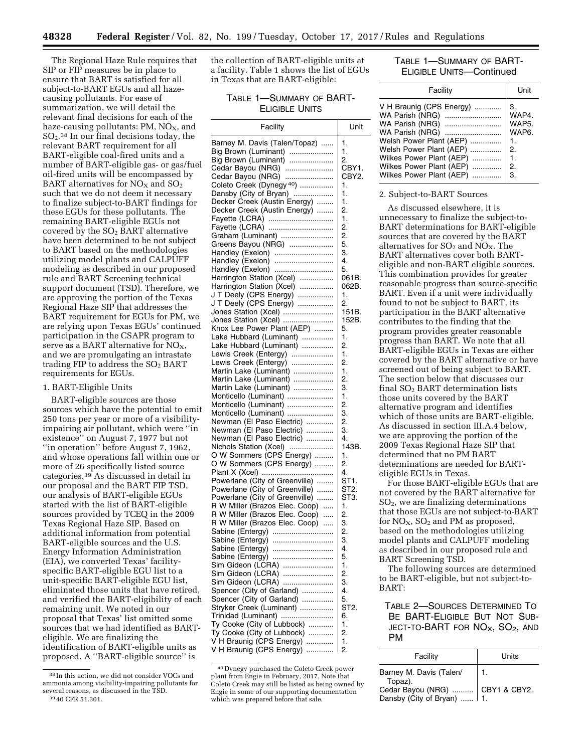The Regional Haze Rule requires that SIP or FIP measures be in place to ensure that BART is satisfied for all subject-to-BART EGUs and all hazecausing pollutants. For ease of summarization, we will detail the relevant final decisions for each of the haze-causing pollutants: PM,  $NO<sub>X</sub>$ , and SO2.38 In our final decisions today, the relevant BART requirement for all BART-eligible coal-fired units and a number of BART-eligible gas- or gas/fuel oil-fired units will be encompassed by BART alternatives for  $NO<sub>X</sub>$  and  $SO<sub>2</sub>$ such that we do not deem it necessary to finalize subject-to-BART findings for these EGUs for these pollutants. The remaining BART-eligible EGUs not covered by the  $SO<sub>2</sub>$  BART alternative have been determined to be not subject to BART based on the methodologies utilizing model plants and CALPUFF modeling as described in our proposed rule and BART Screening technical support document (TSD). Therefore, we are approving the portion of the Texas Regional Haze SIP that addresses the BART requirement for EGUs for PM, we are relying upon Texas EGUs' continued participation in the CSAPR program to serve as a BART alternative for  $NO<sub>X</sub>$ , and we are promulgating an intrastate trading FIP to address the  $SO<sub>2</sub> BART$ requirements for EGUs.

### 1. BART-Eligible Units

BART-eligible sources are those sources which have the potential to emit 250 tons per year or more of a visibilityimpairing air pollutant, which were ''in existence'' on August 7, 1977 but not ''in operation'' before August 7, 1962, and whose operations fall within one or more of 26 specifically listed source categories.39 As discussed in detail in our proposal and the BART FIP TSD, our analysis of BART-eligible EGUs started with the list of BART-eligible sources provided by TCEQ in the 2009 Texas Regional Haze SIP. Based on additional information from potential BART-eligible sources and the U.S. Energy Information Administration (EIA), we converted Texas' facilityspecific BART-eligible EGU list to a unit-specific BART-eligible EGU list, eliminated those units that have retired, and verified the BART-eligibility of each remaining unit. We noted in our proposal that Texas' list omitted some sources that we had identified as BARTeligible. We are finalizing the identification of BART-eligible units as proposed. A ''BART-eligible source'' is

the collection of BART-eligible units at a facility. Table 1 shows the list of EGUs in Texas that are BART-eligible:

# TABLE 1—SUMMARY OF BART-ELIGIBLE UNITS

| Facility                                             | Unit            |
|------------------------------------------------------|-----------------|
| Barney M. Davis (Talen/Topaz)                        | 1.              |
| Big Brown (Luminant)                                 | 1.              |
| Big Brown (Luminant)                                 | 2.              |
| Cedar Bayou (NRG)                                    | CBY1.           |
| Cedar Bayou (NRG)                                    | CBY2.           |
| Coleto Creek (Dynegy <sup>40</sup> )                 | 1.              |
| Dansby (City of Bryan)                               | 1.              |
| Decker Creek (Austin Energy)                         | 1.              |
| Decker Creek (Austin Energy)                         | 2.              |
| Fayette (LCRA)                                       | 1.              |
| Fayette (LCRA)                                       | 2.              |
| Graham (Luminant)                                    | 2.              |
| Greens Bayou (NRG)                                   | 5.              |
| Handley (Exelon)                                     | З.              |
| Handley (Exelon)                                     | 4.              |
| Handley (Exelon)                                     | 5.              |
| Harrington Station (Xcel)                            | 061B.           |
| Harrington Station (Xcel)                            | 062B.           |
| J T Deely (CPS Energy)                               | 1.              |
| J T Deely (CPS Energy)                               | 2.              |
| Jones Station (Xcel)                                 | 151B.           |
| Jones Station (Xcel)                                 | 152B.           |
| Knox Lee Power Plant (AEP)                           | 5.              |
| Lake Hubbard (Luminant)                              | 1.              |
| Lake Hubbard (Luminant)                              | 2.              |
| Lewis Creek (Entergy)                                | 1.              |
| Lewis Creek (Entergy)                                | 2.              |
| Martin Lake (Luminant)                               | 1.              |
| Martin Lake (Luminant)                               | 2.              |
| Martin Lake (Luminant)                               | З.              |
| Monticello (Luminant)<br>Monticello (Luminant)       | 1.<br>2.        |
| Monticello (Luminant)                                | 3.              |
| Newman (El Paso Electric)                            | 2.              |
| Newman (El Paso Electric)                            | З.              |
| Newman (El Paso Electric)                            | 4.              |
| Nichols Station (Xcel)                               | 143B.           |
| O W Sommers (CPS Energy)                             | 1.              |
| O W Sommers (CPS Energy)                             | 2.              |
|                                                      | 4.              |
| Powerlane (City of Greenville)                       | ST1.            |
| Powerlane (City of Greenville)                       | ST2.            |
| Powerlane (City of Greenville)                       | ST <sub>3</sub> |
| R W Miller (Brazos Elec. Coop)                       | 1.              |
| R W Miller (Brazos Elec. Coop)<br>$\cdots$           | 2.              |
| R W Miller (Brazos Elec. Coop)                       | З.              |
| Sabine (Entergy)                                     | 2.              |
| Sabine (Entergy)                                     | З.              |
|                                                      | 4.              |
|                                                      | 5.              |
| Sim Gideon (LCRA)                                    | 1.              |
| Sim Gideon (LCRA)                                    | 2.              |
| Sim Gideon (LCRA)                                    | З.              |
| Spencer (City of Garland)                            | 4.              |
| Spencer (City of Garland)                            | 5.              |
| Stryker Creek (Luminant)                             | ST <sub>2</sub> |
| Trinidad (Luminant)                                  | 6.              |
| Ty Cooke (City of Lubbock)                           | 1.              |
| Ty Cooke (City of Lubbock)                           | 2.              |
| V H Braunig (CPS Energy)<br>V H Braunig (CPS Energy) | 1.<br>2.        |
|                                                      |                 |

<sup>40</sup> Dynegy purchased the Coleto Creek power plant from Engie in February, 2017. Note that Coleto Creek may still be listed as being owned by Engie in some of our supporting documentation which was prepared before that sale.

# TABLE 1—SUMMARY OF BART-ELIGIBLE UNITS—Continued

| Facility                 | Unit  |
|--------------------------|-------|
| V H Braunig (CPS Energy) | 3.    |
| WA Parish (NRG)          | WAP4. |
| WA Parish (NRG)          | WAP5. |
| WA Parish (NRG)          | WAP6. |
| Welsh Power Plant (AEP)  | 1.    |
| Welsh Power Plant (AEP)  | 2.    |
| Wilkes Power Plant (AEP) | 1.    |
| Wilkes Power Plant (AEP) | 2.    |
| Wilkes Power Plant (AEP) | 3.    |

#### 2. Subject-to-BART Sources

As discussed elsewhere, it is unnecessary to finalize the subject-to-BART determinations for BART-eligible sources that are covered by the BART alternatives for  $SO_2$  and  $NO_X$ . The BART alternatives cover both BARTeligible and non-BART eligible sources. This combination provides for greater reasonable progress than source-specific BART. Even if a unit were individually found to not be subject to BART, its participation in the BART alternative contributes to the finding that the program provides greater reasonable progress than BART. We note that all BART-eligible EGUs in Texas are either covered by the BART alternative or have screened out of being subject to BART. The section below that discusses our final  $SO<sub>2</sub>$  BART determination lists those units covered by the BART alternative program and identifies which of those units are BART-eligible. As discussed in section III.A.4 below, we are approving the portion of the 2009 Texas Regional Haze SIP that determined that no PM BART determinations are needed for BARTeligible EGUs in Texas.

For those BART-eligible EGUs that are not covered by the BART alternative for SO2, we are finalizing determinations that those EGUs are not subject-to-BART for  $NO<sub>X</sub>$ ,  $SO<sub>2</sub>$  and PM as proposed, based on the methodologies utilizing model plants and CALPUFF modeling as described in our proposed rule and BART Screening TSD.

The following sources are determined to be BART-eligible, but not subject-to-BART:

# TABLE 2—SOURCES DETERMINED TO BE BART-ELIGIBLE BUT NOT SUB-JECT-TO-BART FOR  $NO<sub>X</sub>$ ,  $SO<sub>2</sub>$ , and PM

| Facility                                                                                            | Units |
|-----------------------------------------------------------------------------------------------------|-------|
| Barney M. Davis (Talen/<br>Topaz).<br>Cedar Bayou (NRG)  CBY1 & CBY2.<br>Dansby (City of Bryan)  1. |       |

<sup>38</sup> In this action, we did not consider VOCs and ammonia among visibility-impairing pollutants for several reasons, as discussed in the TSD. 39 40 CFR 51.301.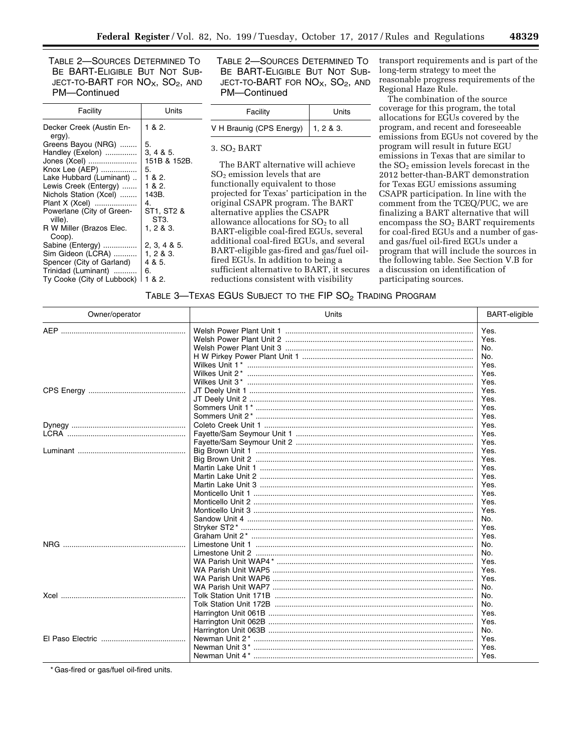TABLE 2—SOURCES DETERMINED TO BE BART-ELIGIBLE BUT NOT SUB-JECT-TO-BART FOR  $NO<sub>X</sub>$ ,  $SO<sub>2</sub>$ , and PM—Continued

| Facility                             | Units              |
|--------------------------------------|--------------------|
| Decker Creek (Austin En-<br>ergy).   | 1 & 2.             |
| Greens Bayou (NRG)                   | 5.                 |
| Handley (Exelon)                     | 3, 4 & 8 & 5.      |
| Jones (Xcel)                         | 151B & 152B.       |
| Knox Lee (AEP)                       | 5.                 |
| Lake Hubbard (Luminant)              | 1 & 2.             |
| Lewis Creek (Entergy)                | 1 & 2.             |
| Nichols Station (Xcel)               | 143B.              |
| Plant X (Xcel)                       | 4.                 |
| Powerlane (City of Green-<br>ville). | ST1. ST2 &<br>ST3. |
| R W Miller (Brazos Elec.             | 1, 2 & 3.          |
| Coop).                               |                    |
| Sabine (Entergy)                     | 2, 3, 4 & 5.       |
| Sim Gideon (LCRA)                    | 1, 2, 8, 3.        |
| Spencer (City of Garland)            | 4 & 5.             |
| Trinidad (Luminant)                  | 6.                 |
| Ty Cooke (City of Lubbock)           | 1 & 2.             |

TABLE 2—SOURCES DETERMINED TO BE BART-ELIGIBLE BUT NOT SUB-JECT-TO-BART FOR  $NO<sub>X</sub>$ ,  $SO<sub>2</sub>$ , and PM—Continued

| Facility                             | Units |
|--------------------------------------|-------|
| V H Braunig (CPS Energy)   1, 2 & 3. |       |

3. SO2 BART

The BART alternative will achieve SO2 emission levels that are functionally equivalent to those projected for Texas' participation in the original CSAPR program. The BART alternative applies the CSAPR allowance allocations for  $SO<sub>2</sub>$  to all BART-eligible coal-fired EGUs, several additional coal-fired EGUs, and several BART-eligible gas-fired and gas/fuel oilfired EGUs. In addition to being a sufficient alternative to BART, it secures reductions consistent with visibility

transport requirements and is part of the long-term strategy to meet the reasonable progress requirements of the Regional Haze Rule.

The combination of the source coverage for this program, the total allocations for EGUs covered by the program, and recent and foreseeable emissions from EGUs not covered by the program will result in future EGU emissions in Texas that are similar to the  $SO<sub>2</sub>$  emission levels forecast in the 2012 better-than-BART demonstration for Texas EGU emissions assuming CSAPR participation. In line with the comment from the TCEQ/PUC, we are finalizing a BART alternative that will encompass the SO2 BART requirements for coal-fired EGUs and a number of gasand gas/fuel oil-fired EGUs under a program that will include the sources in the following table. See Section V.B for a discussion on identification of participating sources.

TABLE 3-TEXAS EGUS SUBJECT TO THE FIP SO<sub>2</sub> TRADING PROGRAM

| Owner/operator | Units                                               | <b>BART-eligible</b> |
|----------------|-----------------------------------------------------|----------------------|
|                |                                                     | Yes.                 |
|                |                                                     | Yes.                 |
|                |                                                     | No.                  |
|                |                                                     | No.                  |
|                |                                                     | Yes.                 |
|                | Wilkes Unit 2* …………………………………………………………………………………………   | Yes.                 |
|                |                                                     | Yes.                 |
|                |                                                     | Yes.                 |
|                |                                                     | Yes.                 |
|                |                                                     | Yes.                 |
|                |                                                     | Yes.                 |
|                |                                                     | Yes.                 |
|                |                                                     | Yes.                 |
|                |                                                     | Yes.                 |
|                |                                                     | Yes.                 |
|                |                                                     | Yes.                 |
|                |                                                     | Yes.                 |
|                | Martin Lake Unit 2 …………………………………………………………………………………… | Yes.                 |
|                |                                                     | Yes.                 |
|                |                                                     | Yes.                 |
|                |                                                     | Yes.                 |
|                | Monticello Unit 3 ……………………………………………………………………………………… | Yes.                 |
|                |                                                     | No.                  |
|                |                                                     | Yes.                 |
|                |                                                     | Yes.                 |
| NRG.           |                                                     | No.                  |
|                |                                                     | No.                  |
|                |                                                     | Yes.                 |
|                |                                                     | Yes.                 |
|                |                                                     | Yes.                 |
|                |                                                     | No.                  |
|                |                                                     | No.                  |
|                |                                                     | No.                  |
|                |                                                     | Yes.                 |
|                |                                                     | Yes.                 |
|                |                                                     | No.                  |
|                |                                                     | Yes.                 |
|                |                                                     | Yes.                 |
|                | Newman Unit 4* ………………………………………………………………………………………    | Yes.                 |

\* Gas-fired or gas/fuel oil-fired units.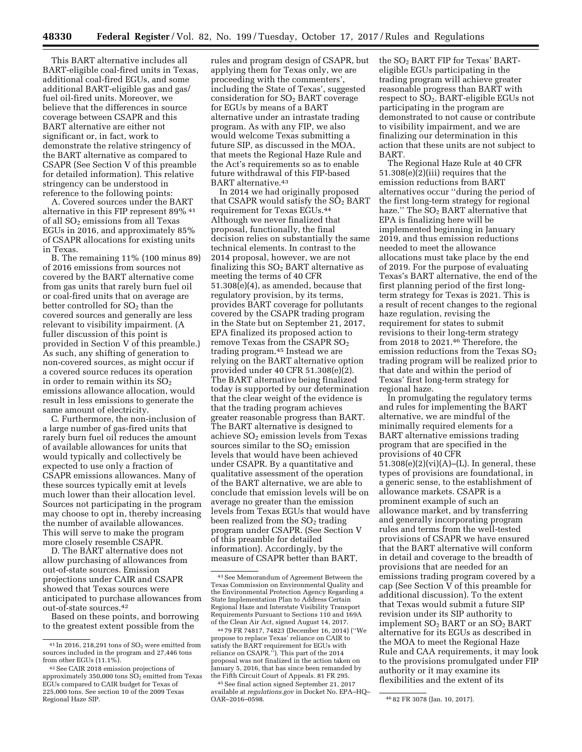This BART alternative includes all BART-eligible coal-fired units in Texas, additional coal-fired EGUs, and some additional BART-eligible gas and gas/ fuel oil-fired units. Moreover, we believe that the differences in source coverage between CSAPR and this BART alternative are either not significant or, in fact, work to demonstrate the relative stringency of the BART alternative as compared to CSAPR (See Section V of this preamble for detailed information). This relative stringency can be understood in reference to the following points:

A. Covered sources under the BART alternative in this FIP represent 89% <sup>41</sup> of all SO<sub>2</sub> emissions from all Texas EGUs in 2016, and approximately 85% of CSAPR allocations for existing units in Texas.

B. The remaining 11% (100 minus 89) of 2016 emissions from sources not covered by the BART alternative come from gas units that rarely burn fuel oil or coal-fired units that on average are better controlled for  $SO<sub>2</sub>$  than the covered sources and generally are less relevant to visibility impairment. (A fuller discussion of this point is provided in Section V of this preamble.) As such, any shifting of generation to non-covered sources, as might occur if a covered source reduces its operation in order to remain within its  $SO<sub>2</sub>$ emissions allowance allocation, would result in less emissions to generate the same amount of electricity.

C. Furthermore, the non-inclusion of a large number of gas-fired units that rarely burn fuel oil reduces the amount of available allowances for units that would typically and collectively be expected to use only a fraction of CSAPR emissions allowances. Many of these sources typically emit at levels much lower than their allocation level. Sources not participating in the program may choose to opt in, thereby increasing the number of available allowances. This will serve to make the program more closely resemble CSAPR.

D. The BART alternative does not allow purchasing of allowances from out-of-state sources. Emission projections under CAIR and CSAPR showed that Texas sources were anticipated to purchase allowances from out-of-state sources.42

Based on these points, and borrowing to the greatest extent possible from the

rules and program design of CSAPR, but applying them for Texas only, we are proceeding with the commenters', including the State of Texas', suggested consideration for SO<sub>2</sub> BART coverage for EGUs by means of a BART alternative under an intrastate trading program. As with any FIP, we also would welcome Texas submitting a future SIP, as discussed in the MOA, that meets the Regional Haze Rule and the Act's requirements so as to enable future withdrawal of this FIP-based BART alternative.43

In 2014 we had originally proposed that CSAPR would satisfy the  $SO<sub>2</sub>$  BART requirement for Texas EGUs.44 Although we never finalized that proposal, functionally, the final decision relies on substantially the same technical elements. In contrast to the 2014 proposal, however, we are not finalizing this  $SO<sub>2</sub>$  BART alternative as meeting the terms of 40 CFR 51.308(e)(4), as amended, because that regulatory provision, by its terms, provides BART coverage for pollutants covered by the CSAPR trading program in the State but on September 21, 2017, EPA finalized its proposed action to remove Texas from the CSAPR SO2 trading program.45 Instead we are relying on the BART alternative option provided under 40 CFR 51.308(e)(2). The BART alternative being finalized today is supported by our determination that the clear weight of the evidence is that the trading program achieves greater reasonable progress than BART. The BART alternative is designed to achieve  $SO<sub>2</sub>$  emission levels from Texas sources similar to the  $SO<sub>2</sub>$  emission levels that would have been achieved under CSAPR. By a quantitative and qualitative assessment of the operation of the BART alternative, we are able to conclude that emission levels will be on average no greater than the emission levels from Texas EGUs that would have been realized from the  $SO<sub>2</sub>$  trading program under CSAPR. (See Section V of this preamble for detailed information). Accordingly, by the measure of CSAPR better than BART,

the SO2 BART FIP for Texas' BARTeligible EGUs participating in the trading program will achieve greater reasonable progress than BART with respect to SO2. BART-eligible EGUs not participating in the program are demonstrated to not cause or contribute to visibility impairment, and we are finalizing our determination in this action that these units are not subject to BART.

The Regional Haze Rule at 40 CFR 51.308(e)(2)(iii) requires that the emission reductions from BART alternatives occur ''during the period of the first long-term strategy for regional haze." The  $SO<sub>2</sub>$  BART alternative that EPA is finalizing here will be implemented beginning in January 2019, and thus emission reductions needed to meet the allowance allocations must take place by the end of 2019. For the purpose of evaluating Texas's BART alternative, the end of the first planning period of the first longterm strategy for Texas is 2021. This is a result of recent changes to the regional haze regulation, revising the requirement for states to submit revisions to their long-term strategy from 2018 to 2021.46 Therefore, the emission reductions from the Texas  $SO<sub>2</sub>$ trading program will be realized prior to that date and within the period of Texas' first long-term strategy for regional haze.

In promulgating the regulatory terms and rules for implementing the BART alternative, we are mindful of the minimally required elements for a BART alternative emissions trading program that are specified in the provisions of 40 CFR  $51.308(e)(2)(vi)(A)–(L)$ . In general, these types of provisions are foundational, in a generic sense, to the establishment of allowance markets. CSAPR is a prominent example of such an allowance market, and by transferring and generally incorporating program rules and terms from the well-tested provisions of CSAPR we have ensured that the BART alternative will conform in detail and coverage to the breadth of provisions that are needed for an emissions trading program covered by a cap (See Section V of this preamble for additional discussion). To the extent that Texas would submit a future SIP revision under its SIP authority to implement  $SO_2$  BART or an  $SO_2$  BART alternative for its EGUs as described in the MOA to meet the Regional Haze Rule and CAA requirements, it may look to the provisions promulgated under FIP authority or it may examine its flexibilities and the extent of its

 $41$  In 2016, 218, 291 tons of SO<sub>2</sub> were emitted from sources included in the program and 27,446 tons from other EGUs (11.1%).

<sup>42</sup>See CAIR 2018 emission projections of approximately 350,000 tons  $\overline{SO_2}$  emitted from Texas EGUs compared to CAIR budget for Texas of 225,000 tons. See section 10 of the 2009 Texas Regional Haze SIP.

<sup>43</sup>See Memorandum of Agreement Between the Texas Commission on Environmental Quality and the Environmental Protection Agency Regarding a State Implementation Plan to Address Certain Regional Haze and Interstate Visibility Transport Requirements Pursuant to Sections 110 and 169A of the Clean Air Act, signed August 14, 2017.

<sup>44</sup> 79 FR 74817, 74823 (December 16, 2014) (''We propose to replace Texas' reliance on CAIR to satisfy the BART requirement for EGUs with reliance on CSAPR.''). This part of the 2014 proposal was not finalized in the action taken on January 5, 2016, that has since been remanded by the Fifth Circuit Court of Appeals. 81 FR 295.

<sup>45</sup>See final action signed September 21, 2017 available at *regulations.gov* in Docket No. EPA–HQ–

<sup>46 82</sup> FR 3078 (Jan. 10, 2017).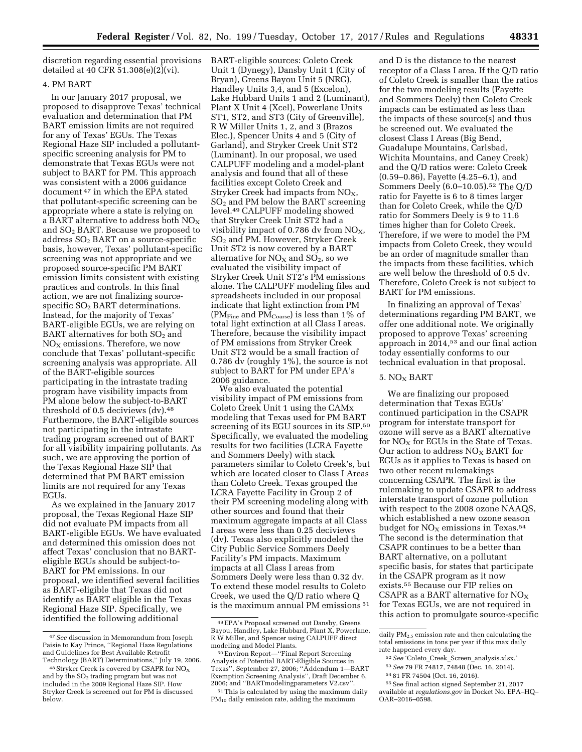discretion regarding essential provisions detailed at 40 CFR 51.308(e)(2)(vi).

# 4. PM BART

In our January 2017 proposal, we proposed to disapprove Texas' technical evaluation and determination that PM BART emission limits are not required for any of Texas' EGUs. The Texas Regional Haze SIP included a pollutantspecific screening analysis for PM to demonstrate that Texas EGUs were not subject to BART for PM. This approach was consistent with a 2006 guidance document 47 in which the EPA stated that pollutant-specific screening can be appropriate where a state is relying on a BART alternative to address both  $NO_X$ and  $SO<sub>2</sub>$  BART. Because we proposed to address SO2 BART on a source-specific basis, however, Texas' pollutant-specific screening was not appropriate and we proposed source-specific PM BART emission limits consistent with existing practices and controls. In this final action, we are not finalizing sourcespecific  $SO<sub>2</sub>$  BART determinations. Instead, for the majority of Texas' BART-eligible EGUs, we are relying on BART alternatives for both  $SO<sub>2</sub>$  and  $NO<sub>x</sub>$  emissions. Therefore, we now conclude that Texas' pollutant-specific screening analysis was appropriate. All of the BART-eligible sources participating in the intrastate trading program have visibility impacts from PM alone below the subject-to-BART threshold of  $0.5$  deciviews  $\frac{dv}{dt}$ .<sup>48</sup> Furthermore, the BART-eligible sources not participating in the intrastate trading program screened out of BART for all visibility impairing pollutants. As such, we are approving the portion of the Texas Regional Haze SIP that determined that PM BART emission limits are not required for any Texas EGUs.

As we explained in the January 2017 proposal, the Texas Regional Haze SIP did not evaluate PM impacts from all BART-eligible EGUs. We have evaluated and determined this omission does not affect Texas' conclusion that no BARTeligible EGUs should be subject-to-BART for PM emissions. In our proposal, we identified several facilities as BART-eligible that Texas did not identify as BART eligible in the Texas Regional Haze SIP. Specifically, we identified the following additional

BART-eligible sources: Coleto Creek Unit 1 (Dynegy), Dansby Unit 1 (City of Bryan), Greens Bayou Unit 5 (NRG), Handley Units 3,4, and 5 (Excelon), Lake Hubbard Units 1 and 2 (Luminant), Plant X Unit 4 (Xcel), Powerlane Units ST1, ST2, and ST3 (City of Greenville), R W Miller Units 1, 2, and 3 (Brazos Elec.), Spencer Units 4 and 5 (City of Garland), and Stryker Creek Unit ST2 (Luminant). In our proposal, we used CALPUFF modeling and a model-plant analysis and found that all of these facilities except Coleto Creek and Stryker Creek had impacts from  $NO<sub>X</sub>$ , SO2 and PM below the BART screening level.49 CALPUFF modeling showed that Stryker Creek Unit ST2 had a visibility impact of 0.786 dv from  $NO<sub>X</sub>$ , SO2 and PM. However, Stryker Creek Unit ST2 is now covered by a BART alternative for  $NO<sub>X</sub>$  and  $SO<sub>2</sub>$ , so we evaluated the visibility impact of Stryker Creek Unit ST2's PM emissions alone. The CALPUFF modeling files and spreadsheets included in our proposal indicate that light extinction from PM (PM $_{\rm Fine}$  and PM $_{\rm Coarse}$ ) is less than 1% of total light extinction at all Class I areas. Therefore, because the visibility impact of PM emissions from Stryker Creek Unit ST2 would be a small fraction of 0.786 dv (roughly 1%), the source is not subject to BART for PM under EPA's 2006 guidance.

We also evaluated the potential visibility impact of PM emissions from Coleto Creek Unit 1 using the CAMx modeling that Texas used for PM BART screening of its EGU sources in its SIP.50 Specifically, we evaluated the modeling results for two facilities (LCRA Fayette and Sommers Deely) with stack parameters similar to Coleto Creek's, but which are located closer to Class I Areas than Coleto Creek. Texas grouped the LCRA Fayette Facility in Group 2 of their PM screening modeling along with other sources and found that their maximum aggregate impacts at all Class I areas were less than 0.25 deciviews (dv). Texas also explicitly modeled the City Public Service Sommers Deely Facility's PM impacts. Maximum impacts at all Class I areas from Sommers Deely were less than 0.32 dv. To extend these model results to Coleto Creek, we used the Q/D ratio where Q is the maximum annual PM emissions 51

and D is the distance to the nearest receptor of a Class I area. If the Q/D ratio of Coleto Creek is smaller than the ratios for the two modeling results (Fayette and Sommers Deely) then Coleto Creek impacts can be estimated as less than the impacts of these source(s) and thus be screened out. We evaluated the closest Class I Areas (Big Bend, Guadalupe Mountains, Carlsbad, Wichita Mountains, and Caney Creek) and the Q/D ratios were: Coleto Creek (0.59–0.86), Fayette (4.25–6.1), and Sommers Deely (6.0–10.05).52 The Q/D ratio for Fayette is 6 to 8 times larger than for Coleto Creek, while the Q/D ratio for Sommers Deely is 9 to 11.6 times higher than for Coleto Creek. Therefore, if we were to model the PM impacts from Coleto Creek, they would be an order of magnitude smaller than the impacts from these facilities, which are well below the threshold of 0.5 dv. Therefore, Coleto Creek is not subject to BART for PM emissions.

In finalizing an approval of Texas' determinations regarding PM BART, we offer one additional note. We originally proposed to approve Texas' screening approach in 2014,53 and our final action today essentially conforms to our technical evaluation in that proposal.

### $5. NO<sub>X</sub> BART$

We are finalizing our proposed determination that Texas EGUs' continued participation in the CSAPR program for interstate transport for ozone will serve as a BART alternative for  $NO<sub>X</sub>$  for EGUs in the State of Texas. Our action to address  $NO<sub>X</sub>$  BART for EGUs as it applies to Texas is based on two other recent rulemakings concerning CSAPR. The first is the rulemaking to update CSAPR to address interstate transport of ozone pollution with respect to the 2008 ozone NAAQS, which established a new ozone season budget for  $NO<sub>X</sub>$  emissions in Texas.<sup>54</sup> The second is the determination that CSAPR continues to be a better than BART alternative, on a pollutant specific basis, for states that participate in the CSAPR program as it now exists.55 Because our FIP relies on CSAPR as a BART alternative for  $NO<sub>x</sub>$ for Texas EGUs, we are not required in this action to promulgate source-specific

53*See* 79 FR 74817, 74848 (Dec. 16, 2014).

54 81 FR 74504 (Oct. 16, 2016).

<sup>47</sup>*See* discussion in Memorandum from Joseph Paisie to Kay Prince, ''Regional Haze Regulations and Guidelines for Best Available Retrofit Technology (BART) Determinations,'' July 19, 2006.

<sup>&</sup>lt;sup>48</sup> Stryker Creek is covered by CSAPR for NO<sub>x</sub> and by the  $SO<sub>2</sub>$  trading program but was not included in the 2009 Regional Haze SIP. How Stryker Creek is screened out for PM is discussed below.

<sup>49</sup>EPA's Proposal screened out Dansby, Greens Bayou, Handley, Lake Hubbard, Plant X, Powerlane, R W Miller, and Spencer using CALPUFF direct

<sup>50</sup> Environ Report—"Final Report Screening Analysis of Potential BART-Eligible Sources in Texas'', September 27, 2006; ''Addendum 1—BART Exemption Screening Analysis", Draft December 6,<br>2006; and "BART modeling parameters V2.csv".

<sup>&</sup>lt;sup>51</sup> This is calculated by using the maximum daily  $PM_{10}$  daily emission rate, adding the maximum

daily  $PM_2$ , emission rate and then calculating the total emissions in tons per year if this max daily rate happened every day.

<sup>52</sup>*See* 'Coleto\_Creek\_Screen\_analysis.xlsx.'

<sup>55</sup>See final action signed September 21, 2017 available at *regulations.gov* in Docket No. EPA–HQ– OAR–2016–0598.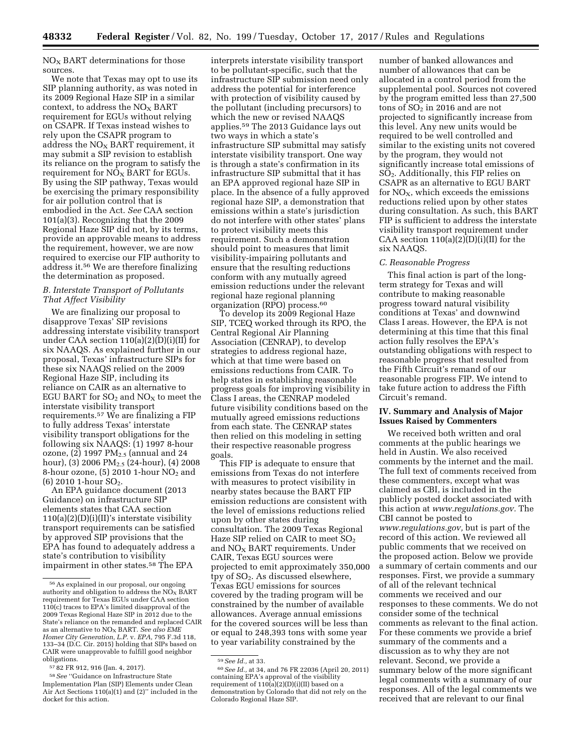$NO<sub>x</sub>$  BART determinations for those sources.

We note that Texas may opt to use its SIP planning authority, as was noted in its 2009 Regional Haze SIP in a similar context, to address the  $NO<sub>x</sub>$  BART requirement for EGUs without relying on CSAPR. If Texas instead wishes to rely upon the CSAPR program to address the  $NO<sub>x</sub>$  BART requirement, it may submit a SIP revision to establish its reliance on the program to satisfy the requirement for  $N\overline{O}_X$  BART for EGUs. By using the SIP pathway, Texas would be exercising the primary responsibility for air pollution control that is embodied in the Act. *See* CAA section 101(a)(3). Recognizing that the 2009 Regional Haze SIP did not, by its terms, provide an approvable means to address the requirement, however, we are now required to exercise our FIP authority to address it.56 We are therefore finalizing the determination as proposed.

### *B. Interstate Transport of Pollutants That Affect Visibility*

We are finalizing our proposal to disapprove Texas' SIP revisions addressing interstate visibility transport under CAA section 110(a)(2)(D)(i)(II) for six NAAQS. As explained further in our proposal, Texas' infrastructure SIPs for these six NAAQS relied on the 2009 Regional Haze SIP, including its reliance on CAIR as an alternative to EGU BART for  $SO<sub>2</sub>$  and  $NO<sub>X</sub>$  to meet the interstate visibility transport requirements.57 We are finalizing a FIP to fully address Texas' interstate visibility transport obligations for the following six NAAQS: (1) 1997 8-hour ozone,  $(2)$  1997 PM<sub>2.5</sub> (annual and 24 hour), (3) 2006  $PM_{2.5}$  (24-hour), (4) 2008 8-hour ozone,  $(5)$  2010 1-hour  $NO<sub>2</sub>$  and  $(6)$  2010 1-hour SO<sub>2</sub>.

An EPA guidance document (2013 Guidance) on infrastructure SIP elements states that CAA section  $110(a)(2)(D)(i)(II)'$ s interstate visibility transport requirements can be satisfied by approved SIP provisions that the EPA has found to adequately address a state's contribution to visibility impairment in other states.58 The EPA

interprets interstate visibility transport to be pollutant-specific, such that the infrastructure SIP submission need only address the potential for interference with protection of visibility caused by the pollutant (including precursors) to which the new or revised NAAQS applies.59 The 2013 Guidance lays out two ways in which a state's infrastructure SIP submittal may satisfy interstate visibility transport. One way is through a state's confirmation in its infrastructure SIP submittal that it has an EPA approved regional haze SIP in place. In the absence of a fully approved regional haze SIP, a demonstration that emissions within a state's jurisdiction do not interfere with other states' plans to protect visibility meets this requirement. Such a demonstration should point to measures that limit visibility-impairing pollutants and ensure that the resulting reductions conform with any mutually agreed emission reductions under the relevant regional haze regional planning organization (RPO) process.60

To develop its 2009 Regional Haze SIP, TCEQ worked through its RPO, the Central Regional Air Planning Association (CENRAP), to develop strategies to address regional haze, which at that time were based on emissions reductions from CAIR. To help states in establishing reasonable progress goals for improving visibility in Class I areas, the CENRAP modeled future visibility conditions based on the mutually agreed emissions reductions from each state. The CENRAP states then relied on this modeling in setting their respective reasonable progress goals.

This FIP is adequate to ensure that emissions from Texas do not interfere with measures to protect visibility in nearby states because the BART FIP emission reductions are consistent with the level of emissions reductions relied upon by other states during consultation. The 2009 Texas Regional Haze SIP relied on CAIR to meet  $SO<sub>2</sub>$ and  $NO<sub>x</sub>$  BART requirements. Under CAIR, Texas EGU sources were projected to emit approximately 350,000 tpy of  $SO<sub>2</sub>$ . As discussed elsewhere, Texas EGU emissions for sources covered by the trading program will be constrained by the number of available allowances. Average annual emissions for the covered sources will be less than or equal to 248,393 tons with some year to year variability constrained by the

number of banked allowances and number of allowances that can be allocated in a control period from the supplemental pool. Sources not covered by the program emitted less than 27,500 tons of  $SO<sub>2</sub>$  in 2016 and are not projected to significantly increase from this level. Any new units would be required to be well controlled and similar to the existing units not covered by the program, they would not significantly increase total emissions of SO2. Additionally, this FIP relies on CSAPR as an alternative to EGU BART for  $NO<sub>X</sub>$ , which exceeds the emissions reductions relied upon by other states during consultation. As such, this BART FIP is sufficient to address the interstate visibility transport requirement under CAA section  $110(a)(2)(D)(i)(II)$  for the six NAAQS.

### *C. Reasonable Progress*

This final action is part of the longterm strategy for Texas and will contribute to making reasonable progress toward natural visibility conditions at Texas' and downwind Class I areas. However, the EPA is not determining at this time that this final action fully resolves the EPA's outstanding obligations with respect to reasonable progress that resulted from the Fifth Circuit's remand of our reasonable progress FIP. We intend to take future action to address the Fifth Circuit's remand.

# **IV. Summary and Analysis of Major Issues Raised by Commenters**

We received both written and oral comments at the public hearings we held in Austin. We also received comments by the internet and the mail. The full text of comments received from these commenters, except what was claimed as CBI, is included in the publicly posted docket associated with this action at *[www.regulations.gov.](http://www.regulations.gov)* The CBI cannot be posted to *[www.regulations.gov,](http://www.regulations.gov)* but is part of the record of this action. We reviewed all public comments that we received on the proposed action. Below we provide a summary of certain comments and our responses. First, we provide a summary of all of the relevant technical comments we received and our responses to these comments. We do not consider some of the technical comments as relevant to the final action. For these comments we provide a brief summary of the comments and a discussion as to why they are not relevant. Second, we provide a summary below of the more significant legal comments with a summary of our responses. All of the legal comments we received that are relevant to our final

<sup>56</sup>As explained in our proposal, our ongoing authority and obligation to address the  $\overline{NO_X}$  BART requirement for Texas EGUs under CAA section 110(c) traces to EPA's limited disapproval of the 2009 Texas Regional Haze SIP in 2012 due to the State's reliance on the remanded and replaced CAIR as an alternative to  $NO<sub>x</sub>$  BART. See also EME *Homer City Generation, L.P.* v. *EPA,* 795 F.3d 118, 133–34 (D.C. Cir. 2015) holding that SIPs based on CAIR were unapprovable to fulfill good neighbor obligations.

<sup>57</sup> 82 FR 912, 916 (Jan. 4, 2017).

<sup>58</sup>*See* ''Guidance on Infrastructure State Implementation Plan (SIP) Elements under Clean Air Act Sections 110(a)(1) and (2)'' included in the docket for this action.

<sup>59</sup>*See Id.,* at 33. 60*See Id.,* at 34, and 76 FR 22036 (April 20, 2011) containing EPA's approval of the visibility requirement of  $110(a)(2)(D)(i)(II)$  based on a demonstration by Colorado that did not rely on the Colorado Regional Haze SIP.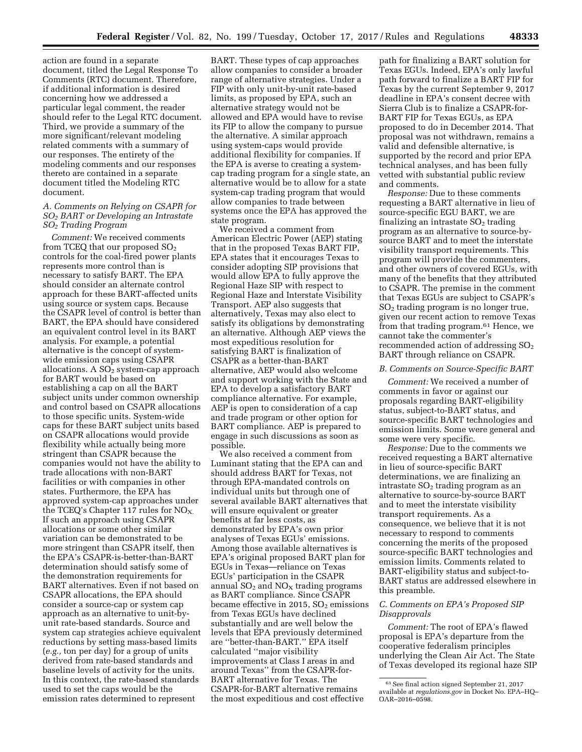action are found in a separate document, titled the Legal Response To Comments (RTC) document. Therefore, if additional information is desired concerning how we addressed a particular legal comment, the reader should refer to the Legal RTC document. Third, we provide a summary of the more significant/relevant modeling related comments with a summary of our responses. The entirety of the modeling comments and our responses thereto are contained in a separate document titled the Modeling RTC document.

### *A. Comments on Relying on CSAPR for SO2 BART or Developing an Intrastate SO2 Trading Program*

*Comment:* We received comments from TCEQ that our proposed  $SO<sub>2</sub>$ controls for the coal-fired power plants represents more control than is necessary to satisfy BART. The EPA should consider an alternate control approach for these BART-affected units using source or system caps. Because the CSAPR level of control is better than BART, the EPA should have considered an equivalent control level in its BART analysis. For example, a potential alternative is the concept of systemwide emission caps using CSAPR allocations. A  $SO<sub>2</sub>$  system-cap approach for BART would be based on establishing a cap on all the BART subject units under common ownership and control based on CSAPR allocations to those specific units. System-wide caps for these BART subject units based on CSAPR allocations would provide flexibility while actually being more stringent than CSAPR because the companies would not have the ability to trade allocations with non-BART facilities or with companies in other states. Furthermore, the EPA has approved system-cap approaches under the TCEQ's Chapter 117 rules for  $NO<sub>X</sub>$ . If such an approach using CSAPR allocations or some other similar variation can be demonstrated to be more stringent than CSAPR itself, then the EPA's CSAPR-is-better-than-BART determination should satisfy some of the demonstration requirements for BART alternatives. Even if not based on CSAPR allocations, the EPA should consider a source-cap or system cap approach as an alternative to unit-byunit rate-based standards. Source and system cap strategies achieve equivalent reductions by setting mass-based limits (*e.g.,* ton per day) for a group of units derived from rate-based standards and baseline levels of activity for the units. In this context, the rate-based standards used to set the caps would be the emission rates determined to represent

BART. These types of cap approaches allow companies to consider a broader range of alternative strategies. Under a FIP with only unit-by-unit rate-based limits, as proposed by EPA, such an alternative strategy would not be allowed and EPA would have to revise its FIP to allow the company to pursue the alternative. A similar approach using system-caps would provide additional flexibility for companies. If the EPA is averse to creating a systemcap trading program for a single state, an alternative would be to allow for a state system-cap trading program that would allow companies to trade between systems once the EPA has approved the state program.

We received a comment from American Electric Power (AEP) stating that in the proposed Texas BART FIP, EPA states that it encourages Texas to consider adopting SIP provisions that would allow EPA to fully approve the Regional Haze SIP with respect to Regional Haze and Interstate Visibility Transport. AEP also suggests that alternatively, Texas may also elect to satisfy its obligations by demonstrating an alternative. Although AEP views the most expeditious resolution for satisfying BART is finalization of CSAPR as a better-than-BART alternative, AEP would also welcome and support working with the State and EPA to develop a satisfactory BART compliance alternative. For example, AEP is open to consideration of a cap and trade program or other option for BART compliance. AEP is prepared to engage in such discussions as soon as possible.

We also received a comment from Luminant stating that the EPA can and should address BART for Texas, not through EPA-mandated controls on individual units but through one of several available BART alternatives that will ensure equivalent or greater benefits at far less costs, as demonstrated by EPA's own prior analyses of Texas EGUs' emissions. Among those available alternatives is EPA's original proposed BART plan for EGUs in Texas—reliance on Texas EGUs' participation in the CSAPR annual  $SO<sub>2</sub>$  and  $NO<sub>X</sub>$  trading programs as BART compliance. Since CSAPR became effective in 2015,  $SO<sub>2</sub>$  emissions from Texas EGUs have declined substantially and are well below the levels that EPA previously determined are ''better-than-BART.'' EPA itself calculated ''major visibility improvements at Class I areas in and around Texas'' from the CSAPR-for-BART alternative for Texas. The CSAPR-for-BART alternative remains the most expeditious and cost effective

path for finalizing a BART solution for Texas EGUs. Indeed, EPA's only lawful path forward to finalize a BART FIP for Texas by the current September 9, 2017 deadline in EPA's consent decree with Sierra Club is to finalize a CSAPR-for-BART FIP for Texas EGUs, as EPA proposed to do in December 2014. That proposal was not withdrawn, remains a valid and defensible alternative, is supported by the record and prior EPA technical analyses, and has been fully vetted with substantial public review and comments.

*Response:* Due to these comments requesting a BART alternative in lieu of source-specific EGU BART, we are finalizing an intrastate  $SO<sub>2</sub>$  trading program as an alternative to source-bysource BART and to meet the interstate visibility transport requirements. This program will provide the commenters, and other owners of covered EGUs, with many of the benefits that they attributed to CSAPR. The premise in the comment that Texas EGUs are subject to CSAPR's SO2 trading program is no longer true, given our recent action to remove Texas from that trading program.61 Hence, we cannot take the commenter's recommended action of addressing SO<sub>2</sub> BART through reliance on CSAPR.

#### *B. Comments on Source-Specific BART*

*Comment:* We received a number of comments in favor or against our proposals regarding BART-eligibility status, subject-to-BART status, and source-specific BART technologies and emission limits. Some were general and some were very specific.

*Response:* Due to the comments we received requesting a BART alternative in lieu of source-specific BART determinations, we are finalizing an intrastate  $SO<sub>2</sub>$  trading program as an alternative to source-by-source BART and to meet the interstate visibility transport requirements. As a consequence, we believe that it is not necessary to respond to comments concerning the merits of the proposed source-specific BART technologies and emission limits. Comments related to BART-eligibility status and subject-to-BART status are addressed elsewhere in this preamble.

# *C. Comments on EPA's Proposed SIP Disapprovals*

*Comment:* The root of EPA's flawed proposal is EPA's departure from the cooperative federalism principles underlying the Clean Air Act. The State of Texas developed its regional haze SIP

<sup>61</sup>See final action signed September 21, 2017 available at *regulations.gov* in Docket No. EPA–HQ– OAR–2016–0598.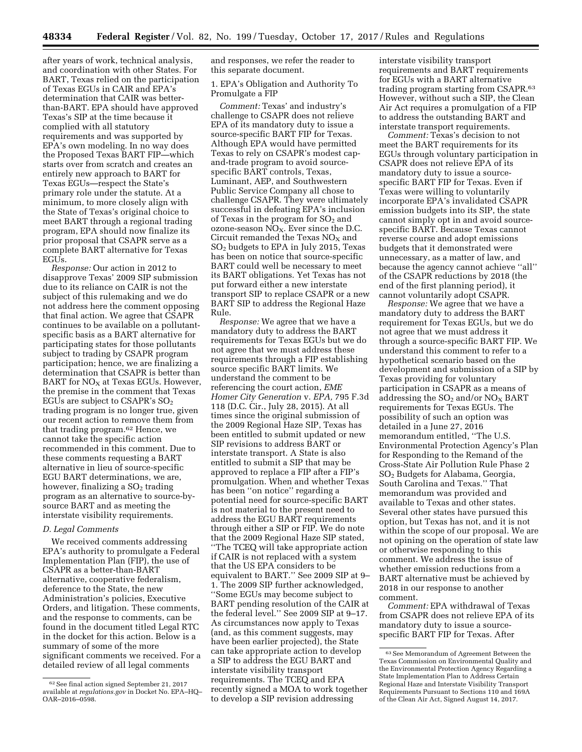after years of work, technical analysis, and coordination with other States. For BART, Texas relied on the participation of Texas EGUs in CAIR and EPA's determination that CAIR was betterthan-BART. EPA should have approved Texas's SIP at the time because it complied with all statutory requirements and was supported by EPA's own modeling. In no way does the Proposed Texas BART FIP—which starts over from scratch and creates an entirely new approach to BART for Texas EGUs—respect the State's primary role under the statute. At a minimum, to more closely align with the State of Texas's original choice to meet BART through a regional trading program, EPA should now finalize its prior proposal that CSAPR serve as a complete BART alternative for Texas EGUs.

*Response:* Our action in 2012 to disapprove Texas' 2009 SIP submission due to its reliance on CAIR is not the subject of this rulemaking and we do not address here the comment opposing that final action. We agree that CSAPR continues to be available on a pollutantspecific basis as a BART alternative for participating states for those pollutants subject to trading by CSAPR program participation; hence, we are finalizing a determination that CSAPR is better than BART for  $NO<sub>X</sub>$  at Texas EGUs. However, the premise in the comment that Texas EGUs are subject to CSAPR's SO2 trading program is no longer true, given our recent action to remove them from that trading program.62 Hence, we cannot take the specific action recommended in this comment. Due to these comments requesting a BART alternative in lieu of source-specific EGU BART determinations, we are, however, finalizing a  $SO<sub>2</sub>$  trading program as an alternative to source-bysource BART and as meeting the interstate visibility requirements.

### *D. Legal Comments*

We received comments addressing EPA's authority to promulgate a Federal Implementation Plan (FIP), the use of CSAPR as a better-than-BART alternative, cooperative federalism, deference to the State, the new Administration's policies, Executive Orders, and litigation. These comments, and the response to comments, can be found in the document titled Legal RTC in the docket for this action. Below is a summary of some of the more significant comments we received. For a detailed review of all legal comments

and responses, we refer the reader to this separate document.

1. EPA's Obligation and Authority To Promulgate a FIP

*Comment:* Texas' and industry's challenge to CSAPR does not relieve EPA of its mandatory duty to issue a source-specific BART FIP for Texas. Although EPA would have permitted Texas to rely on CSAPR's modest capand-trade program to avoid sourcespecific BART controls, Texas, Luminant, AEP, and Southwestern Public Service Company all chose to challenge CSAPR. They were ultimately successful in defeating EPA's inclusion of Texas in the program for  $SO<sub>2</sub>$  and ozone-season  $\overline{NO_X}$ . Ever since the D.C. Circuit remanded the Texas  $NO<sub>x</sub>$  and SO2 budgets to EPA in July 2015, Texas has been on notice that source-specific BART could well be necessary to meet its BART obligations. Yet Texas has not put forward either a new interstate transport SIP to replace CSAPR or a new BART SIP to address the Regional Haze Rule.

*Response:* We agree that we have a mandatory duty to address the BART requirements for Texas EGUs but we do not agree that we must address these requirements through a FIP establishing source specific BART limits. We understand the comment to be referencing the court action, *EME Homer City Generation* v. *EPA,* 795 F.3d 118 (D.C. Cir., July 28, 2015). At all times since the original submission of the 2009 Regional Haze SIP, Texas has been entitled to submit updated or new SIP revisions to address BART or interstate transport. A State is also entitled to submit a SIP that may be approved to replace a FIP after a FIP's promulgation. When and whether Texas has been ''on notice'' regarding a potential need for source-specific BART is not material to the present need to address the EGU BART requirements through either a SIP or FIP. We do note that the 2009 Regional Haze SIP stated, ''The TCEQ will take appropriate action if CAIR is not replaced with a system that the US EPA considers to be equivalent to BART.'' See 2009 SIP at 9– 1. The 2009 SIP further acknowledged, ''Some EGUs may become subject to BART pending resolution of the CAIR at the federal level.'' See 2009 SIP at 9–17. As circumstances now apply to Texas (and, as this comment suggests, may have been earlier projected), the State can take appropriate action to develop a SIP to address the EGU BART and interstate visibility transport requirements. The TCEQ and EPA recently signed a MOA to work together to develop a SIP revision addressing

interstate visibility transport requirements and BART requirements for EGUs with a BART alternative trading program starting from CSAPR.63 However, without such a SIP, the Clean Air Act requires a promulgation of a FIP to address the outstanding BART and interstate transport requirements.

*Comment:* Texas's decision to not meet the BART requirements for its EGUs through voluntary participation in CSAPR does not relieve EPA of its mandatory duty to issue a sourcespecific BART FIP for Texas. Even if Texas were willing to voluntarily incorporate EPA's invalidated CSAPR emission budgets into its SIP, the state cannot simply opt in and avoid sourcespecific BART. Because Texas cannot reverse course and adopt emissions budgets that it demonstrated were unnecessary, as a matter of law, and because the agency cannot achieve ''all'' of the CSAPR reductions by 2018 (the end of the first planning period), it cannot voluntarily adopt CSAPR.

*Response:* We agree that we have a mandatory duty to address the BART requirement for Texas EGUs, but we do not agree that we must address it through a source-specific BART FIP. We understand this comment to refer to a hypothetical scenario based on the development and submission of a SIP by Texas providing for voluntary participation in CSAPR as a means of addressing the  $SO_2$  and/or  $NO_X$  BART requirements for Texas EGUs. The possibility of such an option was detailed in a June 27, 2016 memorandum entitled, ''The U.S. Environmental Protection Agency's Plan for Responding to the Remand of the Cross-State Air Pollution Rule Phase 2 SO2 Budgets for Alabama, Georgia, South Carolina and Texas.'' That memorandum was provided and available to Texas and other states. Several other states have pursued this option, but Texas has not, and it is not within the scope of our proposal. We are not opining on the operation of state law or otherwise responding to this comment. We address the issue of whether emission reductions from a BART alternative must be achieved by 2018 in our response to another comment.

*Comment:* EPA withdrawal of Texas from CSAPR does not relieve EPA of its mandatory duty to issue a sourcespecific BART FIP for Texas. After

<sup>62</sup>See final action signed September 21, 2017 available at *regulations.gov* in Docket No. EPA–HQ– OAR–2016–0598.

<sup>63</sup>See Memorandum of Agreement Between the Texas Commission on Environmental Quality and the Environmental Protection Agency Regarding a State Implementation Plan to Address Certain Regional Haze and Interstate Visibility Transport Requirements Pursuant to Sections 110 and 169A of the Clean Air Act, Signed August 14, 2017.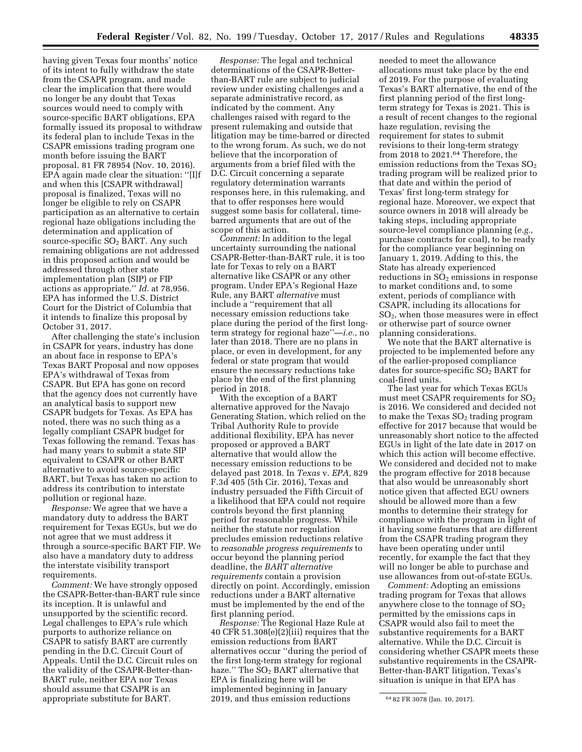having given Texas four months' notice of its intent to fully withdraw the state from the CSAPR program, and made clear the implication that there would no longer be any doubt that Texas sources would need to comply with source-specific BART obligations, EPA formally issued its proposal to withdraw its federal plan to include Texas in the CSAPR emissions trading program one month before issuing the BART proposal. 81 FR 78954 (Nov. 10, 2016). EPA again made clear the situation: ''[I]f and when this [CSAPR withdrawal] proposal is finalized, Texas will no longer be eligible to rely on CSAPR participation as an alternative to certain regional haze obligations including the determination and application of source-specific  $SO<sub>2</sub>$  BART. Any such remaining obligations are not addressed in this proposed action and would be addressed through other state implementation plan (SIP) or FIP actions as appropriate.'' *Id.* at 78,956. EPA has informed the U.S. District Court for the District of Columbia that it intends to finalize this proposal by October 31, 2017.

After challenging the state's inclusion in CSAPR for years, industry has done an about face in response to EPA's Texas BART Proposal and now opposes EPA's withdrawal of Texas from CSAPR. But EPA has gone on record that the agency does not currently have an analytical basis to support new CSAPR budgets for Texas. As EPA has noted, there was no such thing as a legally compliant CSAPR budget for Texas following the remand. Texas has had many years to submit a state SIP equivalent to CSAPR or other BART alternative to avoid source-specific BART, but Texas has taken no action to address its contribution to interstate pollution or regional haze.

*Response:* We agree that we have a mandatory duty to address the BART requirement for Texas EGUs, but we do not agree that we must address it through a source-specific BART FIP. We also have a mandatory duty to address the interstate visibility transport requirements.

*Comment:* We have strongly opposed the CSAPR-Better-than-BART rule since its inception. It is unlawful and unsupported by the scientific record. Legal challenges to EPA's rule which purports to authorize reliance on CSAPR to satisfy BART are currently pending in the D.C. Circuit Court of Appeals. Until the D.C. Circuit rules on the validity of the CSAPR-Better-than-BART rule, neither EPA nor Texas should assume that CSAPR is an appropriate substitute for BART.

*Response:* The legal and technical determinations of the CSAPR-Betterthan-BART rule are subject to judicial review under existing challenges and a separate administrative record, as indicated by the comment. Any challenges raised with regard to the present rulemaking and outside that litigation may be time-barred or directed to the wrong forum. As such, we do not believe that the incorporation of arguments from a brief filed with the D.C. Circuit concerning a separate regulatory determination warrants responses here, in this rulemaking, and that to offer responses here would suggest some basis for collateral, timebarred arguments that are out of the scope of this action.

*Comment:* In addition to the legal uncertainty surrounding the national CSAPR-Better-than-BART rule, it is too late for Texas to rely on a BART alternative like CSAPR or any other program. Under EPA's Regional Haze Rule, any BART *alternative* must include a ''requirement that all necessary emission reductions take place during the period of the first longterm strategy for regional haze''—*i.e.,* no later than 2018. There are no plans in place, or even in development, for any federal or state program that would ensure the necessary reductions take place by the end of the first planning period in 2018.

With the exception of a BART alternative approved for the Navajo Generating Station, which relied on the Tribal Authority Rule to provide additional flexibility, EPA has never proposed or approved a BART alternative that would allow the necessary emission reductions to be delayed past 2018. In *Texas* v. *EPA,* 829 F.3d 405 (5th Cir. 2016), Texas and industry persuaded the Fifth Circuit of a likelihood that EPA could not require controls beyond the first planning period for reasonable progress. While neither the statute nor regulation precludes emission reductions relative to *reasonable progress requirements* to occur beyond the planning period deadline, the *BART alternative requirements* contain a provision directly on point. Accordingly, emission reductions under a BART alternative must be implemented by the end of the first planning period.

*Response:* The Regional Haze Rule at 40 CFR 51.308(e)(2)(iii) requires that the emission reductions from BART alternatives occur ''during the period of the first long-term strategy for regional haze." The  $SO_2$  BART alternative that EPA is finalizing here will be implemented beginning in January 2019, and thus emission reductions

needed to meet the allowance allocations must take place by the end of 2019. For the purpose of evaluating Texas's BART alternative, the end of the first planning period of the first longterm strategy for Texas is 2021. This is a result of recent changes to the regional haze regulation, revising the requirement for states to submit revisions to their long-term strategy from 2018 to 2021.64 Therefore, the emission reductions from the Texas  $SO<sub>2</sub>$ trading program will be realized prior to that date and within the period of Texas' first long-term strategy for regional haze. Moreover, we expect that source owners in 2018 will already be taking steps, including appropriate source-level compliance planning (*e.g.,*  purchase contracts for coal), to be ready for the compliance year beginning on January 1, 2019. Adding to this, the State has already experienced reductions in  $SO<sub>2</sub>$  emissions in response to market conditions and, to some extent, periods of compliance with CSAPR, including its allocations for SO2, when those measures were in effect or otherwise part of source owner planning considerations.

We note that the BART alternative is projected to be implemented before any of the earlier-proposed compliance dates for source-specific  $SO<sub>2</sub>$  BART for coal-fired units.

The last year for which Texas EGUs must meet CSAPR requirements for  $SO<sub>2</sub>$ is 2016. We considered and decided not to make the Texas SO<sub>2</sub> trading program effective for 2017 because that would be unreasonably short notice to the affected EGUs in light of the late date in 2017 on which this action will become effective. We considered and decided not to make the program effective for 2018 because that also would be unreasonably short notice given that affected EGU owners should be allowed more than a few months to determine their strategy for compliance with the program in light of it having some features that are different from the CSAPR trading program they have been operating under until recently, for example the fact that they will no longer be able to purchase and use allowances from out-of-state EGUs.

*Comment:* Adopting an emissions trading program for Texas that allows anywhere close to the tonnage of  $SO<sub>2</sub>$ permitted by the emissions caps in CSAPR would also fail to meet the substantive requirements for a BART alternative. While the D.C. Circuit is considering whether CSAPR meets these substantive requirements in the CSAPR-Better-than-BART litigation, Texas's situation is unique in that EPA has

<sup>64</sup> 82 FR 3078 (Jan. 10, 2017).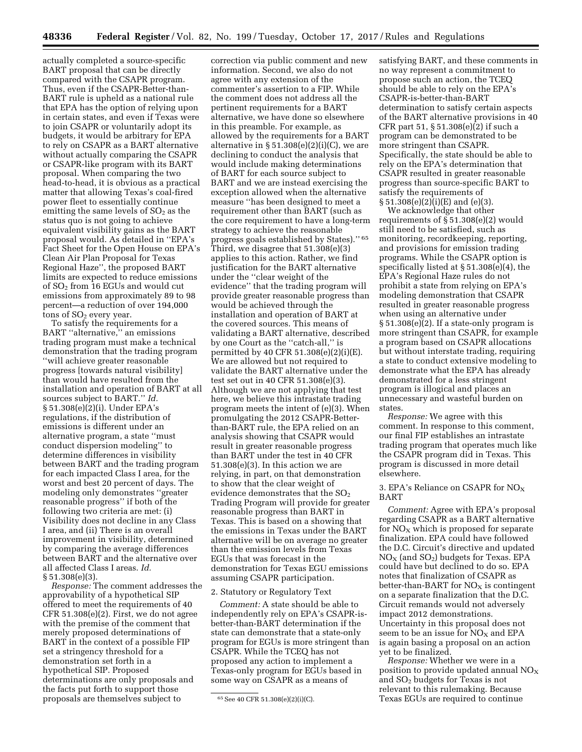actually completed a source-specific BART proposal that can be directly compared with the CSAPR program. Thus, even if the CSAPR-Better-than-BART rule is upheld as a national rule that EPA has the option of relying upon in certain states, and even if Texas were to join CSAPR or voluntarily adopt its budgets, it would be arbitrary for EPA to rely on CSAPR as a BART alternative without actually comparing the CSAPR or CSAPR-like program with its BART proposal. When comparing the two head-to-head, it is obvious as a practical matter that allowing Texas's coal-fired power fleet to essentially continue emitting the same levels of  $SO<sub>2</sub>$  as the status quo is not going to achieve equivalent visibility gains as the BART proposal would. As detailed in ''EPA's Fact Sheet for the Open House on EPA's Clean Air Plan Proposal for Texas Regional Haze'', the proposed BART limits are expected to reduce emissions of SO2 from 16 EGUs and would cut emissions from approximately 89 to 98 percent—a reduction of over 194,000 tons of  $SO<sub>2</sub>$  every year.

To satisfy the requirements for a BART ''alternative,'' an emissions trading program must make a technical demonstration that the trading program ''will achieve greater reasonable progress [towards natural visibility] than would have resulted from the installation and operation of BART at all sources subject to BART.'' *Id.*  § 51.308(e)(2)(i). Under EPA's regulations, if the distribution of emissions is different under an alternative program, a state ''must conduct dispersion modeling'' to determine differences in visibility between BART and the trading program for each impacted Class I area, for the worst and best 20 percent of days. The modeling only demonstrates ''greater reasonable progress'' if both of the following two criteria are met: (i) Visibility does not decline in any Class I area, and (ii) There is an overall improvement in visibility, determined by comparing the average differences between BART and the alternative over all affected Class I areas. *Id.*  § 51.308(e)(3).

*Response:* The comment addresses the approvability of a hypothetical SIP offered to meet the requirements of 40 CFR 51.308(e)(2). First, we do not agree with the premise of the comment that merely proposed determinations of BART in the context of a possible FIP set a stringency threshold for a demonstration set forth in a hypothetical SIP. Proposed determinations are only proposals and the facts put forth to support those proposals are themselves subject to

correction via public comment and new information. Second, we also do not agree with any extension of the commenter's assertion to a FIP. While the comment does not address all the pertinent requirements for a BART alternative, we have done so elsewhere in this preamble. For example, as allowed by the requirements for a BART alternative in  $\S 51.308(e)(2)(i)(C)$ , we are declining to conduct the analysis that would include making determinations of BART for each source subject to BART and we are instead exercising the exception allowed when the alternative measure ''has been designed to meet a requirement other than BART (such as the core requirement to have a long-term strategy to achieve the reasonable progress goals established by States).'' 65 Third, we disagree that 51.308(e)(3) applies to this action. Rather, we find justification for the BART alternative under the ''clear weight of the evidence'' that the trading program will provide greater reasonable progress than would be achieved through the installation and operation of BART at the covered sources. This means of validating a BART alternative, described by one Court as the ''catch-all,'' is permitted by 40 CFR 51.308(e)(2)(i)(E). We are allowed but not required to validate the BART alternative under the test set out in 40 CFR 51.308(e)(3). Although we are not applying that test here, we believe this intrastate trading program meets the intent of (e)(3). When promulgating the 2012 CSAPR-Betterthan-BART rule, the EPA relied on an analysis showing that CSAPR would result in greater reasonable progress than BART under the test in 40 CFR 51.308(e)(3). In this action we are relying, in part, on that demonstration to show that the clear weight of evidence demonstrates that the  $SO<sub>2</sub>$ Trading Program will provide for greater reasonable progress than BART in Texas. This is based on a showing that the emissions in Texas under the BART alternative will be on average no greater than the emission levels from Texas EGUs that was forecast in the demonstration for Texas EGU emissions assuming CSAPR participation.

### 2. Statutory or Regulatory Text

*Comment:* A state should be able to independently rely on EPA's CSAPR-isbetter-than-BART determination if the state can demonstrate that a state-only program for EGUs is more stringent than CSAPR. While the TCEQ has not proposed any action to implement a Texas-only program for EGUs based in some way on CSAPR as a means of

satisfying BART, and these comments in no way represent a commitment to propose such an action, the TCEQ should be able to rely on the EPA's CSAPR-is-better-than-BART determination to satisfy certain aspects of the BART alternative provisions in 40 CFR part 51, § 51.308(e)(2) if such a program can be demonstrated to be more stringent than CSAPR. Specifically, the state should be able to rely on the EPA's determination that CSAPR resulted in greater reasonable progress than source-specific BART to satisfy the requirements of § 51.308(e)(2)(i)(E) and (e)(3).

We acknowledge that other requirements of § 51.308(e)(2) would still need to be satisfied, such as monitoring, recordkeeping, reporting, and provisions for emission trading programs. While the CSAPR option is specifically listed at § 51.308(e)(4), the EPA's Regional Haze rules do not prohibit a state from relying on EPA's modeling demonstration that CSAPR resulted in greater reasonable progress when using an alternative under  $\S 51.308(e)(2)$ . If a state-only program is more stringent than CSAPR, for example a program based on CSAPR allocations but without interstate trading, requiring a state to conduct extensive modeling to demonstrate what the EPA has already demonstrated for a less stringent program is illogical and places an unnecessary and wasteful burden on states.

*Response:* We agree with this comment. In response to this comment, our final FIP establishes an intrastate trading program that operates much like the CSAPR program did in Texas. This program is discussed in more detail elsewhere.

### 3. EPA's Reliance on CSAPR for  $NO<sub>X</sub>$ BART

*Comment:* Agree with EPA's proposal regarding CSAPR as a BART alternative for  $NO<sub>X</sub>$  which is proposed for separate finalization. EPA could have followed the D.C. Circuit's directive and updated  $NO<sub>X</sub>$  (and  $SO<sub>2</sub>$ ) budgets for Texas. EPA could have but declined to do so. EPA notes that finalization of CSAPR as better-than-BART for  $NO<sub>X</sub>$  is contingent on a separate finalization that the D.C. Circuit remands would not adversely impact 2012 demonstrations. Uncertainty in this proposal does not seem to be an issue for  $NO<sub>x</sub>$  and EPA is again basing a proposal on an action yet to be finalized.

*Response:* Whether we were in a position to provide updated annual  $NO<sub>X</sub>$ and SO2 budgets for Texas is not relevant to this rulemaking. Because Texas EGUs are required to continue

<sup>65</sup>See 40 CFR 51.308(e)(2)(i)(C).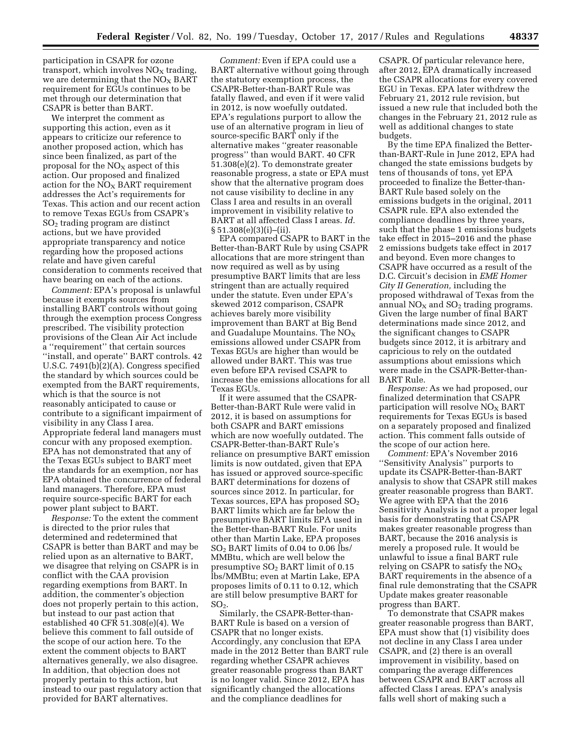participation in CSAPR for ozone transport, which involves  $NO<sub>x</sub>$  trading, we are determining that the  $NO<sub>x</sub> BART$ requirement for EGUs continues to be met through our determination that CSAPR is better than BART.

We interpret the comment as supporting this action, even as it appears to criticize our reference to another proposed action, which has since been finalized, as part of the proposal for the  $NO<sub>X</sub>$  aspect of this action. Our proposed and finalized action for the  $NO<sub>x</sub>$  BART requirement addresses the Act's requirements for Texas. This action and our recent action to remove Texas EGUs from CSAPR's  $SO<sub>2</sub>$  trading program are distinct actions, but we have provided appropriate transparency and notice regarding how the proposed actions relate and have given careful consideration to comments received that have bearing on each of the actions.

*Comment:* EPA's proposal is unlawful because it exempts sources from installing BART controls without going through the exemption process Congress prescribed. The visibility protection provisions of the Clean Air Act include a ''requirement'' that certain sources ''install, and operate'' BART controls. 42 U.S.C. 7491(b)(2)(A). Congress specified the standard by which sources could be exempted from the BART requirements, which is that the source is not reasonably anticipated to cause or contribute to a significant impairment of visibility in any Class I area. Appropriate federal land managers must concur with any proposed exemption. EPA has not demonstrated that any of the Texas EGUs subject to BART meet the standards for an exemption, nor has EPA obtained the concurrence of federal land managers. Therefore, EPA must require source-specific BART for each power plant subject to BART.

*Response:* To the extent the comment is directed to the prior rules that determined and redetermined that CSAPR is better than BART and may be relied upon as an alternative to BART, we disagree that relying on CSAPR is in conflict with the CAA provision regarding exemptions from BART. In addition, the commenter's objection does not properly pertain to this action, but instead to our past action that established 40 CFR 51.308(e)(4). We believe this comment to fall outside of the scope of our action here. To the extent the comment objects to BART alternatives generally, we also disagree. In addition, that objection does not properly pertain to this action, but instead to our past regulatory action that provided for BART alternatives.

*Comment:* Even if EPA could use a BART alternative without going through the statutory exemption process, the CSAPR-Better-than-BART Rule was fatally flawed, and even if it were valid in 2012, is now woefully outdated. EPA's regulations purport to allow the use of an alternative program in lieu of source-specific BART only if the alternative makes ''greater reasonable progress'' than would BART. 40 CFR 51.308(e)(2). To demonstrate greater reasonable progress, a state or EPA must show that the alternative program does not cause visibility to decline in any Class I area and results in an overall improvement in visibility relative to BART at all affected Class I areas. *Id.*   $§ 51.308(e)(3)(i)–(ii).$ 

EPA compared CSAPR to BART in the Better-than-BART Rule by using CSAPR allocations that are more stringent than now required as well as by using presumptive BART limits that are less stringent than are actually required under the statute. Even under EPA's skewed 2012 comparison, CSAPR achieves barely more visibility improvement than BART at Big Bend and Guadalupe Mountains. The  $NO<sub>x</sub>$ emissions allowed under CSAPR from Texas EGUs are higher than would be allowed under BART. This was true even before EPA revised CSAPR to increase the emissions allocations for all Texas EGUs.

If it were assumed that the CSAPR-Better-than-BART Rule were valid in 2012, it is based on assumptions for both CSAPR and BART emissions which are now woefully outdated. The CSAPR-Better-than-BART Rule's reliance on presumptive BART emission limits is now outdated, given that EPA has issued or approved source-specific BART determinations for dozens of sources since 2012. In particular, for Texas sources, EPA has proposed  $SO<sub>2</sub>$ BART limits which are far below the presumptive BART limits EPA used in the Better-than-BART Rule. For units other than Martin Lake, EPA proposes SO2 BART limits of 0.04 to 0.06 lbs/ MMBtu, which are well below the presumptive SO2 BART limit of 0.15 lbs/MMBtu; even at Martin Lake, EPA proposes limits of 0.11 to 0.12, which are still below presumptive BART for  $SO<sub>2</sub>$ .

Similarly, the CSAPR-Better-than-BART Rule is based on a version of CSAPR that no longer exists. Accordingly, any conclusion that EPA made in the 2012 Better than BART rule regarding whether CSAPR achieves greater reasonable progress than BART is no longer valid. Since 2012, EPA has significantly changed the allocations and the compliance deadlines for

CSAPR. Of particular relevance here, after 2012, EPA dramatically increased the CSAPR allocations for every covered EGU in Texas. EPA later withdrew the February 21, 2012 rule revision, but issued a new rule that included both the changes in the February 21, 2012 rule as well as additional changes to state budgets.

By the time EPA finalized the Betterthan-BART-Rule in June 2012, EPA had changed the state emissions budgets by tens of thousands of tons, yet EPA proceeded to finalize the Better-than-BART Rule based solely on the emissions budgets in the original, 2011 CSAPR rule. EPA also extended the compliance deadlines by three years, such that the phase 1 emissions budgets take effect in 2015–2016 and the phase 2 emissions budgets take effect in 2017 and beyond. Even more changes to CSAPR have occurred as a result of the D.C. Circuit's decision in *EME Homer City II Generation,* including the proposed withdrawal of Texas from the annual  $NO<sub>X</sub>$  and  $SO<sub>2</sub>$  trading programs. Given the large number of final BART determinations made since 2012, and the significant changes to CSAPR budgets since 2012, it is arbitrary and capricious to rely on the outdated assumptions about emissions which were made in the CSAPR-Better-than-BART Rule.

*Response:* As we had proposed, our finalized determination that CSAPR participation will resolve  $NO<sub>X</sub>$  BART requirements for Texas EGUs is based on a separately proposed and finalized action. This comment falls outside of the scope of our action here.

*Comment:* EPA's November 2016 ''Sensitivity Analysis'' purports to update its CSAPR-Better-than-BART analysis to show that CSAPR still makes greater reasonable progress than BART. We agree with EPA that the 2016 Sensitivity Analysis is not a proper legal basis for demonstrating that CSAPR makes greater reasonable progress than BART, because the 2016 analysis is merely a proposed rule. It would be unlawful to issue a final BART rule relying on CSAPR to satisfy the  $NO<sub>x</sub>$ BART requirements in the absence of a final rule demonstrating that the CSAPR Update makes greater reasonable progress than BART.

To demonstrate that CSAPR makes greater reasonable progress than BART, EPA must show that (1) visibility does not decline in any Class I area under CSAPR, and (2) there is an overall improvement in visibility, based on comparing the average differences between CSAPR and BART across all affected Class I areas. EPA's analysis falls well short of making such a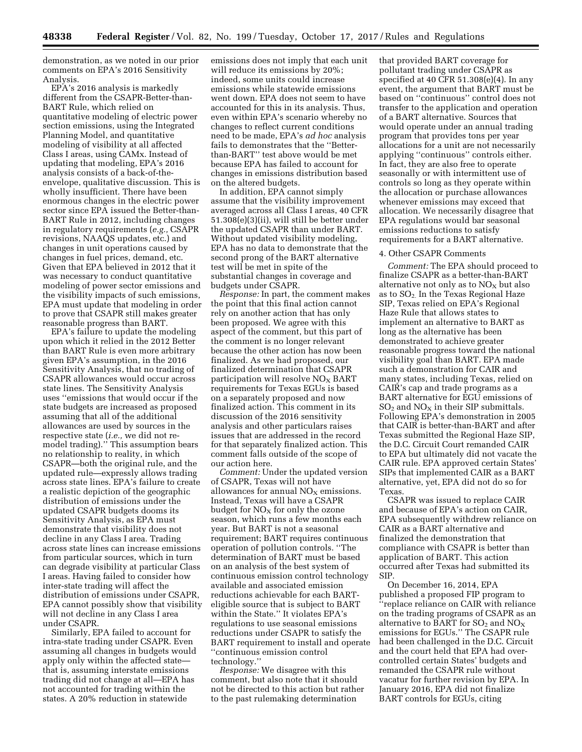demonstration, as we noted in our prior comments on EPA's 2016 Sensitivity Analysis.

EPA's 2016 analysis is markedly different from the CSAPR-Better-than-BART Rule, which relied on quantitative modeling of electric power section emissions, using the Integrated Planning Model, and quantitative modeling of visibility at all affected Class I areas, using CAMx. Instead of updating that modeling, EPA's 2016 analysis consists of a back-of-theenvelope, qualitative discussion. This is wholly insufficient. There have been enormous changes in the electric power sector since EPA issued the Better-than-BART Rule in 2012, including changes in regulatory requirements (*e.g.,* CSAPR revisions, NAAQS updates, etc.) and changes in unit operations caused by changes in fuel prices, demand, etc. Given that EPA believed in 2012 that it was necessary to conduct quantitative modeling of power sector emissions and the visibility impacts of such emissions, EPA must update that modeling in order to prove that CSAPR still makes greater reasonable progress than BART.

EPA's failure to update the modeling upon which it relied in the 2012 Better than BART Rule is even more arbitrary given EPA's assumption, in the 2016 Sensitivity Analysis, that no trading of CSAPR allowances would occur across state lines. The Sensitivity Analysis uses ''emissions that would occur if the state budgets are increased as proposed assuming that all of the additional allowances are used by sources in the respective state (*i.e.,* we did not remodel trading).'' This assumption bears no relationship to reality, in which CSAPR—both the original rule, and the updated rule—expressly allows trading across state lines. EPA's failure to create a realistic depiction of the geographic distribution of emissions under the updated CSAPR budgets dooms its Sensitivity Analysis, as EPA must demonstrate that visibility does not decline in any Class I area. Trading across state lines can increase emissions from particular sources, which in turn can degrade visibility at particular Class I areas. Having failed to consider how inter-state trading will affect the distribution of emissions under CSAPR, EPA cannot possibly show that visibility will not decline in any Class I area under CSAPR.

Similarly, EPA failed to account for intra-state trading under CSAPR. Even assuming all changes in budgets would apply only within the affected state that is, assuming interstate emissions trading did not change at all—EPA has not accounted for trading within the states. A 20% reduction in statewide

emissions does not imply that each unit will reduce its emissions by 20%; indeed, some units could increase emissions while statewide emissions went down. EPA does not seem to have accounted for this in its analysis. Thus, even within EPA's scenario whereby no changes to reflect current conditions need to be made, EPA's *ad hoc* analysis fails to demonstrates that the ''Betterthan-BART'' test above would be met because EPA has failed to account for changes in emissions distribution based on the altered budgets.

In addition, EPA cannot simply assume that the visibility improvement averaged across all Class I areas, 40 CFR 51.308(e)(3)(ii), will still be better under the updated CSAPR than under BART. Without updated visibility modeling, EPA has no data to demonstrate that the second prong of the BART alternative test will be met in spite of the substantial changes in coverage and budgets under CSAPR.

*Response:* In part, the comment makes the point that this final action cannot rely on another action that has only been proposed. We agree with this aspect of the comment, but this part of the comment is no longer relevant because the other action has now been finalized. As we had proposed, our finalized determination that CSAPR participation will resolve  $NO<sub>x</sub>$  BART requirements for Texas EGUs is based on a separately proposed and now finalized action. This comment in its discussion of the 2016 sensitivity analysis and other particulars raises issues that are addressed in the record for that separately finalized action. This comment falls outside of the scope of our action here.

*Comment:* Under the updated version of CSAPR, Texas will not have allowances for annual  $NO<sub>x</sub>$  emissions. Instead, Texas will have a CSAPR budget for  $NO<sub>x</sub>$  for only the ozone season, which runs a few months each year. But BART is not a seasonal requirement; BART requires continuous operation of pollution controls. ''The determination of BART must be based on an analysis of the best system of continuous emission control technology available and associated emission reductions achievable for each BARTeligible source that is subject to BART within the State.'' It violates EPA's regulations to use seasonal emissions reductions under CSAPR to satisfy the BART requirement to install and operate ''continuous emission control technology.''

*Response:* We disagree with this comment, but also note that it should not be directed to this action but rather to the past rulemaking determination

that provided BART coverage for pollutant trading under CSAPR as specified at 40 CFR 51.308(e)(4). In any event, the argument that BART must be based on ''continuous'' control does not transfer to the application and operation of a BART alternative. Sources that would operate under an annual trading program that provides tons per year allocations for a unit are not necessarily applying ''continuous'' controls either. In fact, they are also free to operate seasonally or with intermittent use of controls so long as they operate within the allocation or purchase allowances whenever emissions may exceed that allocation. We necessarily disagree that EPA regulations would bar seasonal emissions reductions to satisfy requirements for a BART alternative.

#### 4. Other CSAPR Comments

*Comment:* The EPA should proceed to finalize CSAPR as a better-than-BART alternative not only as to  $NO<sub>x</sub>$  but also as to  $SO_2$ . In the Texas Regional Haze SIP, Texas relied on EPA's Regional Haze Rule that allows states to implement an alternative to BART as long as the alternative has been demonstrated to achieve greater reasonable progress toward the national visibility goal than BART. EPA made such a demonstration for CAIR and many states, including Texas, relied on CAIR's cap and trade programs as a BART alternative for EGU emissions of  $SO<sub>2</sub>$  and  $NO<sub>X</sub>$  in their SIP submittals. Following EPA's demonstration in 2005 that CAIR is better-than-BART and after Texas submitted the Regional Haze SIP, the D.C. Circuit Court remanded CAIR to EPA but ultimately did not vacate the CAIR rule. EPA approved certain States' SIPs that implemented CAIR as a BART alternative, yet, EPA did not do so for Texas.

CSAPR was issued to replace CAIR and because of EPA's action on CAIR, EPA subsequently withdrew reliance on CAIR as a BART alternative and finalized the demonstration that compliance with CSAPR is better than application of BART. This action occurred after Texas had submitted its SIP.

On December 16, 2014, EPA published a proposed FIP program to ''replace reliance on CAIR with reliance on the trading programs of CSAPR as an alternative to BART for  $SO_2$  and  $NO_X$ emissions for EGUs.'' The CSAPR rule had been challenged in the D.C. Circuit and the court held that EPA had overcontrolled certain States' budgets and remanded the CSAPR rule without vacatur for further revision by EPA. In January 2016, EPA did not finalize BART controls for EGUs, citing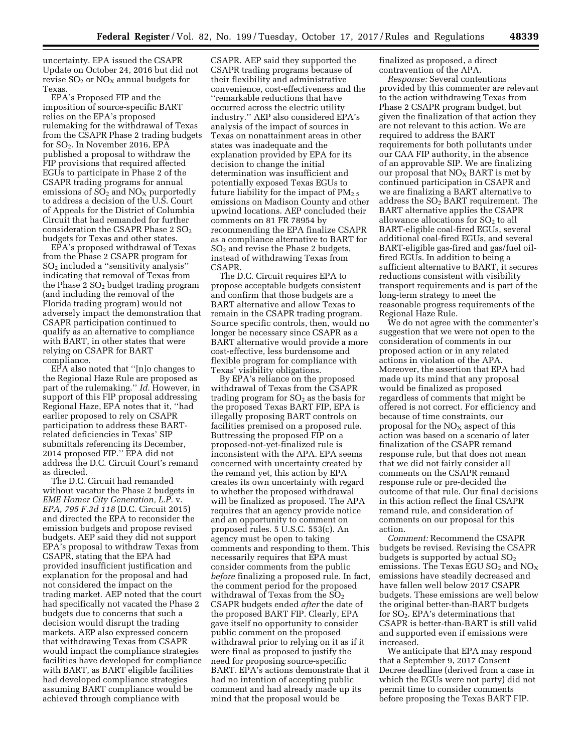uncertainty. EPA issued the CSAPR Update on October 24, 2016 but did not revise  $SO_2$  or  $NO<sub>X</sub>$  annual budgets for Texas.

EPA's Proposed FIP and the imposition of source-specific BART relies on the EPA's proposed rulemaking for the withdrawal of Texas from the CSAPR Phase 2 trading budgets for SO2. In November 2016, EPA published a proposal to withdraw the FIP provisions that required affected EGUs to participate in Phase 2 of the CSAPR trading programs for annual emissions of  $SO<sub>2</sub>$  and  $NO<sub>X</sub>$  purportedly to address a decision of the U.S. Court of Appeals for the District of Columbia Circuit that had remanded for further consideration the CSAPR Phase 2 SO<sub>2</sub> budgets for Texas and other states.

EPA's proposed withdrawal of Texas from the Phase 2 CSAPR program for SO2 included a ''sensitivity analysis'' indicating that removal of Texas from the Phase  $2 \text{ }*S*O<sub>2</sub>$  budget trading program (and including the removal of the Florida trading program) would not adversely impact the demonstration that CSAPR participation continued to qualify as an alternative to compliance with BART, in other states that were relying on CSAPR for BART compliance.

EPA also noted that ''[n]o changes to the Regional Haze Rule are proposed as part of the rulemaking.'' *Id.* However, in support of this FIP proposal addressing Regional Haze, EPA notes that it, ''had earlier proposed to rely on CSAPR participation to address these BARTrelated deficiencies in Texas' SIP submittals referencing its December, 2014 proposed FIP.'' EPA did not address the D.C. Circuit Court's remand as directed.

The D.C. Circuit had remanded without vacatur the Phase 2 budgets in *EME Homer City Generation, L.P.* v. *EPA, 795 F.3d 118* (D.C. Circuit 2015) and directed the EPA to reconsider the emission budgets and propose revised budgets. AEP said they did not support EPA's proposal to withdraw Texas from CSAPR, stating that the EPA had provided insufficient justification and explanation for the proposal and had not considered the impact on the trading market. AEP noted that the court had specifically not vacated the Phase 2 budgets due to concerns that such a decision would disrupt the trading markets. AEP also expressed concern that withdrawing Texas from CSAPR would impact the compliance strategies facilities have developed for compliance with BART, as BART eligible facilities had developed compliance strategies assuming BART compliance would be achieved through compliance with

CSAPR. AEP said they supported the CSAPR trading programs because of their flexibility and administrative convenience, cost-effectiveness and the ''remarkable reductions that have occurred across the electric utility industry.'' AEP also considered EPA's analysis of the impact of sources in Texas on nonattainment areas in other states was inadequate and the explanation provided by EPA for its decision to change the initial determination was insufficient and potentially exposed Texas EGUs to future liability for the impact of  $PM_{2.5}$ emissions on Madison County and other upwind locations. AEP concluded their comments on 81 FR 78954 by recommending the EPA finalize CSAPR as a compliance alternative to BART for SO2 and revise the Phase 2 budgets, instead of withdrawing Texas from CSAPR.

The D.C. Circuit requires EPA to propose acceptable budgets consistent and confirm that those budgets are a BART alternative and allow Texas to remain in the CSAPR trading program. Source specific controls, then, would no longer be necessary since CSAPR as a BART alternative would provide a more cost-effective, less burdensome and flexible program for compliance with Texas' visibility obligations.

By EPA's reliance on the proposed withdrawal of Texas from the CSAPR trading program for  $SO<sub>2</sub>$  as the basis for the proposed Texas BART FIP, EPA is illegally proposing BART controls on facilities premised on a proposed rule. Buttressing the proposed FIP on a proposed-not-yet-finalized rule is inconsistent with the APA. EPA seems concerned with uncertainty created by the remand yet, this action by EPA creates its own uncertainty with regard to whether the proposed withdrawal will be finalized as proposed. The APA requires that an agency provide notice and an opportunity to comment on proposed rules. 5 U.S.C. 553(c). An agency must be open to taking comments and responding to them. This necessarily requires that EPA must consider comments from the public *before* finalizing a proposed rule. In fact, the comment period for the proposed withdrawal of Texas from the  $SO_2$ CSAPR budgets ended *after* the date of the proposed BART FIP. Clearly, EPA gave itself no opportunity to consider public comment on the proposed withdrawal prior to relying on it as if it were final as proposed to justify the need for proposing source-specific BART. EPA's actions demonstrate that it had no intention of accepting public comment and had already made up its mind that the proposal would be

finalized as proposed, a direct contravention of the APA.

*Response:* Several contentions provided by this commenter are relevant to the action withdrawing Texas from Phase 2 CSAPR program budget, but given the finalization of that action they are not relevant to this action. We are required to address the BART requirements for both pollutants under our CAA FIP authority, in the absence of an approvable SIP. We are finalizing our proposal that  $NO<sub>X</sub>$  BART is met by continued participation in CSAPR and we are finalizing a BART alternative to address the SO2 BART requirement. The BART alternative applies the CSAPR allowance allocations for  $SO<sub>2</sub>$  to all BART-eligible coal-fired EGUs, several additional coal-fired EGUs, and several BART-eligible gas-fired and gas/fuel oilfired EGUs. In addition to being a sufficient alternative to BART, it secures reductions consistent with visibility transport requirements and is part of the long-term strategy to meet the reasonable progress requirements of the Regional Haze Rule.

We do not agree with the commenter's suggestion that we were not open to the consideration of comments in our proposed action or in any related actions in violation of the APA. Moreover, the assertion that EPA had made up its mind that any proposal would be finalized as proposed regardless of comments that might be offered is not correct. For efficiency and because of time constraints, our proposal for the  $NO<sub>x</sub>$  aspect of this action was based on a scenario of later finalization of the CSAPR remand response rule, but that does not mean that we did not fairly consider all comments on the CSAPR remand response rule or pre-decided the outcome of that rule. Our final decisions in this action reflect the final CSAPR remand rule, and consideration of comments on our proposal for this action.

*Comment:* Recommend the CSAPR budgets be revised. Revising the CSAPR budgets is supported by actual  $SO<sub>2</sub>$ emissions. The Texas EGU  $SO_2$  and  $NO_X$ emissions have steadily decreased and have fallen well below 2017 CSAPR budgets. These emissions are well below the original better-than-BART budgets for  $SO<sub>2</sub>$ . EPA's determinations that CSAPR is better-than-BART is still valid and supported even if emissions were increased.

We anticipate that EPA may respond that a September 9, 2017 Consent Decree deadline (derived from a case in which the EGUs were not party) did not permit time to consider comments before proposing the Texas BART FIP.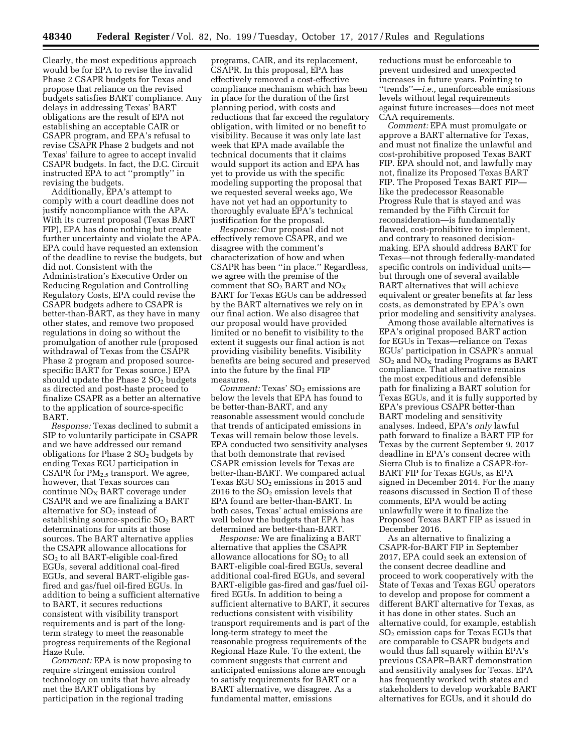Clearly, the most expeditious approach would be for EPA to revise the invalid Phase 2 CSAPR budgets for Texas and propose that reliance on the revised budgets satisfies BART compliance. Any delays in addressing Texas' BART obligations are the result of EPA not establishing an acceptable CAIR or CSAPR program, and EPA's refusal to revise CSAPR Phase 2 budgets and not Texas' failure to agree to accept invalid CSAPR budgets. In fact, the D.C. Circuit instructed EPA to act ''promptly'' in revising the budgets.

Additionally, EPA's attempt to comply with a court deadline does not justify noncompliance with the APA. With its current proposal (Texas BART FIP), EPA has done nothing but create further uncertainty and violate the APA. EPA could have requested an extension of the deadline to revise the budgets, but did not. Consistent with the Administration's Executive Order on Reducing Regulation and Controlling Regulatory Costs, EPA could revise the CSAPR budgets adhere to CSAPR is better-than-BART, as they have in many other states, and remove two proposed regulations in doing so without the promulgation of another rule (proposed withdrawal of Texas from the CSAPR Phase 2 program and proposed sourcespecific BART for Texas source.) EPA should update the Phase  $2 SO<sub>2</sub>$  budgets as directed and post-haste proceed to finalize CSAPR as a better an alternative to the application of source-specific BART.

*Response:* Texas declined to submit a SIP to voluntarily participate in CSAPR and we have addressed our remand obligations for Phase  $2 SO<sub>2</sub>$  budgets by ending Texas EGU participation in CSAPR for  $PM_{2.5}$  transport. We agree, however, that Texas sources can  $\text{continue NO}_X$  BART coverage under CSAPR and we are finalizing a BART alternative for SO<sub>2</sub> instead of establishing source-specific SO<sub>2</sub> BART determinations for units at those sources. The BART alternative applies the CSAPR allowance allocations for SO2 to all BART-eligible coal-fired EGUs, several additional coal-fired EGUs, and several BART-eligible gasfired and gas/fuel oil-fired EGUs. In addition to being a sufficient alternative to BART, it secures reductions consistent with visibility transport requirements and is part of the longterm strategy to meet the reasonable progress requirements of the Regional Haze Rule.

*Comment:* EPA is now proposing to require stringent emission control technology on units that have already met the BART obligations by participation in the regional trading

programs, CAIR, and its replacement, CSAPR. In this proposal, EPA has effectively removed a cost-effective compliance mechanism which has been in place for the duration of the first planning period, with costs and reductions that far exceed the regulatory obligation, with limited or no benefit to visibility. Because it was only late last week that EPA made available the technical documents that it claims would support its action and EPA has yet to provide us with the specific modeling supporting the proposal that we requested several weeks ago, We have not yet had an opportunity to thoroughly evaluate EPA's technical justification for the proposal.

*Response:* Our proposal did not effectively remove CSAPR, and we disagree with the comment's characterization of how and when CSAPR has been ''in place.'' Regardless, we agree with the premise of the comment that  $SO_2$  BART and  $NO_X$ BART for Texas EGUs can be addressed by the BART alternatives we rely on in our final action. We also disagree that our proposal would have provided limited or no benefit to visibility to the extent it suggests our final action is not providing visibility benefits. Visibility benefits are being secured and preserved into the future by the final FIP measures.

*Comment: Texas' SO<sub>2</sub>* emissions are below the levels that EPA has found to be better-than-BART, and any reasonable assessment would conclude that trends of anticipated emissions in Texas will remain below those levels. EPA conducted two sensitivity analyses that both demonstrate that revised CSAPR emission levels for Texas are better-than-BART. We compared actual Texas EGU  $SO<sub>2</sub>$  emissions in 2015 and 2016 to the  $SO<sub>2</sub>$  emission levels that EPA found are better-than-BART. In both cases, Texas' actual emissions are well below the budgets that EPA has determined are better-than-BART.

*Response:* We are finalizing a BART alternative that applies the CSAPR allowance allocations for  $SO<sub>2</sub>$  to all BART-eligible coal-fired EGUs, several additional coal-fired EGUs, and several BART-eligible gas-fired and gas/fuel oilfired EGUs. In addition to being a sufficient alternative to BART, it secures reductions consistent with visibility transport requirements and is part of the long-term strategy to meet the reasonable progress requirements of the Regional Haze Rule. To the extent, the comment suggests that current and anticipated emissions alone are enough to satisfy requirements for BART or a BART alternative, we disagree. As a fundamental matter, emissions

reductions must be enforceable to prevent undesired and unexpected increases in future years. Pointing to ''trends''—*i.e.,* unenforceable emissions levels without legal requirements against future increases—does not meet CAA requirements.

*Comment:* EPA must promulgate or approve a BART alternative for Texas, and must not finalize the unlawful and cost-prohibitive proposed Texas BART FIP. EPA should not, and lawfully may not, finalize its Proposed Texas BART FIP. The Proposed Texas BART FIP like the predecessor Reasonable Progress Rule that is stayed and was remanded by the Fifth Circuit for reconsideration—is fundamentally flawed, cost-prohibitive to implement, and contrary to reasoned decisionmaking. EPA should address BART for Texas—not through federally-mandated specific controls on individual units but through one of several available BART alternatives that will achieve equivalent or greater benefits at far less costs, as demonstrated by EPA's own prior modeling and sensitivity analyses.

Among those available alternatives is EPA's original proposed BART action for EGUs in Texas—reliance on Texas EGUs' participation in CSAPR's annual  $SO<sub>2</sub>$  and  $NO<sub>X</sub>$  trading Programs as BART compliance. That alternative remains the most expeditious and defensible path for finalizing a BART solution for Texas EGUs, and it is fully supported by EPA's previous CSAPR better-than BART modeling and sensitivity analyses. Indeed, EPA's *only* lawful path forward to finalize a BART FIP for Texas by the current September 9, 2017 deadline in EPA's consent decree with Sierra Club is to finalize a CSAPR-for-BART FIP for Texas EGUs, as EPA signed in December 2014. For the many reasons discussed in Section II of these comments, EPA would be acting unlawfully were it to finalize the Proposed Texas BART FIP as issued in December 2016.

As an alternative to finalizing a CSAPR-for-BART FIP in September 2017, EPA could seek an extension of the consent decree deadline and proceed to work cooperatively with the State of Texas and Texas EGU operators to develop and propose for comment a different BART alternative for Texas, as it has done in other states. Such an alternative could, for example, establish SO2 emission caps for Texas EGUs that are comparable to CSAPR budgets and would thus fall squarely within EPA's previous CSAPR=BART demonstration and sensitivity analyses for Texas. EPA has frequently worked with states and stakeholders to develop workable BART alternatives for EGUs, and it should do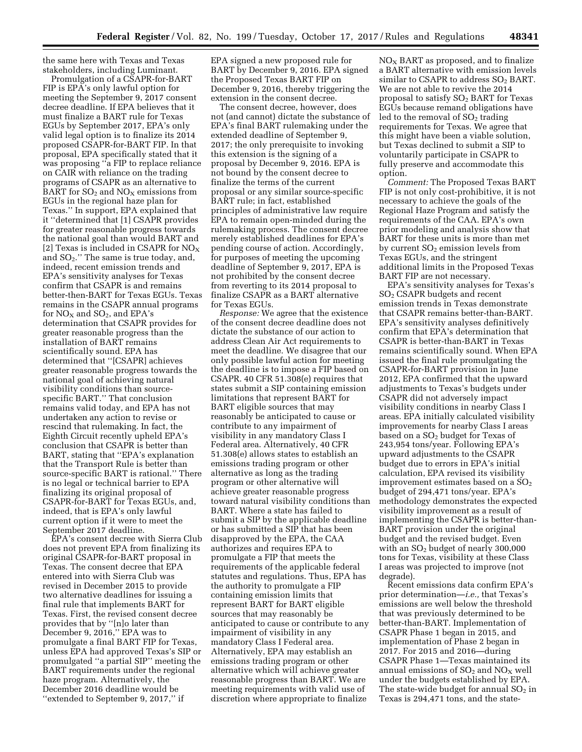the same here with Texas and Texas stakeholders, including Luminant.

Promulgation of a CSAPR-for-BART FIP is EPA's only lawful option for meeting the September 9, 2017 consent decree deadline. If EPA believes that it must finalize a BART rule for Texas EGUs by September 2017, EPA's only valid legal option is to finalize its 2014 proposed CSAPR-for-BART FIP. In that proposal, EPA specifically stated that it was proposing ''a FIP to replace reliance on CAIR with reliance on the trading programs of CSAPR as an alternative to BART for  $SO_2$  and  $NO_X$  emissions from EGUs in the regional haze plan for Texas.'' In support, EPA explained that it ''determined that [1] CSAPR provides for greater reasonable progress towards the national goal than would BART and [2] Texas is included in CSAPR for  $NO<sub>x</sub>$ and  $SO_2$ ." The same is true today, and, indeed, recent emission trends and EPA's sensitivity analyses for Texas confirm that CSAPR is and remains better-then-BART for Texas EGUs. Texas remains in the CSAPR annual programs for  $NO<sub>X</sub>$  and  $SO<sub>2</sub>$ , and EPA's determination that CSAPR provides for greater reasonable progress than the installation of BART remains scientifically sound. EPA has determined that ''[CSAPR] achieves greater reasonable progress towards the national goal of achieving natural visibility conditions than sourcespecific BART.'' That conclusion remains valid today, and EPA has not undertaken any action to revise or rescind that rulemaking. In fact, the Eighth Circuit recently upheld EPA's conclusion that CSAPR is better than BART, stating that ''EPA's explanation that the Transport Rule is better than source-specific BART is rational.'' There is no legal or technical barrier to EPA finalizing its original proposal of CSAPR-for-BART for Texas EGUs, and, indeed, that is EPA's only lawful current option if it were to meet the September 2017 deadline.

EPA's consent decree with Sierra Club does not prevent EPA from finalizing its original CSAPR-for-BART proposal in Texas. The consent decree that EPA entered into with Sierra Club was revised in December 2015 to provide two alternative deadlines for issuing a final rule that implements BART for Texas. First, the revised consent decree provides that by ''[n]o later than December 9, 2016,'' EPA was to promulgate a final BART FIP for Texas, unless EPA had approved Texas's SIP or promulgated ''a partial SIP'' meeting the BART requirements under the regional haze program. Alternatively, the December 2016 deadline would be ''extended to September 9, 2017,'' if

EPA signed a new proposed rule for BART by December 9, 2016. EPA signed the Proposed Texas BART FIP on December 9, 2016, thereby triggering the extension in the consent decree.

The consent decree, however, does not (and cannot) dictate the substance of EPA's final BART rulemaking under the extended deadline of September 9, 2017; the only prerequisite to invoking this extension is the signing of a proposal by December 9, 2016. EPA is not bound by the consent decree to finalize the terms of the current proposal or any similar source-specific BART rule; in fact, established principles of administrative law require EPA to remain open-minded during the rulemaking process. The consent decree merely established deadlines for EPA's pending course of action. Accordingly, for purposes of meeting the upcoming deadline of September 9, 2017, EPA is not prohibited by the consent decree from reverting to its 2014 proposal to finalize CSAPR as a BART alternative for Texas EGUs.

*Response:* We agree that the existence of the consent decree deadline does not dictate the substance of our action to address Clean Air Act requirements to meet the deadline. We disagree that our only possible lawful action for meeting the deadline is to impose a FIP based on CSAPR. 40 CFR 51.308(e) requires that states submit a SIP containing emission limitations that represent BART for BART eligible sources that may reasonably be anticipated to cause or contribute to any impairment of visibility in any mandatory Class I Federal area. Alternatively, 40 CFR 51.308(e) allows states to establish an emissions trading program or other alternative as long as the trading program or other alternative will achieve greater reasonable progress toward natural visibility conditions than BART. Where a state has failed to submit a SIP by the applicable deadline or has submitted a SIP that has been disapproved by the EPA, the CAA authorizes and requires EPA to promulgate a FIP that meets the requirements of the applicable federal statutes and regulations. Thus, EPA has the authority to promulgate a FIP containing emission limits that represent BART for BART eligible sources that may reasonably be anticipated to cause or contribute to any impairment of visibility in any mandatory Class I Federal area. Alternatively, EPA may establish an emissions trading program or other alternative which will achieve greater reasonable progress than BART. We are meeting requirements with valid use of discretion where appropriate to finalize

NOX BART as proposed, and to finalize a BART alternative with emission levels similar to CSAPR to address  $SO<sub>2</sub>$  BART. We are not able to revive the 2014 proposal to satisfy SO<sub>2</sub> BART for Texas EGUs because remand obligations have led to the removal of  $SO<sub>2</sub>$  trading requirements for Texas. We agree that this might have been a viable solution, but Texas declined to submit a SIP to voluntarily participate in CSAPR to fully preserve and accommodate this option.

*Comment:* The Proposed Texas BART FIP is not only cost-prohibitive, it is not necessary to achieve the goals of the Regional Haze Program and satisfy the requirements of the CAA. EPA's own prior modeling and analysis show that BART for these units is more than met by current  $SO<sub>2</sub>$  emission levels from Texas EGUs, and the stringent additional limits in the Proposed Texas BART FIP are not necessary.

EPA's sensitivity analyses for Texas's SO2 CSAPR budgets and recent emission trends in Texas demonstrate that CSAPR remains better-than-BART. EPA's sensitivity analyses definitively confirm that EPA's determination that CSAPR is better-than-BART in Texas remains scientifically sound. When EPA issued the final rule promulgating the CSAPR-for-BART provision in June 2012, EPA confirmed that the upward adjustments to Texas's budgets under CSAPR did not adversely impact visibility conditions in nearby Class I areas. EPA initially calculated visibility improvements for nearby Class I areas based on a  $SO<sub>2</sub>$  budget for Texas of 243,954 tons/year. Following EPA's upward adjustments to the CSAPR budget due to errors in EPA's initial calculation, EPA revised its visibility improvement estimates based on a  $SO<sub>2</sub>$ budget of 294,471 tons/year. EPA's methodology demonstrates the expected visibility improvement as a result of implementing the CSAPR is better-than-BART provision under the original budget and the revised budget. Even with an  $SO<sub>2</sub>$  budget of nearly 300,000 tons for Texas, visibility at these Class I areas was projected to improve (not degrade).

Recent emissions data confirm EPA's prior determination—*i.e.,* that Texas's emissions are well below the threshold that was previously determined to be better-than-BART. Implementation of CSAPR Phase 1 began in 2015, and implementation of Phase 2 began in 2017. For 2015 and 2016—during CSAPR Phase 1—Texas maintained its annual emissions of  $SO<sub>2</sub>$  and  $NO<sub>X</sub>$  well under the budgets established by EPA. The state-wide budget for annual  $SO<sub>2</sub>$  in Texas is 294,471 tons, and the state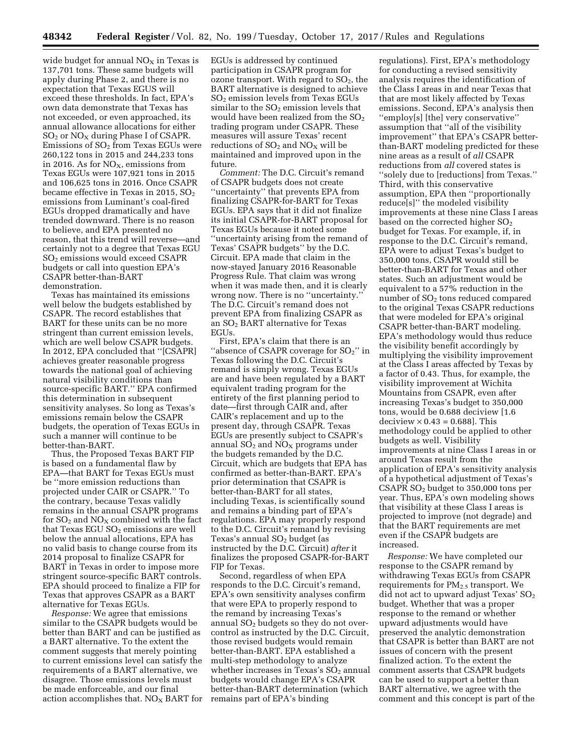wide budget for annual  $NO<sub>X</sub>$  in Texas is 137,701 tons. These same budgets will apply during Phase 2, and there is no expectation that Texas EGUS will exceed these thresholds. In fact, EPA's own data demonstrate that Texas has not exceeded, or even approached, its annual allowance allocations for either SO<sub>2</sub> or NO<sub>X</sub> during Phase I of CSAPR. Emissions of  $SO<sub>2</sub>$  from Texas EGUs were 260,122 tons in 2015 and 244,233 tons in 2016. As for  $NO<sub>X</sub>$ , emissions from Texas EGUs were 107,921 tons in 2015 and 106,625 tons in 2016. Once CSAPR became effective in Texas in 2015,  $SO<sub>2</sub>$ emissions from Luminant's coal-fired EGUs dropped dramatically and have trended downward. There is no reason to believe, and EPA presented no reason, that this trend will reverse—and certainly not to a degree that Texas EGU SO2 emissions would exceed CSAPR budgets or call into question EPA's CSAPR better-than-BART demonstration.

Texas has maintained its emissions well below the budgets established by CSAPR. The record establishes that BART for these units can be no more stringent than current emission levels, which are well below CSAPR budgets. In 2012, EPA concluded that ''[CSAPR] achieves greater reasonable progress towards the national goal of achieving natural visibility conditions than source-specific BART.'' EPA confirmed this determination in subsequent sensitivity analyses. So long as Texas's emissions remain below the CSAPR budgets, the operation of Texas EGUs in such a manner will continue to be better-than-BART.

Thus, the Proposed Texas BART FIP is based on a fundamental flaw by EPA—that BART for Texas EGUs must be ''more emission reductions than projected under CAIR or CSAPR.'' To the contrary, because Texas validly remains in the annual CSAPR programs for  $SO<sub>2</sub>$  and  $NO<sub>X</sub>$  combined with the fact that Texas EGU  $SO<sub>2</sub>$  emissions are well below the annual allocations, EPA has no valid basis to change course from its 2014 proposal to finalize CSAPR for BART in Texas in order to impose more stringent source-specific BART controls. EPA should proceed to finalize a FIP for Texas that approves CSAPR as a BART alternative for Texas EGUs.

*Response:* We agree that emissions similar to the CSAPR budgets would be better than BART and can be justified as a BART alternative. To the extent the comment suggests that merely pointing to current emissions level can satisfy the requirements of a BART alternative, we disagree. Those emissions levels must be made enforceable, and our final action accomplishes that.  $NO<sub>x</sub>$  BART for EGUs is addressed by continued participation in CSAPR program for ozone transport. With regard to  $SO<sub>2</sub>$ , the BART alternative is designed to achieve SO2 emission levels from Texas EGUs similar to the  $SO<sub>2</sub>$  emission levels that would have been realized from the  $SO<sub>2</sub>$ trading program under CSAPR. These measures will assure Texas' recent reductions of  $SO_2$  and  $NO<sub>x</sub>$  will be maintained and improved upon in the future.

*Comment:* The D.C. Circuit's remand of CSAPR budgets does not create ''uncertainty'' that prevents EPA from finalizing CSAPR-for-BART for Texas EGUs. EPA says that it did not finalize its initial CSAPR-for-BART proposal for Texas EGUs because it noted some ''uncertainty arising from the remand of Texas' CSAPR budgets'' by the D.C. Circuit. EPA made that claim in the now-stayed January 2016 Reasonable Progress Rule. That claim was wrong when it was made then, and it is clearly wrong now. There is no ''uncertainty.'' The D.C. Circuit's remand does not prevent EPA from finalizing CSAPR as an SO2 BART alternative for Texas EGUs.

First, EPA's claim that there is an "absence of CSAPR coverage for  $SO_2$ " in Texas following the D.C. Circuit's remand is simply wrong. Texas EGUs are and have been regulated by a BART equivalent trading program for the entirety of the first planning period to date—first through CAIR and, after CAIR's replacement and up to the present day, through CSAPR. Texas EGUs are presently subject to CSAPR's annual  $SO_2$  and  $NO_X$  programs under the budgets remanded by the D.C. Circuit, which are budgets that EPA has confirmed as better-than-BART. EPA's prior determination that CSAPR is better-than-BART for all states, including Texas, is scientifically sound and remains a binding part of EPA's regulations. EPA may properly respond to the D.C. Circuit's remand by revising Texas's annual  $SO<sub>2</sub>$  budget (as instructed by the D.C. Circuit) *after* it finalizes the proposed CSAPR-for-BART FIP for Texas.

Second, regardless of when EPA responds to the D.C. Circuit's remand, EPA's own sensitivity analyses confirm that were EPA to properly respond to the remand by increasing Texas's annual  $SO<sub>2</sub>$  budgets so they do not overcontrol as instructed by the D.C. Circuit, those revised budgets would remain better-than-BART. EPA established a multi-step methodology to analyze whether increases in Texas's  $SO<sub>2</sub>$  annual budgets would change EPA's CSAPR better-than-BART determination (which remains part of EPA's binding

regulations). First, EPA's methodology for conducting a revised sensitivity analysis requires the identification of the Class I areas in and near Texas that that are most likely affected by Texas emissions. Second, EPA's analysis then ''employ[s] [the] very conservative'' assumption that ''all of the visibility improvement'' that EPA's CSAPR betterthan-BART modeling predicted for these nine areas as a result of *all* CSAPR reductions from *all* covered states is ''solely due to [reductions] from Texas.'' Third, with this conservative assumption, EPA then ''proportionally reduce[s]'' the modeled visibility improvements at these nine Class I areas based on the corrected higher  $SO<sub>2</sub>$ budget for Texas. For example, if, in response to the D.C. Circuit's remand, EPA were to adjust Texas's budget to 350,000 tons, CSAPR would still be better-than-BART for Texas and other states. Such an adjustment would be equivalent to a 57% reduction in the number of  $SO<sub>2</sub>$  tons reduced compared to the original Texas CSAPR reductions that were modeled for EPA's original CSAPR better-than-BART modeling. EPA's methodology would thus reduce the visibility benefit accordingly by multiplying the visibility improvement at the Class I areas affected by Texas by a factor of 0.43. Thus, for example, the visibility improvement at Wichita Mountains from CSAPR, even after increasing Texas's budget to 350,000 tons, would be 0.688 deciview [1.6 deciview  $\times$  0.43 = 0.688]. This methodology could be applied to other budgets as well. Visibility improvements at nine Class I areas in or around Texas result from the application of EPA's sensitivity analysis of a hypothetical adjustment of Texas's CSAPR SO2 budget to 350,000 tons per year. Thus, EPA's own modeling shows that visibility at these Class I areas is projected to improve (not degrade) and that the BART requirements are met even if the CSAPR budgets are increased.

*Response:* We have completed our response to the CSAPR remand by withdrawing Texas EGUs from CSAPR requirements for PM2.5 transport. We did not act to upward adjust Texas'  $SO<sub>2</sub>$ budget. Whether that was a proper response to the remand or whether upward adjustments would have preserved the analytic demonstration that CSAPR is better than BART are not issues of concern with the present finalized action. To the extent the comment asserts that CSAPR budgets can be used to support a better than BART alternative, we agree with the comment and this concept is part of the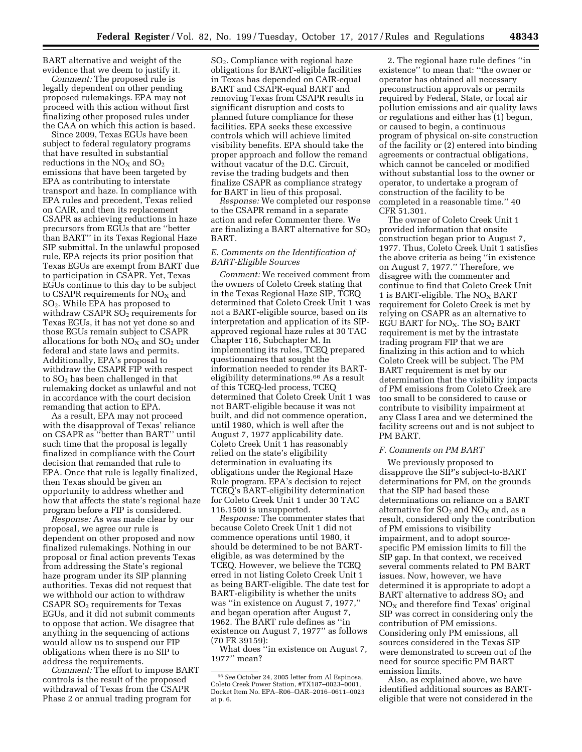BART alternative and weight of the evidence that we deem to justify it.

*Comment:* The proposed rule is legally dependent on other pending proposed rulemakings. EPA may not proceed with this action without first finalizing other proposed rules under the CAA on which this action is based.

Since 2009, Texas EGUs have been subject to federal regulatory programs that have resulted in substantial reductions in the  $NO<sub>X</sub>$  and  $SO<sub>2</sub>$ emissions that have been targeted by EPA as contributing to interstate transport and haze. In compliance with EPA rules and precedent, Texas relied on CAIR, and then its replacement CSAPR as achieving reductions in haze precursors from EGUs that are ''better than BART'' in its Texas Regional Haze SIP submittal. In the unlawful proposed rule, EPA rejects its prior position that Texas EGUs are exempt from BART due to participation in CSAPR. Yet, Texas EGUs continue to this day to be subject to CSAPR requirements for  $NO<sub>X</sub>$  and SO2. While EPA has proposed to withdraw CSAPR  $SO<sub>2</sub>$  requirements for Texas EGUs, it has not yet done so and those EGUs remain subject to CSAPR allocations for both  $\mathrm{NO}_X$  and  $\mathrm{SO}_2$  under federal and state laws and permits. Additionally, EPA's proposal to withdraw the CSAPR FIP with respect to SO2 has been challenged in that rulemaking docket as unlawful and not in accordance with the court decision remanding that action to EPA.

As a result, EPA may not proceed with the disapproval of Texas' reliance on CSAPR as ''better than BART'' until such time that the proposal is legally finalized in compliance with the Court decision that remanded that rule to EPA. Once that rule is legally finalized, then Texas should be given an opportunity to address whether and how that affects the state's regional haze program before a FIP is considered.

*Response:* As was made clear by our proposal, we agree our rule is dependent on other proposed and now finalized rulemakings. Nothing in our proposal or final action prevents Texas from addressing the State's regional haze program under its SIP planning authorities. Texas did not request that we withhold our action to withdraw  $CSAPR SO<sub>2</sub>$  requirements for Texas EGUs, and it did not submit comments to oppose that action. We disagree that anything in the sequencing of actions would allow us to suspend our FIP obligations when there is no SIP to address the requirements.

*Comment:* The effort to impose BART controls is the result of the proposed withdrawal of Texas from the CSAPR Phase 2 or annual trading program for

SO2. Compliance with regional haze obligations for BART-eligible facilities in Texas has depended on CAIR-equal BART and CSAPR-equal BART and removing Texas from CSAPR results in significant disruption and costs to planned future compliance for these facilities. EPA seeks these excessive controls which will achieve limited visibility benefits. EPA should take the proper approach and follow the remand without vacatur of the D.C. Circuit, revise the trading budgets and then finalize CSAPR as compliance strategy for BART in lieu of this proposal.

*Response:* We completed our response to the CSAPR remand in a separate action and refer Commenter there. We are finalizing a BART alternative for  $SO<sub>2</sub>$ BART.

# *E. Comments on the Identification of BART-Eligible Sources*

*Comment:* We received comment from the owners of Coleto Creek stating that in the Texas Regional Haze SIP, TCEQ determined that Coleto Creek Unit 1 was not a BART-eligible source, based on its interpretation and application of its SIPapproved regional haze rules at 30 TAC Chapter 116, Subchapter M. In implementing its rules, TCEQ prepared questionnaires that sought the information needed to render its BARTeligibility determinations.66 As a result of this TCEQ-led process, TCEQ determined that Coleto Creek Unit 1 was not BART-eligible because it was not built, and did not commence operation, until 1980, which is well after the August 7, 1977 applicability date. Coleto Creek Unit 1 has reasonably relied on the state's eligibility determination in evaluating its obligations under the Regional Haze Rule program. EPA's decision to reject TCEQ's BART-eligibility determination for Coleto Creek Unit 1 under 30 TAC 116.1500 is unsupported.

*Response:* The commenter states that because Coleto Creek Unit 1 did not commence operations until 1980, it should be determined to be not BARTeligible, as was determined by the TCEQ. However, we believe the TCEQ erred in not listing Coleto Creek Unit 1 as being BART-eligible. The date test for BART-eligibility is whether the units was ''in existence on August 7, 1977,'' and began operation after August 7, 1962. The BART rule defines as ''in existence on August 7, 1977'' as follows (70 FR 39159):

What does ''in existence on August 7, 1977'' mean?

2. The regional haze rule defines ''in existence'' to mean that: ''the owner or operator has obtained all necessary preconstruction approvals or permits required by Federal, State, or local air pollution emissions and air quality laws or regulations and either has (1) begun, or caused to begin, a continuous program of physical on-site construction of the facility or (2) entered into binding agreements or contractual obligations, which cannot be canceled or modified without substantial loss to the owner or operator, to undertake a program of construction of the facility to be completed in a reasonable time.'' 40 CFR 51.301.

The owner of Coleto Creek Unit 1 provided information that onsite construction began prior to August 7, 1977. Thus, Coleto Creek Unit 1 satisfies the above criteria as being ''in existence on August 7, 1977.'' Therefore, we disagree with the commenter and continue to find that Coleto Creek Unit 1 is BART-eligible. The  $NO<sub>X</sub>$  BART requirement for Coleto Creek is met by relying on CSAPR as an alternative to EGU BART for  $NO<sub>x</sub>$ . The  $SO<sub>2</sub>$  BART requirement is met by the intrastate trading program FIP that we are finalizing in this action and to which Coleto Creek will be subject. The PM BART requirement is met by our determination that the visibility impacts of PM emissions from Coleto Creek are too small to be considered to cause or contribute to visibility impairment at any Class I area and we determined the facility screens out and is not subject to PM BART.

#### *F. Comments on PM BART*

We previously proposed to disapprove the SIP's subject-to-BART determinations for PM, on the grounds that the SIP had based these determinations on reliance on a BART alternative for  $SO_2$  and  $NO_X$  and, as a result, considered only the contribution of PM emissions to visibility impairment, and to adopt sourcespecific PM emission limits to fill the SIP gap. In that context, we received several comments related to PM BART issues. Now, however, we have determined it is appropriate to adopt a BART alternative to address  $SO<sub>2</sub>$  and  $NO<sub>x</sub>$  and therefore find Texas' original SIP was correct in considering only the contribution of PM emissions. Considering only PM emissions, all sources considered in the Texas SIP were demonstrated to screen out of the need for source specific PM BART emission limits.

Also, as explained above, we have identified additional sources as BARTeligible that were not considered in the

<sup>66</sup>*See* October 24, 2005 letter from Al Espinosa, Coleto Creek Power Station, #TX187–0023–0001, Docket Item No. EPA–R06–OAR–2016–0611–0023 at p. 6.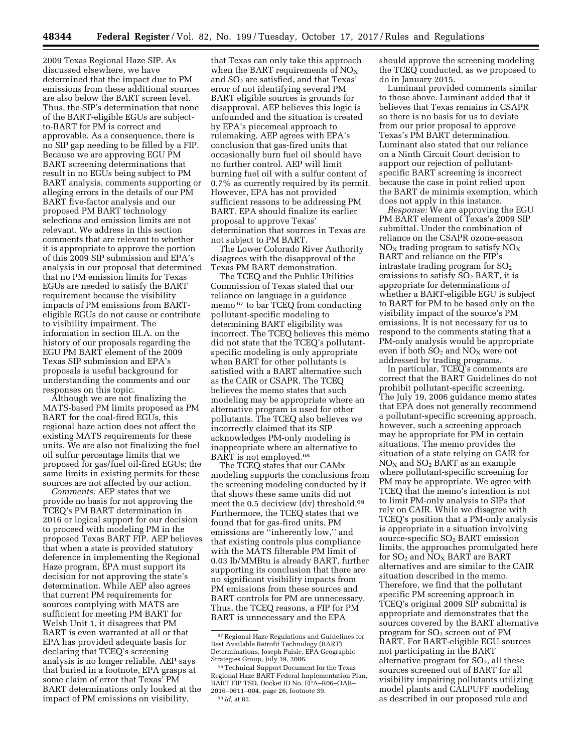2009 Texas Regional Haze SIP. As discussed elsewhere, we have determined that the impact due to PM emissions from these additional sources are also below the BART screen level. Thus, the SIP's determination that none of the BART-eligible EGUs are subjectto-BART for PM is correct and approvable. As a consequence, there is no SIP gap needing to be filled by a FIP. Because we are approving EGU PM BART screening determinations that result in no EGUs being subject to PM BART analysis, comments supporting or alleging errors in the details of our PM BART five-factor analysis and our proposed PM BART technology selections and emission limits are not relevant. We address in this section comments that are relevant to whether it is appropriate to approve the portion of this 2009 SIP submission and EPA's analysis in our proposal that determined that no PM emission limits for Texas EGUs are needed to satisfy the BART requirement because the visibility impacts of PM emissions from BARTeligible EGUs do not cause or contribute to visibility impairment. The information in section III.A. on the history of our proposals regarding the EGU PM BART element of the 2009 Texas SIP submission and EPA's proposals is useful background for understanding the comments and our responses on this topic.

Although we are not finalizing the MATS-based PM limits proposed as PM BART for the coal-fired EGUs, this regional haze action does not affect the existing MATS requirements for these units. We are also not finalizing the fuel oil sulfur percentage limits that we proposed for gas/fuel oil-fired EGUs; the same limits in existing permits for these sources are not affected by our action.

*Comments:* AEP states that we provide no basis for not approving the TCEQ's PM BART determination in 2016 or logical support for our decision to proceed with modeling PM in the proposed Texas BART FIP. AEP believes that when a state is provided statutory deference in implementing the Regional Haze program, EPA must support its decision for not approving the state's determination. While AEP also agrees that current PM requirements for sources complying with MATS are sufficient for meeting PM BART for Welsh Unit 1, it disagrees that PM BART is even warranted at all or that EPA has provided adequate basis for declaring that TCEQ's screening analysis is no longer reliable. AEP says that buried in a footnote, EPA grasps at some claim of error that Texas' PM BART determinations only looked at the impact of PM emissions on visibility,

that Texas can only take this approach when the BART requirements of  $NO<sub>x</sub>$ and  $SO<sub>2</sub>$  are satisfied, and that Texas' error of not identifying several PM BART eligible sources is grounds for disapproval. AEP believes this logic is unfounded and the situation is created by EPA's piecemeal approach to rulemaking. AEP agrees with EPA's conclusion that gas-fired units that occasionally burn fuel oil should have no further control. AEP will limit burning fuel oil with a sulfur content of 0.7% as currently required by its permit. However, EPA has not provided sufficient reasons to be addressing PM BART. EPA should finalize its earlier proposal to approve Texas' determination that sources in Texas are not subject to PM BART.

The Lower Colorado River Authority disagrees with the disapproval of the Texas PM BART demonstration.

The TCEQ and the Public Utilities Commission of Texas stated that our reliance on language in a guidance memo 67 to bar TCEQ from conducting pollutant-specific modeling to determining BART eligibility was incorrect. The TCEQ believes this memo did not state that the TCEQ's pollutantspecific modeling is only appropriate when BART for other pollutants is satisfied with a BART alternative such as the CAIR or CSAPR. The TCEQ believes the memo states that such modeling may be appropriate where an alternative program is used for other pollutants. The TCEQ also believes we incorrectly claimed that its SIP acknowledges PM-only modeling is inappropriate where an alternative to BART is not employed.68

The TCEQ states that our CAMx modeling supports the conclusions from the screening modeling conducted by it that shows these same units did not meet the 0.5 deciview (dv) threshold.<sup>69</sup> Furthermore, the TCEQ states that we found that for gas-fired units, PM emissions are ''inherently low,'' and that existing controls plus compliance with the MATS filterable PM limit of 0.03 lb/MMBtu is already BART, further supporting its conclusion that there are no significant visibility impacts from PM emissions from these sources and BART controls for PM are unnecessary. Thus, the TCEQ reasons, a FIP for PM BART is unnecessary and the EPA

should approve the screening modeling the TCEQ conducted, as we proposed to do in January 2015.

Luminant provided comments similar to those above. Luminant added that it believes that Texas remains in CSAPR so there is no basis for us to deviate from our prior proposal to approve Texas's PM BART determination. Luminant also stated that our reliance on a Ninth Circuit Court decision to support our rejection of pollutantspecific BART screening is incorrect because the case in point relied upon the BART de minimis exemption, which does not apply in this instance.

*Response:* We are approving the EGU PM BART element of Texas's 2009 SIP submittal. Under the combination of reliance on the CSAPR ozone-season  $NO<sub>x</sub>$  trading program to satisfy  $NO<sub>x</sub>$ BART and reliance on the FIP's intrastate trading program for  $SO<sub>2</sub>$ emissions to satisfy  $SO<sub>2</sub> BART$ , it is appropriate for determinations of whether a BART-eligible EGU is subject to BART for PM to be based only on the visibility impact of the source's PM emissions. It is not necessary for us to respond to the comments stating that a PM-only analysis would be appropriate even if both  $SO_2$  and  $NO_X$  were not addressed by trading programs.

In particular, TCEQ's comments are correct that the BART Guidelines do not prohibit pollutant-specific screening. The July 19, 2006 guidance memo states that EPA does not generally recommend a pollutant-specific screening approach, however, such a screening approach may be appropriate for PM in certain situations. The memo provides the situation of a state relying on CAIR for  $NO<sub>X</sub>$  and  $SO<sub>2</sub>$  BART as an example where pollutant-specific screening for PM may be appropriate. We agree with TCEQ that the memo's intention is not to limit PM-only analysis to SIPs that rely on CAIR. While we disagree with TCEQ's position that a PM-only analysis is appropriate in a situation involving source-specific SO<sub>2</sub> BART emission limits, the approaches promulgated here for  $SO_2$  and  $NO_X$  BART are BART alternatives and are similar to the CAIR situation described in the memo. Therefore, we find that the pollutant specific PM screening approach in TCEQ's original 2009 SIP submittal is appropriate and demonstrates that the sources covered by the BART alternative program for  $SO<sub>2</sub>$  screen out of PM BART. For BART-eligible EGU sources not participating in the BART alternative program for  $SO<sub>2</sub>$ , all these sources screened out of BART for all visibility impairing pollutants utilizing model plants and CALPUFF modeling as described in our proposed rule and

<sup>67</sup>Regional Haze Regulations and Guidelines for Best Available Retrofit Technology (BART) Determinations, Joseph Paisie, EPA Geographic Strategies Group, July 19, 2006.

<sup>68</sup>Technical Support Document for the Texas Regional Haze BART Federal Implementation Plan, BART FIP TSD, Docket ID No. EPA–R06–OAR– 2016–0611–004, page 26, footnote 39. 69 *Id,* at 82.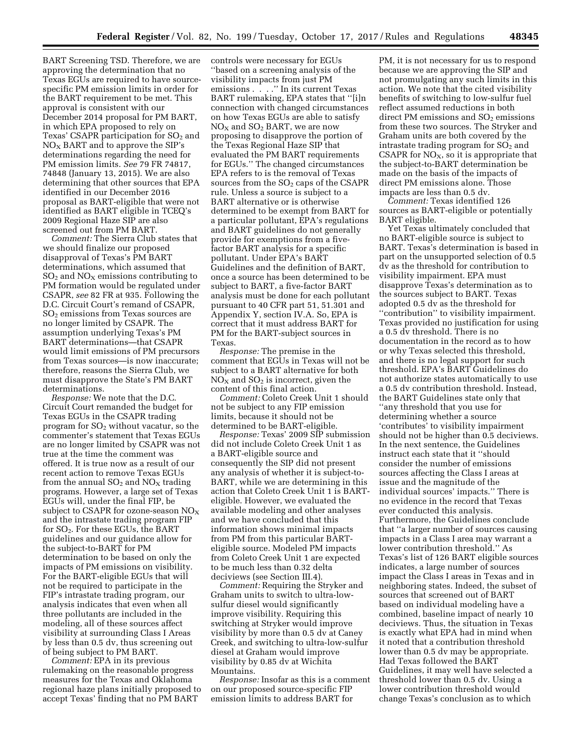BART Screening TSD. Therefore, we are approving the determination that no Texas EGUs are required to have sourcespecific PM emission limits in order for the BART requirement to be met. This approval is consistent with our December 2014 proposal for PM BART, in which EPA proposed to rely on Texas' CSAPR participation for  $SO<sub>2</sub>$  and  $NO<sub>x</sub>$  BART and to approve the SIP's determinations regarding the need for PM emission limits. *See* 79 FR 74817, 74848 (January 13, 2015). We are also determining that other sources that EPA identified in our December 2016 proposal as BART-eligible that were not identified as BART eligible in TCEQ's 2009 Regional Haze SIP are also screened out from PM BART.

*Comment:* The Sierra Club states that we should finalize our proposed disapproval of Texas's PM BART determinations, which assumed that  $SO<sub>2</sub>$  and  $NO<sub>X</sub>$  emissions contributing to PM formation would be regulated under CSAPR, *see* 82 FR at 935. Following the D.C. Circuit Court's remand of CSAPR, SO2 emissions from Texas sources are no longer limited by CSAPR. The assumption underlying Texas's PM BART determinations—that CSAPR would limit emissions of PM precursors from Texas sources—is now inaccurate; therefore, reasons the Sierra Club, we must disapprove the State's PM BART determinations.

*Response:* We note that the D.C. Circuit Court remanded the budget for Texas EGUs in the CSAPR trading program for SO2 without vacatur, so the commenter's statement that Texas EGUs are no longer limited by CSAPR was not true at the time the comment was offered. It is true now as a result of our recent action to remove Texas EGUs from the annual  $SO_2$  and  $NO<sub>X</sub>$  trading programs. However, a large set of Texas EGUs will, under the final FIP, be subject to CSAPR for ozone-season  $NO<sub>x</sub>$ and the intrastate trading program FIP for SO2. For these EGUs, the BART guidelines and our guidance allow for the subject-to-BART for PM determination to be based on only the impacts of PM emissions on visibility. For the BART-eligible EGUs that will not be required to participate in the FIP's intrastate trading program, our analysis indicates that even when all three pollutants are included in the modeling, all of these sources affect visibility at surrounding Class I Areas by less than 0.5 dv, thus screening out of being subject to PM BART.

*Comment:* EPA in its previous rulemaking on the reasonable progress measures for the Texas and Oklahoma regional haze plans initially proposed to accept Texas' finding that no PM BART

controls were necessary for EGUs ''based on a screening analysis of the visibility impacts from just PM emissions . . . . " In its current Texas BART rulemaking, EPA states that ''[i]n connection with changed circumstances on how Texas EGUs are able to satisfy  $NO<sub>X</sub>$  and  $SO<sub>2</sub>$  BART, we are now proposing to disapprove the portion of the Texas Regional Haze SIP that evaluated the PM BART requirements for EGUs.'' The changed circumstances EPA refers to is the removal of Texas sources from the  $SO<sub>2</sub>$  caps of the CSAPR rule. Unless a source is subject to a BART alternative or is otherwise determined to be exempt from BART for a particular pollutant, EPA's regulations and BART guidelines do not generally provide for exemptions from a fivefactor BART analysis for a specific pollutant. Under EPA's BART Guidelines and the definition of BART, once a source has been determined to be subject to BART, a five-factor BART analysis must be done for each pollutant pursuant to 40 CFR part 51, 51.301 and Appendix Y, section IV.A. So, EPA is correct that it must address BART for PM for the BART-subject sources in Texas.

*Response:* The premise in the comment that EGUs in Texas will not be subject to a BART alternative for both  $NO<sub>x</sub>$  and  $SO<sub>2</sub>$  is incorrect, given the content of this final action.

*Comment:* Coleto Creek Unit 1 should not be subject to any FIP emission limits, because it should not be determined to be BART-eligible.

*Response:* Texas' 2009 SIP submission did not include Coleto Creek Unit 1 as a BART-eligible source and consequently the SIP did not present any analysis of whether it is subject-to-BART, while we are determining in this action that Coleto Creek Unit 1 is BARTeligible. However, we evaluated the available modeling and other analyses and we have concluded that this information shows minimal impacts from PM from this particular BARTeligible source. Modeled PM impacts from Coleto Creek Unit 1 are expected to be much less than 0.32 delta deciviews (see Section III.4).

*Comment:* Requiring the Stryker and Graham units to switch to ultra-lowsulfur diesel would significantly improve visibility. Requiring this switching at Stryker would improve visibility by more than 0.5 dv at Caney Creek, and switching to ultra-low-sulfur diesel at Graham would improve visibility by 0.85 dv at Wichita Mountains.

*Response:* Insofar as this is a comment on our proposed source-specific FIP emission limits to address BART for

PM, it is not necessary for us to respond because we are approving the SIP and not promulgating any such limits in this action. We note that the cited visibility benefits of switching to low-sulfur fuel reflect assumed reductions in both direct PM emissions and  $SO<sub>2</sub>$  emissions from these two sources. The Stryker and Graham units are both covered by the intrastate trading program for  $SO<sub>2</sub>$  and CSAPR for  $NO<sub>x</sub>$ , so it is appropriate that the subject-to-BART determination be made on the basis of the impacts of direct PM emissions alone. Those impacts are less than 0.5 dv.

*Comment:* Texas identified 126 sources as BART-eligible or potentially BART eligible.

Yet Texas ultimately concluded that no BART-eligible source is subject to BART. Texas's determination is based in part on the unsupported selection of 0.5 dv as the threshold for contribution to visibility impairment. EPA must disapprove Texas's determination as to the sources subject to BART. Texas adopted 0.5 dv as the threshold for ''contribution'' to visibility impairment. Texas provided no justification for using a 0.5 dv threshold. There is no documentation in the record as to how or why Texas selected this threshold, and there is no legal support for such threshold. EPA's BART Guidelines do not authorize states automatically to use a 0.5 dv contribution threshold. Instead, the BART Guidelines state only that ''any threshold that you use for determining whether a source 'contributes' to visibility impairment should not be higher than 0.5 deciviews. In the next sentence, the Guidelines instruct each state that it ''should consider the number of emissions sources affecting the Class I areas at issue and the magnitude of the individual sources' impacts.'' There is no evidence in the record that Texas ever conducted this analysis. Furthermore, the Guidelines conclude that ''a larger number of sources causing impacts in a Class I area may warrant a lower contribution threshold.'' As Texas's list of 126 BART eligible sources indicates, a large number of sources impact the Class I areas in Texas and in neighboring states. Indeed, the subset of sources that screened out of BART based on individual modeling have a combined, baseline impact of nearly 10 deciviews. Thus, the situation in Texas is exactly what EPA had in mind when it noted that a contribution threshold lower than 0.5 dv may be appropriate. Had Texas followed the BART Guidelines, it may well have selected a threshold lower than 0.5 dv. Using a lower contribution threshold would change Texas's conclusion as to which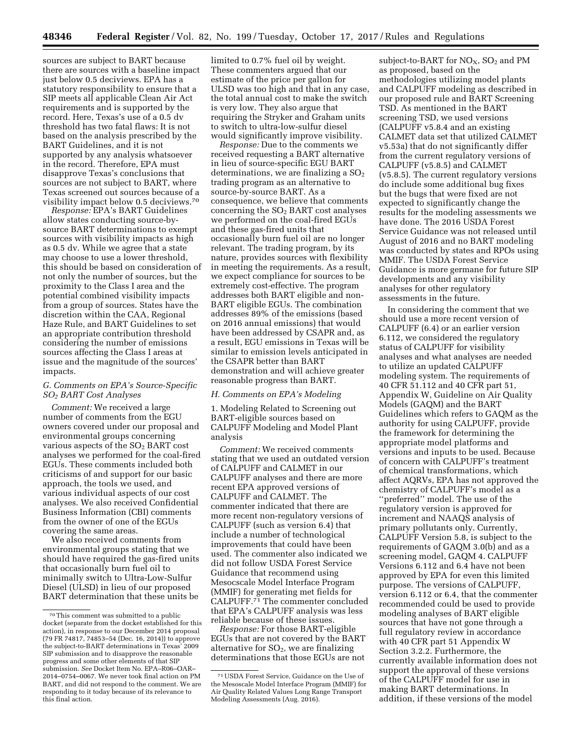sources are subject to BART because there are sources with a baseline impact just below 0.5 deciviews. EPA has a statutory responsibility to ensure that a SIP meets all applicable Clean Air Act requirements and is supported by the record. Here, Texas's use of a 0.5 dv threshold has two fatal flaws: It is not based on the analysis prescribed by the BART Guidelines, and it is not supported by any analysis whatsoever in the record. Therefore, EPA must disapprove Texas's conclusions that sources are not subject to BART, where Texas screened out sources because of a visibility impact below 0.5 deciviews.70

*Response:* EPA's BART Guidelines allow states conducting source-bysource BART determinations to exempt sources with visibility impacts as high as 0.5 dv. While we agree that a state may choose to use a lower threshold, this should be based on consideration of not only the number of sources, but the proximity to the Class I area and the potential combined visibility impacts from a group of sources. States have the discretion within the CAA, Regional Haze Rule, and BART Guidelines to set an appropriate contribution threshold considering the number of emissions sources affecting the Class I areas at issue and the magnitude of the sources' impacts.

# *G. Comments on EPA's Source-Specific SO2 BART Cost Analyses*

*Comment:* We received a large number of comments from the EGU owners covered under our proposal and environmental groups concerning various aspects of the  $SO<sub>2</sub>$  BART cost analyses we performed for the coal-fired EGUs. These comments included both criticisms of and support for our basic approach, the tools we used, and various individual aspects of our cost analyses. We also received Confidential Business Information (CBI) comments from the owner of one of the EGUs covering the same areas.

We also received comments from environmental groups stating that we should have required the gas-fired units that occasionally burn fuel oil to minimally switch to Ultra-Low-Sulfur Diesel (ULSD) in lieu of our proposed BART determination that these units be

limited to 0.7% fuel oil by weight. These commenters argued that our estimate of the price per gallon for ULSD was too high and that in any case, the total annual cost to make the switch is very low. They also argue that requiring the Stryker and Graham units to switch to ultra-low-sulfur diesel would significantly improve visibility.

*Response:* Due to the comments we received requesting a BART alternative in lieu of source-specific EGU BART determinations, we are finalizing a  $SO<sub>2</sub>$ trading program as an alternative to source-by-source BART. As a consequence, we believe that comments concerning the  $SO<sub>2</sub>$  BART cost analyses we performed on the coal-fired EGUs and these gas-fired units that occasionally burn fuel oil are no longer relevant. The trading program, by its nature, provides sources with flexibility in meeting the requirements. As a result, we expect compliance for sources to be extremely cost-effective. The program addresses both BART eligible and non-BART eligible EGUs. The combination addresses 89% of the emissions (based on 2016 annual emissions) that would have been addressed by CSAPR and, as a result, EGU emissions in Texas will be similar to emission levels anticipated in the CSAPR better than BART demonstration and will achieve greater reasonable progress than BART.

#### *H. Comments on EPA's Modeling*

1. Modeling Related to Screening out BART-eligible sources based on CALPUFF Modeling and Model Plant analysis

*Comment:* We received comments stating that we used an outdated version of CALPUFF and CALMET in our CALPUFF analyses and there are more recent EPA approved versions of CALPUFF and CALMET. The commenter indicated that there are more recent non-regulatory versions of CALPUFF (such as version 6.4) that include a number of technological improvements that could have been used. The commenter also indicated we did not follow USDA Forest Service Guidance that recommend using Mesocscale Model Interface Program (MMIF) for generating met fields for CALPUFF.71 The commenter concluded that EPA's CALPUFF analysis was less reliable because of these issues.

*Response:* For those BART-eligible EGUs that are not covered by the BART alternative for  $SO<sub>2</sub>$ , we are finalizing determinations that those EGUs are not

subject-to-BART for  $NO<sub>X</sub>$ ,  $SO<sub>2</sub>$  and PM as proposed, based on the methodologies utilizing model plants and CALPUFF modeling as described in our proposed rule and BART Screening TSD. As mentioned in the BART screening TSD, we used versions (CALPUFF v5.8.4 and an existing CALMET data set that utilized CALMET v5.53a) that do not significantly differ from the current regulatory versions of CALPUFF (v5.8.5) and CALMET (v5.8.5). The current regulatory versions do include some additional bug fixes but the bugs that were fixed are not expected to significantly change the results for the modeling assessments we have done. The 2016 USDA Forest Service Guidance was not released until August of 2016 and no BART modeling was conducted by states and RPOs using MMIF. The USDA Forest Service Guidance is more germane for future SIP developments and any visibility analyses for other regulatory assessments in the future.

In considering the comment that we should use a more recent version of CALPUFF (6.4) or an earlier version 6.112, we considered the regulatory status of CALPUFF for visibility analyses and what analyses are needed to utilize an updated CALPUFF modeling system. The requirements of 40 CFR 51.112 and 40 CFR part 51, Appendix W, Guideline on Air Quality Models (GAQM) and the BART Guidelines which refers to GAQM as the authority for using CALPUFF, provide the framework for determining the appropriate model platforms and versions and inputs to be used. Because of concern with CALPUFF's treatment of chemical transformations, which affect AQRVs, EPA has not approved the chemistry of CALPUFF's model as a ''preferred'' model. The use of the regulatory version is approved for increment and NAAQS analysis of primary pollutants only. Currently, CALPUFF Version 5.8, is subject to the requirements of GAQM 3.0(b) and as a screening model, GAQM 4. CALPUFF Versions 6.112 and 6.4 have not been approved by EPA for even this limited purpose. The versions of CALPUFF, version 6.112 or 6.4, that the commenter recommended could be used to provide modeling analyses of BART eligible sources that have not gone through a full regulatory review in accordance with 40 CFR part 51 Appendix W Section 3.2.2. Furthermore, the currently available information does not support the approval of these versions of the CALPUFF model for use in making BART determinations. In addition, if these versions of the model

<sup>70</sup>This comment was submitted to a public docket (separate from the docket established for this action), in response to our December 2014 proposal (79 FR 74817, 74853–54 (Dec. 16, 2014)) to approve the subject-to-BART determinations in Texas' 2009 SIP submission and to disapprove the reasonable progress and some other elements of that SIP submission. *See* Docket Item No. EPA–R06–OAR– 2014–0754–0067. We never took final action on PM BART, and did not respond to the comment. We are responding to it today because of its relevance to this final action.

<sup>71</sup>USDA Forest Service, Guidance on the Use of the Mesoscale Model Interface Program (MMIF) for Air Quality Related Values Long Range Transport Modeling Assessments (Aug. 2016).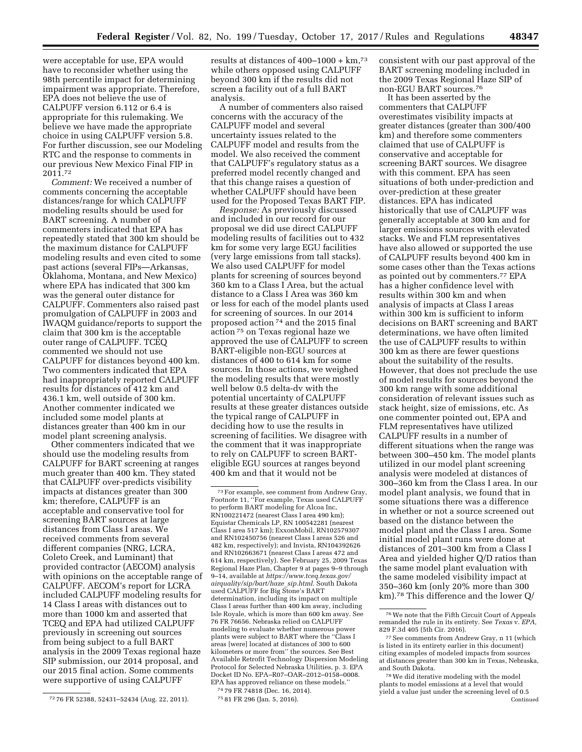were acceptable for use, EPA would have to reconsider whether using the 98th percentile impact for determining impairment was appropriate. Therefore, EPA does not believe the use of CALPUFF version 6.112 or 6.4 is appropriate for this rulemaking. We believe we have made the appropriate choice in using CALPUFF version 5.8. For further discussion, see our Modeling RTC and the response to comments in our previous New Mexico Final FIP in 2011.72

*Comment:* We received a number of comments concerning the acceptable distances/range for which CALPUFF modeling results should be used for BART screening. A number of commenters indicated that EPA has repeatedly stated that 300 km should be the maximum distance for CALPUFF modeling results and even cited to some past actions (several FIPs—Arkansas, Oklahoma, Montana, and New Mexico) where EPA has indicated that 300 km was the general outer distance for CALPUFF. Commenters also raised past promulgation of CALPUFF in 2003 and IWAQM guidance/reports to support the claim that 300 km is the acceptable outer range of CALPUFF. TCEQ commented we should not use CALPUFF for distances beyond 400 km. Two commenters indicated that EPA had inappropriately reported CALPUFF results for distances of 412 km and 436.1 km, well outside of 300 km. Another commenter indicated we included some model plants at distances greater than 400 km in our model plant screening analysis.

Other commenters indicated that we should use the modeling results from CALPUFF for BART screening at ranges much greater than 400 km. They stated that CALPUFF over-predicts visibility impacts at distances greater than 300 km; therefore, CALPUFF is an acceptable and conservative tool for screening BART sources at large distances from Class I areas. We received comments from several different companies (NRG, LCRA, Coleto Creek, and Luminant) that provided contractor (AECOM) analysis with opinions on the acceptable range of CALPUFF. AECOM's report for LCRA included CALPUFF modeling results for 14 Class I areas with distances out to more than 1000 km and asserted that TCEQ and EPA had utilized CALPUFF previously in screening out sources from being subject to a full BART analysis in the 2009 Texas regional haze SIP submission, our 2014 proposal, and our 2015 final action. Some comments were supportive of using CALPUFF

results at distances of  $400-1000 + km$ <sup>73</sup> while others opposed using CALPUFF beyond 300 km if the results did not screen a facility out of a full BART analysis.

A number of commenters also raised concerns with the accuracy of the CALPUFF model and several uncertainty issues related to the CALPUFF model and results from the model. We also received the comment that CALPUFF's regulatory status as a preferred model recently changed and that this change raises a question of whether CALPUFF should have been used for the Proposed Texas BART FIP.

*Response:* As previously discussed and included in our record for our proposal we did use direct CALPUFF modeling results of facilities out to 432 km for some very large EGU facilities (very large emissions from tall stacks). We also used CALPUFF for model plants for screening of sources beyond 360 km to a Class I Area, but the actual distance to a Class I Area was 360 km or less for each of the model plants used for screening of sources. In our 2014 proposed action 74 and the 2015 final action 75 on Texas regional haze we approved the use of CALPUFF to screen BART-eligible non-EGU sources at distances of 400 to 614 km for some sources. In those actions, we weighed the modeling results that were mostly well below 0.5 delta-dv with the potential uncertainty of CALPUFF results at these greater distances outside the typical range of CALPUFF in deciding how to use the results in screening of facilities. We disagree with the comment that it was inappropriate to rely on CALPUFF to screen BARTeligible EGU sources at ranges beyond 400 km and that it would not be

74 79 FR 74818 (Dec. 16, 2014). 75 81 FR 296 (Jan. 5, 2016).

consistent with our past approval of the BART screening modeling included in the 2009 Texas Regional Haze SIP of non-EGU BART sources.76

It has been asserted by the commenters that CALPUFF overestimates visibility impacts at greater distances (greater than 300/400 km) and therefore some commenters claimed that use of CALPUFF is conservative and acceptable for screening BART sources. We disagree with this comment. EPA has seen situations of both under-prediction and over-prediction at these greater distances. EPA has indicated historically that use of CALPUFF was generally acceptable at 300 km and for larger emissions sources with elevated stacks. We and FLM representatives have also allowed or supported the use of CALPUFF results beyond 400 km in some cases other than the Texas actions as pointed out by commenters.77 EPA has a higher confidence level with results within 300 km and when analysis of impacts at Class I areas within 300 km is sufficient to inform decisions on BART screening and BART determinations, we have often limited the use of CALPUFF results to within 300 km as there are fewer questions about the suitability of the results. However, that does not preclude the use of model results for sources beyond the 300 km range with some additional consideration of relevant issues such as stack height, size of emissions, etc. As one commenter pointed out, EPA and FLM representatives have utilized CALPUFF results in a number of different situations when the range was between 300–450 km. The model plants utilized in our model plant screening analysis were modeled at distances of 300–360 km from the Class I area. In our model plant analysis, we found that in some situations there was a difference in whether or not a source screened out based on the distance between the model plant and the Class I area. Some initial model plant runs were done at distances of 201–300 km from a Class I Area and yielded higher Q/D ratios than the same model plant evaluation with the same modeled visibility impact at 350–360 km (only 20% more than 300 km).78 This difference and the lower Q/

<sup>72</sup> 76 FR 52388, 52431–52434 (Aug. 22, 2011).

<sup>73</sup>For example, see comment from Andrew Gray, Footnote 11, ''For example, Texas used CALPUFF to perform BART modeling for Alcoa Inc, RN100221472 (nearest Class I area 490 km); Equistar Chemicals LP, RN 100542281 (nearest Class I area 517 km); ExxonMobil, RN102579307 and RN102450756 (nearest Class I areas 526 and 482 km, respectively); and Invista, RN104392626 and RN102663671 (nearest Class I areas 472 and 614 km, respectively). See February 25, 2009 Texas Regional Haze Plan, Chapter 9 at pages 9–9 through 9–14, available at *[https://www.tceq.texas.gov/](https://www.tceq.texas.gov/airquality/sip/bart/haze_sip.html) [airquality/sip/bart/haze](https://www.tceq.texas.gov/airquality/sip/bart/haze_sip.html)*\_*sip.html.* South Dakota used CALPUFF for Big Stone's BART determination, including its impact on multiple Class I areas further than 400 km away, including Isle Royale, which is more than 600 km away. See 76 FR 76656. Nebraska relied on CALPUFF modeling to evaluate whether numerous power plants were subject to BART where the ''Class I areas [were] located at distances of 300 to 600 kilometers or more from'' the sources. See Best Available Retrofit Technology Dispersion Modeling Protocol for Selected Nebraska Utilities, p. 3. EPA Docket ID No. EPA–R07–OAR–2012–0158–0008. EPA has approved reliance on these models.''

<sup>76</sup>We note that the Fifth Circuit Court of Appeals remanded the rule in its entirety. See *Texas* v. *EPA,*  829 F.3d 405 (5th Cir. 2016).

<sup>77</sup>See comments from Andrew Gray, n 11 (which is listed in its entirety earlier in this document) citing examples of modeled impacts from sources at distances greater than 300 km in Texas, Nebraska, and South Dakota.

<sup>78</sup>We did iterative modeling with the model plants to model emissions at a level that would yield a value just under the screening level of 0.5 Continued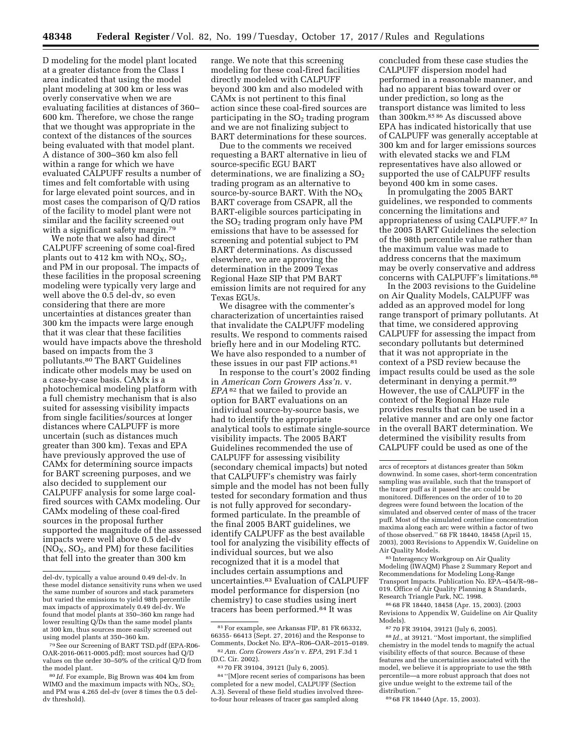D modeling for the model plant located at a greater distance from the Class I area indicated that using the model plant modeling at 300 km or less was overly conservative when we are evaluating facilities at distances of 360– 600 km. Therefore, we chose the range that we thought was appropriate in the context of the distances of the sources being evaluated with that model plant. A distance of 300–360 km also fell within a range for which we have evaluated CALPUFF results a number of times and felt comfortable with using for large elevated point sources, and in most cases the comparison of Q/D ratios of the facility to model plant were not similar and the facility screened out with a significant safety margin.<sup>79</sup>

We note that we also had direct CALPUFF screening of some coal-fired plants out to 412 km with  $NO<sub>X</sub>$ ,  $SO<sub>2</sub>$ , and PM in our proposal. The impacts of these facilities in the proposal screening modeling were typically very large and well above the 0.5 del-dv, so even considering that there are more uncertainties at distances greater than 300 km the impacts were large enough that it was clear that these facilities would have impacts above the threshold based on impacts from the 3 pollutants.80 The BART Guidelines indicate other models may be used on a case-by-case basis. CAMx is a photochemical modeling platform with a full chemistry mechanism that is also suited for assessing visibility impacts from single facilities/sources at longer distances where CALPUFF is more uncertain (such as distances much greater than 300 km). Texas and EPA have previously approved the use of CAMx for determining source impacts for BART screening purposes, and we also decided to supplement our CALPUFF analysis for some large coalfired sources with CAMx modeling. Our CAMx modeling of these coal-fired sources in the proposal further supported the magnitude of the assessed impacts were well above 0.5 del-dv  $(NO<sub>X</sub>, SO<sub>2</sub>, and PM)$  for these facilities that fell into the greater than 300 km

range. We note that this screening modeling for these coal-fired facilities directly modeled with CALPUFF beyond 300 km and also modeled with CAMx is not pertinent to this final action since these coal-fired sources are participating in the  $SO<sub>2</sub>$  trading program and we are not finalizing subject to BART determinations for these sources.

Due to the comments we received requesting a BART alternative in lieu of source-specific EGU BART determinations, we are finalizing a  $SO<sub>2</sub>$ trading program as an alternative to source-by-source BART. With the  $NO<sub>x</sub>$ BART coverage from CSAPR, all the BART-eligible sources participating in the  $SO<sub>2</sub>$  trading program only have PM emissions that have to be assessed for screening and potential subject to PM BART determinations. As discussed elsewhere, we are approving the determination in the 2009 Texas Regional Haze SIP that PM BART emission limits are not required for any Texas EGUs.

We disagree with the commenter's characterization of uncertainties raised that invalidate the CALPUFF modeling results. We respond to comments raised briefly here and in our Modeling RTC. We have also responded to a number of these issues in our past FIP actions.81

In response to the court's 2002 finding in *American Corn Growers Ass'n.* v. *EPA* 82 that we failed to provide an option for BART evaluations on an individual source-by-source basis, we had to identify the appropriate analytical tools to estimate single-source visibility impacts. The 2005 BART Guidelines recommended the use of CALPUFF for assessing visibility (secondary chemical impacts) but noted that CALPUFF's chemistry was fairly simple and the model has not been fully tested for secondary formation and thus is not fully approved for secondaryformed particulate. In the preamble of the final 2005 BART guidelines, we identify CALPUFF as the best available tool for analyzing the visibility effects of individual sources, but we also recognized that it is a model that includes certain assumptions and uncertainties.83 Evaluation of CALPUFF model performance for dispersion (no chemistry) to case studies using inert tracers has been performed.84 It was

concluded from these case studies the CALPUFF dispersion model had performed in a reasonable manner, and had no apparent bias toward over or under prediction, so long as the transport distance was limited to less than 300km.85 86 As discussed above EPA has indicated historically that use of CALPUFF was generally acceptable at 300 km and for larger emissions sources with elevated stacks we and FLM representatives have also allowed or supported the use of CALPUFF results beyond 400 km in some cases.

In promulgating the 2005 BART guidelines, we responded to comments concerning the limitations and appropriateness of using CALPUFF.87 In the 2005 BART Guidelines the selection of the 98th percentile value rather than the maximum value was made to address concerns that the maximum may be overly conservative and address concerns with CALPUFF's limitations.88

In the 2003 revisions to the Guideline on Air Quality Models, CALPUFF was added as an approved model for long range transport of primary pollutants. At that time, we considered approving CALPUFF for assessing the impact from secondary pollutants but determined that it was not appropriate in the context of a PSD review because the impact results could be used as the sole determinant in denying a permit.<sup>89</sup> However, the use of CALPUFF in the context of the Regional Haze rule provides results that can be used in a relative manner and are only one factor in the overall BART determination. We determined the visibility results from CALPUFF could be used as one of the

85 Interagency Workgroup on Air Quality Modeling (IWAQM) Phase 2 Summary Report and Recommendations for Modeling Long-Range Transport Impacts. Publication No. EPA–454/R–98– 019. Office of Air Quality Planning & Standards, Research Triangle Park, NC. 1998.

86 68 FR 18440, 18458 (Apr. 15, 2003). (2003 Revisions to Appendix W, Guideline on Air Quality Models).

87 70 FR 39104, 39121 (July 6, 2005).

88 *Id.,* at 39121. ''Most important, the simplified chemistry in the model tends to magnify the actual visibility effects of that source. Because of these features and the uncertainties associated with the model, we believe it is appropriate to use the 98th percentile—a more robust approach that does not give undue weight to the extreme tail of the distribution.

89 68 FR 18440 (Apr. 15, 2003).

del-dv, typically a value around 0.49 del-dv. In these model distance sensitivity runs when we used the same number of sources and stack parameters but varied the emissions to yield 98th percentile max impacts of approximately 0.49 del-dv. We found that model plants at 350–360 km range had lower resulting  $Q/Ds$  than the same model plants at 300 km, thus sources more easily screened out using model plants at 350–360 km.

<sup>79</sup>See our Screening of BART TSD.pdf (EPA-R06- OAR-2016-0611-0005.pdf); most sources had Q/D values on the order 30–50% of the critical Q/D from the model plant.

<sup>80</sup> *Id.* For example, Big Brown was 404 km from WIMO and the maximum impacts with  $NO<sub>x</sub>$ ,  $SO<sub>2</sub>$ , and PM was 4.265 del-dv (over 8 times the 0.5 deldv threshold).

<sup>81</sup>For example, see Arkansas FIP, 81 FR 66332, 66355- 66413 (Sept. 27, 2016) and the Response to Comments, Docket No. EPA–R06–OAR–2015–0189. 82*Am. Corn Growers Ass'n* v. *EPA,* 291 F.3d 1

<sup>(</sup>D.C. Cir. 2002). 83 70 FR 39104, 39121 (July 6, 2005).

<sup>84</sup> ''[M]ore recent series of comparisons has been completed for a new model, CALPUFF (Section A.3). Several of these field studies involved threeto-four hour releases of tracer gas sampled along

arcs of receptors at distances greater than 50km downwind. In some cases, short-term concentration sampling was available, such that the transport of the tracer puff as it passed the arc could be monitored. Differences on the order of 10 to 20 degrees were found between the location of the simulated and observed center of mass of the tracer puff. Most of the simulated centerline concentration maxima along each arc were within a factor of two of those observed.'' 68 FR 18440, 18458 (April 15, 2003), 2003 Revisions to Appendix W, Guideline on Air Quality Models.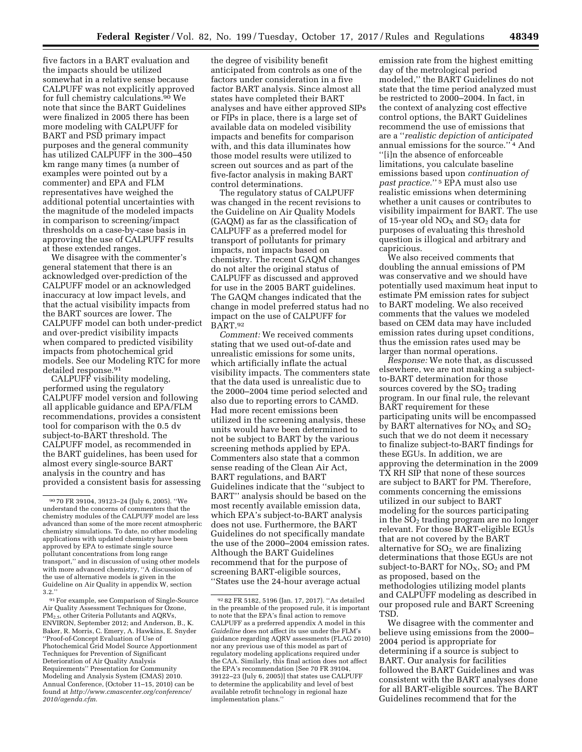five factors in a BART evaluation and the impacts should be utilized somewhat in a relative sense because CALPUFF was not explicitly approved for full chemistry calculations.<sup>90</sup> We note that since the BART Guidelines were finalized in 2005 there has been more modeling with CALPUFF for BART and PSD primary impact purposes and the general community has utilized CALPUFF in the 300–450 km range many times (a number of examples were pointed out by a commenter) and EPA and FLM representatives have weighed the additional potential uncertainties with the magnitude of the modeled impacts in comparison to screening/impact thresholds on a case-by-case basis in approving the use of CALPUFF results at these extended ranges.

We disagree with the commenter's general statement that there is an acknowledged over-prediction of the CALPUFF model or an acknowledged inaccuracy at low impact levels, and that the actual visibility impacts from the BART sources are lower. The CALPUFF model can both under-predict and over-predict visibility impacts when compared to predicted visibility impacts from photochemical grid models. See our Modeling RTC for more detailed response.91

CALPUFF visibility modeling, performed using the regulatory CALPUFF model version and following all applicable guidance and EPA/FLM recommendations, provides a consistent tool for comparison with the 0.5 dv subject-to-BART threshold. The CALPUFF model, as recommended in the BART guidelines, has been used for almost every single-source BART analysis in the country and has provided a consistent basis for assessing

91For example, see Comparison of Single-Source Air Quality Assessment Techniques for Ozone, PM2.5, other Criteria Pollutants and AQRVs, ENVIRON, September 2012; and Anderson, B., K. Baker, R. Morris, C. Emery, A. Hawkins, E. Snyder ''Proof-of-Concept Evaluation of Use of Photochemical Grid Model Source Apportionment Techniques for Prevention of Significant Deterioration of Air Quality Analysis Requirements'' Presentation for Community Modeling and Analysis System (CMAS) 2010. Annual Conference, (October 11–15, 2010) can be found at *[http://www.cmascenter.org/conference/](http://www.cmascenter.org/conference/2010/agenda.cfm) [2010/agenda.cfm.](http://www.cmascenter.org/conference/2010/agenda.cfm)* 

the degree of visibility benefit anticipated from controls as one of the factors under consideration in a five factor BART analysis. Since almost all states have completed their BART analyses and have either approved SIPs or FIPs in place, there is a large set of available data on modeled visibility impacts and benefits for comparison with, and this data illuminates how those model results were utilized to screen out sources and as part of the five-factor analysis in making BART control determinations.

The regulatory status of CALPUFF was changed in the recent revisions to the Guideline on Air Quality Models (GAQM) as far as the classification of CALPUFF as a preferred model for transport of pollutants for primary impacts, not impacts based on chemistry. The recent GAQM changes do not alter the original status of CALPUFF as discussed and approved for use in the 2005 BART guidelines. The GAQM changes indicated that the change in model preferred status had no impact on the use of CALPUFF for BART.92

*Comment:* We received comments stating that we used out-of-date and unrealistic emissions for some units, which artificially inflate the actual visibility impacts. The commenters state that the data used is unrealistic due to the 2000–2004 time period selected and also due to reporting errors to CAMD. Had more recent emissions been utilized in the screening analysis, these units would have been determined to not be subject to BART by the various screening methods applied by EPA. Commenters also state that a common sense reading of the Clean Air Act, BART regulations, and BART Guidelines indicate that the ''subject to BART'' analysis should be based on the most recently available emission data, which EPA's subject-to-BART analysis does not use. Furthermore, the BART Guidelines do not specifically mandate the use of the 2000–2004 emission rates. Although the BART Guidelines recommend that for the purpose of screening BART-eligible sources, ''States use the 24-hour average actual

emission rate from the highest emitting day of the metrological period modeled,'' the BART Guidelines do not state that the time period analyzed must be restricted to 2000–2004. In fact, in the context of analyzing cost effective control options, the BART Guidelines recommend the use of emissions that are a ''*realistic depiction* of *anticipated*  annual emissions for the source.'' 4 And ''[i]n the absence of enforceable limitations, you calculate baseline emissions based upon *continuation of past practice.*'' 5 EPA must also use realistic emissions when determining whether a unit causes or contributes to visibility impairment for BART. The use of 15-year old  $NO<sub>X</sub>$  and  $SO<sub>2</sub>$  data for purposes of evaluating this threshold question is illogical and arbitrary and capricious.

We also received comments that doubling the annual emissions of PM was conservative and we should have potentially used maximum heat input to estimate PM emission rates for subject to BART modeling. We also received comments that the values we modeled based on CEM data may have included emission rates during upset conditions, thus the emission rates used may be larger than normal operations.

*Response:* We note that, as discussed elsewhere, we are not making a subjectto-BART determination for those sources covered by the  $SO<sub>2</sub>$  trading program. In our final rule, the relevant BART requirement for these participating units will be encompassed by BART alternatives for  $NO<sub>x</sub>$  and  $SO<sub>2</sub>$ such that we do not deem it necessary to finalize subject-to-BART findings for these EGUs. In addition, we are approving the determination in the 2009 TX RH SIP that none of these sources are subject to BART for PM. Therefore, comments concerning the emissions utilized in our subject to BART modeling for the sources participating in the  $SO<sub>2</sub>$  trading program are no longer relevant. For those BART-eligible EGUs that are not covered by the BART alternative for  $SO<sub>2</sub>$ , we are finalizing determinations that those EGUs are not subject-to-BART for  $NO<sub>X</sub>$ ,  $SO<sub>2</sub>$  and PM as proposed, based on the methodologies utilizing model plants and CALPUFF modeling as described in our proposed rule and BART Screening TSD.

We disagree with the commenter and believe using emissions from the 2000– 2004 period is appropriate for determining if a source is subject to BART. Our analysis for facilities followed the BART Guidelines and was consistent with the BART analyses done for all BART-eligible sources. The BART Guidelines recommend that for the

<sup>90</sup> 70 FR 39104, 39123–24 (July 6, 2005). ''We understand the concerns of commenters that the chemistry modules of the CALPUFF model are less advanced than some of the more recent atmospheric chemistry simulations. To date, no other modeling applications with updated chemistry have been approved by EPA to estimate single source pollutant concentrations from long range transport,'' and in discussion of using other models with more advanced chemistry, ''A discussion of the use of alternative models is given in the Guideline on Air Quality in appendix W, section 3.2.''

<sup>92</sup> 82 FR 5182, 5196 (Jan. 17, 2017). ''As detailed in the preamble of the proposed rule, it is important to note that the EPA's final action to remove CALPUFF as a preferred appendix A model in this *Guideline* does not affect its use under the FLM's guidance regarding AQRV assessments (FLAG 2010) nor any previous use of this model as part of regulatory modeling applications required under the CAA. Similarly, this final action does not affect the EPA's recommendation [See 70 FR 39104, 39122–23 (July 6, 2005)] that states use CALPUFF to determine the applicability and level of best available retrofit technology in regional haze implementation plans.''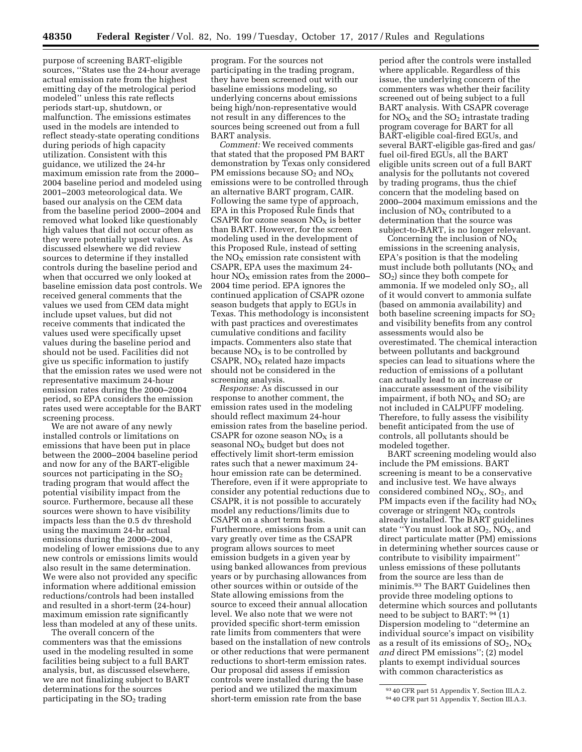purpose of screening BART-eligible sources, ''States use the 24-hour average actual emission rate from the highest emitting day of the metrological period modeled'' unless this rate reflects periods start-up, shutdown, or malfunction. The emissions estimates used in the models are intended to reflect steady-state operating conditions during periods of high capacity utilization. Consistent with this guidance, we utilized the 24-hr maximum emission rate from the 2000– 2004 baseline period and modeled using 2001–2003 meteorological data. We based our analysis on the CEM data from the baseline period 2000–2004 and removed what looked like questionably high values that did not occur often as they were potentially upset values. As discussed elsewhere we did review sources to determine if they installed controls during the baseline period and when that occurred we only looked at baseline emission data post controls. We received general comments that the values we used from CEM data might include upset values, but did not receive comments that indicated the values used were specifically upset values during the baseline period and should not be used. Facilities did not give us specific information to justify that the emission rates we used were not representative maximum 24-hour emission rates during the 2000–2004 period, so EPA considers the emission rates used were acceptable for the BART screening process.

We are not aware of any newly installed controls or limitations on emissions that have been put in place between the 2000–2004 baseline period and now for any of the BART-eligible sources not participating in the  $SO<sub>2</sub>$ trading program that would affect the potential visibility impact from the source. Furthermore, because all these sources were shown to have visibility impacts less than the 0.5 dv threshold using the maximum 24-hr actual emissions during the 2000–2004, modeling of lower emissions due to any new controls or emissions limits would also result in the same determination. We were also not provided any specific information where additional emission reductions/controls had been installed and resulted in a short-term (24-hour) maximum emission rate significantly less than modeled at any of these units.

The overall concern of the commenters was that the emissions used in the modeling resulted in some facilities being subject to a full BART analysis, but, as discussed elsewhere, we are not finalizing subject to BART determinations for the sources participating in the  $SO<sub>2</sub>$  trading

program. For the sources not participating in the trading program, they have been screened out with our baseline emissions modeling, so underlying concerns about emissions being high/non-representative would not result in any differences to the sources being screened out from a full BART analysis.

*Comment:* We received comments that stated that the proposed PM BART demonstration by Texas only considered PM emissions because  $SO_2$  and  $NO_X$ emissions were to be controlled through an alternative BART program, CAIR. Following the same type of approach, EPA in this Proposed Rule finds that CSAPR for ozone season  $NO<sub>X</sub>$  is better than BART. However, for the screen modeling used in the development of this Proposed Rule, instead of setting the  $NO<sub>x</sub>$  emission rate consistent with CSAPR, EPA uses the maximum 24 hour  $NO<sub>x</sub>$  emission rates from the 2000– 2004 time period. EPA ignores the continued application of CSAPR ozone season budgets that apply to EGUs in Texas. This methodology is inconsistent with past practices and overestimates cumulative conditions and facility impacts. Commenters also state that because  $NO<sub>x</sub>$  is to be controlled by  $CSAPR$ ,  $NO<sub>X</sub>$  related haze impacts should not be considered in the screening analysis.

*Response:* As discussed in our response to another comment, the emission rates used in the modeling should reflect maximum 24-hour emission rates from the baseline period. CSAPR for ozone season  $NO<sub>x</sub>$  is a seasonal  $NO<sub>X</sub>$  budget but does not effectively limit short-term emission rates such that a newer maximum 24 hour emission rate can be determined. Therefore, even if it were appropriate to consider any potential reductions due to CSAPR, it is not possible to accurately model any reductions/limits due to CSAPR on a short term basis. Furthermore, emissions from a unit can vary greatly over time as the CSAPR program allows sources to meet emission budgets in a given year by using banked allowances from previous years or by purchasing allowances from other sources within or outside of the State allowing emissions from the source to exceed their annual allocation level. We also note that we were not provided specific short-term emission rate limits from commenters that were based on the installation of new controls or other reductions that were permanent reductions to short-term emission rates. Our proposal did assess if emission controls were installed during the base period and we utilized the maximum short-term emission rate from the base

period after the controls were installed where applicable. Regardless of this issue, the underlying concern of the commenters was whether their facility screened out of being subject to a full BART analysis. With CSAPR coverage for  $NO<sub>X</sub>$  and the  $SO<sub>2</sub>$  intrastate trading program coverage for BART for all BART-eligible coal-fired EGUs, and several BART-eligible gas-fired and gas/ fuel oil-fired EGUs, all the BART eligible units screen out of a full BART analysis for the pollutants not covered by trading programs, thus the chief concern that the modeling based on 2000–2004 maximum emissions and the inclusion of  $NO<sub>x</sub>$  contributed to a determination that the source was subject-to-BART, is no longer relevant.

Concerning the inclusion of  $NO<sub>x</sub>$ emissions in the screening analysis, EPA's position is that the modeling must include both pollutants  $NO<sub>X</sub>$  and SO2) since they both compete for ammonia. If we modeled only  $SO<sub>2</sub>$ , all of it would convert to ammonia sulfate (based on ammonia availability) and both baseline screening impacts for SO2 and visibility benefits from any control assessments would also be overestimated. The chemical interaction between pollutants and background species can lead to situations where the reduction of emissions of a pollutant can actually lead to an increase or inaccurate assessment of the visibility impairment, if both  $NO<sub>x</sub>$  and  $SO<sub>2</sub>$  are not included in CALPUFF modeling. Therefore, to fully assess the visibility benefit anticipated from the use of controls, all pollutants should be modeled together.

BART screening modeling would also include the PM emissions. BART screening is meant to be a conservative and inclusive test. We have always considered combined  $NO<sub>X</sub>$ ,  $SO<sub>2</sub>$ , and PM impacts even if the facility had  $NO<sub>x</sub>$ coverage or stringent  $NO<sub>x</sub>$  controls already installed. The BART guidelines state "You must look at  $SO_2$ ,  $NO_X$ , and direct particulate matter (PM) emissions in determining whether sources cause or contribute to visibility impairment'' unless emissions of these pollutants from the source are less than de minimis.93 The BART Guidelines then provide three modeling options to determine which sources and pollutants need to be subject to BART: 94 (1) Dispersion modeling to ''determine an individual source's impact on visibility as a result of its emissions of  $SO_2$ ,  $NO_X$ *and* direct PM emissions''; (2) model plants to exempt individual sources with common characteristics as

<sup>93</sup> 40 CFR part 51 Appendix Y, Section III.A.2.

<sup>94</sup> 40 CFR part 51 Appendix Y, Section III.A.3.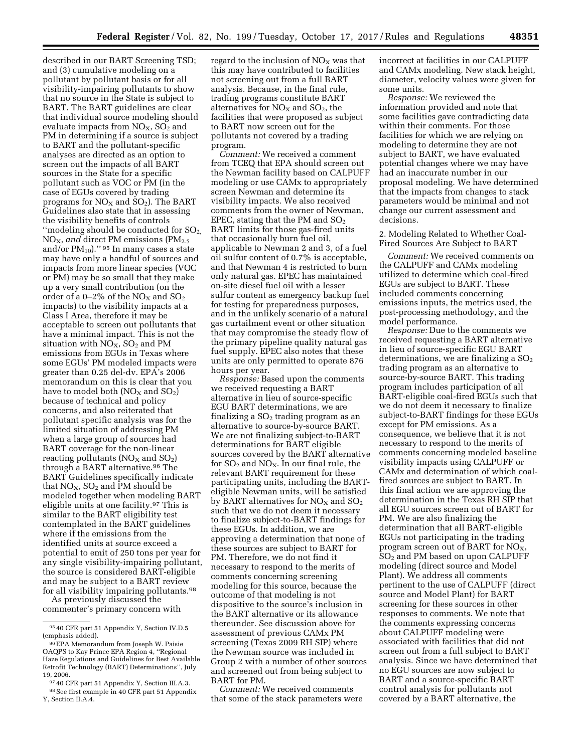described in our BART Screening TSD; and (3) cumulative modeling on a pollutant by pollutant basis or for all visibility-impairing pollutants to show that no source in the State is subject to BART. The BART guidelines are clear that individual source modeling should evaluate impacts from  $NO<sub>X</sub>$ ,  $SO<sub>2</sub>$  and PM in determining if a source is subject to BART and the pollutant-specific analyses are directed as an option to screen out the impacts of all BART sources in the State for a specific pollutant such as VOC or PM (in the case of EGUs covered by trading programs for  $NO<sub>X</sub>$  and  $SO<sub>2</sub>$ ). The BART Guidelines also state that in assessing the visibility benefits of controls "modeling should be conducted for  $SO<sub>2</sub>$ , NO<sub>X</sub>, and direct PM emissions (PM<sub>2.5</sub>) and/or  $PM_{10}$ )." 95 In many cases a state may have only a handful of sources and impacts from more linear species (VOC or PM) may be so small that they make up a very small contribution (on the order of a 0-2% of the  $NO<sub>X</sub>$  and  $SO<sub>2</sub>$ impacts) to the visibility impacts at a Class I Area, therefore it may be acceptable to screen out pollutants that have a minimal impact. This is not the situation with  $NO<sub>X</sub>$ ,  $SO<sub>2</sub>$  and PM emissions from EGUs in Texas where some EGUs' PM modeled impacts were greater than 0.25 del-dv. EPA's 2006 memorandum on this is clear that you have to model both  $NO<sub>X</sub>$  and  $SO<sub>2</sub>$ ) because of technical and policy concerns, and also reiterated that pollutant specific analysis was for the limited situation of addressing PM when a large group of sources had BART coverage for the non-linear reacting pollutants ( $NO<sub>X</sub>$  and  $SO<sub>2</sub>$ ) through a BART alternative.96 The BART Guidelines specifically indicate that  $NO<sub>X</sub>$ ,  $SO<sub>2</sub>$  and PM should be modeled together when modeling BART eligible units at one facility.97 This is similar to the BART eligibility test contemplated in the BART guidelines where if the emissions from the identified units at source exceed a potential to emit of 250 tons per year for any single visibility-impairing pollutant, the source is considered BART-eligible and may be subject to a BART review for all visibility impairing pollutants.<sup>98</sup>

As previously discussed the commenter's primary concern with

regard to the inclusion of  $NO<sub>X</sub>$  was that this may have contributed to facilities not screening out from a full BART analysis. Because, in the final rule, trading programs constitute BART alternatives for  $NO<sub>x</sub>$  and  $SO<sub>2</sub>$ , the facilities that were proposed as subject to BART now screen out for the pollutants not covered by a trading program.

*Comment:* We received a comment from TCEQ that EPA should screen out the Newman facility based on CALPUFF modeling or use CAMx to appropriately screen Newman and determine its visibility impacts. We also received comments from the owner of Newman, EPEC, stating that the PM and  $SO<sub>2</sub>$ BART limits for those gas-fired units that occasionally burn fuel oil, applicable to Newman 2 and 3, of a fuel oil sulfur content of 0.7% is acceptable, and that Newman 4 is restricted to burn only natural gas. EPEC has maintained on-site diesel fuel oil with a lesser sulfur content as emergency backup fuel for testing for preparedness purposes, and in the unlikely scenario of a natural gas curtailment event or other situation that may compromise the steady flow of the primary pipeline quality natural gas fuel supply. EPEC also notes that these units are only permitted to operate 876 hours per year.

*Response:* Based upon the comments we received requesting a BART alternative in lieu of source-specific EGU BART determinations, we are finalizing a  $SO<sub>2</sub>$  trading program as an alternative to source-by-source BART. We are not finalizing subject-to-BART determinations for BART eligible sources covered by the BART alternative for  $SO_2$  and  $NO_X$ . In our final rule, the relevant BART requirement for these participating units, including the BARTeligible Newman units, will be satisfied by BART alternatives for  $NO<sub>x</sub>$  and  $SO<sub>2</sub>$ such that we do not deem it necessary to finalize subject-to-BART findings for these EGUs. In addition, we are approving a determination that none of these sources are subject to BART for PM. Therefore, we do not find it necessary to respond to the merits of comments concerning screening modeling for this source, because the outcome of that modeling is not dispositive to the source's inclusion in the BART alternative or its allowance thereunder. See discussion above for assessment of previous CAMx PM screening (Texas 2009 RH SIP) where the Newman source was included in Group 2 with a number of other sources and screened out from being subject to BART for PM.

*Comment:* We received comments that some of the stack parameters were incorrect at facilities in our CALPUFF and CAMx modeling. New stack height, diameter, velocity values were given for some units.

*Response:* We reviewed the information provided and note that some facilities gave contradicting data within their comments. For those facilities for which we are relying on modeling to determine they are not subject to BART, we have evaluated potential changes where we may have had an inaccurate number in our proposal modeling. We have determined that the impacts from changes to stack parameters would be minimal and not change our current assessment and decisions.

2. Modeling Related to Whether Coal-Fired Sources Are Subject to BART

*Comment:* We received comments on the CALPUFF and CAMx modeling utilized to determine which coal-fired EGUs are subject to BART. These included comments concerning emissions inputs, the metrics used, the post-processing methodology, and the model performance.

*Response:* Due to the comments we received requesting a BART alternative in lieu of source-specific EGU BART determinations, we are finalizing a  $SO<sub>2</sub>$ trading program as an alternative to source-by-source BART. This trading program includes participation of all BART-eligible coal-fired EGUs such that we do not deem it necessary to finalize subject-to-BART findings for these EGUs except for PM emissions. As a consequence, we believe that it is not necessary to respond to the merits of comments concerning modeled baseline visibility impacts using CALPUFF or CAMx and determination of which coalfired sources are subject to BART. In this final action we are approving the determination in the Texas RH SIP that all EGU sources screen out of BART for PM. We are also finalizing the determination that all BART-eligible EGUs not participating in the trading program screen out of BART for  $NO<sub>x</sub>$ , SO2 and PM based on upon CALPUFF modeling (direct source and Model Plant). We address all comments pertinent to the use of CALPUFF (direct source and Model Plant) for BART screening for these sources in other responses to comments. We note that the comments expressing concerns about CALPUFF modeling were associated with facilities that did not screen out from a full subject to BART analysis. Since we have determined that no EGU sources are now subject to BART and a source-specific BART control analysis for pollutants not covered by a BART alternative, the

<sup>95</sup> 40 CFR part 51 Appendix Y, Section IV.D.5 (emphasis added).

<sup>96</sup>EPA Memorandum from Joseph W. Paisie OAQPS to Kay Prince EPA Region 4, ''Regional Haze Regulations and Guidelines for Best Available Retrofit Technology (BART) Determinations'', July 19, 2006.

<sup>97</sup> 40 CFR part 51 Appendix Y, Section III.A.3. 98See first example in 40 CFR part 51 Appendix Y, Section II.A.4.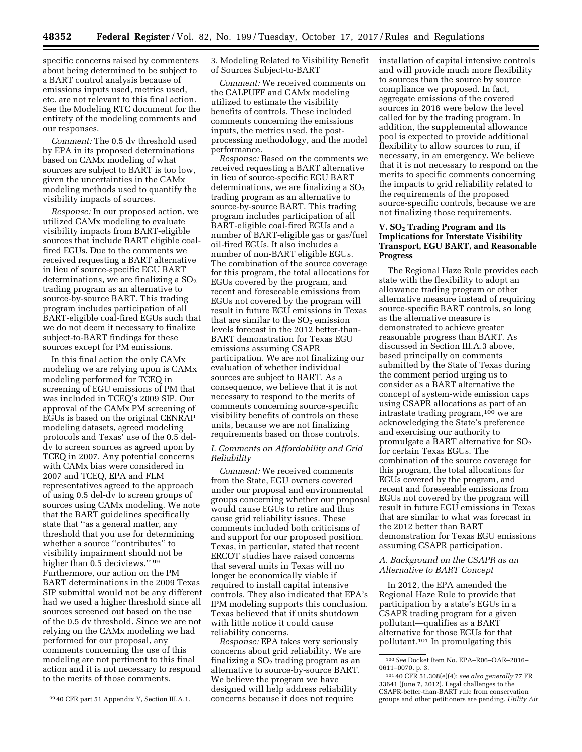specific concerns raised by commenters about being determined to be subject to a BART control analysis because of emissions inputs used, metrics used, etc. are not relevant to this final action. See the Modeling RTC document for the entirety of the modeling comments and our responses.

*Comment:* The 0.5 dv threshold used by EPA in its proposed determinations based on CAMx modeling of what sources are subject to BART is too low, given the uncertainties in the CAMx modeling methods used to quantify the visibility impacts of sources.

*Response:* In our proposed action, we utilized CAMx modeling to evaluate visibility impacts from BART-eligible sources that include BART eligible coalfired EGUs. Due to the comments we received requesting a BART alternative in lieu of source-specific EGU BART determinations, we are finalizing a  $SO<sub>2</sub>$ trading program as an alternative to source-by-source BART. This trading program includes participation of all BART-eligible coal-fired EGUs such that we do not deem it necessary to finalize subject-to-BART findings for these sources except for PM emissions.

In this final action the only CAMx modeling we are relying upon is CAMx modeling performed for TCEQ in screening of EGU emissions of PM that was included in TCEQ's 2009 SIP. Our approval of the CAMx PM screening of EGUs is based on the original CENRAP modeling datasets, agreed modeling protocols and Texas' use of the 0.5 deldv to screen sources as agreed upon by TCEQ in 2007. Any potential concerns with CAMx bias were considered in 2007 and TCEQ, EPA and FLM representatives agreed to the approach of using 0.5 del-dv to screen groups of sources using CAMx modeling. We note that the BART guidelines specifically state that ''as a general matter, any threshold that you use for determining whether a source ''contributes'' to visibility impairment should not be higher than 0.5 deciviews." 99 Furthermore, our action on the PM BART determinations in the 2009 Texas SIP submittal would not be any different had we used a higher threshold since all sources screened out based on the use of the 0.5 dv threshold. Since we are not relying on the CAMx modeling we had performed for our proposal, any comments concerning the use of this modeling are not pertinent to this final action and it is not necessary to respond to the merits of those comments.

3. Modeling Related to Visibility Benefit of Sources Subject-to-BART

*Comment:* We received comments on the CALPUFF and CAMx modeling utilized to estimate the visibility benefits of controls. These included comments concerning the emissions inputs, the metrics used, the postprocessing methodology, and the model performance.

*Response:* Based on the comments we received requesting a BART alternative in lieu of source-specific EGU BART determinations, we are finalizing a  $SO<sub>2</sub>$ trading program as an alternative to source-by-source BART. This trading program includes participation of all BART-eligible coal-fired EGUs and a number of BART-eligible gas or gas/fuel oil-fired EGUs. It also includes a number of non-BART eligible EGUs. The combination of the source coverage for this program, the total allocations for EGUs covered by the program, and recent and foreseeable emissions from EGUs not covered by the program will result in future EGU emissions in Texas that are similar to the  $SO<sub>2</sub>$  emission levels forecast in the 2012 better-than-BART demonstration for Texas EGU emissions assuming CSAPR participation. We are not finalizing our evaluation of whether individual sources are subject to BART. As a consequence, we believe that it is not necessary to respond to the merits of comments concerning source-specific visibility benefits of controls on these units, because we are not finalizing requirements based on those controls.

### *I. Comments on Affordability and Grid Reliability*

*Comment:* We received comments from the State, EGU owners covered under our proposal and environmental groups concerning whether our proposal would cause EGUs to retire and thus cause grid reliability issues. These comments included both criticisms of and support for our proposed position. Texas, in particular, stated that recent ERCOT studies have raised concerns that several units in Texas will no longer be economically viable if required to install capital intensive controls. They also indicated that EPA's IPM modeling supports this conclusion. Texas believed that if units shutdown with little notice it could cause reliability concerns.

*Response:* EPA takes very seriously concerns about grid reliability. We are finalizing a  $SO<sub>2</sub>$  trading program as an alternative to source-by-source BART. We believe the program we have designed will help address reliability concerns because it does not require

installation of capital intensive controls and will provide much more flexibility to sources than the source by source compliance we proposed. In fact, aggregate emissions of the covered sources in 2016 were below the level called for by the trading program. In addition, the supplemental allowance pool is expected to provide additional flexibility to allow sources to run, if necessary, in an emergency. We believe that it is not necessary to respond on the merits to specific comments concerning the impacts to grid reliability related to the requirements of the proposed source-specific controls, because we are not finalizing those requirements.

# **V. SO2 Trading Program and Its Implications for Interstate Visibility Transport, EGU BART, and Reasonable Progress**

The Regional Haze Rule provides each state with the flexibility to adopt an allowance trading program or other alternative measure instead of requiring source-specific BART controls, so long as the alternative measure is demonstrated to achieve greater reasonable progress than BART. As discussed in Section III.A.3 above, based principally on comments submitted by the State of Texas during the comment period urging us to consider as a BART alternative the concept of system-wide emission caps using CSAPR allocations as part of an intrastate trading program,100 we are acknowledging the State's preference and exercising our authority to promulgate a BART alternative for  $SO<sub>2</sub>$ for certain Texas EGUs. The combination of the source coverage for this program, the total allocations for EGUs covered by the program, and recent and foreseeable emissions from EGUs not covered by the program will result in future EGU emissions in Texas that are similar to what was forecast in the 2012 better than BART demonstration for Texas EGU emissions assuming CSAPR participation.

### *A. Background on the CSAPR as an Alternative to BART Concept*

In 2012, the EPA amended the Regional Haze Rule to provide that participation by a state's EGUs in a CSAPR trading program for a given pollutant—qualifies as a BART alternative for those EGUs for that pollutant.101 In promulgating this

<sup>99</sup> 40 CFR part 51 Appendix Y, Section III.A.1.

<sup>100</sup>*See* Docket Item No. EPA–R06–OAR–2016– 0611–0070, p. 3.

<sup>101</sup> 40 CFR 51.308(e)(4); *see also generally* 77 FR 33641 (June 7, 2012). Legal challenges to the CSAPR-better-than-BART rule from conservation groups and other petitioners are pending. *Utility Air*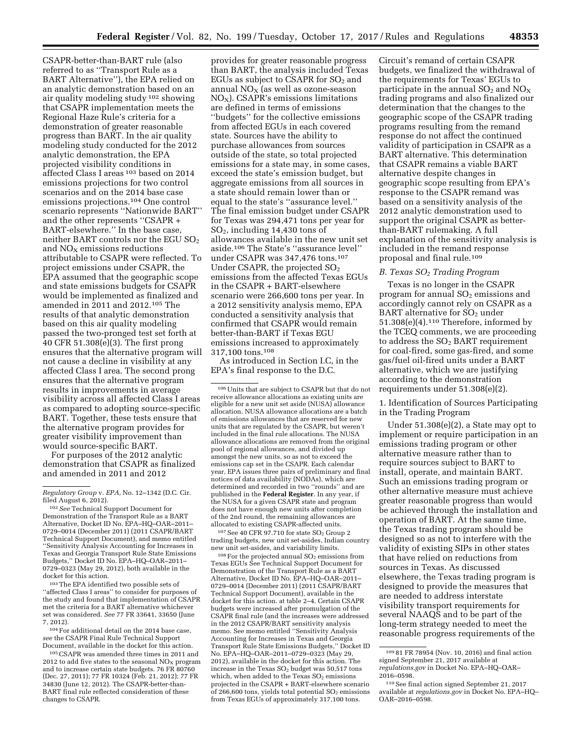CSAPR-better-than-BART rule (also referred to as ''Transport Rule as a BART Alternative''), the EPA relied on an analytic demonstration based on an air quality modeling study 102 showing that CSAPR implementation meets the Regional Haze Rule's criteria for a demonstration of greater reasonable progress than BART. In the air quality modeling study conducted for the 2012 analytic demonstration, the EPA projected visibility conditions in affected Class I areas 103 based on 2014 emissions projections for two control scenarios and on the 2014 base case emissions projections.104 One control scenario represents ''Nationwide BART'' and the other represents ''CSAPR + BART-elsewhere.'' In the base case, neither BART controls nor the EGU SO2 and  $NO<sub>x</sub>$  emissions reductions attributable to CSAPR were reflected. To project emissions under CSAPR, the EPA assumed that the geographic scope and state emissions budgets for CSAPR would be implemented as finalized and amended in 2011 and 2012.105 The results of that analytic demonstration based on this air quality modeling passed the two-pronged test set forth at 40 CFR 51.308(e)(3). The first prong ensures that the alternative program will not cause a decline in visibility at any affected Class I area. The second prong ensures that the alternative program results in improvements in average visibility across all affected Class I areas as compared to adopting source-specific BART. Together, these tests ensure that the alternative program provides for greater visibility improvement than would source-specific BART.

For purposes of the 2012 analytic demonstration that CSAPR as finalized and amended in 2011 and 2012

103The EPA identified two possible sets of ''affected Class I areas'' to consider for purposes of the study and found that implementation of CSAPR met the criteria for a BART alternative whichever set was considered. *See* 77 FR 33641, 33650 (June 7, 2012).

 $^{\rm 104}$  For additional detail on the 2014 base case, *see* the CSAPR Final Rule Technical Support Document, available in the docket for this action.

105CSAPR was amended three times in 2011 and 2012 to add five states to the seasonal  $NO<sub>x</sub>$  program and to increase certain state budgets. 76 FR 80760 (Dec. 27, 2011); 77 FR 10324 (Feb. 21, 2012); 77 FR 34830 (June 12, 2012). The CSAPR-better-than-BART final rule reflected consideration of these changes to CSAPR.

provides for greater reasonable progress than BART, the analysis included Texas EGUs as subject to CSAPR for  $SO<sub>2</sub>$  and annual  $NO<sub>X</sub>$  (as well as ozone-season  $NO<sub>x</sub>$ ). CSAPR's emissions limitations are defined in terms of emissions ''budgets'' for the collective emissions from affected EGUs in each covered state. Sources have the ability to purchase allowances from sources outside of the state, so total projected emissions for a state may, in some cases, exceed the state's emission budget, but aggregate emissions from all sources in a state should remain lower than or equal to the state's ''assurance level.'' The final emission budget under CSAPR for Texas was 294,471 tons per year for SO2, including 14,430 tons of allowances available in the new unit set aside.106 The State's ''assurance level'' under CSAPR was 347,476 tons.107 Under CSAPR, the projected  $SO<sub>2</sub>$ emissions from the affected Texas EGUs in the CSAPR + BART-elsewhere scenario were 266,600 tons per year. In a 2012 sensitivity analysis memo, EPA conducted a sensitivity analysis that confirmed that CSAPR would remain better-than-BART if Texas EGU emissions increased to approximately 317,100 tons.108

As introduced in Section I.C, in the EPA's final response to the D.C.

106Units that are subject to CSAPR but that do not receive allowance allocations as existing units are eligible for a new unit set aside (NUSA) allowance allocation. NUSA allowance allocations are a batch of emissions allowances that are reserved for new units that are regulated by the CSAPR, but weren't included in the final rule allocations. The NUSA allowance allocations are removed from the original pool of regional allowances, and divided up amongst the new units, so as not to exceed the emissions cap set in the CSAPR. Each calendar year, EPA issues three pairs of preliminary and final notices of data availability (NODAs), which are determined and recorded in two ''rounds'' and are published in the **Federal Register**. In any year, if the NUSA for a given CSAPR state and program does not have enough new units after completion of the 2nd round, the remaining allowances are allocated to existing CSAPR-affected units.

 $107$  See 40 CFR 97.710 for state  $SO<sub>2</sub>$  Group 2 trading budgets, new unit set-asides, Indian country new unit set-asides, and variability limits.

 $108$  For the projected annual  $SO<sub>2</sub>$  emissions from Texas EGUs See Technical Support Document for Demonstration of the Transport Rule as a BART Alternative, Docket ID No. EPA–HQ–OAR–2011– 0729–0014 (December 2011) (2011 CSAPR/BART Technical Support Document), available in the docket for this action. at table 2–4. Certain CSAPR budgets were increased after promulgation of the CSAPR final rule (and the increases were addressed in the 2012 CSAPR/BART sensitivity analysis memo. See memo entitled ''Sensitivity Analysis Accounting for Increases in Texas and Georgia Transport Rule State Emissions Budgets,'' Docket ID No. EPA–HQ–OAR–2011–0729–0323 (May 29, 2012), available in the docket for this action. The increase in the Texas  $SO<sub>2</sub>$  budget was 50,517 tons which, when added to the Texas  $SO_2$  emissions projected in the CSAPR + BART-elsewhere scenario of 266,600 tons, yields total potential  $SO<sub>2</sub>$  emissions from Texas EGUs of approximately 317,100 tons.

Circuit's remand of certain CSAPR budgets, we finalized the withdrawal of the requirements for Texas' EGUs to participate in the annual  $SO_2$  and  $NO_X$ trading programs and also finalized our determination that the changes to the geographic scope of the CSAPR trading programs resulting from the remand response do not affect the continued validity of participation in CSAPR as a BART alternative. This determination that CSAPR remains a viable BART alternative despite changes in geographic scope resulting from EPA's response to the CSAPR remand was based on a sensitivity analysis of the 2012 analytic demonstration used to support the original CSAPR as betterthan-BART rulemaking. A full explanation of the sensitivity analysis is included in the remand response proposal and final rule.109

### *B. Texas SO2 Trading Program*

Texas is no longer in the CSAPR program for annual  $SO<sub>2</sub>$  emissions and accordingly cannot rely on CSAPR as a BART alternative for  $SO<sub>2</sub>$  under 51.308(e)(4).110 Therefore, informed by the TCEQ comments, we are proceeding to address the SO<sub>2</sub> BART requirement for coal-fired, some gas-fired, and some gas/fuel oil-fired units under a BART alternative, which we are justifying according to the demonstration requirements under 51.308(e)(2).

1. Identification of Sources Participating in the Trading Program

Under 51.308(e)(2), a State may opt to implement or require participation in an emissions trading program or other alternative measure rather than to require sources subject to BART to install, operate, and maintain BART. Such an emissions trading program or other alternative measure must achieve greater reasonable progress than would be achieved through the installation and operation of BART. At the same time, the Texas trading program should be designed so as not to interfere with the validity of existing SIPs in other states that have relied on reductions from sources in Texas. As discussed elsewhere, the Texas trading program is designed to provide the measures that are needed to address interstate visibility transport requirements for several NAAQS and to be part of the long-term strategy needed to meet the reasonable progress requirements of the

*Regulatory Group* v. *EPA,* No. 12–1342 (D.C. Cir. filed August 6, 2012).

<sup>102</sup>*See* Technical Support Document for Demonstration of the Transport Rule as a BART Alternative, Docket ID No. EPA–HQ–OAR–2011– 0729–0014 (December 2011) (2011 CSAPR/BART Technical Support Document), and memo entitled ''Sensitivity Analysis Accounting for Increases in Texas and Georgia Transport Rule State Emissions Budgets,'' Docket ID No. EPA–HQ–OAR–2011– 0729–0323 (May 29, 2012), both available in the docket for this action.

<sup>109</sup> 81 FR 78954 (Nov. 10, 2016) and final action signed September 21, 2017 available at *regulations.gov* in Docket No. EPA–HQ–OAR– 2016–0598.

<sup>110</sup>See final action signed September 21, 2017 available at *regulations.gov* in Docket No. EPA–HQ– OAR–2016–0598.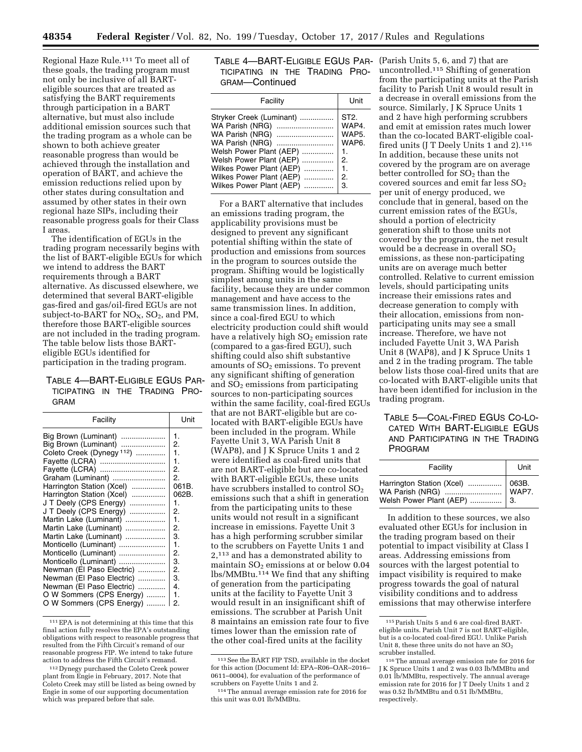Regional Haze Rule.111 To meet all of these goals, the trading program must not only be inclusive of all BARTeligible sources that are treated as satisfying the BART requirements through participation in a BART alternative, but must also include additional emission sources such that the trading program as a whole can be shown to both achieve greater reasonable progress than would be achieved through the installation and operation of BART, and achieve the emission reductions relied upon by other states during consultation and assumed by other states in their own regional haze SIPs, including their reasonable progress goals for their Class I areas.

The identification of EGUs in the trading program necessarily begins with the list of BART-eligible EGUs for which we intend to address the BART requirements through a BART alternative. As discussed elsewhere, we determined that several BART-eligible gas-fired and gas/oil-fired EGUs are not subject-to-BART for  $NO<sub>X</sub>$ ,  $SO<sub>2</sub>$ , and PM, therefore those BART-eligible sources are not included in the trading program. The table below lists those BARTeligible EGUs identified for participation in the trading program.

# TABLE 4—BART-ELIGIBLE EGUS PAR-TICIPATING IN THE TRADING PRO-GRAM

| Facility                                                                                                                                                                                                                                                                                                                                                                                                                                                                                                                                 | Unit                                                                                                                       |
|------------------------------------------------------------------------------------------------------------------------------------------------------------------------------------------------------------------------------------------------------------------------------------------------------------------------------------------------------------------------------------------------------------------------------------------------------------------------------------------------------------------------------------------|----------------------------------------------------------------------------------------------------------------------------|
| Big Brown (Luminant)<br>Big Brown (Luminant)<br>Coleto Creek (Dynegy <sup>112</sup> )<br>Fayette (LCRA)<br>Fayette (LCRA)<br>Graham (Luminant)<br>Harrington Station (Xcel)<br>Harrington Station (Xcel)<br>J T Deely (CPS Energy)<br>J T Deely (CPS Energy)<br>Martin Lake (Luminant)<br>Martin Lake (Luminant)<br>Martin Lake (Luminant)<br>Monticello (Luminant)<br>Monticello (Luminant)<br>Monticello (Luminant)<br>Newman (El Paso Electric)<br>Newman (El Paso Electric)<br>Newman (El Paso Electric)<br>O W Sommers (CPS Energy) | 1.<br>2.<br>1.<br>1.<br>2.<br>2.<br>061B.<br>062B.<br>1.<br>2.<br>1.<br>2.<br>3.<br>1.<br>2.<br>3.<br>2.<br>3.<br>4.<br>1. |
| O W Sommers (CPS Energy)                                                                                                                                                                                                                                                                                                                                                                                                                                                                                                                 | 2.                                                                                                                         |

<sup>111</sup>EPA is not determining at this time that this final action fully resolves the EPA's outstanding obligations with respect to reasonable progress that resulted from the Fifth Circuit's remand of our reasonable progress FIP. We intend to take future action to address the Fifth Circuit's remand.

| TABLE 4—BART-ELIGIBLE EGUS PAR- |  |  |
|---------------------------------|--|--|
| TICIPATING IN THE TRADING PRO-  |  |  |
| GRAM—Continued                  |  |  |

| Facility                                                                                                                                                                                                                                | Unit                                                                                                              |
|-----------------------------------------------------------------------------------------------------------------------------------------------------------------------------------------------------------------------------------------|-------------------------------------------------------------------------------------------------------------------|
| Stryker Creek (Luminant)<br>WA Parish (NRG)<br>WA Parish (NRG)<br>WA Parish (NRG)<br>Welsh Power Plant (AEP)<br>Welsh Power Plant (AEP)<br>Wilkes Power Plant (AEP)<br>Wilkes Power Plant (AEP)    2.<br>Wilkes Power Plant (AEP)    3. | ST <sub>2</sub><br>WAP4.<br>WAP5.<br>WAP <sub>6</sub> .<br>$\mathbf{1}$ .<br>$\overline{2}$ .<br>$\overline{1}$ . |
|                                                                                                                                                                                                                                         |                                                                                                                   |

For a BART alternative that includes an emissions trading program, the applicability provisions must be designed to prevent any significant potential shifting within the state of production and emissions from sources in the program to sources outside the program. Shifting would be logistically simplest among units in the same facility, because they are under common management and have access to the same transmission lines. In addition, since a coal-fired EGU to which electricity production could shift would have a relatively high  $SO<sub>2</sub>$  emission rate (compared to a gas-fired EGU), such shifting could also shift substantive amounts of  $SO<sub>2</sub>$  emissions. To prevent any significant shifting of generation and  $SO<sub>2</sub>$  emissions from participating sources to non-participating sources within the same facility, coal-fired EGUs that are not BART-eligible but are colocated with BART-eligible EGUs have been included in the program. While Fayette Unit 3, WA Parish Unit 8 (WAP8), and J K Spruce Units 1 and 2 were identified as coal-fired units that are not BART-eligible but are co-located with BART-eligible EGUs, these units have scrubbers installed to control  $SO<sub>2</sub>$ emissions such that a shift in generation from the participating units to these units would not result in a significant increase in emissions. Fayette Unit 3 has a high performing scrubber similar to the scrubbers on Fayette Units 1 and 2,113 and has a demonstrated ability to maintain  $SO<sub>2</sub>$  emissions at or below 0.04 lbs/MMBtu.114 We find that any shifting of generation from the participating units at the facility to Fayette Unit 3 would result in an insignificant shift of emissions. The scrubber at Parish Unit 8 maintains an emission rate four to five times lower than the emission rate of the other coal-fired units at the facility

(Parish Units 5, 6, and 7) that are uncontrolled.115 Shifting of generation from the participating units at the Parish facility to Parish Unit 8 would result in a decrease in overall emissions from the source. Similarly, J K Spruce Units 1 and 2 have high performing scrubbers and emit at emission rates much lower than the co-located BART-eligible coalfired units (J T Deely Units 1 and 2).<sup>116</sup> In addition, because these units not covered by the program are on average better controlled for  $SO<sub>2</sub>$  than the covered sources and emit far less  $SO<sub>2</sub>$ per unit of energy produced, we conclude that in general, based on the current emission rates of the EGUs, should a portion of electricity generation shift to those units not covered by the program, the net result would be a decrease in overall SO<sub>2</sub> emissions, as these non-participating units are on average much better controlled. Relative to current emission levels, should participating units increase their emissions rates and decrease generation to comply with their allocation, emissions from nonparticipating units may see a small increase. Therefore, we have not included Fayette Unit 3, WA Parish Unit 8 (WAP8), and J K Spruce Units 1 and 2 in the trading program. The table below lists those coal-fired units that are co-located with BART-eligible units that have been identified for inclusion in the trading program.

# TABLE 5—COAL-FIRED EGUS CO-LO-CATED WITH BART-ELIGIBLE EGUS AND PARTICIPATING IN THE TRADING PROGRAM

| Facility                    | Unit |
|-----------------------------|------|
| Welsh Power Plant (AEP)  3. |      |

In addition to these sources, we also evaluated other EGUs for inclusion in the trading program based on their potential to impact visibility at Class I areas. Addressing emissions from sources with the largest potential to impact visibility is required to make progress towards the goal of natural visibility conditions and to address emissions that may otherwise interfere

<sup>112</sup> Dynegy purchased the Coleto Creek power plant from Engie in February, 2017. Note that Coleto Creek may still be listed as being owned by Engie in some of our supporting documentation which was prepared before that sale.

<sup>113</sup>See the BART FIP TSD, available in the docket for this action (Document Id: EPA–R06–OAR–2016– 0611–0004), for evaluation of the performance of scrubbers on Fayette Units 1 and 2.

<sup>114</sup>The annual average emission rate for 2016 for this unit was 0.01 lb/MMBtu.

<sup>115</sup>Parish Units 5 and 6 are coal-fired BARTeligible units. Parish Unit 7 is not BART-eligible, but is a co-located coal-fired EGU. Unlike Parish Unit 8, these three units do not have an  $SO<sub>2</sub>$ scrubber installed.

<sup>116</sup>The annual average emission rate for 2016 for J K Spruce Units 1 and 2 was 0.03 lb/MMBtu and 0.01 lb/MMBtu, respectively. The annual average emission rate for 2016 for J T Deely Units 1 and 2 was 0.52 lb/MMBtu and 0.51 lb/MMBtu, respectively.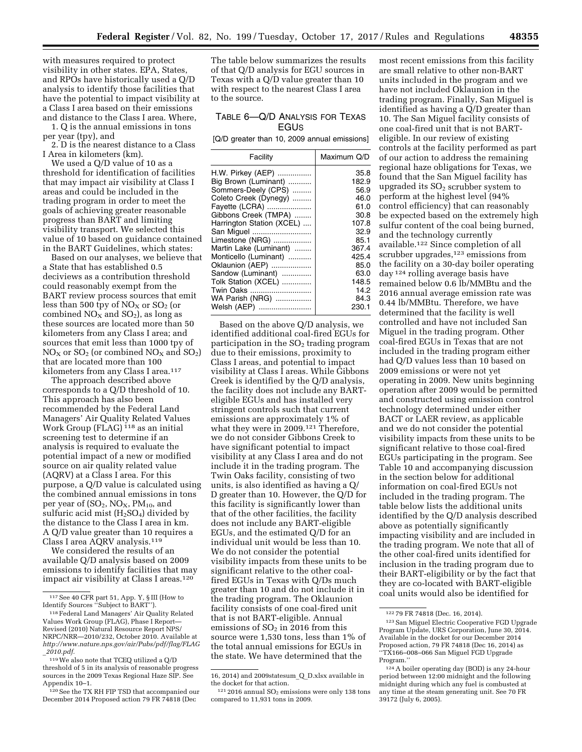with measures required to protect visibility in other states. EPA, States, and RPOs have historically used a Q/D analysis to identify those facilities that have the potential to impact visibility at a Class I area based on their emissions and distance to the Class I area. Where,

1. Q is the annual emissions in tons per year (tpy), and

2. D is the nearest distance to a Class I Area in kilometers (km).

We used a Q/D value of 10 as a threshold for identification of facilities that may impact air visibility at Class I areas and could be included in the trading program in order to meet the goals of achieving greater reasonable progress than BART and limiting visibility transport. We selected this value of 10 based on guidance contained in the BART Guidelines, which states:

Based on our analyses, we believe that a State that has established 0.5 deciviews as a contribution threshold could reasonably exempt from the BART review process sources that emit less than 500 tpy of  $NO<sub>X</sub>$  or  $SO<sub>2</sub>$  (or combined  $NO<sub>X</sub>$  and  $SO<sub>2</sub>$ ), as long as these sources are located more than 50 kilometers from any Class I area; and sources that emit less than 1000 tpy of  $NO<sub>x</sub>$  or  $SO<sub>2</sub>$  (or combined  $NO<sub>x</sub>$  and  $SO<sub>2</sub>$ ) that are located more than 100 kilometers from any Class I area.<sup>117</sup>

The approach described above corresponds to a Q/D threshold of 10. This approach has also been recommended by the Federal Land Managers' Air Quality Related Values Work Group (FLAG) 118 as an initial screening test to determine if an analysis is required to evaluate the potential impact of a new or modified source on air quality related value (AQRV) at a Class I area. For this purpose, a Q/D value is calculated using the combined annual emissions in tons per year of  $(SO<sub>2</sub>, NO<sub>X</sub>, PM<sub>10</sub>, and$ sulfuric acid mist  $(H<sub>2</sub>SO<sub>4</sub>)$  divided by the distance to the Class I area in km. A Q/D value greater than 10 requires a Class I area AQRV analysis.119

We considered the results of an available Q/D analysis based on 2009 emissions to identify facilities that may impact air visibility at Class I areas.<sup>120</sup>

The table below summarizes the results of that Q/D analysis for EGU sources in Texas with a Q/D value greater than 10 with respect to the nearest Class I area to the source.

# TABLE 6—Q/D ANALYSIS FOR TEXAS EGUS

[Q/D greater than 10, 2009 annual emissions]

| Facility                  | Maximum Q/D |
|---------------------------|-------------|
| H.W. Pirkey (AEP)         | 35.8        |
| Big Brown (Luminant)      | 182.9       |
| Sommers-Deely (CPS)       | 56.9        |
| Coleto Creek (Dynegy)     | 46.0        |
| Fayette (LCRA)            | 61.0        |
| Gibbons Creek (TMPA)      | 30.8        |
| Harrington Station (XCEL) | 107.8       |
| San Miquel                | 32.9        |
| Limestone (NRG)           | 85.1        |
| Martin Lake (Luminant)    | 367.4       |
| Monticello (Luminant)     | 425.4       |
| Oklaunion (AEP)           | 85.0        |
| Sandow (Luminant)         | 63.0        |
| Tolk Station (XCEL)       | 148.5       |
| Twin Oaks                 | 14.2        |
| WA Parish (NRG)           | 84.3        |
| Welsh (AEP)               | 230.1       |

Based on the above Q/D analysis, we identified additional coal-fired EGUs for participation in the  $SO<sub>2</sub>$  trading program due to their emissions, proximity to Class I areas, and potential to impact visibility at Class I areas. While Gibbons Creek is identified by the Q/D analysis, the facility does not include any BARTeligible EGUs and has installed very stringent controls such that current emissions are approximately 1% of what they were in 2009.121 Therefore, we do not consider Gibbons Creek to have significant potential to impact visibility at any Class I area and do not include it in the trading program. The Twin Oaks facility, consisting of two units, is also identified as having a Q/ D greater than 10. However, the Q/D for this facility is significantly lower than that of the other facilities, the facility does not include any BART-eligible EGUs, and the estimated Q/D for an individual unit would be less than 10. We do not consider the potential visibility impacts from these units to be significant relative to the other coalfired EGUs in Texas with Q/Ds much greater than 10 and do not include it in the trading program. The Oklaunion facility consists of one coal-fired unit that is not BART-eligible. Annual emissions of  $SO<sub>2</sub>$  in 2016 from this source were 1,530 tons, less than 1% of the total annual emissions for EGUs in the state. We have determined that the

most recent emissions from this facility are small relative to other non-BART units included in the program and we have not included Oklaunion in the trading program. Finally, San Miguel is identified as having a Q/D greater than 10. The San Miguel facility consists of one coal-fired unit that is not BARTeligible. In our review of existing controls at the facility performed as part of our action to address the remaining regional haze obligations for Texas, we found that the San Miguel facility has upgraded its  $SO<sub>2</sub>$  scrubber system to perform at the highest level (94% control efficiency) that can reasonably be expected based on the extremely high sulfur content of the coal being burned, and the technology currently available.122 Since completion of all scrubber upgrades,<sup>123</sup> emissions from the facility on a 30-day boiler operating day 124 rolling average basis have remained below 0.6 lb/MMBtu and the 2016 annual average emission rate was 0.44 lb/MMBtu. Therefore, we have determined that the facility is well controlled and have not included San Miguel in the trading program. Other coal-fired EGUs in Texas that are not included in the trading program either had Q/D values less than 10 based on 2009 emissions or were not yet operating in 2009. New units beginning operation after 2009 would be permitted and constructed using emission control technology determined under either BACT or LAER review, as applicable and we do not consider the potential visibility impacts from these units to be significant relative to those coal-fired EGUs participating in the program. See Table 10 and accompanying discussion in the section below for additional information on coal-fired EGUs not included in the trading program. The table below lists the additional units identified by the Q/D analysis described above as potentially significantly impacting visibility and are included in the trading program. We note that all of the other coal-fired units identified for inclusion in the trading program due to their BART-eligibility or by the fact that they are co-located with BART-eligible coal units would also be identified for

<sup>117</sup>See 40 CFR part 51, App. Y, § III (How to Identify Sources ''Subject to BART'').

<sup>118</sup>Federal Land Managers' Air Quality Related Values Work Group (FLAG), Phase I Report— Revised (2010) Natural Resource Report NPS/ NRPC/NRR—2010/232, October 2010. Available at *[http://www.nature.nps.gov/air/Pubs/pdf/flag/FLAG](http://www.nature.nps.gov/air/Pubs/pdf/flag/FLAG_2010.pdf)* \_*[2010.pdf.](http://www.nature.nps.gov/air/Pubs/pdf/flag/FLAG_2010.pdf)* 

<sup>119</sup>We also note that TCEQ utilized a Q/D threshold of 5 in its analysis of reasonable progress sources in the 2009 Texas Regional Haze SIP. See Appendix 10–1.

<sup>120</sup> See the TX RH FIP TSD that accompanied our December 2014 Proposed action 79 FR 74818 (Dec

<sup>16, 2014)</sup> and 2009statesum\_Q\_D.xlsx available in the docket for that action.

 $121 2016$  annual  $SO<sub>2</sub>$  emissions were only 138 tons compared to 11,931 tons in 2009.

<sup>122</sup> 79 FR 74818 (Dec. 16, 2014).

<sup>123</sup>San Miguel Electric Cooperative FGD Upgrade Program Update, URS Corporation, June 30, 2014. Available in the docket for our December 2014 Proposed action, 79 FR 74818 (Dec 16, 2014) as ''TX166–008–066 San Miguel FGD Upgrade Program.''

<sup>124</sup>A boiler operating day (BOD) is any 24-hour period between 12:00 midnight and the following midnight during which any fuel is combusted at any time at the steam generating unit. See 70 FR 39172 (July 6, 2005).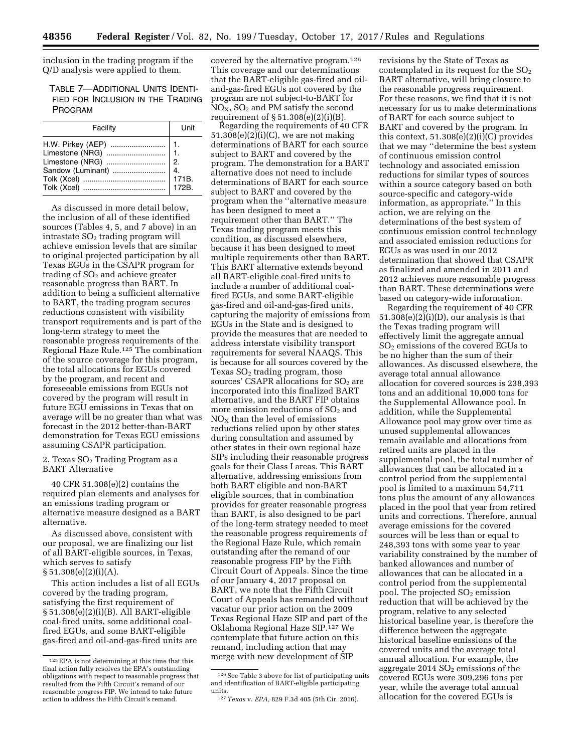inclusion in the trading program if the Q/D analysis were applied to them.

TABLE 7—ADDITIONAL UNITS IDENTI-FIED FOR INCLUSION IN THE TRADING PROGRAM

| Facility | <b>Unit</b> |
|----------|-------------|
|          |             |

As discussed in more detail below, the inclusion of all of these identified sources (Tables 4, 5, and 7 above) in an intrastate  $SO<sub>2</sub>$  trading program will achieve emission levels that are similar to original projected participation by all Texas EGUs in the CSAPR program for trading of  $SO<sub>2</sub>$  and achieve greater reasonable progress than BART. In addition to being a sufficient alternative to BART, the trading program secures reductions consistent with visibility transport requirements and is part of the long-term strategy to meet the reasonable progress requirements of the Regional Haze Rule.125 The combination of the source coverage for this program, the total allocations for EGUs covered by the program, and recent and foreseeable emissions from EGUs not covered by the program will result in future EGU emissions in Texas that on average will be no greater than what was forecast in the 2012 better-than-BART demonstration for Texas EGU emissions assuming CSAPR participation.

2. Texas SO<sub>2</sub> Trading Program as a BART Alternative

40 CFR 51.308(e)(2) contains the required plan elements and analyses for an emissions trading program or alternative measure designed as a BART alternative.

As discussed above, consistent with our proposal, we are finalizing our list of all BART-eligible sources, in Texas, which serves to satisfy  $§ 51.308(e)(2)(i)(A).$ 

This action includes a list of all EGUs covered by the trading program, satisfying the first requirement of § 51.308(e)(2)(i)(B). All BART-eligible coal-fired units, some additional coalfired EGUs, and some BART-eligible gas-fired and oil-and-gas-fired units are

covered by the alternative program.126 This coverage and our determinations that the BART-eligible gas-fired and oiland-gas-fired EGUs not covered by the program are not subject-to-BART for  $NO<sub>X</sub>$ ,  $SO<sub>2</sub>$  and PM satisfy the second requirement of  $\S 51.308(e)(2)(i)(B)$ .

Regarding the requirements of 40 CFR  $51.308(e)(2)(i)(C)$ , we are not making determinations of BART for each source subject to BART and covered by the program. The demonstration for a BART alternative does not need to include determinations of BART for each source subject to BART and covered by the program when the ''alternative measure has been designed to meet a requirement other than BART.'' The Texas trading program meets this condition, as discussed elsewhere, because it has been designed to meet multiple requirements other than BART. This BART alternative extends beyond all BART-eligible coal-fired units to include a number of additional coalfired EGUs, and some BART-eligible gas-fired and oil-and-gas-fired units, capturing the majority of emissions from EGUs in the State and is designed to provide the measures that are needed to address interstate visibility transport requirements for several NAAQS. This is because for all sources covered by the Texas  $SO<sub>2</sub>$  trading program, those sources' CSAPR allocations for  $SO<sub>2</sub>$  are incorporated into this finalized BART alternative, and the BART FIP obtains more emission reductions of  $SO<sub>2</sub>$  and  $NO<sub>x</sub>$  than the level of emissions reductions relied upon by other states during consultation and assumed by other states in their own regional haze SIPs including their reasonable progress goals for their Class I areas. This BART alternative, addressing emissions from both BART eligible and non-BART eligible sources, that in combination provides for greater reasonable progress than BART, is also designed to be part of the long-term strategy needed to meet the reasonable progress requirements of the Regional Haze Rule, which remain outstanding after the remand of our reasonable progress FIP by the Fifth Circuit Court of Appeals. Since the time of our January 4, 2017 proposal on BART, we note that the Fifth Circuit Court of Appeals has remanded without vacatur our prior action on the 2009 Texas Regional Haze SIP and part of the Oklahoma Regional Haze SIP.127 We contemplate that future action on this remand, including action that may merge with new development of SIP

revisions by the State of Texas as contemplated in its request for the  $SO<sub>2</sub>$ BART alternative, will bring closure to the reasonable progress requirement. For these reasons, we find that it is not necessary for us to make determinations of BART for each source subject to BART and covered by the program. In this context, 51.308(e)(2)(i)(C) provides that we may ''determine the best system of continuous emission control technology and associated emission reductions for similar types of sources within a source category based on both source-specific and category-wide information, as appropriate.'' In this action, we are relying on the determinations of the best system of continuous emission control technology and associated emission reductions for EGUs as was used in our 2012 determination that showed that CSAPR as finalized and amended in 2011 and 2012 achieves more reasonable progress than BART. These determinations were based on category-wide information.

Regarding the requirement of 40 CFR  $51.308(e)(2)(i)(D)$ , our analysis is that the Texas trading program will effectively limit the aggregate annual SO2 emissions of the covered EGUs to be no higher than the sum of their allowances. As discussed elsewhere, the average total annual allowance allocation for covered sources is 238,393 tons and an additional 10,000 tons for the Supplemental Allowance pool. In addition, while the Supplemental Allowance pool may grow over time as unused supplemental allowances remain available and allocations from retired units are placed in the supplemental pool, the total number of allowances that can be allocated in a control period from the supplemental pool is limited to a maximum 54,711 tons plus the amount of any allowances placed in the pool that year from retired units and corrections. Therefore, annual average emissions for the covered sources will be less than or equal to 248,393 tons with some year to year variability constrained by the number of banked allowances and number of allowances that can be allocated in a control period from the supplemental pool. The projected  $SO<sub>2</sub>$  emission reduction that will be achieved by the program, relative to any selected historical baseline year, is therefore the difference between the aggregate historical baseline emissions of the covered units and the average total annual allocation. For example, the aggregate  $2014$   $SO<sub>2</sub>$  emissions of the covered EGUs were 309,296 tons per year, while the average total annual allocation for the covered EGUs is

<sup>125</sup>EPA is not determining at this time that this final action fully resolves the EPA's outstanding obligations with respect to reasonable progress that resulted from the Fifth Circuit's remand of our reasonable progress FIP. We intend to take future action to address the Fifth Circuit's remand.

 $^{126}\, \rm{See}$  Table 3 above for list of participating units and identification of BART-eligible participating units.

<sup>127</sup>*Texas* v. *EPA,* 829 F.3d 405 (5th Cir. 2016).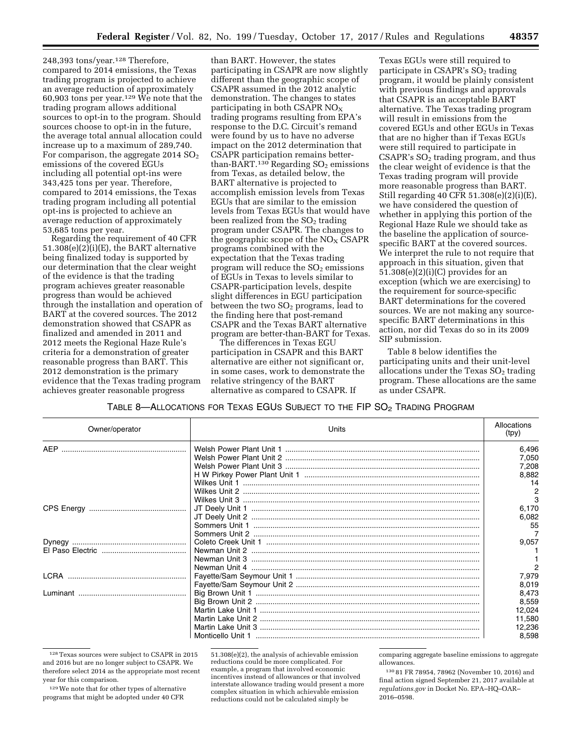248,393 tons/year.128 Therefore, compared to 2014 emissions, the Texas trading program is projected to achieve an average reduction of approximately 60,903 tons per year.<sup>129</sup> We note that the trading program allows additional sources to opt-in to the program. Should sources choose to opt-in in the future, the average total annual allocation could increase up to a maximum of 289,740. For comparison, the aggregate  $2014$   $SO<sub>2</sub>$ emissions of the covered EGUs including all potential opt-ins were 343,425 tons per year. Therefore, compared to 2014 emissions, the Texas trading program including all potential opt-ins is projected to achieve an average reduction of approximately 53,685 tons per year.

Regarding the requirement of 40 CFR 51.308(e)(2)(i)(E), the BART alternative being finalized today is supported by our determination that the clear weight of the evidence is that the trading program achieves greater reasonable progress than would be achieved through the installation and operation of BART at the covered sources. The 2012 demonstration showed that CSAPR as finalized and amended in 2011 and 2012 meets the Regional Haze Rule's criteria for a demonstration of greater reasonable progress than BART. This 2012 demonstration is the primary evidence that the Texas trading program achieves greater reasonable progress

than BART. However, the states participating in CSAPR are now slightly different than the geographic scope of CSAPR assumed in the 2012 analytic demonstration. The changes to states participating in both CSAPR  $NO<sub>x</sub>$ trading programs resulting from EPA's response to the D.C. Circuit's remand were found by us to have no adverse impact on the 2012 determination that CSAPR participation remains betterthan-BART.<sup>130</sup> Regarding  $SO_2$  emissions from Texas, as detailed below, the BART alternative is projected to accomplish emission levels from Texas EGUs that are similar to the emission levels from Texas EGUs that would have been realized from the  $SO<sub>2</sub>$  trading program under CSAPR. The changes to the geographic scope of the  $NO<sub>X</sub>$  CSAPR programs combined with the expectation that the Texas trading program will reduce the  $SO<sub>2</sub>$  emissions of EGUs in Texas to levels similar to CSAPR-participation levels, despite slight differences in EGU participation between the two  $SO<sub>2</sub>$  programs, lead to the finding here that post-remand CSAPR and the Texas BART alternative program are better-than-BART for Texas.

The differences in Texas EGU participation in CSAPR and this BART alternative are either not significant or, in some cases, work to demonstrate the relative stringency of the BART alternative as compared to CSAPR. If

Texas EGUs were still required to participate in CSAPR's  $SO<sub>2</sub>$  trading program, it would be plainly consistent with previous findings and approvals that CSAPR is an acceptable BART alternative. The Texas trading program will result in emissions from the covered EGUs and other EGUs in Texas that are no higher than if Texas EGUs were still required to participate in  $CSAPR's SO<sub>2</sub> trading program, and thus$ the clear weight of evidence is that the Texas trading program will provide more reasonable progress than BART. Still regarding 40 CFR 51.308(e)(2)(i)(E), we have considered the question of whether in applying this portion of the Regional Haze Rule we should take as the baseline the application of sourcespecific BART at the covered sources. We interpret the rule to not require that approach in this situation, given that  $51.308(e)(2)(i)(C)$  provides for an exception (which we are exercising) to the requirement for source-specific BART determinations for the covered sources. We are not making any sourcespecific BART determinations in this action, nor did Texas do so in its 2009 SIP submission.

Table 8 below identifies the participating units and their unit-level allocations under the Texas  $SO<sub>2</sub>$  trading program. These allocations are the same as under CSAPR.

TABLE 8-ALLOCATIONS FOR TEXAS EGUS SUBJECT TO THE FIP SO<sub>2</sub> TRADING PROGRAM

| Owner/operator | Units | Allocations<br>(tpy) |
|----------------|-------|----------------------|
| <b>AEP</b>     |       | 6,496                |
|                |       | 7,050                |
|                |       | 7,208                |
|                |       | 8,882                |
|                |       | 14                   |
|                |       | 2                    |
|                |       | 3                    |
|                |       | 6,170                |
|                |       | 6,082                |
|                |       | 55                   |
|                |       |                      |
|                |       | 9,057                |
|                |       |                      |
|                |       |                      |
|                |       | $\overline{2}$       |
| <b>LCRA</b>    |       | 7,979                |
|                |       | 8,019                |
|                |       | 8,473                |
|                |       | 8,559                |
|                |       | 12,024               |
|                |       | 11,580               |
|                |       | 12,236               |
|                |       | 8,598                |

<sup>128</sup>Texas sources were subject to CSAPR in 2015 and 2016 but are no longer subject to CSAPR. We therefore select 2014 as the appropriate most recent year for this comparison.

129We note that for other types of alternative programs that might be adopted under 40 CFR

51.308(e)(2), the analysis of achievable emission reductions could be more complicated. For example, a program that involved economic incentives instead of allowances or that involved interstate allowance trading would present a more complex situation in which achievable emission reductions could not be calculated simply be

comparing aggregate baseline emissions to aggregate allowances.

130 81 FR 78954, 78962 (November 10, 2016) and final action signed September 21, 2017 available at *regulations.gov* in Docket No. EPA–HQ–OAR– 2016–0598.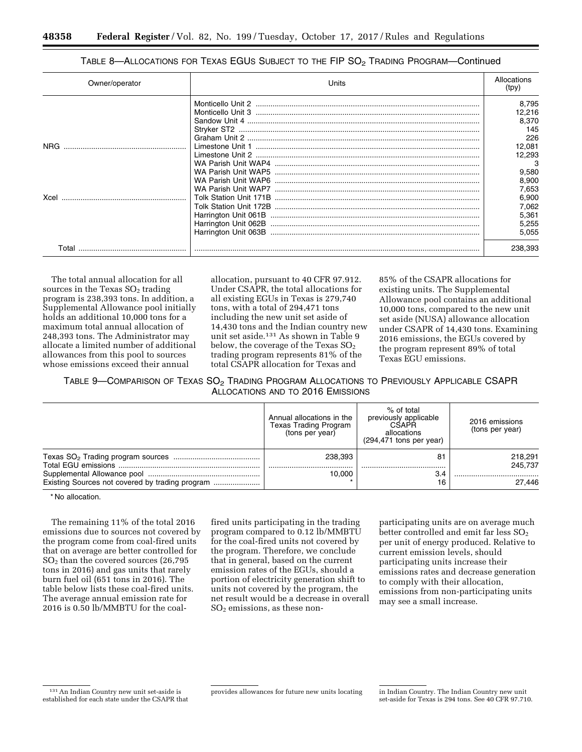# TABLE 8-ALLOCATIONS FOR TEXAS EGUS SUBJECT TO THE FIP SO<sub>2</sub> TRADING PROGRAM-Continued

| Owner/operator | Units                | Allocations<br>(tpy) |
|----------------|----------------------|----------------------|
|                |                      | 8.795                |
|                |                      | 12,216               |
|                |                      | 8,370                |
|                |                      | 145                  |
|                |                      | 226                  |
|                |                      | 12,081               |
|                |                      | 12.293               |
|                |                      | 3                    |
|                |                      | 9,580                |
|                |                      | 8,900                |
|                |                      | 7,653                |
|                |                      | 6.900                |
|                |                      | 7,062                |
|                |                      | 5,361                |
|                | Harrington Unit 062B | 5,255                |
|                |                      | 5,055                |
|                |                      |                      |
| Tota           |                      | 238,393              |

The total annual allocation for all sources in the Texas  $SO<sub>2</sub>$  trading program is 238,393 tons. In addition, a Supplemental Allowance pool initially holds an additional 10,000 tons for a maximum total annual allocation of 248,393 tons. The Administrator may allocate a limited number of additional allowances from this pool to sources whose emissions exceed their annual

allocation, pursuant to 40 CFR 97.912. Under CSAPR, the total allocations for all existing EGUs in Texas is 279,740 tons, with a total of 294,471 tons including the new unit set aside of 14,430 tons and the Indian country new unit set aside.131 As shown in Table 9 below, the coverage of the Texas  $SO<sub>2</sub>$ trading program represents 81% of the total CSAPR allocation for Texas and

85% of the CSAPR allocations for existing units. The Supplemental Allowance pool contains an additional 10,000 tons, compared to the new unit set aside (NUSA) allowance allocation under CSAPR of 14,430 tons. Examining 2016 emissions, the EGUs covered by the program represent 89% of total Texas EGU emissions.

TABLE 9-COMPARISON OF TEXAS SO<sub>2</sub> TRADING PROGRAM ALLOCATIONS TO PREVIOUSLY APPLICABLE CSAPR ALLOCATIONS AND TO 2016 EMISSIONS

| Annual allocations in the<br>Texas Trading Program<br>(tons per year) | % of total<br>previously applicable<br>CSAPR<br>allocations<br>$(294, 471$ tons per year) | 2016 emissions<br>(tons per year) |
|-----------------------------------------------------------------------|-------------------------------------------------------------------------------------------|-----------------------------------|
| 238.393                                                               | 81                                                                                        | 218.291<br>245.737                |
| 10.000                                                                | 3.4<br>16                                                                                 | 27.446                            |

\* No allocation.

The remaining 11% of the total 2016 emissions due to sources not covered by the program come from coal-fired units that on average are better controlled for  $SO<sub>2</sub>$  than the covered sources (26,795) tons in 2016) and gas units that rarely burn fuel oil (651 tons in 2016). The table below lists these coal-fired units. The average annual emission rate for 2016 is 0.50 lb/MMBTU for the coalfired units participating in the trading program compared to 0.12 lb/MMBTU for the coal-fired units not covered by the program. Therefore, we conclude that in general, based on the current emission rates of the EGUs, should a portion of electricity generation shift to units not covered by the program, the net result would be a decrease in overall  $SO<sub>2</sub>$  emissions, as these nonparticipating units are on average much better controlled and emit far less  $SO<sub>2</sub>$ per unit of energy produced. Relative to current emission levels, should participating units increase their emissions rates and decrease generation to comply with their allocation, emissions from non-participating units may see a small increase.

<sup>131</sup>An Indian Country new unit set-aside is established for each state under the CSAPR that

provides allowances for future new units locating in Indian Country. The Indian Country new unit

set-aside for Texas is 294 tons. See 40 CFR 97.710.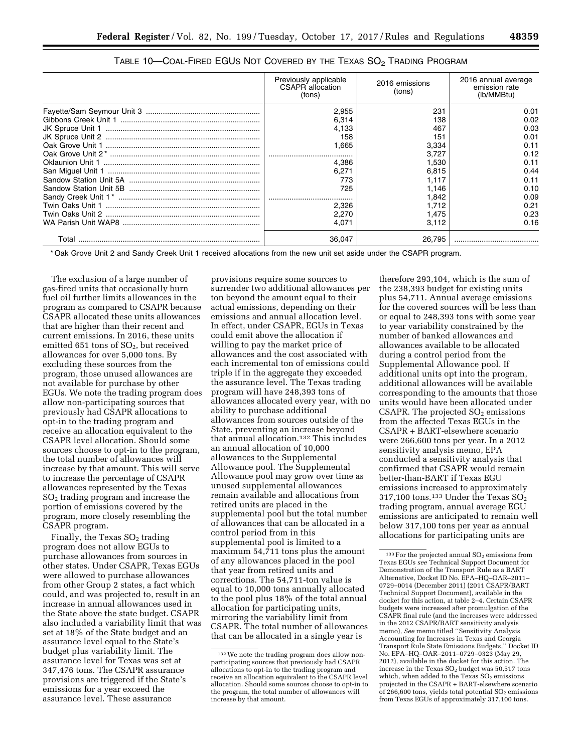| Previously applicable<br>CSAPR allocation<br>(tons) | 2016 emissions<br>(tons) | 2016 annual average<br>emission rate<br>(lb/MMBtu) |
|-----------------------------------------------------|--------------------------|----------------------------------------------------|
| 2,955                                               | 231                      | 0.01                                               |
| 6,314                                               | 138                      | 0.02                                               |
| 4.133                                               | 467                      | 0.03                                               |
| 158                                                 | 151                      | 0.01                                               |
| 1.665                                               | 3.334                    | 0.11                                               |
|                                                     | 3.727                    | 0.12                                               |
| 4.386                                               | 1,530                    | 0.11                                               |
| 6.271                                               | 6.815                    | 0.44                                               |
| 773                                                 | 1.117                    | 0.11                                               |
| 725                                                 | 1.146                    | 0.10                                               |
|                                                     | 1,842                    | 0.09                                               |
| 2.326                                               | 1.712                    | 0.21                                               |
| 2.270                                               | 1.475                    | 0.23                                               |
| 4.071                                               | 3.112                    | 0.16                                               |
| 36.047                                              | 26.795                   |                                                    |

\* Oak Grove Unit 2 and Sandy Creek Unit 1 received allocations from the new unit set aside under the CSAPR program.

The exclusion of a large number of gas-fired units that occasionally burn fuel oil further limits allowances in the program as compared to CSAPR because CSAPR allocated these units allowances that are higher than their recent and current emissions. In 2016, these units emitted 651 tons of SO<sub>2</sub>, but received allowances for over 5,000 tons. By excluding these sources from the program, those unused allowances are not available for purchase by other EGUs. We note the trading program does allow non-participating sources that previously had CSAPR allocations to opt-in to the trading program and receive an allocation equivalent to the CSAPR level allocation. Should some sources choose to opt-in to the program, the total number of allowances will increase by that amount. This will serve to increase the percentage of CSAPR allowances represented by the Texas  $SO<sub>2</sub>$  trading program and increase the portion of emissions covered by the program, more closely resembling the CSAPR program.

Finally, the Texas  $SO<sub>2</sub>$  trading program does not allow EGUs to purchase allowances from sources in other states. Under CSAPR, Texas EGUs were allowed to purchase allowances from other Group 2 states, a fact which could, and was projected to, result in an increase in annual allowances used in the State above the state budget. CSAPR also included a variability limit that was set at 18% of the State budget and an assurance level equal to the State's budget plus variability limit. The assurance level for Texas was set at 347,476 tons. The CSAPR assurance provisions are triggered if the State's emissions for a year exceed the assurance level. These assurance

provisions require some sources to surrender two additional allowances per ton beyond the amount equal to their actual emissions, depending on their emissions and annual allocation level. In effect, under CSAPR, EGUs in Texas could emit above the allocation if willing to pay the market price of allowances and the cost associated with each incremental ton of emissions could triple if in the aggregate they exceeded the assurance level. The Texas trading program will have 248,393 tons of allowances allocated every year, with no ability to purchase additional allowances from sources outside of the State, preventing an increase beyond that annual allocation.132 This includes an annual allocation of 10,000 allowances to the Supplemental Allowance pool. The Supplemental Allowance pool may grow over time as unused supplemental allowances remain available and allocations from retired units are placed in the supplemental pool but the total number of allowances that can be allocated in a control period from in this supplemental pool is limited to a maximum 54,711 tons plus the amount of any allowances placed in the pool that year from retired units and corrections. The 54,711-ton value is equal to 10,000 tons annually allocated to the pool plus 18% of the total annual allocation for participating units, mirroring the variability limit from CSAPR. The total number of allowances that can be allocated in a single year is

therefore 293,104, which is the sum of the 238,393 budget for existing units plus 54,711. Annual average emissions for the covered sources will be less than or equal to 248,393 tons with some year to year variability constrained by the number of banked allowances and allowances available to be allocated during a control period from the Supplemental Allowance pool. If additional units opt into the program, additional allowances will be available corresponding to the amounts that those units would have been allocated under CSAPR. The projected  $SO<sub>2</sub>$  emissions from the affected Texas EGUs in the CSAPR + BART-elsewhere scenario were 266,600 tons per year. In a 2012 sensitivity analysis memo, EPA conducted a sensitivity analysis that confirmed that CSAPR would remain better-than-BART if Texas EGU emissions increased to approximately 317,100 tons.<sup>133</sup> Under the Texas  $SO_2$ trading program, annual average EGU emissions are anticipated to remain well below 317,100 tons per year as annual allocations for participating units are

<sup>132</sup>We note the trading program does allow nonparticipating sources that previously had CSAPR allocations to opt-in to the trading program and receive an allocation equivalent to the CSAPR level allocation. Should some sources choose to opt-in to the program, the total number of allowances will increase by that amount.

 $^{133}\rm{For}$  the projected annual  $\rm{SO}_2$  emissions from Texas EGUs *see* Technical Support Document for Demonstration of the Transport Rule as a BART Alternative, Docket ID No. EPA–HQ–OAR–2011– 0729–0014 (December 2011) (2011 CSAPR/BART Technical Support Document), available in the docket for this action, at table 2–4. Certain CSAPR budgets were increased after promulgation of the CSAPR final rule (and the increases were addressed in the 2012 CSAPR/BART sensitivity analysis memo), *See* memo titled ''Sensitivity Analysis Accounting for Increases in Texas and Georgia Transport Rule State Emissions Budgets,'' Docket ID No. EPA–HQ–OAR–2011–0729–0323 (May 29, 2012), available in the docket for this action. The increase in the Texas  $SO<sub>2</sub>$  budget was 50,517 tons which, when added to the Texas  $SO_2$  emissions projected in the CSAPR + BART-elsewhere scenario of 266,600 tons, yields total potential  $SO<sub>2</sub>$  emissions from Texas EGUs of approximately 317,100 tons.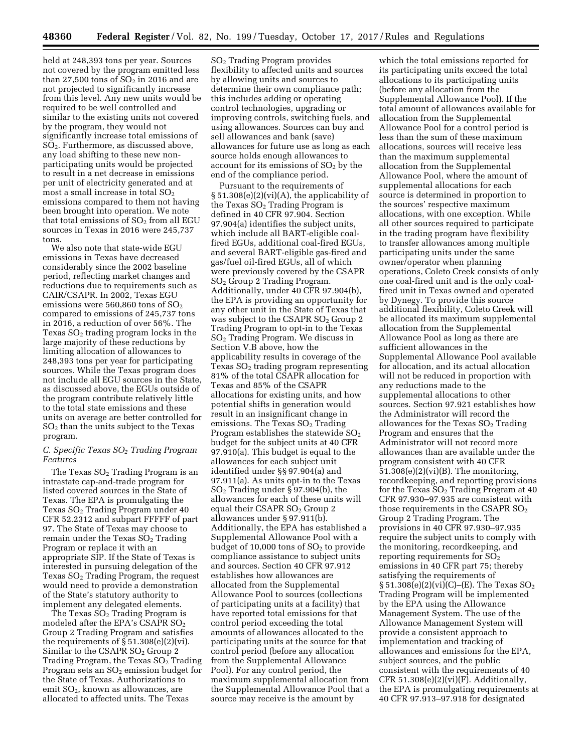held at 248,393 tons per year. Sources not covered by the program emitted less than 27,500 tons of  $SO<sub>2</sub>$  in 2016 and are not projected to significantly increase from this level. Any new units would be required to be well controlled and similar to the existing units not covered by the program, they would not significantly increase total emissions of SO2. Furthermore, as discussed above, any load shifting to these new nonparticipating units would be projected to result in a net decrease in emissions per unit of electricity generated and at most a small increase in total  $SO<sub>2</sub>$ emissions compared to them not having been brought into operation. We note that total emissions of  $SO<sub>2</sub>$  from all EGU sources in Texas in 2016 were 245,737 tons.

We also note that state-wide EGU emissions in Texas have decreased considerably since the 2002 baseline period, reflecting market changes and reductions due to requirements such as CAIR/CSAPR. In 2002, Texas EGU emissions were 560,860 tons of  $SO<sub>2</sub>$ compared to emissions of 245,737 tons in 2016, a reduction of over 56%. The Texas  $SO<sub>2</sub>$  trading program locks in the large majority of these reductions by limiting allocation of allowances to 248,393 tons per year for participating sources. While the Texas program does not include all EGU sources in the State, as discussed above, the EGUs outside of the program contribute relatively little to the total state emissions and these units on average are better controlled for  $SO<sub>2</sub>$  than the units subject to the Texas program.

### *C. Specific Texas SO2 Trading Program Features*

The Texas  $SO<sub>2</sub>$  Trading Program is an intrastate cap-and-trade program for listed covered sources in the State of Texas. The EPA is promulgating the Texas  $SO<sub>2</sub>$  Trading Program under 40 CFR 52.2312 and subpart FFFFF of part 97. The State of Texas may choose to remain under the Texas  $SO<sub>2</sub>$  Trading Program or replace it with an appropriate SIP. If the State of Texas is interested in pursuing delegation of the Texas  $SO<sub>2</sub>$  Trading Program, the request would need to provide a demonstration of the State's statutory authority to implement any delegated elements.

The Texas  $SO<sub>2</sub>$  Trading Program is modeled after the EPA's CSAPR  $SO<sub>2</sub>$ Group 2 Trading Program and satisfies the requirements of  $\S 51.308(e)(2)(vi)$ . Similar to the CSAPR  $SO<sub>2</sub>$  Group 2 Trading Program, the Texas  $SO<sub>2</sub>$  Trading Program sets an  $SO<sub>2</sub>$  emission budget for the State of Texas. Authorizations to emit SO<sub>2</sub>, known as allowances, are allocated to affected units. The Texas

SO2 Trading Program provides flexibility to affected units and sources by allowing units and sources to determine their own compliance path; this includes adding or operating control technologies, upgrading or improving controls, switching fuels, and using allowances. Sources can buy and sell allowances and bank (save) allowances for future use as long as each source holds enough allowances to account for its emissions of  $SO<sub>2</sub>$  by the end of the compliance period.

Pursuant to the requirements of  $\S 51.308(e)(2)(vi)(A)$ , the applicability of the Texas  $SO<sub>2</sub>$  Trading Program is defined in 40 CFR 97.904. Section 97.904(a) identifies the subject units, which include all BART-eligible coalfired EGUs, additional coal-fired EGUs, and several BART-eligible gas-fired and gas/fuel oil-fired EGUs, all of which were previously covered by the CSAPR SO2 Group 2 Trading Program. Additionally, under 40 CFR 97.904(b), the EPA is providing an opportunity for any other unit in the State of Texas that was subject to the CSAPR  $SO<sub>2</sub>$  Group 2 Trading Program to opt-in to the Texas SO2 Trading Program. We discuss in Section V.B above, how the applicability results in coverage of the Texas  $SO<sub>2</sub>$  trading program representing 81% of the total CSAPR allocation for Texas and 85% of the CSAPR allocations for existing units, and how potential shifts in generation would result in an insignificant change in emissions. The Texas  $SO<sub>2</sub>$  Trading Program establishes the statewide  $SO<sub>2</sub>$ budget for the subject units at 40 CFR 97.910(a). This budget is equal to the allowances for each subject unit identified under §§ 97.904(a) and 97.911(a). As units opt-in to the Texas SO2 Trading under § 97.904(b), the allowances for each of these units will equal their CSAPR  $SO<sub>2</sub>$  Group 2 allowances under § 97.911(b). Additionally, the EPA has established a Supplemental Allowance Pool with a budget of 10,000 tons of  $SO<sub>2</sub>$  to provide compliance assistance to subject units and sources. Section 40 CFR 97.912 establishes how allowances are allocated from the Supplemental Allowance Pool to sources (collections of participating units at a facility) that have reported total emissions for that control period exceeding the total amounts of allowances allocated to the participating units at the source for that control period (before any allocation from the Supplemental Allowance Pool). For any control period, the maximum supplemental allocation from the Supplemental Allowance Pool that a source may receive is the amount by

which the total emissions reported for its participating units exceed the total allocations to its participating units (before any allocation from the Supplemental Allowance Pool). If the total amount of allowances available for allocation from the Supplemental Allowance Pool for a control period is less than the sum of these maximum allocations, sources will receive less than the maximum supplemental allocation from the Supplemental Allowance Pool, where the amount of supplemental allocations for each source is determined in proportion to the sources' respective maximum allocations, with one exception. While all other sources required to participate in the trading program have flexibility to transfer allowances among multiple participating units under the same owner/operator when planning operations, Coleto Creek consists of only one coal-fired unit and is the only coalfired unit in Texas owned and operated by Dynegy. To provide this source additional flexibility, Coleto Creek will be allocated its maximum supplemental allocation from the Supplemental Allowance Pool as long as there are sufficient allowances in the Supplemental Allowance Pool available for allocation, and its actual allocation will not be reduced in proportion with any reductions made to the supplemental allocations to other sources. Section 97.921 establishes how the Administrator will record the allowances for the Texas  $SO<sub>2</sub>$  Trading Program and ensures that the Administrator will not record more allowances than are available under the program consistent with 40 CFR 51.308(e)(2)(vi)(B). The monitoring, recordkeeping, and reporting provisions for the Texas  $SO<sub>2</sub>$  Trading Program at 40 CFR 97.930–97.935 are consistent with those requirements in the CSAPR  $SO<sub>2</sub>$ Group 2 Trading Program. The provisions in 40 CFR 97.930–97.935 require the subject units to comply with the monitoring, recordkeeping, and reporting requirements for SO2 emissions in 40 CFR part 75; thereby satisfying the requirements of § 51.308(e)(2)(vi)(C)–(E). The Texas SO2 Trading Program will be implemented by the EPA using the Allowance Management System. The use of the Allowance Management System will provide a consistent approach to implementation and tracking of allowances and emissions for the EPA, subject sources, and the public consistent with the requirements of 40 CFR  $51.308(e)(2)(vi)(F)$ . Additionally, the EPA is promulgating requirements at 40 CFR 97.913–97.918 for designated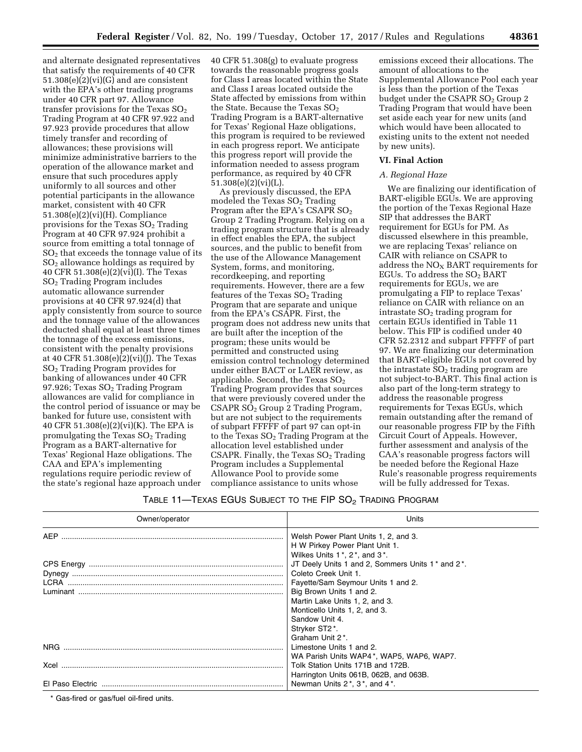and alternate designated representatives that satisfy the requirements of 40 CFR 51.308(e)(2)(vi)(G) and are consistent with the EPA's other trading programs under 40 CFR part 97. Allowance transfer provisions for the Texas  $SO<sub>2</sub>$ Trading Program at 40 CFR 97.922 and 97.923 provide procedures that allow timely transfer and recording of allowances; these provisions will minimize administrative barriers to the operation of the allowance market and ensure that such procedures apply uniformly to all sources and other potential participants in the allowance market, consistent with 40 CFR 51.308(e)(2)(vi)(H). Compliance provisions for the Texas  $SO<sub>2</sub>$  Trading Program at 40 CFR 97.924 prohibit a source from emitting a total tonnage of  $SO<sub>2</sub>$  that exceeds the tonnage value of its  $SO<sub>2</sub>$  allowance holdings as required by 40 CFR 51.308(e)(2)(vi)(I). The Texas SO2 Trading Program includes automatic allowance surrender provisions at 40 CFR 97.924(d) that apply consistently from source to source and the tonnage value of the allowances deducted shall equal at least three times the tonnage of the excess emissions, consistent with the penalty provisions at 40 CFR 51.308(e)(2)(vi)(J). The Texas SO2 Trading Program provides for banking of allowances under 40 CFR 97.926; Texas  $SO<sub>2</sub>$  Trading Program allowances are valid for compliance in the control period of issuance or may be banked for future use, consistent with 40 CFR 51.308(e)(2)(vi)(K). The EPA is promulgating the Texas  $SO<sub>2</sub>$  Trading Program as a BART-alternative for Texas' Regional Haze obligations. The CAA and EPA's implementing regulations require periodic review of the state's regional haze approach under

40 CFR 51.308(g) to evaluate progress towards the reasonable progress goals for Class I areas located within the State and Class I areas located outside the State affected by emissions from within the State. Because the Texas  $SO<sub>2</sub>$ Trading Program is a BART-alternative for Texas' Regional Haze obligations, this program is required to be reviewed in each progress report. We anticipate this progress report will provide the information needed to assess program performance, as required by 40 CFR 51.308(e)(2)(vi)(L).

As previously discussed, the EPA modeled the Texas SO<sub>2</sub> Trading Program after the EPA's CSAPR  $SO<sub>2</sub>$ Group 2 Trading Program. Relying on a trading program structure that is already in effect enables the EPA, the subject sources, and the public to benefit from the use of the Allowance Management System, forms, and monitoring, recordkeeping, and reporting requirements. However, there are a few features of the Texas  $SO<sub>2</sub>$  Trading Program that are separate and unique from the EPA's CSAPR. First, the program does not address new units that are built after the inception of the program; these units would be permitted and constructed using emission control technology determined under either BACT or LAER review, as applicable. Second, the Texas  $SO<sub>2</sub>$ Trading Program provides that sources that were previously covered under the CSAPR SO2 Group 2 Trading Program, but are not subject to the requirements of subpart FFFFF of part 97 can opt-in to the Texas  $SO<sub>2</sub>$  Trading Program at the allocation level established under CSAPR. Finally, the Texas  $SO<sub>2</sub>$  Trading Program includes a Supplemental Allowance Pool to provide some compliance assistance to units whose

emissions exceed their allocations. The amount of allocations to the Supplemental Allowance Pool each year is less than the portion of the Texas budget under the CSAPR SO<sub>2</sub> Group 2 Trading Program that would have been set aside each year for new units (and which would have been allocated to existing units to the extent not needed by new units).

#### **VI. Final Action**

#### *A. Regional Haze*

We are finalizing our identification of BART-eligible EGUs. We are approving the portion of the Texas Regional Haze SIP that addresses the BART requirement for EGUs for PM. As discussed elsewhere in this preamble, we are replacing Texas' reliance on CAIR with reliance on CSAPR to address the  $NO<sub>x</sub>$  BART requirements for EGUs. To address the SO2 BART requirements for EGUs, we are promulgating a FIP to replace Texas' reliance on CAIR with reliance on an intrastate  $SO<sub>2</sub>$  trading program for certain EGUs identified in Table 11 below. This FIP is codified under 40 CFR 52.2312 and subpart FFFFF of part 97. We are finalizing our determination that BART-eligible EGUs not covered by the intrastate  $SO<sub>2</sub>$  trading program are not subject-to-BART. This final action is also part of the long-term strategy to address the reasonable progress requirements for Texas EGUs, which remain outstanding after the remand of our reasonable progress FIP by the Fifth Circuit Court of Appeals. However, further assessment and analysis of the CAA's reasonable progress factors will be needed before the Regional Haze Rule's reasonable progress requirements will be fully addressed for Texas.

|  |  | TABLE 11—TEXAS EGUS SUBJECT TO THE FIP $\mathrm{SO}_2$ Trading Program |
|--|--|------------------------------------------------------------------------|
|--|--|------------------------------------------------------------------------|

| Owner/operator | Units                                            |
|----------------|--------------------------------------------------|
|                | Welsh Power Plant Units 1, 2, and 3.             |
|                | H W Pirkey Power Plant Unit 1.                   |
|                | Wilkes Units $1^*$ , $2^*$ , and $3^*$ .         |
|                | JT Deely Units 1 and 2, Sommers Units 1* and 2*. |
|                | Coleto Creek Unit 1.                             |
|                | Fayette/Sam Seymour Units 1 and 2.               |
|                | Big Brown Units 1 and 2.                         |
|                | Martin Lake Units 1, 2, and 3.                   |
|                | Monticello Units 1, 2, and 3.                    |
|                | Sandow Unit 4.                                   |
|                | Stryker ST2*.                                    |
|                | Graham Unit 2 <sup>*</sup> .                     |
| NRG.           | Limestone Units 1 and 2.                         |
|                | WA Parish Units WAP4*, WAP5, WAP6, WAP7.         |
| Xcel           | Tolk Station Units 171B and 172B.                |
|                | Harrington Units 061B, 062B, and 063B.           |
|                | Newman Units 2*, 3*, and 4*.                     |

\* Gas-fired or gas/fuel oil-fired units.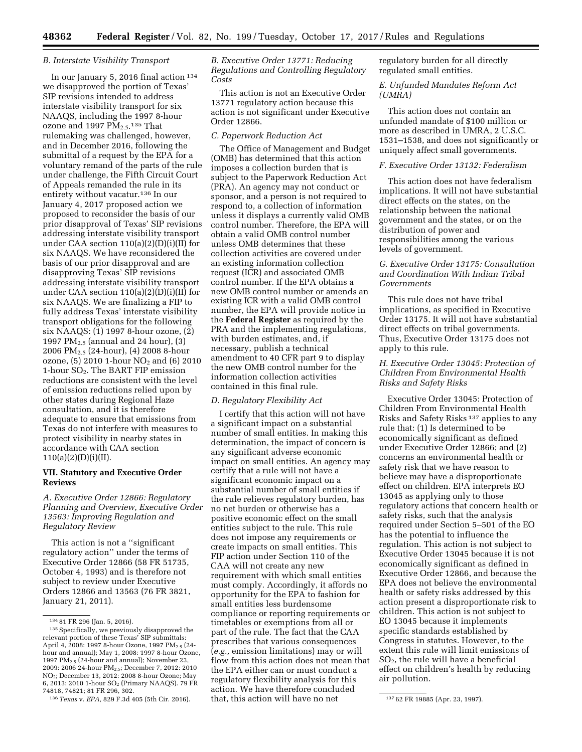**48362 Federal Register** / Vol. 82, No. 199 / Tuesday, October 17, 2017 / Rules and Regulations

#### *B. Interstate Visibility Transport*

In our January 5, 2016 final action 134 we disapproved the portion of Texas' SIP revisions intended to address interstate visibility transport for six NAAQS, including the 1997 8-hour ozone and 1997  $PM_{2.5}$ <sup>135</sup> That rulemaking was challenged, however, and in December 2016, following the submittal of a request by the EPA for a voluntary remand of the parts of the rule under challenge, the Fifth Circuit Court of Appeals remanded the rule in its entirety without vacatur.136 In our January 4, 2017 proposed action we proposed to reconsider the basis of our prior disapproval of Texas' SIP revisions addressing interstate visibility transport under CAA section 110(a)(2)(D)(i)(II) for six NAAQS. We have reconsidered the basis of our prior disapproval and are disapproving Texas' SIP revisions addressing interstate visibility transport under CAA section 110(a)(2)(D)(i)(II) for six NAAQS. We are finalizing a FIP to fully address Texas' interstate visibility transport obligations for the following six NAAQS: (1) 1997 8-hour ozone, (2) 1997 PM<sub>2.5</sub> (annual and 24 hour),  $(3)$ 2006 PM2.5 (24-hour), (4) 2008 8-hour ozone, (5) 2010 1-hour NO<sub>2</sub> and (6) 2010 1-hour SO2. The BART FIP emission reductions are consistent with the level of emission reductions relied upon by other states during Regional Haze consultation, and it is therefore adequate to ensure that emissions from Texas do not interfere with measures to protect visibility in nearby states in accordance with CAA section  $110(a)(2)(D)(i)(II).$ 

### **VII. Statutory and Executive Order Reviews**

# *A. Executive Order 12866: Regulatory Planning and Overview, Executive Order 13563: Improving Regulation and Regulatory Review*

This action is not a ''significant regulatory action'' under the terms of Executive Order 12866 (58 FR 51735, October 4, 1993) and is therefore not subject to review under Executive Orders 12866 and 13563 (76 FR 3821, January 21, 2011).

*B. Executive Order 13771: Reducing Regulations and Controlling Regulatory Costs* 

This action is not an Executive Order 13771 regulatory action because this action is not significant under Executive Order 12866.

### *C. Paperwork Reduction Act*

The Office of Management and Budget (OMB) has determined that this action imposes a collection burden that is subject to the Paperwork Reduction Act (PRA). An agency may not conduct or sponsor, and a person is not required to respond to, a collection of information unless it displays a currently valid OMB control number. Therefore, the EPA will obtain a valid OMB control number unless OMB determines that these collection activities are covered under an existing information collection request (ICR) and associated OMB control number. If the EPA obtains a new OMB control number or amends an existing ICR with a valid OMB control number, the EPA will provide notice in the **Federal Register** as required by the PRA and the implementing regulations, with burden estimates, and, if necessary, publish a technical amendment to 40 CFR part 9 to display the new OMB control number for the information collection activities contained in this final rule.

# *D. Regulatory Flexibility Act*

136*Texas* v. *EPA,* 829 F.3d 405 (5th Cir. 2016). 137 62 FR 19885 (Apr. 23, 1997). I certify that this action will not have a significant impact on a substantial number of small entities. In making this determination, the impact of concern is any significant adverse economic impact on small entities. An agency may certify that a rule will not have a significant economic impact on a substantial number of small entities if the rule relieves regulatory burden, has no net burden or otherwise has a positive economic effect on the small entities subject to the rule. This rule does not impose any requirements or create impacts on small entities. This FIP action under Section 110 of the CAA will not create any new requirement with which small entities must comply. Accordingly, it affords no opportunity for the EPA to fashion for small entities less burdensome compliance or reporting requirements or timetables or exemptions from all or part of the rule. The fact that the CAA prescribes that various consequences (*e.g.,* emission limitations) may or will flow from this action does not mean that the EPA either can or must conduct a regulatory flexibility analysis for this action. We have therefore concluded that, this action will have no net

regulatory burden for all directly regulated small entities.

### *E. Unfunded Mandates Reform Act (UMRA)*

This action does not contain an unfunded mandate of \$100 million or more as described in UMRA, 2 U.S.C. 1531–1538, and does not significantly or uniquely affect small governments.

### *F. Executive Order 13132: Federalism*

This action does not have federalism implications. It will not have substantial direct effects on the states, on the relationship between the national government and the states, or on the distribution of power and responsibilities among the various levels of government.

# *G. Executive Order 13175: Consultation and Coordination With Indian Tribal Governments*

This rule does not have tribal implications, as specified in Executive Order 13175. It will not have substantial direct effects on tribal governments. Thus, Executive Order 13175 does not apply to this rule.

# *H. Executive Order 13045: Protection of Children From Environmental Health Risks and Safety Risks*

Executive Order 13045: Protection of Children From Environmental Health Risks and Safety Risks 137 applies to any rule that: (1) Is determined to be economically significant as defined under Executive Order 12866; and (2) concerns an environmental health or safety risk that we have reason to believe may have a disproportionate effect on children. EPA interprets EO 13045 as applying only to those regulatory actions that concern health or safety risks, such that the analysis required under Section 5–501 of the EO has the potential to influence the regulation. This action is not subject to Executive Order 13045 because it is not economically significant as defined in Executive Order 12866, and because the EPA does not believe the environmental health or safety risks addressed by this action present a disproportionate risk to children. This action is not subject to EO 13045 because it implements specific standards established by Congress in statutes. However, to the extent this rule will limit emissions of SO2, the rule will have a beneficial effect on children's health by reducing air pollution.

<sup>134</sup> 81 FR 296 (Jan. 5, 2016).

<sup>135</sup>Specifically, we previously disapproved the relevant portion of these Texas' SIP submittals: April 4, 2008: 1997 8-hour Ozone, 1997 PM<sub>2.5</sub> (24hour and annual); May 1, 2008: 1997 8-hour Ozone, 1997 PM2.5 (24-hour and annual); November 23, 2009: 2006 24-hour PM2.5; December 7, 2012: 2010 NO2; December 13, 2012: 2008 8-hour Ozone; May 6, 2013: 2010 1-hour SO2 (Primary NAAQS). 79 FR 74818, 74821; 81 FR 296, 302.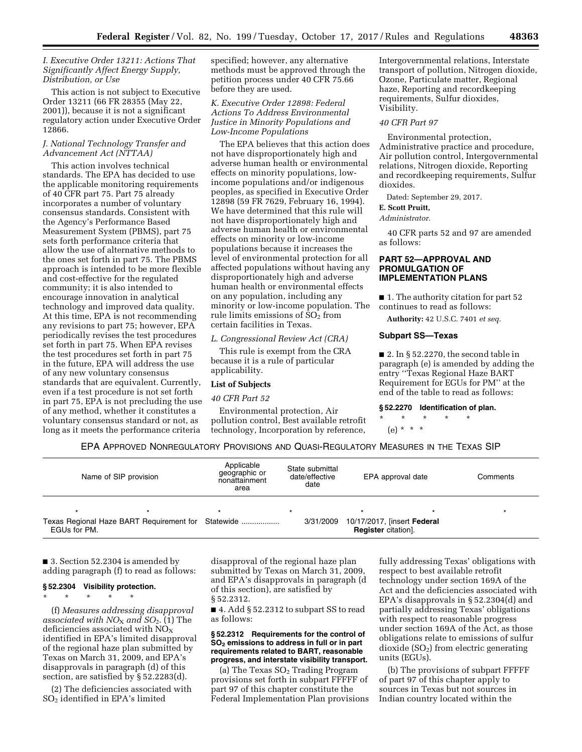### *I. Executive Order 13211: Actions That Significantly Affect Energy Supply, Distribution, or Use*

This action is not subject to Executive Order 13211 (66 FR 28355 (May 22, 2001)), because it is not a significant regulatory action under Executive Order 12866.

# *J. National Technology Transfer and Advancement Act (NTTAA)*

This action involves technical standards. The EPA has decided to use the applicable monitoring requirements of 40 CFR part 75. Part 75 already incorporates a number of voluntary consensus standards. Consistent with the Agency's Performance Based Measurement System (PBMS), part 75 sets forth performance criteria that allow the use of alternative methods to the ones set forth in part 75. The PBMS approach is intended to be more flexible and cost-effective for the regulated community; it is also intended to encourage innovation in analytical technology and improved data quality. At this time, EPA is not recommending any revisions to part 75; however, EPA periodically revises the test procedures set forth in part 75. When EPA revises the test procedures set forth in part 75 in the future, EPA will address the use of any new voluntary consensus standards that are equivalent. Currently, even if a test procedure is not set forth in part 75, EPA is not precluding the use of any method, whether it constitutes a voluntary consensus standard or not, as long as it meets the performance criteria

specified; however, any alternative methods must be approved through the petition process under 40 CFR 75.66 before they are used.

# *K. Executive Order 12898: Federal Actions To Address Environmental Justice in Minority Populations and Low-Income Populations*

The EPA believes that this action does not have disproportionately high and adverse human health or environmental effects on minority populations, lowincome populations and/or indigenous peoples, as specified in Executive Order 12898 (59 FR 7629, February 16, 1994). We have determined that this rule will not have disproportionately high and adverse human health or environmental effects on minority or low-income populations because it increases the level of environmental protection for all affected populations without having any disproportionately high and adverse human health or environmental effects on any population, including any minority or low-income population. The rule limits emissions of  $SO<sub>2</sub>$  from certain facilities in Texas.

*L. Congressional Review Act (CRA)* 

This rule is exempt from the CRA because it is a rule of particular applicability.

### **List of Subjects**

#### *40 CFR Part 52*

Environmental protection, Air pollution control, Best available retrofit technology, Incorporation by reference,

Intergovernmental relations, Interstate transport of pollution, Nitrogen dioxide, Ozone, Particulate matter, Regional haze, Reporting and recordkeeping requirements, Sulfur dioxides, Visibility.

### *40 CFR Part 97*

Environmental protection, Administrative practice and procedure, Air pollution control, Intergovernmental relations, Nitrogen dioxide, Reporting and recordkeeping requirements, Sulfur dioxides.

Dated: September 29, 2017.

# **E. Scott Pruitt,**

*Administrator.* 

40 CFR parts 52 and 97 are amended as follows:

# **PART 52—APPROVAL AND PROMULGATION OF IMPLEMENTATION PLANS**

■ 1. The authority citation for part 52 continues to read as follows:

**Authority:** 42 U.S.C. 7401 *et seq.* 

### **Subpart SS—Texas**

 $\blacksquare$  2. In § 52.2270, the second table in paragraph (e) is amended by adding the entry ''Texas Regional Haze BART Requirement for EGUs for PM'' at the end of the table to read as follows:

#### **§ 52.2270 Identification of plan.**

\* \* \* \* \* (e) \* \* \*

EPA APPROVED NONREGULATORY PROVISIONS AND QUASI-REGULATORY MEASURES IN THE TEXAS SIP

| Name of SIP provision                                              | Applicable<br>geographic or<br>nonattainment<br>area | State submittal<br>date/effective<br>date | EPA approval date                                         | Comments |
|--------------------------------------------------------------------|------------------------------------------------------|-------------------------------------------|-----------------------------------------------------------|----------|
|                                                                    |                                                      |                                           |                                                           |          |
| Texas Regional Haze BART Requirement for Statewide<br>EGUs for PM. |                                                      | 3/31/2009                                 | 10/17/2017, [insert Federal<br><b>Register</b> citation]. |          |

■ 3. Section 52.2304 is amended by adding paragraph (f) to read as follows:

# **§ 52.2304 Visibility protection.**

\* \* \* \* \*

(f) *Measures addressing disapproval associated with NO*X *and SO*2. (1) The deficiencies associated with  $NO<sub>x</sub>$ identified in EPA's limited disapproval of the regional haze plan submitted by Texas on March 31, 2009, and EPA's disapprovals in paragraph (d) of this section, are satisfied by § 52.2283(d).

(2) The deficiencies associated with SO2 identified in EPA's limited

disapproval of the regional haze plan submitted by Texas on March 31, 2009, and EPA's disapprovals in paragraph (d of this section), are satisfied by § 52.2312.

■ 4. Add § 52.2312 to subpart SS to read as follows:

### **§ 52.2312 Requirements for the control of SO2 emissions to address in full or in part requirements related to BART, reasonable progress, and interstate visibility transport.**

(a) The Texas  $SO<sub>2</sub>$  Trading Program provisions set forth in subpart FFFFF of part 97 of this chapter constitute the Federal Implementation Plan provisions

fully addressing Texas' obligations with respect to best available retrofit technology under section 169A of the Act and the deficiencies associated with EPA's disapprovals in § 52.2304(d) and partially addressing Texas' obligations with respect to reasonable progress under section 169A of the Act, as those obligations relate to emissions of sulfur  $divide (SO<sub>2</sub>)$  from electric generating units (EGUs).

(b) The provisions of subpart FFFFF of part 97 of this chapter apply to sources in Texas but not sources in Indian country located within the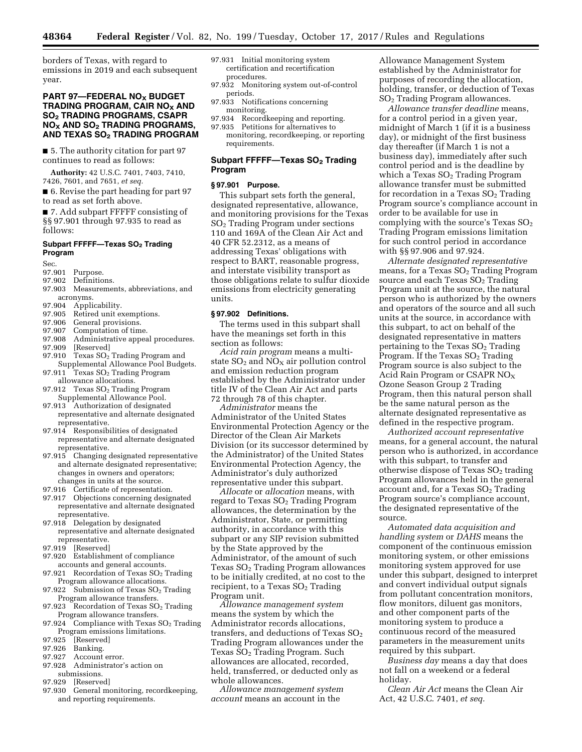borders of Texas, with regard to emissions in 2019 and each subsequent year.

# **PART 97—FEDERAL NO<sub>X</sub> BUDGET TRADING PROGRAM, CAIR NOX AND SO2 TRADING PROGRAMS, CSAPR NOX AND SO2 TRADING PROGRAMS, AND TEXAS SO2 TRADING PROGRAM**

■ 5. The authority citation for part 97 continues to read as follows:

**Authority:** 42 U.S.C. 7401, 7403, 7410, 7426, 7601, and 7651, *et seq.* 

■ 6. Revise the part heading for part 97 to read as set forth above.

■ 7. Add subpart FFFFF consisting of §§ 97.901 through 97.935 to read as follows:

## **Subpart FFFFF—Texas SO2 Trading Program**

- Sec.
- 97.901 Purpose.<br>97.902 Definitio
- Definitions.
- 97.903 Measurements, abbreviations, and acronyms.
- 97.904 Applicability.
- 
- 97.905 Retired unit exemptions.<br>97.906 General provisions. General provisions.
- 97.907 Computation of time.
- 97.908 Administrative appeal procedures.
- 
- 97.909 [Reserved]<br>97.910 Texas  $SO<sub>2</sub>$ Texas SO<sub>2</sub> Trading Program and
- Supplemental Allowance Pool Budgets. 97.911 Texas SO<sub>2</sub> Trading Program
- allowance allocations. 97.912 Texas SO<sub>2</sub> Trading Program
- Supplemental Allowance Pool. 97.913 Authorization of designated
- representative and alternate designated representative.
- 97.914 Responsibilities of designated representative and alternate designated representative.
- 97.915 Changing designated representative and alternate designated representative; changes in owners and operators; changes in units at the source.
- 97.916 Certificate of representation.
- 97.917 Objections concerning designated representative and alternate designated representative.
- 97.918 Delegation by designated representative and alternate designated representative.
- 97.919 [Reserved]
- 97.920 Establishment of compliance accounts and general accounts.
- 97.921 Recordation of Texas SO<sub>2</sub> Trading Program allowance allocations.
- 97.922 Submission of Texas  $SO<sub>2</sub>$  Trading Program allowance transfers.
- 97.923 Recordation of Texas  $SO<sub>2</sub>$  Trading Program allowance transfers.
- 97.924 Compliance with Texas  $SO<sub>2</sub>$  Trading
- Program emissions limitations.<br>97.925 [Reserved] [Reserved]
- 97.926 Banking.<br>97.927 Account
- Account error.
- 97.928 Administrator's action on submissions.
- 97.929 [Reserved]
- 97.930 General monitoring, recordkeeping, and reporting requirements.
- 97.931 Initial monitoring system certification and recertification procedures.
- 97.932 Monitoring system out-of-control periods.
- 97.933 Notifications concerning monitoring.
- 97.934 Recordkeeping and reporting. 97.935 Petitions for alternatives to
- monitoring, recordkeeping, or reporting requirements.

### **Subpart FFFFF-Texas SO<sub>2</sub> Trading Program**

### **§ 97.901 Purpose.**

This subpart sets forth the general, designated representative, allowance, and monitoring provisions for the Texas SO2 Trading Program under sections 110 and 169A of the Clean Air Act and 40 CFR 52.2312, as a means of addressing Texas' obligations with respect to BART, reasonable progress, and interstate visibility transport as those obligations relate to sulfur dioxide emissions from electricity generating units.

#### **§ 97.902 Definitions.**

The terms used in this subpart shall have the meanings set forth in this section as follows:

*Acid rain program* means a multistate  $SO<sub>2</sub>$  and  $NO<sub>X</sub>$  air pollution control and emission reduction program established by the Administrator under title IV of the Clean Air Act and parts 72 through 78 of this chapter.

*Administrator* means the Administrator of the United States Environmental Protection Agency or the Director of the Clean Air Markets Division (or its successor determined by the Administrator) of the United States Environmental Protection Agency, the Administrator's duly authorized representative under this subpart.

*Allocate* or *allocation* means, with regard to Texas  $SO<sub>2</sub>$  Trading Program allowances, the determination by the Administrator, State, or permitting authority, in accordance with this subpart or any SIP revision submitted by the State approved by the Administrator, of the amount of such Texas SO2 Trading Program allowances to be initially credited, at no cost to the recipient, to a Texas  $SO<sub>2</sub>$  Trading Program unit.

*Allowance management system*  means the system by which the Administrator records allocations, transfers, and deductions of Texas  $SO<sub>2</sub>$ Trading Program allowances under the Texas  $SO<sub>2</sub>$  Trading Program. Such allowances are allocated, recorded, held, transferred, or deducted only as whole allowances.

*Allowance management system account* means an account in the

Allowance Management System established by the Administrator for purposes of recording the allocation, holding, transfer, or deduction of Texas SO2 Trading Program allowances.

*Allowance transfer deadline* means, for a control period in a given year, midnight of March 1 (if it is a business day), or midnight of the first business day thereafter (if March 1 is not a business day), immediately after such control period and is the deadline by which a Texas  $SO<sub>2</sub>$  Trading Program allowance transfer must be submitted for recordation in a Texas  $SO<sub>2</sub>$  Trading Program source's compliance account in order to be available for use in complying with the source's Texas  $SO<sub>2</sub>$ Trading Program emissions limitation for such control period in accordance with §§ 97.906 and 97.924.

*Alternate designated representative*  means, for a Texas  $SO<sub>2</sub>$  Trading Program source and each Texas  $SO<sub>2</sub>$  Trading Program unit at the source, the natural person who is authorized by the owners and operators of the source and all such units at the source, in accordance with this subpart, to act on behalf of the designated representative in matters pertaining to the Texas  $SO<sub>2</sub>$  Trading Program. If the Texas  $SO<sub>2</sub>$  Trading Program source is also subject to the Acid Rain Program or CSAPR  $NO<sub>X</sub>$ Ozone Season Group 2 Trading Program, then this natural person shall be the same natural person as the alternate designated representative as defined in the respective program.

*Authorized account representative*  means, for a general account, the natural person who is authorized, in accordance with this subpart, to transfer and otherwise dispose of Texas  $SO<sub>2</sub>$  trading Program allowances held in the general account and, for a Texas  $SO<sub>2</sub>$  Trading Program source's compliance account, the designated representative of the source.

*Automated data acquisition and handling system* or *DAHS* means the component of the continuous emission monitoring system, or other emissions monitoring system approved for use under this subpart, designed to interpret and convert individual output signals from pollutant concentration monitors, flow monitors, diluent gas monitors, and other component parts of the monitoring system to produce a continuous record of the measured parameters in the measurement units required by this subpart.

*Business day* means a day that does not fall on a weekend or a federal holiday.

*Clean Air Act* means the Clean Air Act, 42 U.S.C. 7401, *et seq.*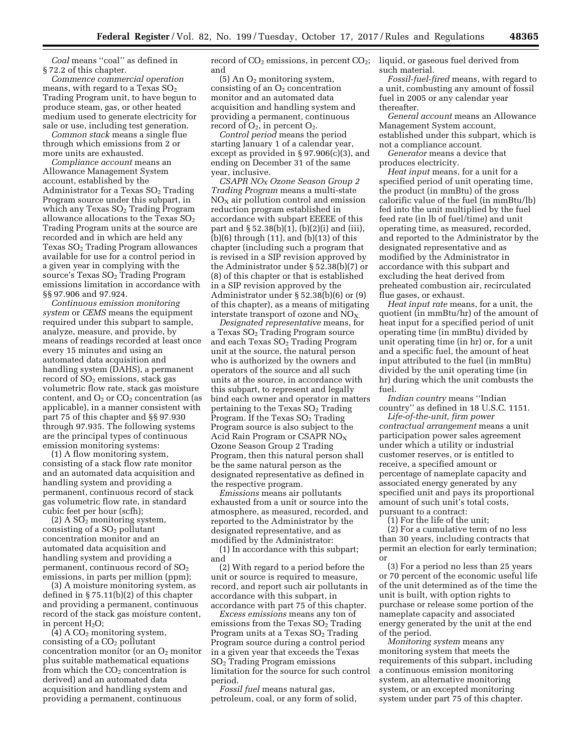*Coal* means ''coal'' as defined in § 72.2 of this chapter.

*Commence commercial operation*  means, with regard to a Texas  $SO<sub>2</sub>$ Trading Program unit, to have begun to produce steam, gas, or other heated medium used to generate electricity for sale or use, including test generation.

*Common stack* means a single flue through which emissions from 2 or more units are exhausted.

*Compliance account* means an Allowance Management System account, established by the Administrator for a Texas  $SO<sub>2</sub>$  Trading Program source under this subpart, in which any Texas  $SO<sub>2</sub>$  Trading Program allowance allocations to the Texas  $SO<sub>2</sub>$ Trading Program units at the source are recorded and in which are held any Texas  $SO<sub>2</sub>$  Trading Program allowances available for use for a control period in a given year in complying with the source's Texas  $SO<sub>2</sub>$  Trading Program emissions limitation in accordance with §§ 97.906 and 97.924.

*Continuous emission monitoring system* or *CEMS* means the equipment required under this subpart to sample, analyze, measure, and provide, by means of readings recorded at least once every 15 minutes and using an automated data acquisition and handling system (DAHS), a permanent record of  $SO<sub>2</sub>$  emissions, stack gas volumetric flow rate, stack gas moisture content, and  $O_2$  or  $CO_2$  concentration (as applicable), in a manner consistent with part 75 of this chapter and §§ 97.930 through 97.935. The following systems are the principal types of continuous emission monitoring systems:

(1) A flow monitoring system, consisting of a stack flow rate monitor and an automated data acquisition and handling system and providing a permanent, continuous record of stack gas volumetric flow rate, in standard cubic feet per hour (scfh);

 $(2)$  A SO<sub>2</sub> monitoring system, consisting of a SO<sub>2</sub> pollutant concentration monitor and an automated data acquisition and handling system and providing a permanent, continuous record of SO<sub>2</sub> emissions, in parts per million (ppm);

(3) A moisture monitoring system, as defined in § 75.11(b)(2) of this chapter and providing a permanent, continuous record of the stack gas moisture content, in percent  $H_2O$ ;

 $(4)$  A CO<sub>2</sub> monitoring system, consisting of a  $CO<sub>2</sub>$  pollutant concentration monitor (or an  $O_2$  monitor plus suitable mathematical equations from which the  $CO<sub>2</sub>$  concentration is derived) and an automated data acquisition and handling system and providing a permanent, continuous

record of CO<sub>2</sub> emissions, in percent CO<sub>2</sub>; liquid, or gaseous fuel derived from and

 $(5)$  An  $O<sub>2</sub>$  monitoring system, consisting of an  $O<sub>2</sub>$  concentration monitor and an automated data acquisition and handling system and providing a permanent, continuous record of  $O_2$ , in percent  $O_2$ .

*Control period* means the period starting January 1 of a calendar year, except as provided in § 97.906(c)(3), and ending on December 31 of the same year, inclusive.

*CSAPR NOX Ozone Season Group 2 Trading Program* means a multi-state  $NO<sub>x</sub>$  air pollution control and emission reduction program established in accordance with subpart EEEEE of this part and  $\S 52.38(b)(1)$ , (b)(2)(i) and (iii), (b)(6) through (11), and (b)(13) of this chapter (including such a program that is revised in a SIP revision approved by the Administrator under § 52.38(b)(7) or (8) of this chapter or that is established in a SIP revision approved by the Administrator under § 52.38(b)(6) or (9) of this chapter), as a means of mitigating interstate transport of ozone and  $\overline{NO_x}$ 

*Designated representative* means, for a Texas SO<sub>2</sub> Trading Program source and each Texas SO<sub>2</sub> Trading Program unit at the source, the natural person who is authorized by the owners and operators of the source and all such units at the source, in accordance with this subpart, to represent and legally bind each owner and operator in matters pertaining to the Texas  $SO<sub>2</sub>$  Trading Program. If the Texas  $SO<sub>2</sub>$  Trading Program source is also subject to the Acid Rain Program or CSAPR  $NO<sub>x</sub>$ Ozone Season Group 2 Trading Program, then this natural person shall be the same natural person as the designated representative as defined in the respective program.

*Emissions* means air pollutants exhausted from a unit or source into the atmosphere, as measured, recorded, and reported to the Administrator by the designated representative, and as modified by the Administrator:

(1) In accordance with this subpart; and

(2) With regard to a period before the unit or source is required to measure, record, and report such air pollutants in accordance with this subpart, in accordance with part 75 of this chapter.

*Excess emissions* means any ton of emissions from the Texas  $SO<sub>2</sub>$  Trading Program units at a Texas  $SO<sub>2</sub>$  Trading Program source during a control period in a given year that exceeds the Texas SO2 Trading Program emissions limitation for the source for such control period.

*Fossil fuel* means natural gas, petroleum, coal, or any form of solid, such material.

*Fossil-fuel-fired* means, with regard to a unit, combusting any amount of fossil fuel in 2005 or any calendar year thereafter.

*General account* means an Allowance Management System account, established under this subpart, which is not a compliance account.

*Generator* means a device that produces electricity.

*Heat input* means, for a unit for a specified period of unit operating time, the product (in mmBtu) of the gross calorific value of the fuel (in mmBtu/lb) fed into the unit multiplied by the fuel feed rate (in lb of fuel/time) and unit operating time, as measured, recorded, and reported to the Administrator by the designated representative and as modified by the Administrator in accordance with this subpart and excluding the heat derived from preheated combustion air, recirculated flue gases, or exhaust.

*Heat input rate* means, for a unit, the quotient (in mmBtu/hr) of the amount of heat input for a specified period of unit operating time (in mmBtu) divided by unit operating time (in hr) or, for a unit and a specific fuel, the amount of heat input attributed to the fuel (in mmBtu) divided by the unit operating time (in hr) during which the unit combusts the fuel.

*Indian country* means ''Indian country'' as defined in 18 U.S.C. 1151.

*Life-of-the-unit, firm power contractual arrangement* means a unit participation power sales agreement under which a utility or industrial customer reserves, or is entitled to receive, a specified amount or percentage of nameplate capacity and associated energy generated by any specified unit and pays its proportional amount of such unit's total costs, pursuant to a contract:

(1) For the life of the unit;

(2) For a cumulative term of no less than 30 years, including contracts that permit an election for early termination; or

(3) For a period no less than 25 years or 70 percent of the economic useful life of the unit determined as of the time the unit is built, with option rights to purchase or release some portion of the nameplate capacity and associated energy generated by the unit at the end of the period.

*Monitoring system* means any monitoring system that meets the requirements of this subpart, including a continuous emission monitoring system, an alternative monitoring system, or an excepted monitoring system under part 75 of this chapter.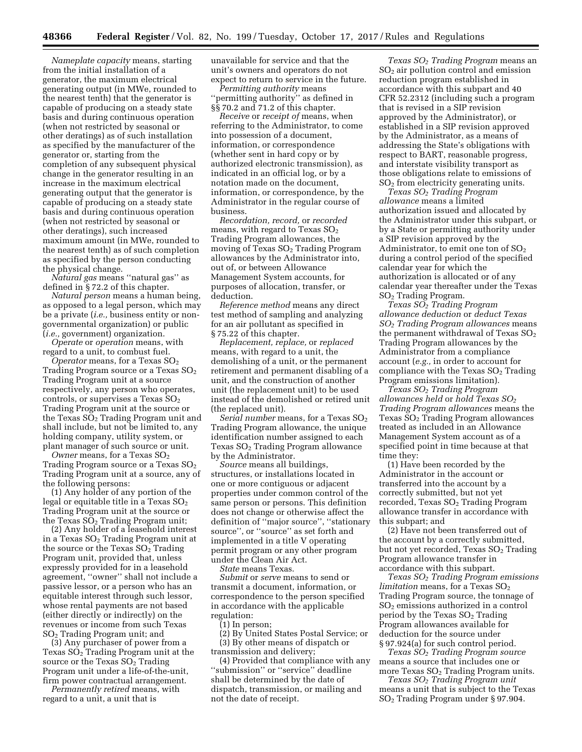*Nameplate capacity* means, starting from the initial installation of a generator, the maximum electrical generating output (in MWe, rounded to the nearest tenth) that the generator is capable of producing on a steady state basis and during continuous operation (when not restricted by seasonal or other deratings) as of such installation as specified by the manufacturer of the generator or, starting from the completion of any subsequent physical change in the generator resulting in an increase in the maximum electrical generating output that the generator is capable of producing on a steady state basis and during continuous operation (when not restricted by seasonal or other deratings), such increased maximum amount (in MWe, rounded to the nearest tenth) as of such completion as specified by the person conducting the physical change.

*Natural gas* means ''natural gas'' as defined in § 72.2 of this chapter.

*Natural person* means a human being, as opposed to a legal person, which may be a private (*i.e.,* business entity or nongovernmental organization) or public (*i.e.,* government) organization.

*Operate* or *operation* means, with regard to a unit, to combust fuel.

 $Operator$  means, for a Texas  $\mathrm{SO}_2$ Trading Program source or a Texas  $SO<sub>2</sub>$ Trading Program unit at a source respectively, any person who operates, controls, or supervises a Texas  $SO<sub>2</sub>$ Trading Program unit at the source or the Texas  $SO<sub>2</sub>$  Trading Program unit and shall include, but not be limited to, any holding company, utility system, or plant manager of such source or unit.

*Owner* means, for a Texas SO<sub>2</sub> Trading Program source or a Texas SO<sub>2</sub> Trading Program unit at a source, any of the following persons:

(1) Any holder of any portion of the legal or equitable title in a Texas  $SO<sub>2</sub>$ Trading Program unit at the source or the Texas  $SO<sub>2</sub>$  Trading Program unit;

(2) Any holder of a leasehold interest in a Texas SO2 Trading Program unit at the source or the Texas  $SO<sub>2</sub>$  Trading Program unit, provided that, unless expressly provided for in a leasehold agreement, ''owner'' shall not include a passive lessor, or a person who has an equitable interest through such lessor, whose rental payments are not based (either directly or indirectly) on the revenues or income from such Texas SO2 Trading Program unit; and

(3) Any purchaser of power from a Texas  $S\ddot{O}_2$  Trading Program unit at the source or the Texas  $SO<sub>2</sub>$  Trading Program unit under a life-of-the-unit, firm power contractual arrangement.

*Permanently retired* means, with regard to a unit, a unit that is

unavailable for service and that the unit's owners and operators do not expect to return to service in the future.

*Permitting authority* means ''permitting authority'' as defined in §§ 70.2 and 71.2 of this chapter.

*Receive* or *receipt of* means, when referring to the Administrator, to come into possession of a document, information, or correspondence (whether sent in hard copy or by authorized electronic transmission), as indicated in an official log, or by a notation made on the document, information, or correspondence, by the Administrator in the regular course of business.

*Recordation, record,* or *recorded*  means, with regard to Texas  $SO<sub>2</sub>$ Trading Program allowances, the moving of Texas SO2 Trading Program allowances by the Administrator into, out of, or between Allowance Management System accounts, for purposes of allocation, transfer, or deduction.

*Reference method* means any direct test method of sampling and analyzing for an air pollutant as specified in § 75.22 of this chapter.

*Replacement, replace,* or *replaced*  means, with regard to a unit, the demolishing of a unit, or the permanent retirement and permanent disabling of a unit, and the construction of another unit (the replacement unit) to be used instead of the demolished or retired unit (the replaced unit).

*Serial number* means, for a Texas SO<sub>2</sub> Trading Program allowance, the unique identification number assigned to each Texas  $SO<sub>2</sub>$  Trading Program allowance by the Administrator.

*Source* means all buildings, structures, or installations located in one or more contiguous or adjacent properties under common control of the same person or persons. This definition does not change or otherwise affect the definition of ''major source'', ''stationary source'', or ''source'' as set forth and implemented in a title V operating permit program or any other program under the Clean Air Act.

*State* means Texas.

*Submit* or *serve* means to send or transmit a document, information, or correspondence to the person specified in accordance with the applicable regulation:

(1) In person;

(2) By United States Postal Service; or (3) By other means of dispatch or transmission and delivery;

(4) Provided that compliance with any ''submission'' or ''service'' deadline shall be determined by the date of dispatch, transmission, or mailing and not the date of receipt.

*Texas SO2 Trading Program* means an  $SO<sub>2</sub>$  air pollution control and emission reduction program established in accordance with this subpart and 40 CFR 52.2312 (including such a program that is revised in a SIP revision approved by the Administrator), or established in a SIP revision approved by the Administrator, as a means of addressing the State's obligations with respect to BART, reasonable progress, and interstate visibility transport as those obligations relate to emissions of SO2 from electricity generating units.

*Texas SO2 Trading Program allowance* means a limited authorization issued and allocated by the Administrator under this subpart, or by a State or permitting authority under a SIP revision approved by the Administrator, to emit one ton of  $SO<sub>2</sub>$ during a control period of the specified calendar year for which the authorization is allocated or of any calendar year thereafter under the Texas  $SO<sub>2</sub>$  Trading Program.

*Texas SO2 Trading Program allowance deduction* or *deduct Texas SO2 Trading Program allowances* means the permanent withdrawal of Texas  $SO<sub>2</sub>$ Trading Program allowances by the Administrator from a compliance account (*e.g.,* in order to account for compliance with the Texas  $SO<sub>2</sub>$  Trading Program emissions limitation).

*Texas SO2 Trading Program allowances held* or *hold Texas SO2 Trading Program allowances* means the Texas  $SO<sub>2</sub>$  Trading Program allowances treated as included in an Allowance Management System account as of a specified point in time because at that time they:

(1) Have been recorded by the Administrator in the account or transferred into the account by a correctly submitted, but not yet recorded, Texas  $SO<sub>2</sub>$  Trading Program allowance transfer in accordance with this subpart; and

(2) Have not been transferred out of the account by a correctly submitted, but not yet recorded, Texas SO<sub>2</sub> Trading Program allowance transfer in accordance with this subpart.

*Texas SO2 Trading Program emissions limitation* means, for a Texas SO<sub>2</sub> Trading Program source, the tonnage of SO2 emissions authorized in a control period by the Texas  $SO<sub>2</sub>$  Trading Program allowances available for deduction for the source under § 97.924(a) for such control period.

*Texas SO2 Trading Program source*  means a source that includes one or more Texas  $SO<sub>2</sub>$  Trading Program units.

*Texas SO2 Trading Program unit*  means a unit that is subject to the Texas SO2 Trading Program under § 97.904.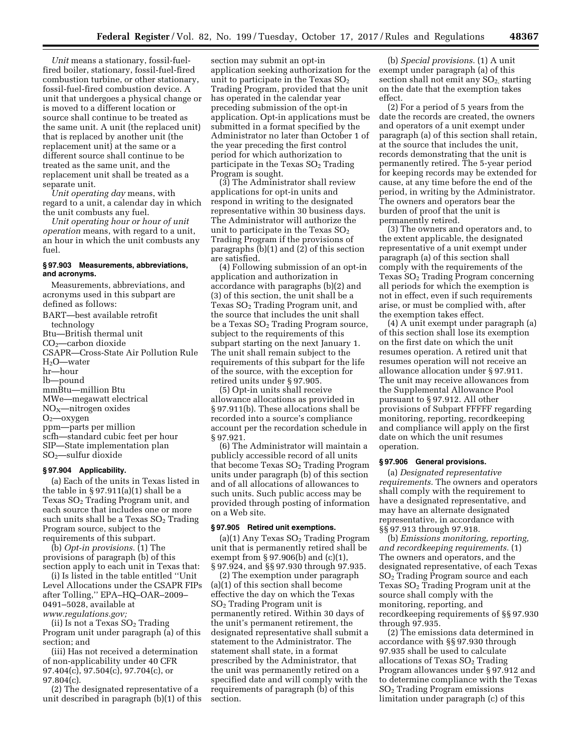*Unit* means a stationary, fossil-fuelfired boiler, stationary, fossil-fuel-fired combustion turbine, or other stationary, fossil-fuel-fired combustion device. A unit that undergoes a physical change or is moved to a different location or source shall continue to be treated as the same unit. A unit (the replaced unit) that is replaced by another unit (the replacement unit) at the same or a different source shall continue to be treated as the same unit, and the replacement unit shall be treated as a separate unit.

*Unit operating day* means, with regard to a unit, a calendar day in which the unit combusts any fuel.

*Unit operating hour or hour of unit operation* means, with regard to a unit, an hour in which the unit combusts any fuel.

### **§ 97.903 Measurements, abbreviations, and acronyms.**

Measurements, abbreviations, and acronyms used in this subpart are defined as follows: BART—best available retrofit technology Btu—British thermal unit  $CO<sub>2</sub>$ —carbon dioxide CSAPR—Cross-State Air Pollution Rule H2O—water hr—hour lb—pound mmBtu—million Btu MWe—megawatt electrical  $NO<sub>X</sub>$ —nitrogen oxides  $O_2$ —oxygen ppm—parts per million scfh—standard cubic feet per hour SIP—State implementation plan  $SO<sub>2</sub>$ —sulfur dioxide

#### **§ 97.904 Applicability.**

(a) Each of the units in Texas listed in the table in  $\S 97.911(a)(1)$  shall be a Texas  $SO<sub>2</sub>$  Trading Program unit, and each source that includes one or more such units shall be a Texas  $SO<sub>2</sub>$  Trading Program source, subject to the requirements of this subpart.

(b) *Opt-in provisions.* (1) The provisions of paragraph (b) of this section apply to each unit in Texas that:

(i) Is listed in the table entitled ''Unit Level Allocations under the CSAPR FIPs after Tolling,'' EPA–HQ–OAR–2009– 0491–5028, available at *[www.regulations.gov;](http://www.regulations.gov)* 

(ii) Is not a Texas  $SO<sub>2</sub>$  Trading Program unit under paragraph (a) of this section; and

(iii) Has not received a determination of non-applicability under 40 CFR 97.404(c), 97.504(c), 97.704(c), or  $97.804(c)$ .

(2) The designated representative of a unit described in paragraph (b)(1) of this

section may submit an opt-in application seeking authorization for the unit to participate in the Texas  $SO<sub>2</sub>$ Trading Program, provided that the unit has operated in the calendar year preceding submission of the opt-in application. Opt-in applications must be submitted in a format specified by the Administrator no later than October 1 of the year preceding the first control period for which authorization to participate in the Texas  $SO<sub>2</sub>$  Trading Program is sought.

(3) The Administrator shall review applications for opt-in units and respond in writing to the designated representative within 30 business days. The Administrator will authorize the unit to participate in the Texas  $SO<sub>2</sub>$ Trading Program if the provisions of paragraphs (b)(1) and (2) of this section are satisfied.

(4) Following submission of an opt-in application and authorization in accordance with paragraphs (b)(2) and (3) of this section, the unit shall be a Texas  $SO<sub>2</sub>$  Trading Program unit, and the source that includes the unit shall be a Texas SO<sub>2</sub> Trading Program source, subject to the requirements of this subpart starting on the next January 1. The unit shall remain subject to the requirements of this subpart for the life of the source, with the exception for retired units under § 97.905.

(5) Opt-in units shall receive allowance allocations as provided in § 97.911(b). These allocations shall be recorded into a source's compliance account per the recordation schedule in § 97.921.

(6) The Administrator will maintain a publicly accessible record of all units that become Texas  $SO<sub>2</sub>$  Trading Program units under paragraph (b) of this section and of all allocations of allowances to such units. Such public access may be provided through posting of information on a Web site.

### **§ 97.905 Retired unit exemptions.**

(a)(1) Any Texas  $SO<sub>2</sub>$  Trading Program unit that is permanently retired shall be exempt from § 97.906(b) and (c)(1), § 97.924, and §§ 97.930 through 97.935.

(2) The exemption under paragraph (a)(1) of this section shall become effective the day on which the Texas SO2 Trading Program unit is permanently retired. Within 30 days of the unit's permanent retirement, the designated representative shall submit a statement to the Administrator. The statement shall state, in a format prescribed by the Administrator, that the unit was permanently retired on a specified date and will comply with the requirements of paragraph (b) of this section.

(b) *Special provisions.* (1) A unit exempt under paragraph (a) of this section shall not emit any  $SO<sub>2</sub>$  starting on the date that the exemption takes effect.

(2) For a period of 5 years from the date the records are created, the owners and operators of a unit exempt under paragraph (a) of this section shall retain, at the source that includes the unit, records demonstrating that the unit is permanently retired. The 5-year period for keeping records may be extended for cause, at any time before the end of the period, in writing by the Administrator. The owners and operators bear the burden of proof that the unit is permanently retired.

(3) The owners and operators and, to the extent applicable, the designated representative of a unit exempt under paragraph (a) of this section shall comply with the requirements of the Texas  $SO<sub>2</sub>$  Trading Program concerning all periods for which the exemption is not in effect, even if such requirements arise, or must be complied with, after the exemption takes effect.

(4) A unit exempt under paragraph (a) of this section shall lose its exemption on the first date on which the unit resumes operation. A retired unit that resumes operation will not receive an allowance allocation under § 97.911. The unit may receive allowances from the Supplemental Allowance Pool pursuant to § 97.912. All other provisions of Subpart FFFFF regarding monitoring, reporting, recordkeeping and compliance will apply on the first date on which the unit resumes operation.

# **§ 97.906 General provisions.**

(a) *Designated representative requirements.* The owners and operators shall comply with the requirement to have a designated representative, and may have an alternate designated representative, in accordance with §§ 97.913 through 97.918.

(b) *Emissions monitoring, reporting, and recordkeeping requirements.* (1) The owners and operators, and the designated representative, of each Texas SO2 Trading Program source and each Texas  $SO<sub>2</sub>$  Trading Program unit at the source shall comply with the monitoring, reporting, and recordkeeping requirements of §§ 97.930 through 97.935.

(2) The emissions data determined in accordance with §§ 97.930 through 97.935 shall be used to calculate allocations of Texas  $SO<sub>2</sub>$  Trading Program allowances under § 97.912 and to determine compliance with the Texas SO2 Trading Program emissions limitation under paragraph (c) of this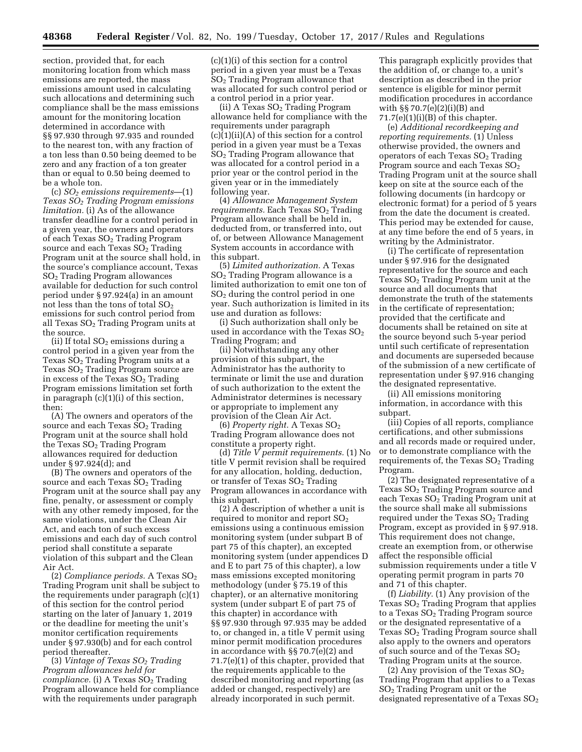section, provided that, for each monitoring location from which mass emissions are reported, the mass emissions amount used in calculating such allocations and determining such compliance shall be the mass emissions amount for the monitoring location determined in accordance with §§ 97.930 through 97.935 and rounded to the nearest ton, with any fraction of a ton less than 0.50 being deemed to be zero and any fraction of a ton greater than or equal to 0.50 being deemed to be a whole ton.

(c) *SO2 emissions requirements*—(1) *Texas SO2 Trading Program emissions limitation.* (i) As of the allowance transfer deadline for a control period in a given year, the owners and operators of each Texas SO<sub>2</sub> Trading Program source and each Texas  $SO<sub>2</sub>$  Trading Program unit at the source shall hold, in the source's compliance account, Texas SO2 Trading Program allowances available for deduction for such control period under § 97.924(a) in an amount not less than the tons of total  $SO_2$ emissions for such control period from all Texas  $SO<sub>2</sub>$  Trading Program units at the source.

(ii) If total  $SO<sub>2</sub>$  emissions during a control period in a given year from the Texas  $SO<sub>2</sub>$  Trading Program units at a Texas  $SO<sub>2</sub>$  Trading Program source are in excess of the Texas  $SO<sub>2</sub>$  Trading Program emissions limitation set forth in paragraph (c)(1)(i) of this section, then:

(A) The owners and operators of the source and each Texas  $SO<sub>2</sub>$  Trading Program unit at the source shall hold the Texas  $SO<sub>2</sub>$  Trading Program allowances required for deduction under § 97.924(d); and

(B) The owners and operators of the source and each Texas  $SO<sub>2</sub>$  Trading Program unit at the source shall pay any fine, penalty, or assessment or comply with any other remedy imposed, for the same violations, under the Clean Air Act, and each ton of such excess emissions and each day of such control period shall constitute a separate violation of this subpart and the Clean Air Act.

(2) *Compliance periods.* A Texas SO2 Trading Program unit shall be subject to the requirements under paragraph (c)(1) of this section for the control period starting on the later of January 1, 2019 or the deadline for meeting the unit's monitor certification requirements under § 97.930(b) and for each control period thereafter.

(3) *Vintage of Texas SO2 Trading Program allowances held for compliance.* (i) A Texas SO<sub>2</sub> Trading Program allowance held for compliance with the requirements under paragraph

 $(c)(1)(i)$  of this section for a control period in a given year must be a Texas SO2 Trading Program allowance that was allocated for such control period or a control period in a prior year.

(ii) A Texas  $SO<sub>2</sub>$  Trading Program allowance held for compliance with the requirements under paragraph (c)(1)(ii)(A) of this section for a control period in a given year must be a Texas SO2 Trading Program allowance that was allocated for a control period in a prior year or the control period in the given year or in the immediately following year.

(4) *Allowance Management System requirements.* Each Texas SO<sub>2</sub> Trading Program allowance shall be held in, deducted from, or transferred into, out of, or between Allowance Management System accounts in accordance with this subpart.

(5) *Limited authorization.* A Texas SO2 Trading Program allowance is a limited authorization to emit one ton of SO2 during the control period in one year. Such authorization is limited in its use and duration as follows:

(i) Such authorization shall only be used in accordance with the Texas  $SO<sub>2</sub>$ Trading Program; and

(ii) Notwithstanding any other provision of this subpart, the Administrator has the authority to terminate or limit the use and duration of such authorization to the extent the Administrator determines is necessary or appropriate to implement any provision of the Clean Air Act.

(6) *Property right.* A Texas SO2 Trading Program allowance does not constitute a property right.

(d) *Title V permit requirements.* (1) No title V permit revision shall be required for any allocation, holding, deduction, or transfer of Texas  $SO<sub>2</sub>$  Trading Program allowances in accordance with this subpart.

(2) A description of whether a unit is required to monitor and report  $SO<sub>2</sub>$ emissions using a continuous emission monitoring system (under subpart B of part 75 of this chapter), an excepted monitoring system (under appendices D and E to part 75 of this chapter), a low mass emissions excepted monitoring methodology (under § 75.19 of this chapter), or an alternative monitoring system (under subpart E of part 75 of this chapter) in accordance with §§ 97.930 through 97.935 may be added to, or changed in, a title V permit using minor permit modification procedures in accordance with §§ 70.7(e)(2) and 71.7(e)(1) of this chapter, provided that the requirements applicable to the described monitoring and reporting (as added or changed, respectively) are already incorporated in such permit.

This paragraph explicitly provides that the addition of, or change to, a unit's description as described in the prior sentence is eligible for minor permit modification procedures in accordance with §§ 70.7(e)(2)(i)(B) and  $71.7(e)(1)(i)(B)$  of this chapter.

(e) *Additional recordkeeping and reporting requirements.* (1) Unless otherwise provided, the owners and operators of each Texas SO<sub>2</sub> Trading Program source and each Texas  $SO<sub>2</sub>$ Trading Program unit at the source shall keep on site at the source each of the following documents (in hardcopy or electronic format) for a period of 5 years from the date the document is created. This period may be extended for cause, at any time before the end of 5 years, in writing by the Administrator.

(i) The certificate of representation under § 97.916 for the designated representative for the source and each Texas  $SO<sub>2</sub>$  Trading Program unit at the source and all documents that demonstrate the truth of the statements in the certificate of representation; provided that the certificate and documents shall be retained on site at the source beyond such 5-year period until such certificate of representation and documents are superseded because of the submission of a new certificate of representation under § 97.916 changing the designated representative.

(ii) All emissions monitoring information, in accordance with this subpart.

(iii) Copies of all reports, compliance certifications, and other submissions and all records made or required under, or to demonstrate compliance with the requirements of, the Texas  $SO<sub>2</sub>$  Trading Program.

(2) The designated representative of a Texas SO2 Trading Program source and each Texas  $SO<sub>2</sub>$  Trading Program unit at the source shall make all submissions required under the Texas  $SO<sub>2</sub>$  Trading Program, except as provided in § 97.918. This requirement does not change, create an exemption from, or otherwise affect the responsible official submission requirements under a title V operating permit program in parts 70 and 71 of this chapter.

(f) *Liability.* (1) Any provision of the Texas  $SO<sub>2</sub>$  Trading Program that applies to a Texas  $SO<sub>2</sub>$  Trading Program source or the designated representative of a Texas SO<sub>2</sub> Trading Program source shall also apply to the owners and operators of such source and of the Texas  $SO<sub>2</sub>$ Trading Program units at the source.

(2) Any provision of the Texas  $SO<sub>2</sub>$ Trading Program that applies to a Texas SO2 Trading Program unit or the designated representative of a Texas  $SO<sub>2</sub>$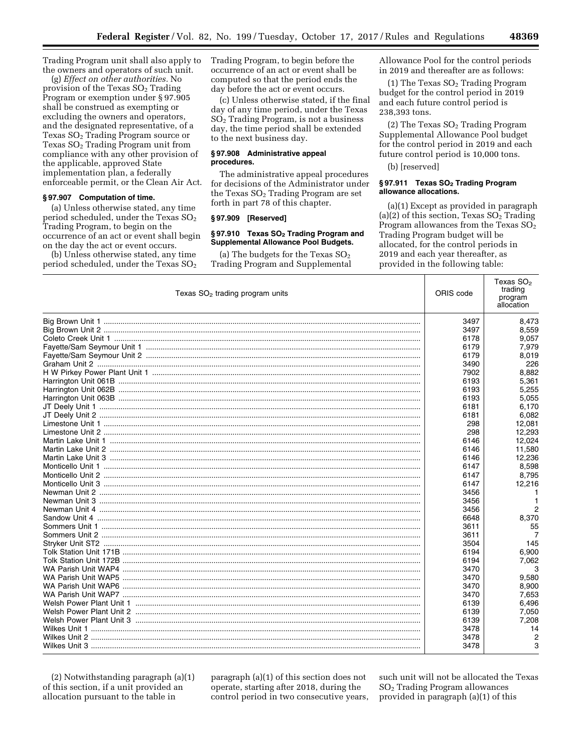Trading Program unit shall also apply to the owners and operators of such unit.

(g) *Effect on other authorities.* No provision of the Texas SO<sub>2</sub> Trading Program or exemption under § 97.905 shall be construed as exempting or excluding the owners and operators, and the designated representative, of a Texas  $SO<sub>2</sub>$  Trading Program source or Texas SO<sub>2</sub> Trading Program unit from compliance with any other provision of the applicable, approved State implementation plan, a federally enforceable permit, or the Clean Air Act.

### **§ 97.907 Computation of time.**

(a) Unless otherwise stated, any time period scheduled, under the Texas  $SO<sub>2</sub>$ Trading Program, to begin on the occurrence of an act or event shall begin on the day the act or event occurs.

(b) Unless otherwise stated, any time period scheduled, under the Texas  $SO<sub>2</sub>$  Trading Program, to begin before the occurrence of an act or event shall be computed so that the period ends the day before the act or event occurs.

(c) Unless otherwise stated, if the final day of any time period, under the Texas SO2 Trading Program, is not a business day, the time period shall be extended to the next business day.

### **§ 97.908 Administrative appeal procedures.**

The administrative appeal procedures for decisions of the Administrator under the Texas  $SO<sub>2</sub>$  Trading Program are set forth in part 78 of this chapter.

#### **§ 97.909 [Reserved]**

# § 97.910 Texas SO<sub>2</sub> Trading Program and **Supplemental Allowance Pool Budgets.**

(a) The budgets for the Texas  $SO<sub>2</sub>$ Trading Program and Supplemental Allowance Pool for the control periods in 2019 and thereafter are as follows:

(1) The Texas  $SO<sub>2</sub>$  Trading Program budget for the control period in 2019 and each future control period is 238,393 tons.

(2) The Texas  $SO<sub>2</sub>$  Trading Program Supplemental Allowance Pool budget for the control period in 2019 and each future control period is 10,000 tons.

(b) [reserved]

### **§ 97.911 Texas SO2 Trading Program allowance allocations.**

(a)(1) Except as provided in paragraph (a)(2) of this section, Texas  $SO<sub>2</sub>$  Trading Program allowances from the Texas  $SO<sub>2</sub>$ Trading Program budget will be allocated, for the control periods in 2019 and each year thereafter, as provided in the following table:

| Texas $SO2$ trading program units | ORIS code | Texas SO <sub>2</sub><br>trading<br>program<br>allocation |
|-----------------------------------|-----------|-----------------------------------------------------------|
|                                   | 3497      | 8,473                                                     |
|                                   | 3497      | 8,559                                                     |
|                                   | 6178      | 9,057                                                     |
|                                   | 6179      | 7,979                                                     |
|                                   | 6179      | 8,019                                                     |
|                                   | 3490      | 226                                                       |
|                                   | 7902      | 8,882                                                     |
|                                   | 6193      | 5,361                                                     |
|                                   | 6193      | 5,255                                                     |
|                                   | 6193      | 5,055                                                     |
|                                   | 6181      | 6,170                                                     |
|                                   | 6181      | 6,082                                                     |
|                                   | 298       | 12,081                                                    |
|                                   | 298       | 12,293                                                    |
|                                   | 6146      | 12.024                                                    |
|                                   | 6146      | 11,580                                                    |
|                                   | 6146      | 12,236                                                    |
|                                   | 6147      | 8,598                                                     |
|                                   | 6147      | 8,795                                                     |
|                                   | 6147      | 12,216                                                    |
|                                   | 3456      |                                                           |
|                                   | 3456      | 1                                                         |
|                                   | 3456      | $\overline{2}$                                            |
|                                   | 6648      | 8,370                                                     |
|                                   | 3611      | 55                                                        |
|                                   | 3611      | 7                                                         |
|                                   | 3504      | 145                                                       |
|                                   | 6194      | 6,900                                                     |
|                                   | 6194      | 7,062                                                     |
|                                   | 3470      | 3                                                         |
|                                   | 3470      | 9,580                                                     |
|                                   | 3470      | 8,900                                                     |
|                                   | 3470      | 7,653                                                     |
|                                   | 6139      | 6,496                                                     |
|                                   | 6139      | 7,050                                                     |
|                                   | 6139      | 7.208                                                     |
|                                   | 3478      | 14                                                        |
| Wilkes Unit 2                     | 3478      |                                                           |
|                                   | 3478      | 3                                                         |

(2) Notwithstanding paragraph (a)(1) of this section, if a unit provided an allocation pursuant to the table in

paragraph (a)(1) of this section does not operate, starting after 2018, during the control period in two consecutive years,

such unit will not be allocated the Texas SO2 Trading Program allowances provided in paragraph (a)(1) of this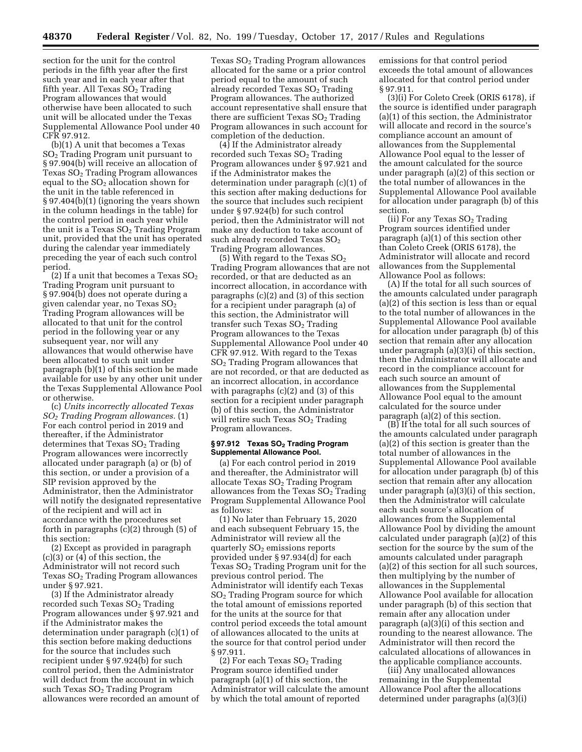section for the unit for the control periods in the fifth year after the first such year and in each year after that fifth year. All Texas  $SO<sub>2</sub>$  Trading Program allowances that would otherwise have been allocated to such unit will be allocated under the Texas Supplemental Allowance Pool under 40 CFR 97.912.

(b)(1) A unit that becomes a Texas SO2 Trading Program unit pursuant to § 97.904(b) will receive an allocation of Texas SO2 Trading Program allowances equal to the  $SO<sub>2</sub>$  allocation shown for the unit in the table referenced in § 97.404(b)(1) (ignoring the years shown in the column headings in the table) for the control period in each year while the unit is a Texas  $SO<sub>2</sub>$  Trading Program unit, provided that the unit has operated during the calendar year immediately preceding the year of each such control period.

(2) If a unit that becomes a Texas  $SO<sub>2</sub>$ Trading Program unit pursuant to § 97.904(b) does not operate during a given calendar year, no Texas  $SO<sub>2</sub>$ Trading Program allowances will be allocated to that unit for the control period in the following year or any subsequent year, nor will any allowances that would otherwise have been allocated to such unit under paragraph (b)(1) of this section be made available for use by any other unit under the Texas Supplemental Allowance Pool or otherwise.

(c) *Units incorrectly allocated Texas SO2 Trading Program allowances.* (1) For each control period in 2019 and thereafter, if the Administrator determines that Texas SO<sub>2</sub> Trading Program allowances were incorrectly allocated under paragraph (a) or (b) of this section, or under a provision of a SIP revision approved by the Administrator, then the Administrator will notify the designated representative of the recipient and will act in accordance with the procedures set forth in paragraphs  $(c)(2)$  through  $(5)$  of this section:

(2) Except as provided in paragraph (c)(3) or (4) of this section, the Administrator will not record such Texas  $SO<sub>2</sub>$  Trading Program allowances under § 97.921.

(3) If the Administrator already recorded such Texas  $SO<sub>2</sub>$  Trading Program allowances under § 97.921 and if the Administrator makes the determination under paragraph (c)(1) of this section before making deductions for the source that includes such recipient under § 97.924(b) for such control period, then the Administrator will deduct from the account in which such Texas  $SO<sub>2</sub>$  Trading Program allowances were recorded an amount of

Texas SO2 Trading Program allowances allocated for the same or a prior control period equal to the amount of such already recorded Texas  $SO<sub>2</sub>$  Trading Program allowances. The authorized account representative shall ensure that there are sufficient Texas  $SO<sub>2</sub>$  Trading Program allowances in such account for completion of the deduction.

(4) If the Administrator already recorded such Texas  $SO<sub>2</sub>$  Trading Program allowances under § 97.921 and if the Administrator makes the determination under paragraph (c)(1) of this section after making deductions for the source that includes such recipient under § 97.924(b) for such control period, then the Administrator will not make any deduction to take account of such already recorded Texas  $SO_2$ Trading Program allowances.

(5) With regard to the Texas  $SO<sub>2</sub>$ Trading Program allowances that are not recorded, or that are deducted as an incorrect allocation, in accordance with paragraphs (c)(2) and (3) of this section for a recipient under paragraph (a) of this section, the Administrator will transfer such Texas SO<sub>2</sub> Trading Program allowances to the Texas Supplemental Allowance Pool under 40 CFR 97.912. With regard to the Texas SO2 Trading Program allowances that are not recorded, or that are deducted as an incorrect allocation, in accordance with paragraphs (c)(2) and (3) of this section for a recipient under paragraph (b) of this section, the Administrator will retire such Texas  $SO<sub>2</sub>$  Trading Program allowances.

#### **§ 97.912 Texas SO2 Trading Program Supplemental Allowance Pool.**

(a) For each control period in 2019 and thereafter, the Administrator will allocate Texas SO<sub>2</sub> Trading Program allowances from the Texas  $SO<sub>2</sub>$  Trading Program Supplemental Allowance Pool as follows:

(1) No later than February 15, 2020 and each subsequent February 15, the Administrator will review all the quarterly  $SO<sub>2</sub>$  emissions reports provided under § 97.934(d) for each Texas  $SO<sub>2</sub>$  Trading Program unit for the previous control period. The Administrator will identify each Texas SO2 Trading Program source for which the total amount of emissions reported for the units at the source for that control period exceeds the total amount of allowances allocated to the units at the source for that control period under § 97.911.

 $(2)$  For each Texas  $SO<sub>2</sub>$  Trading Program source identified under paragraph (a)(1) of this section, the Administrator will calculate the amount by which the total amount of reported

emissions for that control period exceeds the total amount of allowances allocated for that control period under § 97.911.

(3)(i) For Coleto Creek (ORIS 6178), if the source is identified under paragraph (a)(1) of this section, the Administrator will allocate and record in the source's compliance account an amount of allowances from the Supplemental Allowance Pool equal to the lesser of the amount calculated for the source under paragraph (a)(2) of this section or the total number of allowances in the Supplemental Allowance Pool available for allocation under paragraph (b) of this section.

(ii) For any Texas  $SO<sub>2</sub>$  Trading Program sources identified under paragraph (a)(1) of this section other than Coleto Creek (ORIS 6178), the Administrator will allocate and record allowances from the Supplemental Allowance Pool as follows:

(A) If the total for all such sources of the amounts calculated under paragraph (a)(2) of this section is less than or equal to the total number of allowances in the Supplemental Allowance Pool available for allocation under paragraph (b) of this section that remain after any allocation under paragraph (a)(3)(i) of this section, then the Administrator will allocate and record in the compliance account for each such source an amount of allowances from the Supplemental Allowance Pool equal to the amount calculated for the source under paragraph (a)(2) of this section.

(B) If the total for all such sources of the amounts calculated under paragraph (a)(2) of this section is greater than the total number of allowances in the Supplemental Allowance Pool available for allocation under paragraph (b) of this section that remain after any allocation under paragraph (a)(3)(i) of this section, then the Administrator will calculate each such source's allocation of allowances from the Supplemental Allowance Pool by dividing the amount calculated under paragraph (a)(2) of this section for the source by the sum of the amounts calculated under paragraph (a)(2) of this section for all such sources, then multiplying by the number of allowances in the Supplemental Allowance Pool available for allocation under paragraph (b) of this section that remain after any allocation under paragraph (a)(3)(i) of this section and rounding to the nearest allowance. The Administrator will then record the calculated allocations of allowances in the applicable compliance accounts.

(iii) Any unallocated allowances remaining in the Supplemental Allowance Pool after the allocations determined under paragraphs (a)(3)(i)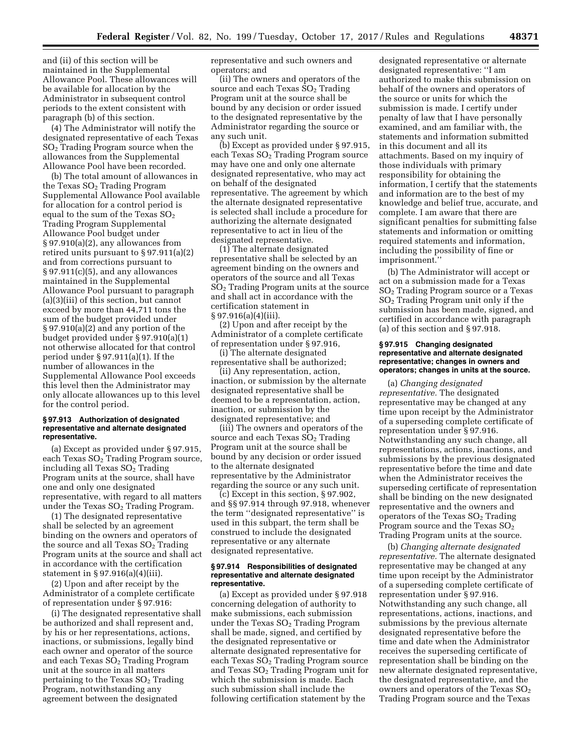and (ii) of this section will be maintained in the Supplemental Allowance Pool. These allowances will be available for allocation by the Administrator in subsequent control periods to the extent consistent with paragraph (b) of this section.

(4) The Administrator will notify the designated representative of each Texas  $SO<sub>2</sub>$  Trading Program source when the allowances from the Supplemental Allowance Pool have been recorded.

(b) The total amount of allowances in the Texas SO<sub>2</sub> Trading Program Supplemental Allowance Pool available for allocation for a control period is equal to the sum of the Texas  $SO<sub>2</sub>$ Trading Program Supplemental Allowance Pool budget under § 97.910(a)(2), any allowances from retired units pursuant to § 97.911(a)(2) and from corrections pursuant to § 97.911(c)(5), and any allowances maintained in the Supplemental Allowance Pool pursuant to paragraph (a)(3)(iii) of this section, but cannot exceed by more than 44,711 tons the sum of the budget provided under § 97.910(a)(2) and any portion of the budget provided under § 97.910(a)(1) not otherwise allocated for that control period under § 97.911(a)(1). If the number of allowances in the Supplemental Allowance Pool exceeds this level then the Administrator may only allocate allowances up to this level for the control period.

#### **§ 97.913 Authorization of designated representative and alternate designated representative.**

(a) Except as provided under § 97.915, each Texas  $SO<sub>2</sub>$  Trading Program source, including all Texas SO<sub>2</sub> Trading Program units at the source, shall have one and only one designated representative, with regard to all matters under the Texas  $SO<sub>2</sub>$  Trading Program.

(1) The designated representative shall be selected by an agreement binding on the owners and operators of the source and all Texas  $SO<sub>2</sub>$  Trading Program units at the source and shall act in accordance with the certification statement in § 97.916(a)(4)(iii).

(2) Upon and after receipt by the Administrator of a complete certificate of representation under § 97.916:

(i) The designated representative shall be authorized and shall represent and, by his or her representations, actions, inactions, or submissions, legally bind each owner and operator of the source and each Texas  $SO<sub>2</sub>$  Trading Program unit at the source in all matters pertaining to the Texas  $SO<sub>2</sub>$  Trading Program, notwithstanding any agreement between the designated

representative and such owners and operators; and

(ii) The owners and operators of the source and each Texas  $SO<sub>2</sub>$  Trading Program unit at the source shall be bound by any decision or order issued to the designated representative by the Administrator regarding the source or any such unit.

(b) Except as provided under § 97.915, each Texas SO<sub>2</sub> Trading Program source may have one and only one alternate designated representative, who may act on behalf of the designated representative. The agreement by which the alternate designated representative is selected shall include a procedure for authorizing the alternate designated representative to act in lieu of the designated representative.

(1) The alternate designated representative shall be selected by an agreement binding on the owners and operators of the source and all Texas SO2 Trading Program units at the source and shall act in accordance with the certification statement in  $§ 97.916(a)(4)(iii).$ 

(2) Upon and after receipt by the Administrator of a complete certificate of representation under § 97.916,

(i) The alternate designated representative shall be authorized;

(ii) Any representation, action, inaction, or submission by the alternate designated representative shall be deemed to be a representation, action, inaction, or submission by the designated representative; and

(iii) The owners and operators of the source and each Texas  $SO<sub>2</sub>$  Trading Program unit at the source shall be bound by any decision or order issued to the alternate designated representative by the Administrator regarding the source or any such unit.

(c) Except in this section, § 97.902, and §§ 97.914 through 97.918, whenever the term ''designated representative'' is used in this subpart, the term shall be construed to include the designated representative or any alternate designated representative.

#### **§ 97.914 Responsibilities of designated representative and alternate designated representative.**

(a) Except as provided under § 97.918 concerning delegation of authority to make submissions, each submission under the Texas  $SO<sub>2</sub>$  Trading Program shall be made, signed, and certified by the designated representative or alternate designated representative for each Texas  $SO<sub>2</sub>$  Trading Program source and Texas SO2 Trading Program unit for which the submission is made. Each such submission shall include the following certification statement by the

designated representative or alternate designated representative: ''I am authorized to make this submission on behalf of the owners and operators of the source or units for which the submission is made. I certify under penalty of law that I have personally examined, and am familiar with, the statements and information submitted in this document and all its attachments. Based on my inquiry of those individuals with primary responsibility for obtaining the information, I certify that the statements and information are to the best of my knowledge and belief true, accurate, and complete. I am aware that there are significant penalties for submitting false statements and information or omitting required statements and information, including the possibility of fine or imprisonment.''

(b) The Administrator will accept or act on a submission made for a Texas SO2 Trading Program source or a Texas SO2 Trading Program unit only if the submission has been made, signed, and certified in accordance with paragraph (a) of this section and § 97.918.

### **§ 97.915 Changing designated representative and alternate designated representative; changes in owners and operators; changes in units at the source.**

(a) *Changing designated representative.* The designated representative may be changed at any time upon receipt by the Administrator of a superseding complete certificate of representation under § 97.916. Notwithstanding any such change, all representations, actions, inactions, and submissions by the previous designated representative before the time and date when the Administrator receives the superseding certificate of representation shall be binding on the new designated representative and the owners and operators of the Texas  $SO<sub>2</sub>$  Trading Program source and the Texas SO2 Trading Program units at the source.

(b) *Changing alternate designated representative.* The alternate designated representative may be changed at any time upon receipt by the Administrator of a superseding complete certificate of representation under § 97.916. Notwithstanding any such change, all representations, actions, inactions, and submissions by the previous alternate designated representative before the time and date when the Administrator receives the superseding certificate of representation shall be binding on the new alternate designated representative, the designated representative, and the owners and operators of the Texas  $SO<sub>2</sub>$ Trading Program source and the Texas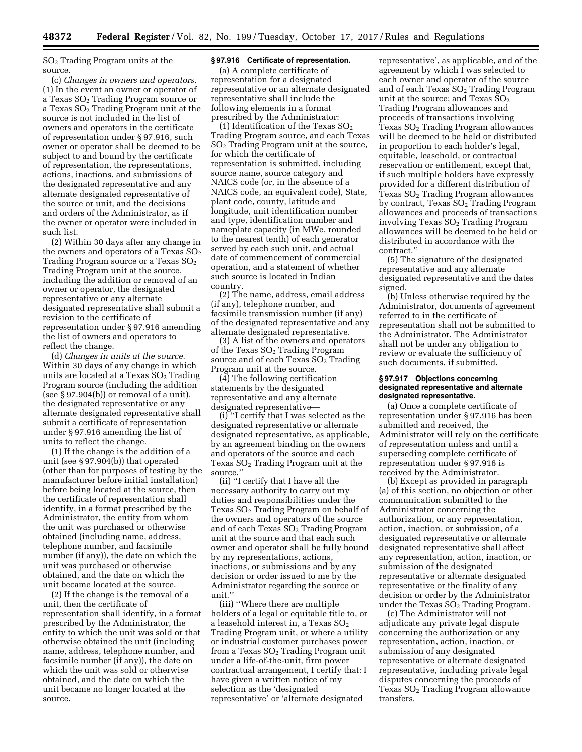SO2 Trading Program units at the source.

(c) *Changes in owners and operators.*  (1) In the event an owner or operator of a Texas  $SO<sub>2</sub>$  Trading Program source or a Texas  $SO<sub>2</sub>$  Trading Program unit at the source is not included in the list of owners and operators in the certificate of representation under § 97.916, such owner or operator shall be deemed to be subject to and bound by the certificate of representation, the representations, actions, inactions, and submissions of the designated representative and any alternate designated representative of the source or unit, and the decisions and orders of the Administrator, as if the owner or operator were included in such list.

(2) Within 30 days after any change in the owners and operators of a Texas  $SO<sub>2</sub>$ Trading Program source or a Texas  $SO<sub>2</sub>$ Trading Program unit at the source, including the addition or removal of an owner or operator, the designated representative or any alternate designated representative shall submit a revision to the certificate of representation under § 97.916 amending the list of owners and operators to reflect the change.

(d) *Changes in units at the source.*  Within 30 days of any change in which units are located at a Texas  $SO<sub>2</sub>$  Trading Program source (including the addition (see § 97.904(b)) or removal of a unit), the designated representative or any alternate designated representative shall submit a certificate of representation under § 97.916 amending the list of units to reflect the change.

(1) If the change is the addition of a unit (see § 97.904(b)) that operated (other than for purposes of testing by the manufacturer before initial installation) before being located at the source, then the certificate of representation shall identify, in a format prescribed by the Administrator, the entity from whom the unit was purchased or otherwise obtained (including name, address, telephone number, and facsimile number (if any)), the date on which the unit was purchased or otherwise obtained, and the date on which the unit became located at the source.

(2) If the change is the removal of a unit, then the certificate of representation shall identify, in a format prescribed by the Administrator, the entity to which the unit was sold or that otherwise obtained the unit (including name, address, telephone number, and facsimile number (if any)), the date on which the unit was sold or otherwise obtained, and the date on which the unit became no longer located at the source.

## **§ 97.916 Certificate of representation.**

(a) A complete certificate of representation for a designated representative or an alternate designated representative shall include the following elements in a format prescribed by the Administrator:

(1) Identification of the Texas  $SO_2$ Trading Program source, and each Texas SO2 Trading Program unit at the source, for which the certificate of representation is submitted, including source name, source category and NAICS code (or, in the absence of a NAICS code, an equivalent code), State, plant code, county, latitude and longitude, unit identification number and type, identification number and nameplate capacity (in MWe, rounded to the nearest tenth) of each generator served by each such unit, and actual date of commencement of commercial operation, and a statement of whether such source is located in Indian country.

(2) The name, address, email address (if any), telephone number, and facsimile transmission number (if any) of the designated representative and any alternate designated representative.

(3) A list of the owners and operators of the Texas SO<sub>2</sub> Trading Program source and of each Texas  $SO<sub>2</sub>$  Trading Program unit at the source.

(4) The following certification statements by the designated representative and any alternate designated representative—

(i) ''I certify that I was selected as the designated representative or alternate designated representative, as applicable, by an agreement binding on the owners and operators of the source and each Texas  $SO<sub>2</sub>$  Trading Program unit at the source.''

(ii) ''I certify that I have all the necessary authority to carry out my duties and responsibilities under the Texas  $SO<sub>2</sub>$  Trading Program on behalf of the owners and operators of the source and of each Texas  $SO<sub>2</sub>$  Trading Program unit at the source and that each such owner and operator shall be fully bound by my representations, actions, inactions, or submissions and by any decision or order issued to me by the Administrator regarding the source or unit.''

(iii) ''Where there are multiple holders of a legal or equitable title to, or a leasehold interest in, a Texas  $\mathrm{SO}_2$ Trading Program unit, or where a utility or industrial customer purchases power from a Texas  $SO<sub>2</sub>$  Trading Program unit under a life-of-the-unit, firm power contractual arrangement, I certify that: I have given a written notice of my selection as the 'designated representative' or 'alternate designated

representative', as applicable, and of the agreement by which I was selected to each owner and operator of the source and of each Texas SO2 Trading Program unit at the source; and Texas  $SO<sub>2</sub>$ Trading Program allowances and proceeds of transactions involving Texas  $SO<sub>2</sub>$  Trading Program allowances will be deemed to be held or distributed in proportion to each holder's legal, equitable, leasehold, or contractual reservation or entitlement, except that, if such multiple holders have expressly provided for a different distribution of Texas  $SO<sub>2</sub>$  Trading Program allowances by contract, Texas SO<sub>2</sub> Trading Program allowances and proceeds of transactions involving Texas  $SO<sub>2</sub>$  Trading Program allowances will be deemed to be held or distributed in accordance with the contract.''

(5) The signature of the designated representative and any alternate designated representative and the dates signed.

(b) Unless otherwise required by the Administrator, documents of agreement referred to in the certificate of representation shall not be submitted to the Administrator. The Administrator shall not be under any obligation to review or evaluate the sufficiency of such documents, if submitted.

#### **§ 97.917 Objections concerning designated representative and alternate designated representative.**

(a) Once a complete certificate of representation under § 97.916 has been submitted and received, the Administrator will rely on the certificate of representation unless and until a superseding complete certificate of representation under § 97.916 is received by the Administrator.

(b) Except as provided in paragraph (a) of this section, no objection or other communication submitted to the Administrator concerning the authorization, or any representation, action, inaction, or submission, of a designated representative or alternate designated representative shall affect any representation, action, inaction, or submission of the designated representative or alternate designated representative or the finality of any decision or order by the Administrator under the Texas  $SO<sub>2</sub>$  Trading Program.

(c) The Administrator will not adjudicate any private legal dispute concerning the authorization or any representation, action, inaction, or submission of any designated representative or alternate designated representative, including private legal disputes concerning the proceeds of Texas  $SO<sub>2</sub>$  Trading Program allowance transfers.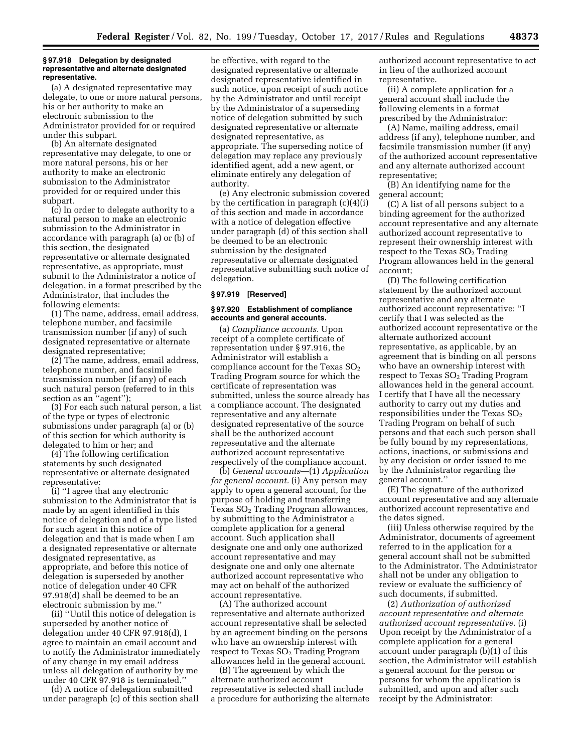#### **§ 97.918 Delegation by designated representative and alternate designated representative.**

(a) A designated representative may delegate, to one or more natural persons, his or her authority to make an electronic submission to the Administrator provided for or required under this subpart.

(b) An alternate designated representative may delegate, to one or more natural persons, his or her authority to make an electronic submission to the Administrator provided for or required under this subpart.

(c) In order to delegate authority to a natural person to make an electronic submission to the Administrator in accordance with paragraph (a) or (b) of this section, the designated representative or alternate designated representative, as appropriate, must submit to the Administrator a notice of delegation, in a format prescribed by the Administrator, that includes the following elements:

(1) The name, address, email address, telephone number, and facsimile transmission number (if any) of such designated representative or alternate designated representative;

(2) The name, address, email address, telephone number, and facsimile transmission number (if any) of each such natural person (referred to in this section as an "agent");

(3) For each such natural person, a list of the type or types of electronic submissions under paragraph (a) or (b) of this section for which authority is delegated to him or her; and

(4) The following certification statements by such designated representative or alternate designated representative:

(i) ''I agree that any electronic submission to the Administrator that is made by an agent identified in this notice of delegation and of a type listed for such agent in this notice of delegation and that is made when I am a designated representative or alternate designated representative, as appropriate, and before this notice of delegation is superseded by another notice of delegation under 40 CFR 97.918(d) shall be deemed to be an electronic submission by me.''

(ii) ''Until this notice of delegation is superseded by another notice of delegation under 40 CFR 97.918(d), I agree to maintain an email account and to notify the Administrator immediately of any change in my email address unless all delegation of authority by me under 40 CFR 97.918 is terminated.''

(d) A notice of delegation submitted under paragraph (c) of this section shall

be effective, with regard to the designated representative or alternate designated representative identified in such notice, upon receipt of such notice by the Administrator and until receipt by the Administrator of a superseding notice of delegation submitted by such designated representative or alternate designated representative, as appropriate. The superseding notice of delegation may replace any previously identified agent, add a new agent, or eliminate entirely any delegation of authority.

(e) Any electronic submission covered by the certification in paragraph (c)(4)(i) of this section and made in accordance with a notice of delegation effective under paragraph (d) of this section shall be deemed to be an electronic submission by the designated representative or alternate designated representative submitting such notice of delegation.

# **§ 97.919 [Reserved]**

#### **§ 97.920 Establishment of compliance accounts and general accounts.**

(a) *Compliance accounts.* Upon receipt of a complete certificate of representation under § 97.916, the Administrator will establish a compliance account for the Texas  $SO<sub>2</sub>$ Trading Program source for which the certificate of representation was submitted, unless the source already has a compliance account. The designated representative and any alternate designated representative of the source shall be the authorized account representative and the alternate authorized account representative respectively of the compliance account.

(b) *General accounts*—(1) *Application for general account.* (i) Any person may apply to open a general account, for the purpose of holding and transferring Texas SO<sub>2</sub> Trading Program allowances, by submitting to the Administrator a complete application for a general account. Such application shall designate one and only one authorized account representative and may designate one and only one alternate authorized account representative who may act on behalf of the authorized account representative.

(A) The authorized account representative and alternate authorized account representative shall be selected by an agreement binding on the persons who have an ownership interest with respect to Texas  $SO<sub>2</sub>$  Trading Program allowances held in the general account.

(B) The agreement by which the alternate authorized account representative is selected shall include a procedure for authorizing the alternate authorized account representative to act in lieu of the authorized account representative.

(ii) A complete application for a general account shall include the following elements in a format prescribed by the Administrator:

(A) Name, mailing address, email address (if any), telephone number, and facsimile transmission number (if any) of the authorized account representative and any alternate authorized account representative;

(B) An identifying name for the general account;

(C) A list of all persons subject to a binding agreement for the authorized account representative and any alternate authorized account representative to represent their ownership interest with respect to the Texas  $SO<sub>2</sub>$  Trading Program allowances held in the general account;

(D) The following certification statement by the authorized account representative and any alternate authorized account representative: ''I certify that I was selected as the authorized account representative or the alternate authorized account representative, as applicable, by an agreement that is binding on all persons who have an ownership interest with respect to Texas SO<sub>2</sub> Trading Program allowances held in the general account. I certify that I have all the necessary authority to carry out my duties and responsibilities under the Texas  $SO<sub>2</sub>$ Trading Program on behalf of such persons and that each such person shall be fully bound by my representations, actions, inactions, or submissions and by any decision or order issued to me by the Administrator regarding the general account.''

(E) The signature of the authorized account representative and any alternate authorized account representative and the dates signed.

(iii) Unless otherwise required by the Administrator, documents of agreement referred to in the application for a general account shall not be submitted to the Administrator. The Administrator shall not be under any obligation to review or evaluate the sufficiency of such documents, if submitted.

(2) *Authorization of authorized account representative and alternate authorized account representative.* (i) Upon receipt by the Administrator of a complete application for a general account under paragraph (b)(1) of this section, the Administrator will establish a general account for the person or persons for whom the application is submitted, and upon and after such receipt by the Administrator: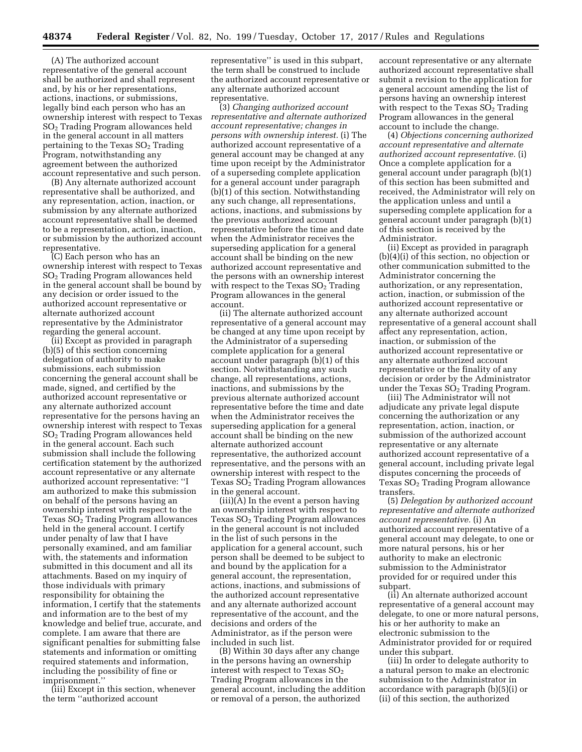(A) The authorized account representative of the general account shall be authorized and shall represent and, by his or her representations, actions, inactions, or submissions, legally bind each person who has an ownership interest with respect to Texas SO2 Trading Program allowances held in the general account in all matters pertaining to the Texas  $SO<sub>2</sub>$  Trading Program, notwithstanding any agreement between the authorized account representative and such person.

(B) Any alternate authorized account representative shall be authorized, and any representation, action, inaction, or submission by any alternate authorized account representative shall be deemed to be a representation, action, inaction, or submission by the authorized account representative.

(C) Each person who has an ownership interest with respect to Texas SO2 Trading Program allowances held in the general account shall be bound by any decision or order issued to the authorized account representative or alternate authorized account representative by the Administrator regarding the general account.

(ii) Except as provided in paragraph (b)(5) of this section concerning delegation of authority to make submissions, each submission concerning the general account shall be made, signed, and certified by the authorized account representative or any alternate authorized account representative for the persons having an ownership interest with respect to Texas SO2 Trading Program allowances held in the general account. Each such submission shall include the following certification statement by the authorized account representative or any alternate authorized account representative: ''I am authorized to make this submission on behalf of the persons having an ownership interest with respect to the Texas  $SO<sub>2</sub>$  Trading Program allowances held in the general account. I certify under penalty of law that I have personally examined, and am familiar with, the statements and information submitted in this document and all its attachments. Based on my inquiry of those individuals with primary responsibility for obtaining the information, I certify that the statements and information are to the best of my knowledge and belief true, accurate, and complete. I am aware that there are significant penalties for submitting false statements and information or omitting required statements and information, including the possibility of fine or imprisonment.''

(iii) Except in this section, whenever the term ''authorized account

representative'' is used in this subpart, the term shall be construed to include the authorized account representative or any alternate authorized account representative.

(3) *Changing authorized account representative and alternate authorized account representative; changes in persons with ownership interest.* (i) The authorized account representative of a general account may be changed at any time upon receipt by the Administrator of a superseding complete application for a general account under paragraph (b)(1) of this section. Notwithstanding any such change, all representations, actions, inactions, and submissions by the previous authorized account representative before the time and date when the Administrator receives the superseding application for a general account shall be binding on the new authorized account representative and the persons with an ownership interest with respect to the Texas  $SO<sub>2</sub>$  Trading Program allowances in the general account.

(ii) The alternate authorized account representative of a general account may be changed at any time upon receipt by the Administrator of a superseding complete application for a general account under paragraph (b)(1) of this section. Notwithstanding any such change, all representations, actions, inactions, and submissions by the previous alternate authorized account representative before the time and date when the Administrator receives the superseding application for a general account shall be binding on the new alternate authorized account representative, the authorized account representative, and the persons with an ownership interest with respect to the Texas  $SO<sub>2</sub>$  Trading Program allowances in the general account.

 $(iii)(\bar{A})$  In the event a person having an ownership interest with respect to Texas SO2 Trading Program allowances in the general account is not included in the list of such persons in the application for a general account, such person shall be deemed to be subject to and bound by the application for a general account, the representation, actions, inactions, and submissions of the authorized account representative and any alternate authorized account representative of the account, and the decisions and orders of the Administrator, as if the person were included in such list.

(B) Within 30 days after any change in the persons having an ownership interest with respect to Texas  $SO<sub>2</sub>$ Trading Program allowances in the general account, including the addition or removal of a person, the authorized

account representative or any alternate authorized account representative shall submit a revision to the application for a general account amending the list of persons having an ownership interest with respect to the Texas  $SO<sub>2</sub>$  Trading Program allowances in the general account to include the change.

(4) *Objections concerning authorized account representative and alternate authorized account representative.* (i) Once a complete application for a general account under paragraph (b)(1) of this section has been submitted and received, the Administrator will rely on the application unless and until a superseding complete application for a general account under paragraph (b)(1) of this section is received by the Administrator.

(ii) Except as provided in paragraph (b)(4)(i) of this section, no objection or other communication submitted to the Administrator concerning the authorization, or any representation, action, inaction, or submission of the authorized account representative or any alternate authorized account representative of a general account shall affect any representation, action, inaction, or submission of the authorized account representative or any alternate authorized account representative or the finality of any decision or order by the Administrator under the Texas  $S\ddot{O}_2$  Trading Program.

(iii) The Administrator will not adjudicate any private legal dispute concerning the authorization or any representation, action, inaction, or submission of the authorized account representative or any alternate authorized account representative of a general account, including private legal disputes concerning the proceeds of Texas SO<sub>2</sub> Trading Program allowance transfers.

(5) *Delegation by authorized account representative and alternate authorized account representative.* (i) An authorized account representative of a general account may delegate, to one or more natural persons, his or her authority to make an electronic submission to the Administrator provided for or required under this subpart.

(ii) An alternate authorized account representative of a general account may delegate, to one or more natural persons, his or her authority to make an electronic submission to the Administrator provided for or required under this subpart.

(iii) In order to delegate authority to a natural person to make an electronic submission to the Administrator in accordance with paragraph (b)(5)(i) or (ii) of this section, the authorized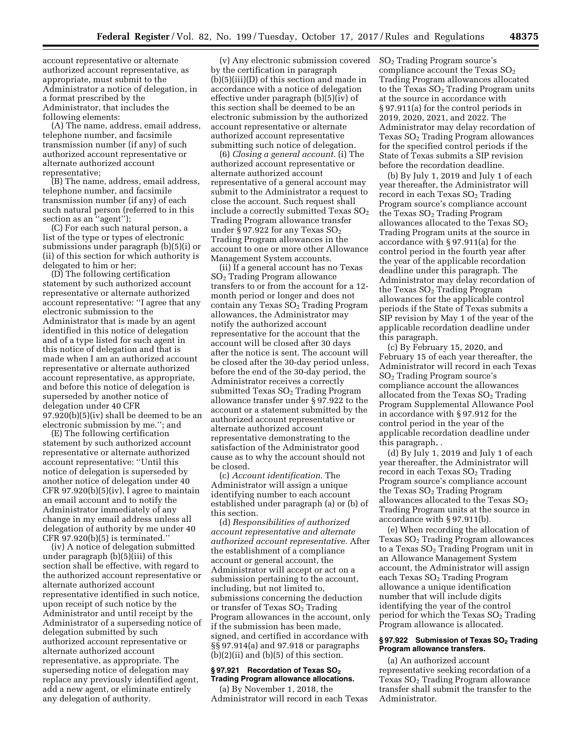account representative or alternate authorized account representative, as appropriate, must submit to the Administrator a notice of delegation, in a format prescribed by the Administrator, that includes the following elements:

(A) The name, address, email address, telephone number, and facsimile transmission number (if any) of such authorized account representative or alternate authorized account representative;

(B) The name, address, email address, telephone number, and facsimile transmission number (if any) of each such natural person (referred to in this section as an "agent");

(C) For each such natural person, a list of the type or types of electronic submissions under paragraph (b)(5)(i) or (ii) of this section for which authority is delegated to him or her;

(D) The following certification statement by such authorized account representative or alternate authorized account representative: ''I agree that any electronic submission to the Administrator that is made by an agent identified in this notice of delegation and of a type listed for such agent in this notice of delegation and that is made when I am an authorized account representative or alternate authorized account representative, as appropriate, and before this notice of delegation is superseded by another notice of delegation under 40 CFR 97.920(b)(5)(iv) shall be deemed to be an electronic submission by me.''; and

(E) The following certification statement by such authorized account representative or alternate authorized account representative: ''Until this notice of delegation is superseded by another notice of delegation under 40 CFR 97.920(b)(5)(iv), I agree to maintain an email account and to notify the Administrator immediately of any change in my email address unless all delegation of authority by me under 40 CFR 97.920(b)(5) is terminated.''

(iv) A notice of delegation submitted under paragraph (b)(5)(iii) of this section shall be effective, with regard to the authorized account representative or alternate authorized account representative identified in such notice, upon receipt of such notice by the Administrator and until receipt by the Administrator of a superseding notice of delegation submitted by such authorized account representative or alternate authorized account representative, as appropriate. The superseding notice of delegation may replace any previously identified agent, add a new agent, or eliminate entirely any delegation of authority.

(v) Any electronic submission covered by the certification in paragraph (b)(5)(iii)(D) of this section and made in accordance with a notice of delegation effective under paragraph (b)(5)(iv) of this section shall be deemed to be an electronic submission by the authorized account representative or alternate authorized account representative submitting such notice of delegation.

(6) *Closing a general account.* (i) The authorized account representative or alternate authorized account representative of a general account may submit to the Administrator a request to close the account. Such request shall include a correctly submitted Texas  $SO<sub>2</sub>$ Trading Program allowance transfer under § 97.922 for any Texas  $SO<sub>2</sub>$ Trading Program allowances in the account to one or more other Allowance Management System accounts.

(ii) If a general account has no Texas SO2 Trading Program allowance transfers to or from the account for a 12 month period or longer and does not contain any Texas  $SO<sub>2</sub>$  Trading Program allowances, the Administrator may notify the authorized account representative for the account that the account will be closed after 30 days after the notice is sent. The account will be closed after the 30-day period unless, before the end of the 30-day period, the Administrator receives a correctly submitted Texas  $SO<sub>2</sub>$  Trading Program allowance transfer under § 97.922 to the account or a statement submitted by the authorized account representative or alternate authorized account representative demonstrating to the satisfaction of the Administrator good cause as to why the account should not be closed.

(c) *Account identification.* The Administrator will assign a unique identifying number to each account established under paragraph (a) or (b) of this section.

(d) *Responsibilities of authorized account representative and alternate authorized account representative.* After the establishment of a compliance account or general account, the Administrator will accept or act on a submission pertaining to the account, including, but not limited to, submissions concerning the deduction or transfer of Texas SO2 Trading Program allowances in the account, only if the submission has been made, signed, and certified in accordance with §§ 97.914(a) and 97.918 or paragraphs  $(b)(2)(ii)$  and  $(b)(5)$  of this section.

### § 97.921 Recordation of Texas SO<sub>2</sub> **Trading Program allowance allocations.**

(a) By November 1, 2018, the Administrator will record in each Texas SO2 Trading Program source's compliance account the Texas  $SO<sub>2</sub>$ Trading Program allowances allocated to the Texas  $SO<sub>2</sub>$  Trading Program units at the source in accordance with § 97.911(a) for the control periods in 2019, 2020, 2021, and 2022. The Administrator may delay recordation of Texas  $SO<sub>2</sub>$  Trading Program allowances for the specified control periods if the State of Texas submits a SIP revision before the recordation deadline.

(b) By July 1, 2019 and July 1 of each year thereafter, the Administrator will record in each Texas SO<sub>2</sub> Trading Program source's compliance account the Texas  $SO<sub>2</sub>$  Trading Program allowances allocated to the Texas  $SO<sub>2</sub>$ Trading Program units at the source in accordance with § 97.911(a) for the control period in the fourth year after the year of the applicable recordation deadline under this paragraph. The Administrator may delay recordation of the Texas  $SO<sub>2</sub>$  Trading Program allowances for the applicable control periods if the State of Texas submits a SIP revision by May 1 of the year of the applicable recordation deadline under this paragraph.

(c) By February 15, 2020, and February 15 of each year thereafter, the Administrator will record in each Texas SO2 Trading Program source's compliance account the allowances allocated from the Texas  $SO<sub>2</sub>$  Trading Program Supplemental Allowance Pool in accordance with § 97.912 for the control period in the year of the applicable recordation deadline under this paragraph, .

(d) By July 1, 2019 and July 1 of each year thereafter, the Administrator will record in each Texas  $SO<sub>2</sub>$  Trading Program source's compliance account the Texas  $SO<sub>2</sub>$  Trading Program allowances allocated to the Texas  $SO<sub>2</sub>$ Trading Program units at the source in accordance with § 97.911(b).

(e) When recording the allocation of Texas SO2 Trading Program allowances to a Texas  $SO<sub>2</sub>$  Trading Program unit in an Allowance Management System account, the Administrator will assign each Texas SO<sub>2</sub> Trading Program allowance a unique identification number that will include digits identifying the year of the control period for which the Texas  $SO<sub>2</sub>$  Trading Program allowance is allocated.

### § 97.922 Submission of Texas SO<sub>2</sub> Trading **Program allowance transfers.**

(a) An authorized account representative seeking recordation of a Texas $\mathrm{SO}_2$  Trading Program allowance transfer shall submit the transfer to the Administrator.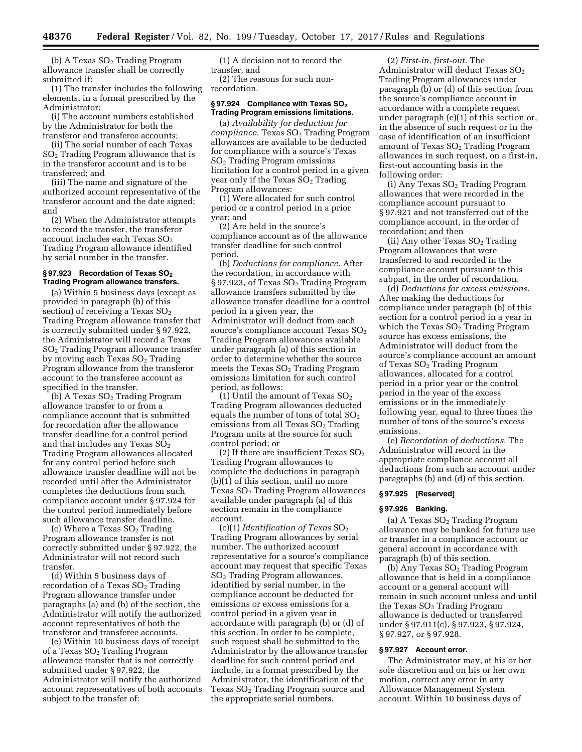(b) A Texas  $SO<sub>2</sub>$  Trading Program allowance transfer shall be correctly submitted if:

(1) The transfer includes the following elements, in a format prescribed by the Administrator:

(i) The account numbers established by the Administrator for both the transferor and transferee accounts;

(ii) The serial number of each Texas SO2 Trading Program allowance that is in the transferor account and is to be transferred; and

(iii) The name and signature of the authorized account representative of the transferor account and the date signed; and

(2) When the Administrator attempts to record the transfer, the transferor account includes each Texas  $SO<sub>2</sub>$ Trading Program allowance identified by serial number in the transfer.

### **§ 97.923 Recordation of Texas SO2 Trading Program allowance transfers.**

(a) Within 5 business days (except as provided in paragraph (b) of this section) of receiving a Texas  $SO<sub>2</sub>$ Trading Program allowance transfer that is correctly submitted under § 97.922, the Administrator will record a Texas SO2 Trading Program allowance transfer by moving each Texas  $SO<sub>2</sub>$  Trading Program allowance from the transferor account to the transferee account as specified in the transfer.

(b) A Texas  $SO<sub>2</sub>$  Trading Program allowance transfer to or from a compliance account that is submitted for recordation after the allowance transfer deadline for a control period and that includes any Texas SO<sub>2</sub> Trading Program allowances allocated for any control period before such allowance transfer deadline will not be recorded until after the Administrator completes the deductions from such compliance account under § 97.924 for the control period immediately before such allowance transfer deadline.

(c) Where a Texas  $SO<sub>2</sub>$  Trading Program allowance transfer is not correctly submitted under § 97.922, the Administrator will not record such transfer.

(d) Within 5 business days of recordation of a Texas  $SO<sub>2</sub>$  Trading Program allowance transfer under paragraphs (a) and (b) of the section, the Administrator will notify the authorized account representatives of both the transferor and transferee accounts.

(e) Within 10 business days of receipt of a Texas  $SO<sub>2</sub>$  Trading Program allowance transfer that is not correctly submitted under § 97.922, the Administrator will notify the authorized account representatives of both accounts subject to the transfer of:

(1) A decision not to record the transfer, and

(2) The reasons for such nonrecordation.

### **§ 97.924 Compliance with Texas SO2 Trading Program emissions limitations.**

(a) *Availability for deduction for compliance.* Texas  $SO<sub>2</sub>$  Trading Program allowances are available to be deducted for compliance with a source's Texas SO2 Trading Program emissions limitation for a control period in a given year only if the Texas  $SO<sub>2</sub>$  Trading Program allowances:

(1) Were allocated for such control period or a control period in a prior year; and

(2) Are held in the source's compliance account as of the allowance transfer deadline for such control period.

(b) *Deductions for compliance.* After the recordation, in accordance with § 97.923, of Texas SO<sub>2</sub> Trading Program allowance transfers submitted by the allowance transfer deadline for a control period in a given year, the Administrator will deduct from each source's compliance account Texas  $SO<sub>2</sub>$ Trading Program allowances available under paragraph (a) of this section in order to determine whether the source meets the Texas  $SO<sub>2</sub>$  Trading Program emissions limitation for such control period, as follows:

(1) Until the amount of Texas  $SO<sub>2</sub>$ Trading Program allowances deducted equals the number of tons of total  $SO<sub>2</sub>$ emissions from all Texas  $SO<sub>2</sub>$  Trading Program units at the source for such control period; or

(2) If there are insufficient Texas  $SO<sub>2</sub>$ Trading Program allowances to complete the deductions in paragraph (b)(1) of this section, until no more Texas SO2 Trading Program allowances available under paragraph (a) of this section remain in the compliance account.

(c)(1) *Identification of Texas* SO2 Trading Program allowances by serial number. The authorized account representative for a source's compliance account may request that specific Texas SO2 Trading Program allowances, identified by serial number, in the compliance account be deducted for emissions or excess emissions for a control period in a given year in accordance with paragraph (b) or (d) of this section. In order to be complete, such request shall be submitted to the Administrator by the allowance transfer deadline for such control period and include, in a format prescribed by the Administrator, the identification of the Texas  $SO<sub>2</sub>$  Trading Program source and the appropriate serial numbers.

(2) *First-in, first-out.* The Administrator will deduct Texas  $SO<sub>2</sub>$ Trading Program allowances under paragraph (b) or (d) of this section from the source's compliance account in accordance with a complete request under paragraph (c)(1) of this section or, in the absence of such request or in the case of identification of an insufficient amount of Texas SO2 Trading Program allowances in such request, on a first-in, first-out accounting basis in the following order:

(i) Any Texas SO<sub>2</sub> Trading Program allowances that were recorded in the compliance account pursuant to § 97.921 and not transferred out of the compliance account, in the order of recordation; and then

(ii) Any other Texas  $SO<sub>2</sub>$  Trading Program allowances that were transferred to and recorded in the compliance account pursuant to this subpart, in the order of recordation.

(d) *Deductions for excess emissions.*  After making the deductions for compliance under paragraph (b) of this section for a control period in a year in which the Texas  $SO<sub>2</sub>$  Trading Program source has excess emissions, the Administrator will deduct from the source's compliance account an amount of Texas SO<sub>2</sub> Trading Program allowances, allocated for a control period in a prior year or the control period in the year of the excess emissions or in the immediately following year, equal to three times the number of tons of the source's excess emissions.

(e) *Recordation of deductions.* The Administrator will record in the appropriate compliance account all deductions from such an account under paragraphs (b) and (d) of this section.

### **§ 97.925 [Reserved]**

### **§ 97.926 Banking.**

(a) A Texas  $SO<sub>2</sub>$  Trading Program allowance may be banked for future use or transfer in a compliance account or general account in accordance with paragraph (b) of this section.

(b) Any Texas SO2 Trading Program allowance that is held in a compliance account or a general account will remain in such account unless and until the Texas  $SO<sub>2</sub>$  Trading Program allowance is deducted or transferred under § 97.911(c), § 97.923, § 97.924, § 97.927, or § 97.928.

## **§ 97.927 Account error.**

The Administrator may, at his or her sole discretion and on his or her own motion, correct any error in any Allowance Management System account. Within 10 business days of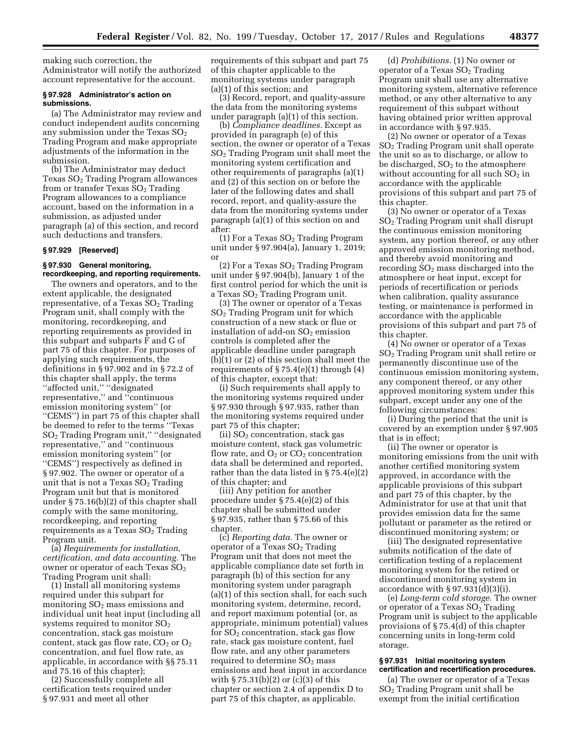making such correction, the Administrator will notify the authorized account representative for the account.

#### **§ 97.928 Administrator's action on submissions.**

(a) The Administrator may review and conduct independent audits concerning any submission under the Texas  $SO<sub>2</sub>$ Trading Program and make appropriate adjustments of the information in the submission.

(b) The Administrator may deduct Texas  $SO<sub>2</sub>$  Trading Program allowances from or transfer Texas SO<sub>2</sub> Trading Program allowances to a compliance account, based on the information in a submission, as adjusted under paragraph (a) of this section, and record such deductions and transfers.

### **§ 97.929 [Reserved]**

#### **§ 97.930 General monitoring, recordkeeping, and reporting requirements.**

The owners and operators, and to the extent applicable, the designated representative, of a Texas  $SO<sub>2</sub>$  Trading Program unit, shall comply with the monitoring, recordkeeping, and reporting requirements as provided in this subpart and subparts F and G of part 75 of this chapter. For purposes of applying such requirements, the definitions in § 97.902 and in § 72.2 of this chapter shall apply, the terms ''affected unit,'' ''designated representative,'' and ''continuous emission monitoring system'' (or ''CEMS'') in part 75 of this chapter shall be deemed to refer to the terms ''Texas SO2 Trading Program unit,'' ''designated representative,'' and ''continuous emission monitoring system'' (or ''CEMS'') respectively as defined in § 97.902. The owner or operator of a unit that is not a Texas  $SO<sub>2</sub>$  Trading Program unit but that is monitored under § 75.16(b)(2) of this chapter shall comply with the same monitoring, recordkeeping, and reporting requirements as a Texas  $SO<sub>2</sub>$  Trading Program unit.

(a) *Requirements for installation, certification, and data accounting.* The owner or operator of each Texas SO<sub>2</sub> Trading Program unit shall:

(1) Install all monitoring systems required under this subpart for monitoring  $SO<sub>2</sub>$  mass emissions and individual unit heat input (including all systems required to monitor  $SO<sub>2</sub>$ concentration, stack gas moisture content, stack gas flow rate,  $CO<sub>2</sub>$  or  $O<sub>2</sub>$ concentration, and fuel flow rate, as applicable, in accordance with §§ 75.11 and 75.16 of this chapter);

(2) Successfully complete all certification tests required under § 97.931 and meet all other

requirements of this subpart and part 75 of this chapter applicable to the monitoring systems under paragraph (a)(1) of this section; and

(3) Record, report, and quality-assure the data from the monitoring systems under paragraph (a)(1) of this section.

(b) *Compliance deadlines.* Except as provided in paragraph (e) of this section, the owner or operator of a Texas SO2 Trading Program unit shall meet the monitoring system certification and other requirements of paragraphs (a)(1) and (2) of this section on or before the later of the following dates and shall record, report, and quality-assure the data from the monitoring systems under paragraph (a)(1) of this section on and after:

(1) For a Texas  $SO<sub>2</sub>$  Trading Program unit under § 97.904(a), January 1, 2019; or

(2) For a Texas  $SO<sub>2</sub>$  Trading Program unit under § 97.904(b), January 1 of the first control period for which the unit is a Texas SO2 Trading Program unit.

(3) The owner or operator of a Texas SO2 Trading Program unit for which construction of a new stack or flue or installation of add-on  $SO<sub>2</sub>$  emission controls is completed after the applicable deadline under paragraph (b)(1) or (2) of this section shall meet the requirements of  $\S 75.4(e)(1)$  through (4) of this chapter, except that:

(i) Such requirements shall apply to the monitoring systems required under § 97.930 through § 97.935, rather than the monitoring systems required under part 75 of this chapter;

(ii)  $SO<sub>2</sub>$  concentration, stack gas moisture content, stack gas volumetric flow rate, and  $O_2$  or  $CO_2$  concentration data shall be determined and reported, rather than the data listed in § 75.4(e)(2) of this chapter; and

(iii) Any petition for another procedure under § 75.4(e)(2) of this chapter shall be submitted under § 97.935, rather than § 75.66 of this chapter.

(c) *Reporting data.* The owner or operator of a Texas  $SO<sub>2</sub>$  Trading Program unit that does not meet the applicable compliance date set forth in paragraph (b) of this section for any monitoring system under paragraph (a)(1) of this section shall, for each such monitoring system, determine, record, and report maximum potential (or, as appropriate, minimum potential) values for  $SO<sub>2</sub>$  concentration, stack gas flow rate, stack gas moisture content, fuel flow rate, and any other parameters required to determine  $SO<sub>2</sub>$  mass emissions and heat input in accordance with § 75.31(b)(2) or (c)(3) of this chapter or section 2.4 of appendix D to part 75 of this chapter, as applicable.

(d) *Prohibitions.* (1) No owner or operator of a Texas  $SO<sub>2</sub>$  Trading Program unit shall use any alternative monitoring system, alternative reference method, or any other alternative to any requirement of this subpart without having obtained prior written approval in accordance with § 97.935.

(2) No owner or operator of a Texas SO2 Trading Program unit shall operate the unit so as to discharge, or allow to be discharged,  $SO<sub>2</sub>$  to the atmosphere without accounting for all such  $SO<sub>2</sub>$  in accordance with the applicable provisions of this subpart and part 75 of this chapter.

(3) No owner or operator of a Texas SO2 Trading Program unit shall disrupt the continuous emission monitoring system, any portion thereof, or any other approved emission monitoring method, and thereby avoid monitoring and recording  $SO<sub>2</sub>$  mass discharged into the atmosphere or heat input, except for periods of recertification or periods when calibration, quality assurance testing, or maintenance is performed in accordance with the applicable provisions of this subpart and part 75 of this chapter.

(4) No owner or operator of a Texas SO2 Trading Program unit shall retire or permanently discontinue use of the continuous emission monitoring system, any component thereof, or any other approved monitoring system under this subpart, except under any one of the following circumstances:

(i) During the period that the unit is covered by an exemption under § 97.905 that is in effect;

(ii) The owner or operator is monitoring emissions from the unit with another certified monitoring system approved, in accordance with the applicable provisions of this subpart and part 75 of this chapter, by the Administrator for use at that unit that provides emission data for the same pollutant or parameter as the retired or discontinued monitoring system; or

(iii) The designated representative submits notification of the date of certification testing of a replacement monitoring system for the retired or discontinued monitoring system in accordance with  $\S 97.931(d)(3)(i)$ .

(e) *Long-term cold storage.* The owner or operator of a Texas  $SO<sub>2</sub>$  Trading Program unit is subject to the applicable provisions of § 75.4(d) of this chapter concerning units in long-term cold storage.

### **§ 97.931 Initial monitoring system certification and recertification procedures.**

(a) The owner or operator of a Texas SO2 Trading Program unit shall be exempt from the initial certification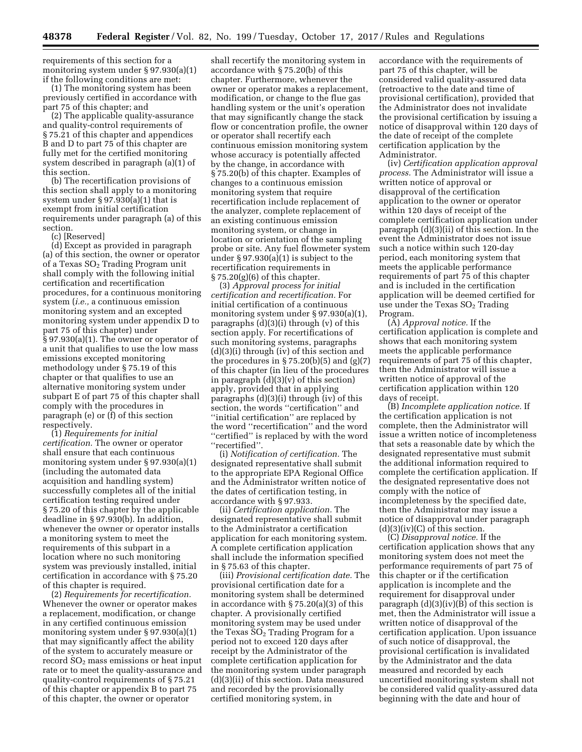requirements of this section for a monitoring system under § 97.930(a)(1) if the following conditions are met:

(1) The monitoring system has been previously certified in accordance with part 75 of this chapter; and

(2) The applicable quality-assurance and quality-control requirements of § 75.21 of this chapter and appendices B and D to part 75 of this chapter are fully met for the certified monitoring system described in paragraph (a)(1) of this section.

(b) The recertification provisions of this section shall apply to a monitoring system under  $\S 97.930(a)(1)$  that is exempt from initial certification requirements under paragraph (a) of this section.

(c) [Reserved]

(d) Except as provided in paragraph (a) of this section, the owner or operator of a Texas  $SO<sub>2</sub>$  Trading Program unit shall comply with the following initial certification and recertification procedures, for a continuous monitoring system (*i.e.,* a continuous emission monitoring system and an excepted monitoring system under appendix D to part 75 of this chapter) under § 97.930(a)(1). The owner or operator of a unit that qualifies to use the low mass emissions excepted monitoring methodology under § 75.19 of this chapter or that qualifies to use an alternative monitoring system under subpart E of part 75 of this chapter shall comply with the procedures in paragraph (e) or (f) of this section respectively.

(1) *Requirements for initial certification.* The owner or operator shall ensure that each continuous monitoring system under § 97.930(a)(1) (including the automated data acquisition and handling system) successfully completes all of the initial certification testing required under § 75.20 of this chapter by the applicable deadline in § 97.930(b). In addition, whenever the owner or operator installs a monitoring system to meet the requirements of this subpart in a location where no such monitoring system was previously installed, initial certification in accordance with § 75.20 of this chapter is required.

(2) *Requirements for recertification.*  Whenever the owner or operator makes a replacement, modification, or change in any certified continuous emission monitoring system under § 97.930(a)(1) that may significantly affect the ability of the system to accurately measure or record  $SO<sub>2</sub>$  mass emissions or heat input rate or to meet the quality-assurance and quality-control requirements of § 75.21 of this chapter or appendix B to part 75 of this chapter, the owner or operator

shall recertify the monitoring system in accordance with § 75.20(b) of this chapter. Furthermore, whenever the owner or operator makes a replacement, modification, or change to the flue gas handling system or the unit's operation that may significantly change the stack flow or concentration profile, the owner or operator shall recertify each continuous emission monitoring system whose accuracy is potentially affected by the change, in accordance with § 75.20(b) of this chapter. Examples of changes to a continuous emission monitoring system that require recertification include replacement of the analyzer, complete replacement of an existing continuous emission monitoring system, or change in location or orientation of the sampling probe or site. Any fuel flowmeter system under § 97.930(a)(1) is subject to the recertification requirements in § 75.20(g)(6) of this chapter.

(3) *Approval process for initial certification and recertification.* For initial certification of a continuous monitoring system under § 97.930(a)(1), paragraphs (d)(3)(i) through (v) of this section apply. For recertifications of such monitoring systems, paragraphs (d)(3)(i) through (iv) of this section and the procedures in  $\S 75.20(b)(5)$  and  $(g)(7)$ of this chapter (in lieu of the procedures in paragraph  $(d)(3)(v)$  of this section) apply, provided that in applying paragraphs (d)(3)(i) through (iv) of this section, the words ''certification'' and ''initial certification'' are replaced by the word ''recertification'' and the word ''certified'' is replaced by with the word ''recertified''.

(i) *Notification of certification.* The designated representative shall submit to the appropriate EPA Regional Office and the Administrator written notice of the dates of certification testing, in accordance with § 97.933.

(ii) *Certification application.* The designated representative shall submit to the Administrator a certification application for each monitoring system. A complete certification application shall include the information specified in § 75.63 of this chapter.

(iii) *Provisional certification date.* The provisional certification date for a monitoring system shall be determined in accordance with § 75.20(a)(3) of this chapter. A provisionally certified monitoring system may be used under the Texas  $SO<sub>2</sub>$  Trading Program for a period not to exceed 120 days after receipt by the Administrator of the complete certification application for the monitoring system under paragraph (d)(3)(ii) of this section. Data measured and recorded by the provisionally certified monitoring system, in

accordance with the requirements of part 75 of this chapter, will be considered valid quality-assured data (retroactive to the date and time of provisional certification), provided that the Administrator does not invalidate the provisional certification by issuing a notice of disapproval within 120 days of the date of receipt of the complete certification application by the Administrator.

(iv) *Certification application approval process.* The Administrator will issue a written notice of approval or disapproval of the certification application to the owner or operator within 120 days of receipt of the complete certification application under paragraph (d)(3)(ii) of this section. In the event the Administrator does not issue such a notice within such 120-day period, each monitoring system that meets the applicable performance requirements of part 75 of this chapter and is included in the certification application will be deemed certified for use under the Texas  $SO<sub>2</sub>$  Trading Program.

(A) *Approval notice.* If the certification application is complete and shows that each monitoring system meets the applicable performance requirements of part 75 of this chapter, then the Administrator will issue a written notice of approval of the certification application within 120 days of receipt.

(B) *Incomplete application notice.* If the certification application is not complete, then the Administrator will issue a written notice of incompleteness that sets a reasonable date by which the designated representative must submit the additional information required to complete the certification application. If the designated representative does not comply with the notice of incompleteness by the specified date, then the Administrator may issue a notice of disapproval under paragraph  $(d)(3)(iv)(C)$  of this section.

(C) *Disapproval notice.* If the certification application shows that any monitoring system does not meet the performance requirements of part 75 of this chapter or if the certification application is incomplete and the requirement for disapproval under paragraph  $(d)(3)(iv)(B)$  of this section is met, then the Administrator will issue a written notice of disapproval of the certification application. Upon issuance of such notice of disapproval, the provisional certification is invalidated by the Administrator and the data measured and recorded by each uncertified monitoring system shall not be considered valid quality-assured data beginning with the date and hour of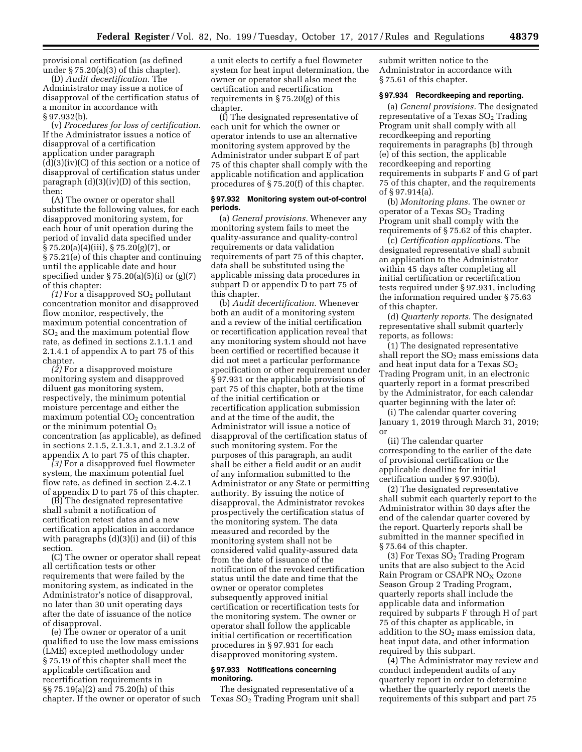provisional certification (as defined under § 75.20(a)(3) of this chapter).

(D) *Audit decertification.* The Administrator may issue a notice of disapproval of the certification status of a monitor in accordance with § 97.932(b).

(v) *Procedures for loss of certification.*  If the Administrator issues a notice of disapproval of a certification application under paragraph  $(d)(3)(iv)(C)$  of this section or a notice of disapproval of certification status under paragraph (d)(3)(iv)(D) of this section, then:

(A) The owner or operator shall substitute the following values, for each disapproved monitoring system, for each hour of unit operation during the period of invalid data specified under § 75.20(a)(4)(iii), § 75.20(g)(7), or § 75.21(e) of this chapter and continuing until the applicable date and hour specified under § 75.20(a)(5)(i) or (g)(7) of this chapter:

*(1)* For a disapproved SO2 pollutant concentration monitor and disapproved flow monitor, respectively, the maximum potential concentration of  $SO<sub>2</sub>$  and the maximum potential flow rate, as defined in sections 2.1.1.1 and 2.1.4.1 of appendix A to part 75 of this chapter.

*(2)* For a disapproved moisture monitoring system and disapproved diluent gas monitoring system, respectively, the minimum potential moisture percentage and either the  $maximum$  potential  $CO<sub>2</sub>$  concentration or the minimum potential  $O<sub>2</sub>$ concentration (as applicable), as defined in sections 2.1.5, 2.1.3.1, and 2.1.3.2 of appendix A to part 75 of this chapter.

*(3)* For a disapproved fuel flowmeter system, the maximum potential fuel flow rate, as defined in section 2.4.2.1 of appendix D to part 75 of this chapter.

(B) The designated representative shall submit a notification of certification retest dates and a new certification application in accordance with paragraphs  $(d)(3)(i)$  and  $(ii)$  of this section.

(C) The owner or operator shall repeat all certification tests or other requirements that were failed by the monitoring system, as indicated in the Administrator's notice of disapproval, no later than 30 unit operating days after the date of issuance of the notice of disapproval.

(e) The owner or operator of a unit qualified to use the low mass emissions (LME) excepted methodology under § 75.19 of this chapter shall meet the applicable certification and recertification requirements in §§ 75.19(a)(2) and 75.20(h) of this chapter. If the owner or operator of such

a unit elects to certify a fuel flowmeter system for heat input determination, the owner or operator shall also meet the certification and recertification requirements in § 75.20(g) of this chapter.

(f) The designated representative of each unit for which the owner or operator intends to use an alternative monitoring system approved by the Administrator under subpart E of part 75 of this chapter shall comply with the applicable notification and application procedures of § 75.20(f) of this chapter.

### **§ 97.932 Monitoring system out-of-control periods.**

(a) *General provisions.* Whenever any monitoring system fails to meet the quality-assurance and quality-control requirements or data validation requirements of part 75 of this chapter, data shall be substituted using the applicable missing data procedures in subpart D or appendix D to part 75 of this chapter.

(b) *Audit decertification.* Whenever both an audit of a monitoring system and a review of the initial certification or recertification application reveal that any monitoring system should not have been certified or recertified because it did not meet a particular performance specification or other requirement under § 97.931 or the applicable provisions of part 75 of this chapter, both at the time of the initial certification or recertification application submission and at the time of the audit, the Administrator will issue a notice of disapproval of the certification status of such monitoring system. For the purposes of this paragraph, an audit shall be either a field audit or an audit of any information submitted to the Administrator or any State or permitting authority. By issuing the notice of disapproval, the Administrator revokes prospectively the certification status of the monitoring system. The data measured and recorded by the monitoring system shall not be considered valid quality-assured data from the date of issuance of the notification of the revoked certification status until the date and time that the owner or operator completes subsequently approved initial certification or recertification tests for the monitoring system. The owner or operator shall follow the applicable initial certification or recertification procedures in § 97.931 for each disapproved monitoring system.

### **§ 97.933 Notifications concerning monitoring.**

The designated representative of a Texas SO2 Trading Program unit shall

submit written notice to the Administrator in accordance with § 75.61 of this chapter.

#### **§ 97.934 Recordkeeping and reporting.**

(a) *General provisions.* The designated representative of a Texas  $SO<sub>2</sub>$  Trading Program unit shall comply with all recordkeeping and reporting requirements in paragraphs (b) through (e) of this section, the applicable recordkeeping and reporting requirements in subparts F and G of part 75 of this chapter, and the requirements of § 97.914(a).

(b) *Monitoring plans.* The owner or operator of a Texas  $SO<sub>2</sub>$  Trading Program unit shall comply with the requirements of § 75.62 of this chapter.

(c) *Certification applications.* The designated representative shall submit an application to the Administrator within 45 days after completing all initial certification or recertification tests required under § 97.931, including the information required under § 75.63 of this chapter.

(d) *Quarterly reports.* The designated representative shall submit quarterly reports, as follows:

(1) The designated representative shall report the  $SO<sub>2</sub>$  mass emissions data and heat input data for a Texas  $SO<sub>2</sub>$ Trading Program unit, in an electronic quarterly report in a format prescribed by the Administrator, for each calendar quarter beginning with the later of:

(i) The calendar quarter covering January 1, 2019 through March 31, 2019; or

(ii) The calendar quarter corresponding to the earlier of the date of provisional certification or the applicable deadline for initial certification under § 97.930(b).

(2) The designated representative shall submit each quarterly report to the Administrator within 30 days after the end of the calendar quarter covered by the report. Quarterly reports shall be submitted in the manner specified in § 75.64 of this chapter.

 $(3)$  For Texas  $SO<sub>2</sub>$  Trading Program units that are also subject to the Acid Rain Program or CSAPR NO<sub>X</sub> Ozone Season Group 2 Trading Program, quarterly reports shall include the applicable data and information required by subparts F through H of part 75 of this chapter as applicable, in addition to the  $SO<sub>2</sub>$  mass emission data, heat input data, and other information required by this subpart.

(4) The Administrator may review and conduct independent audits of any quarterly report in order to determine whether the quarterly report meets the requirements of this subpart and part 75